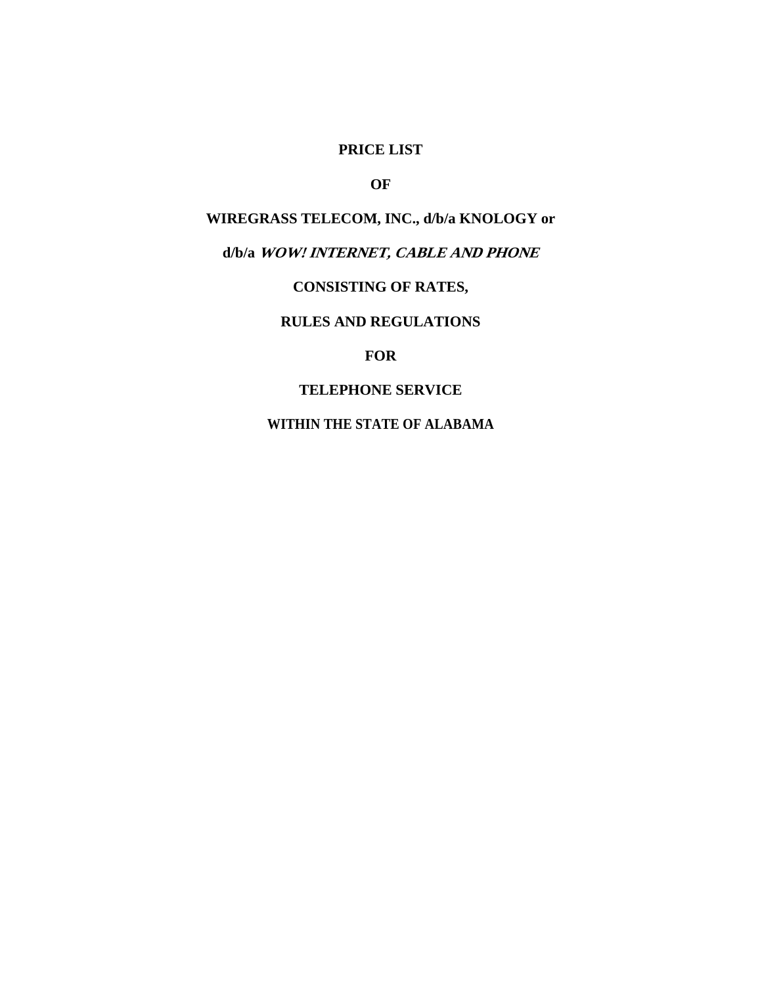## **PRICE LIST**

# **OF**

# **WIREGRASS TELECOM, INC., d/b/a KNOLOGY or**

# **d/b/a WOW! INTERNET, CABLE AND PHONE**

# **CONSISTING OF RATES,**

# **RULES AND REGULATIONS**

#### **FOR**

#### **TELEPHONE SERVICE**

# **WITHIN THE STATE OF ALABAMA**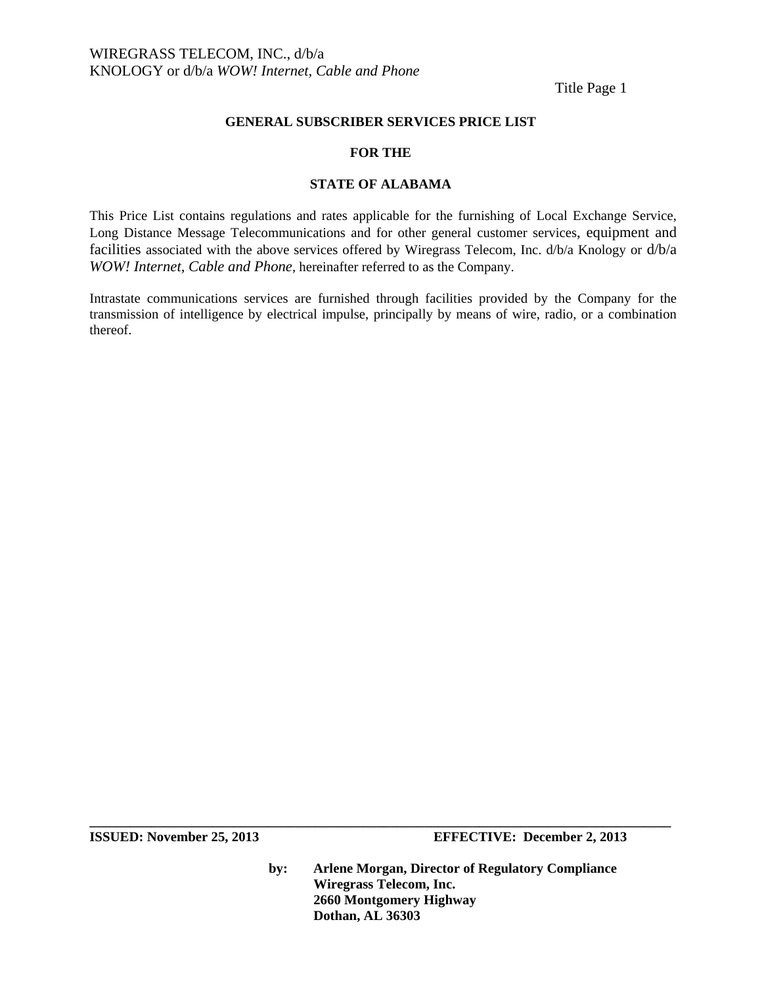Title Page 1

#### **GENERAL SUBSCRIBER SERVICES PRICE LIST**

#### **FOR THE**

#### **STATE OF ALABAMA**

This Price List contains regulations and rates applicable for the furnishing of Local Exchange Service, Long Distance Message Telecommunications and for other general customer services, equipment and facilities associated with the above services offered by Wiregrass Telecom, Inc. d/b/a Knology or d/b/a *WOW! Internet, Cable and Phone*, hereinafter referred to as the Company.

Intrastate communications services are furnished through facilities provided by the Company for the transmission of intelligence by electrical impulse, principally by means of wire, radio, or a combination thereof.

**ISSUED: November 25, 2013 EFFECTIVE: December 2, 2013** 

**by: Arlene Morgan, Director of Regulatory Compliance Wiregrass Telecom, Inc. 2660 Montgomery Highway Dothan, AL 36303**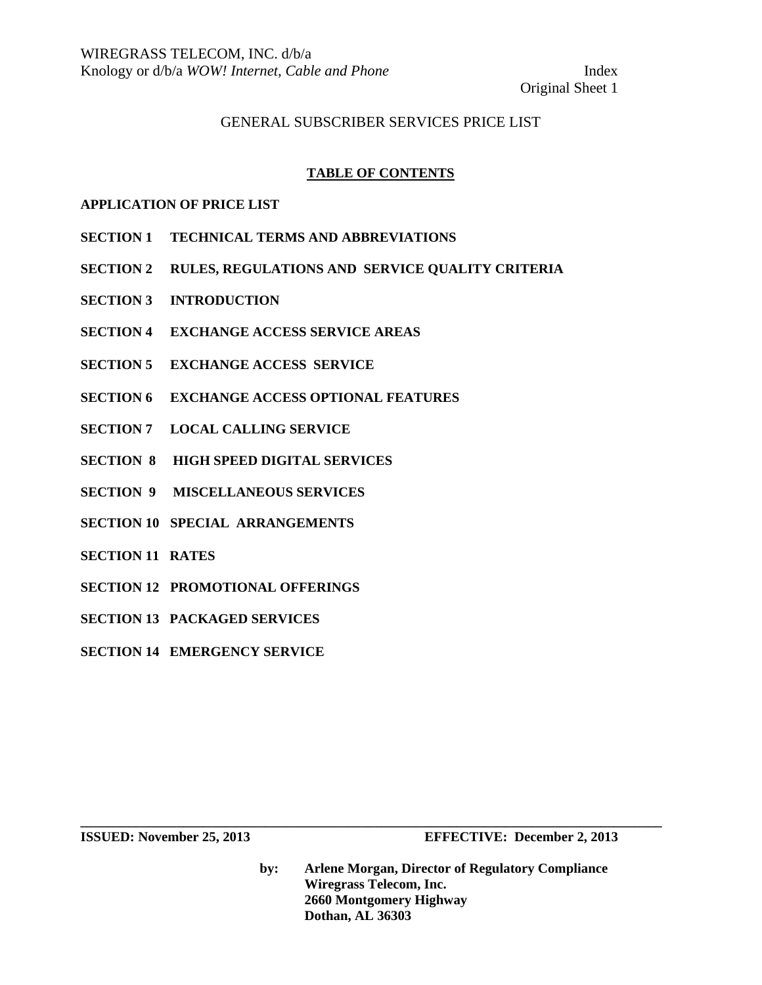Original Sheet 1

### GENERAL SUBSCRIBER SERVICES PRICE LIST

#### **TABLE OF CONTENTS**

#### **APPLICATION OF PRICE LIST**

- **SECTION 1 TECHNICAL TERMS AND ABBREVIATIONS**
- **SECTION 2 RULES, REGULATIONS AND SERVICE QUALITY CRITERIA**
- **SECTION 3 INTRODUCTION**
- **SECTION 4 EXCHANGE ACCESS SERVICE AREAS**
- **SECTION 5 EXCHANGE ACCESS SERVICE**
- **SECTION 6 EXCHANGE ACCESS OPTIONAL FEATURES**
- **SECTION 7 LOCAL CALLING SERVICE**
- **SECTION 8 HIGH SPEED DIGITAL SERVICES**
- **SECTION 9 MISCELLANEOUS SERVICES**
- **SECTION 10 SPECIAL ARRANGEMENTS**
- **SECTION 11 RATES**
- **SECTION 12 PROMOTIONAL OFFERINGS**
- **SECTION 13 PACKAGED SERVICES**
- **SECTION 14 EMERGENCY SERVICE**

**by: Arlene Morgan, Director of Regulatory Compliance Wiregrass Telecom, Inc. 2660 Montgomery Highway Dothan, AL 36303**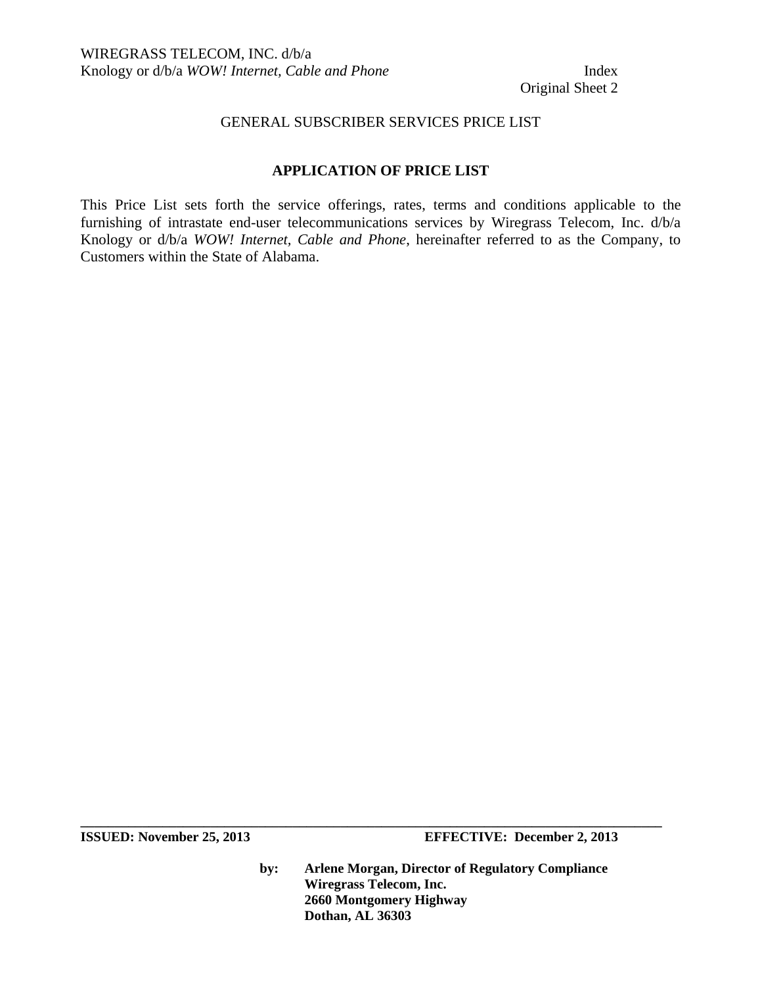Original Sheet 2

#### GENERAL SUBSCRIBER SERVICES PRICE LIST

### **APPLICATION OF PRICE LIST**

This Price List sets forth the service offerings, rates, terms and conditions applicable to the furnishing of intrastate end-user telecommunications services by Wiregrass Telecom, Inc. d/b/a Knology or d/b/a *WOW! Internet, Cable and Phone*, hereinafter referred to as the Company, to Customers within the State of Alabama.

**ISSUED: November 25, 2013 EFFECTIVE: December 2, 2013** 

**by: Arlene Morgan, Director of Regulatory Compliance Wiregrass Telecom, Inc. 2660 Montgomery Highway Dothan, AL 36303**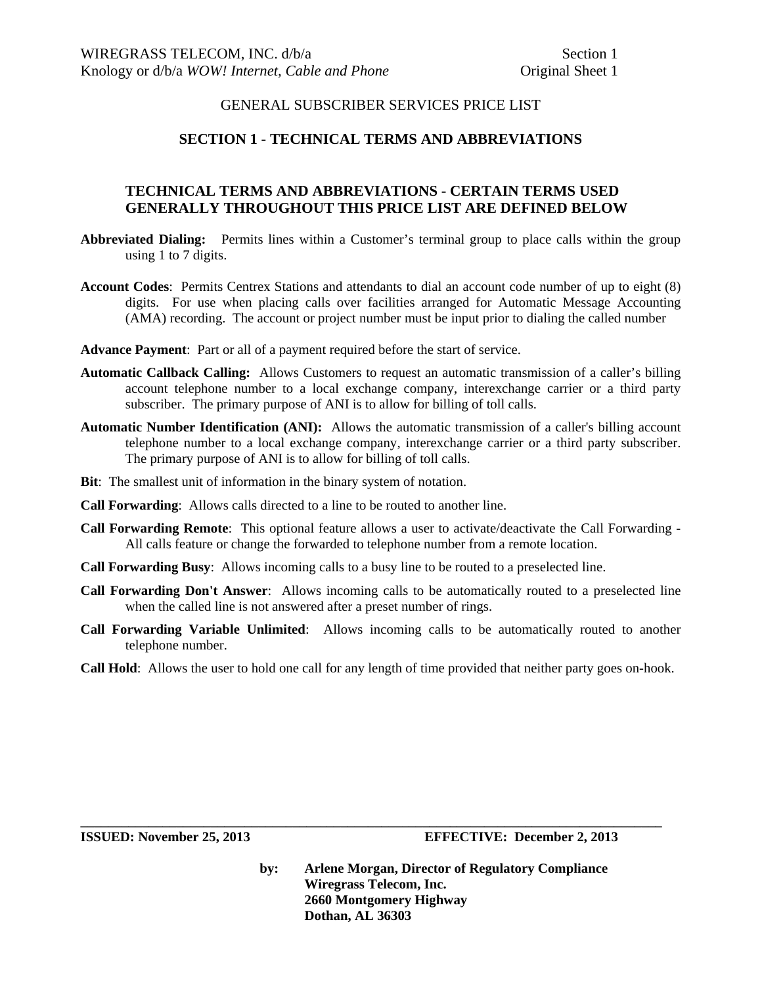#### **SECTION 1 - TECHNICAL TERMS AND ABBREVIATIONS**

### **TECHNICAL TERMS AND ABBREVIATIONS - CERTAIN TERMS USED GENERALLY THROUGHOUT THIS PRICE LIST ARE DEFINED BELOW**

- **Abbreviated Dialing:** Permits lines within a Customer's terminal group to place calls within the group using 1 to 7 digits.
- **Account Codes**: Permits Centrex Stations and attendants to dial an account code number of up to eight (8) digits. For use when placing calls over facilities arranged for Automatic Message Accounting (AMA) recording. The account or project number must be input prior to dialing the called number
- **Advance Payment**: Part or all of a payment required before the start of service.
- **Automatic Callback Calling:** Allows Customers to request an automatic transmission of a caller's billing account telephone number to a local exchange company, interexchange carrier or a third party subscriber. The primary purpose of ANI is to allow for billing of toll calls.
- **Automatic Number Identification (ANI):** Allows the automatic transmission of a caller's billing account telephone number to a local exchange company, interexchange carrier or a third party subscriber. The primary purpose of ANI is to allow for billing of toll calls.
- **Bit**: The smallest unit of information in the binary system of notation.
- **Call Forwarding**: Allows calls directed to a line to be routed to another line.
- **Call Forwarding Remote**: This optional feature allows a user to activate/deactivate the Call Forwarding All calls feature or change the forwarded to telephone number from a remote location.
- **Call Forwarding Busy**: Allows incoming calls to a busy line to be routed to a preselected line.
- **Call Forwarding Don't Answer**: Allows incoming calls to be automatically routed to a preselected line when the called line is not answered after a preset number of rings.
- **Call Forwarding Variable Unlimited**: Allows incoming calls to be automatically routed to another telephone number.
- **Call Hold**: Allows the user to hold one call for any length of time provided that neither party goes on-hook.

**\_\_\_\_\_\_\_\_\_\_\_\_\_\_\_\_\_\_\_\_\_\_\_\_\_\_\_\_\_\_\_\_\_\_\_\_\_\_\_\_\_\_\_\_\_\_\_\_\_\_\_\_\_\_\_\_\_\_\_\_\_\_\_\_\_\_\_\_\_\_\_\_\_\_\_\_\_\_\_\_\_\_\_\_\_**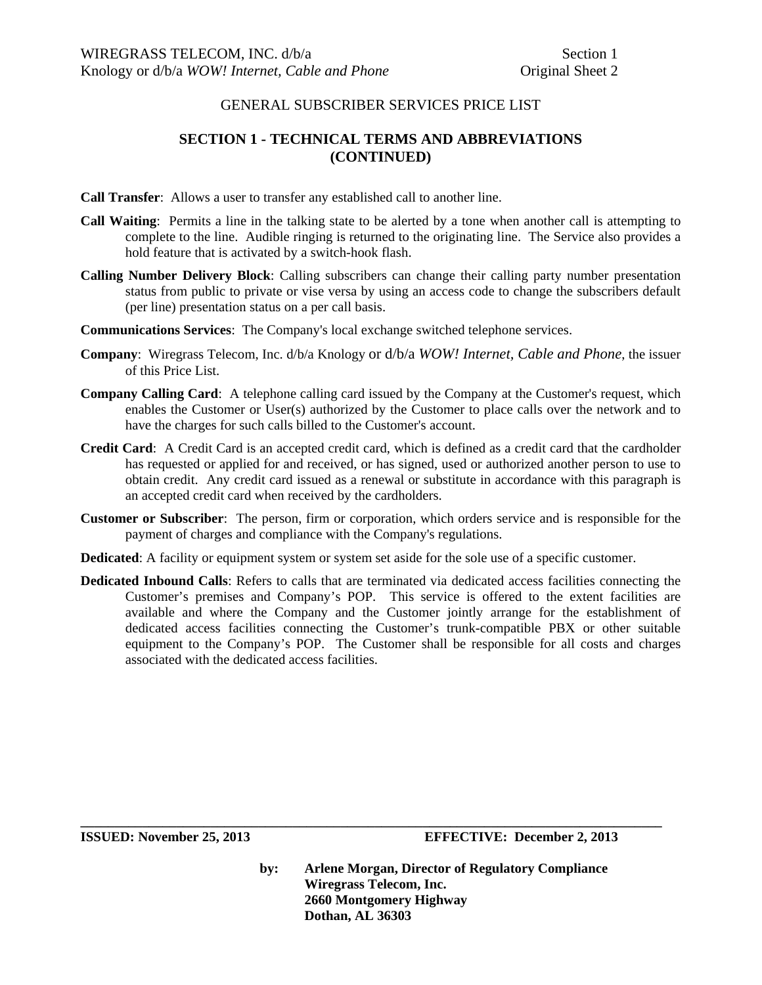# **SECTION 1 - TECHNICAL TERMS AND ABBREVIATIONS (CONTINUED)**

- **Call Transfer**: Allows a user to transfer any established call to another line.
- **Call Waiting**: Permits a line in the talking state to be alerted by a tone when another call is attempting to complete to the line. Audible ringing is returned to the originating line. The Service also provides a hold feature that is activated by a switch-hook flash.
- **Calling Number Delivery Block**: Calling subscribers can change their calling party number presentation status from public to private or vise versa by using an access code to change the subscribers default (per line) presentation status on a per call basis.
- **Communications Services**: The Company's local exchange switched telephone services.
- **Company**: Wiregrass Telecom, Inc. d/b/a Knology or d/b/a *WOW! Internet, Cable and Phone*, the issuer of this Price List.
- **Company Calling Card**: A telephone calling card issued by the Company at the Customer's request, which enables the Customer or User(s) authorized by the Customer to place calls over the network and to have the charges for such calls billed to the Customer's account.
- **Credit Card**: A Credit Card is an accepted credit card, which is defined as a credit card that the cardholder has requested or applied for and received, or has signed, used or authorized another person to use to obtain credit. Any credit card issued as a renewal or substitute in accordance with this paragraph is an accepted credit card when received by the cardholders.
- **Customer or Subscriber**: The person, firm or corporation, which orders service and is responsible for the payment of charges and compliance with the Company's regulations.
- **Dedicated**: A facility or equipment system or system set aside for the sole use of a specific customer.
- **Dedicated Inbound Calls**: Refers to calls that are terminated via dedicated access facilities connecting the Customer's premises and Company's POP. This service is offered to the extent facilities are available and where the Company and the Customer jointly arrange for the establishment of dedicated access facilities connecting the Customer's trunk-compatible PBX or other suitable equipment to the Company's POP. The Customer shall be responsible for all costs and charges associated with the dedicated access facilities.

**\_\_\_\_\_\_\_\_\_\_\_\_\_\_\_\_\_\_\_\_\_\_\_\_\_\_\_\_\_\_\_\_\_\_\_\_\_\_\_\_\_\_\_\_\_\_\_\_\_\_\_\_\_\_\_\_\_\_\_\_\_\_\_\_\_\_\_\_\_\_\_\_\_\_\_\_\_\_\_\_\_\_\_\_\_** 

**ISSUED: November 25, 2013 EFFECTIVE: December 2, 2013**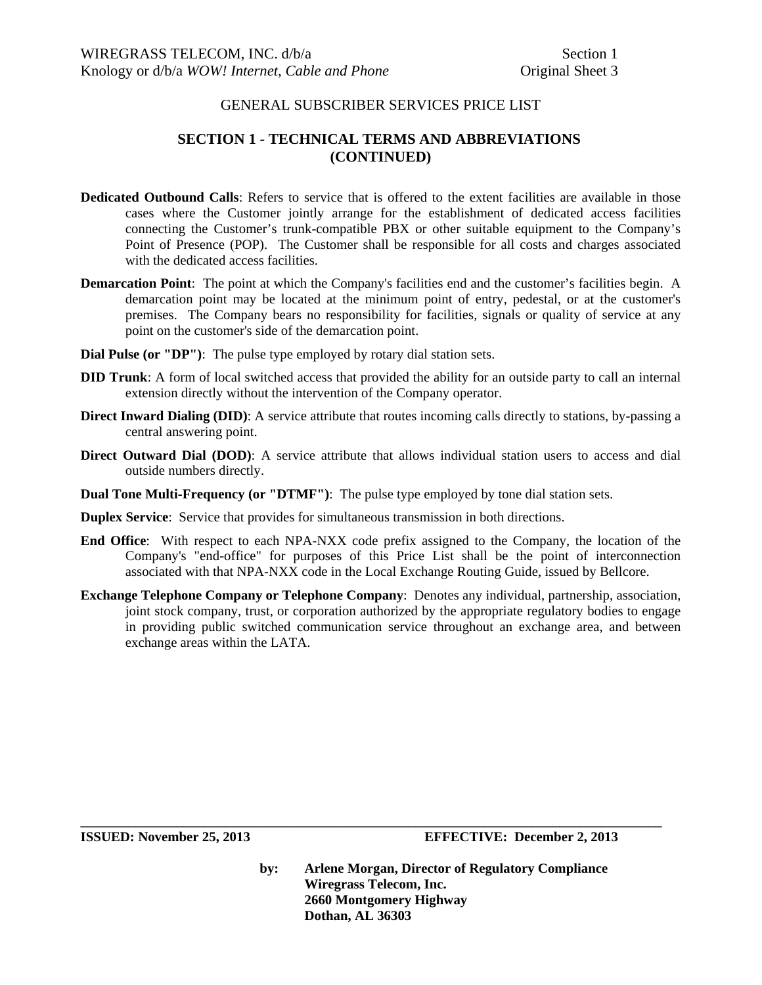# **SECTION 1 - TECHNICAL TERMS AND ABBREVIATIONS (CONTINUED)**

- **Dedicated Outbound Calls**: Refers to service that is offered to the extent facilities are available in those cases where the Customer jointly arrange for the establishment of dedicated access facilities connecting the Customer's trunk-compatible PBX or other suitable equipment to the Company's Point of Presence (POP). The Customer shall be responsible for all costs and charges associated with the dedicated access facilities.
- **Demarcation Point:** The point at which the Company's facilities end and the customer's facilities begin. A demarcation point may be located at the minimum point of entry, pedestal, or at the customer's premises. The Company bears no responsibility for facilities, signals or quality of service at any point on the customer's side of the demarcation point.
- **Dial Pulse (or "DP")**: The pulse type employed by rotary dial station sets.
- **DID Trunk**: A form of local switched access that provided the ability for an outside party to call an internal extension directly without the intervention of the Company operator.
- **Direct Inward Dialing (DID)**: A service attribute that routes incoming calls directly to stations, by-passing a central answering point.
- **Direct Outward Dial (DOD)**: A service attribute that allows individual station users to access and dial outside numbers directly.
- **Dual Tone Multi-Frequency (or "DTMF")**: The pulse type employed by tone dial station sets.
- **Duplex Service**: Service that provides for simultaneous transmission in both directions.
- **End Office**: With respect to each NPA-NXX code prefix assigned to the Company, the location of the Company's "end-office" for purposes of this Price List shall be the point of interconnection associated with that NPA-NXX code in the Local Exchange Routing Guide, issued by Bellcore.
- **Exchange Telephone Company or Telephone Company**:Denotes any individual, partnership, association, joint stock company, trust, or corporation authorized by the appropriate regulatory bodies to engage in providing public switched communication service throughout an exchange area, and between exchange areas within the LATA.

**\_\_\_\_\_\_\_\_\_\_\_\_\_\_\_\_\_\_\_\_\_\_\_\_\_\_\_\_\_\_\_\_\_\_\_\_\_\_\_\_\_\_\_\_\_\_\_\_\_\_\_\_\_\_\_\_\_\_\_\_\_\_\_\_\_\_\_\_\_\_\_\_\_\_\_\_\_\_\_\_\_\_\_\_\_** 

**ISSUED: November 25, 2013 EFFECTIVE: December 2, 2013**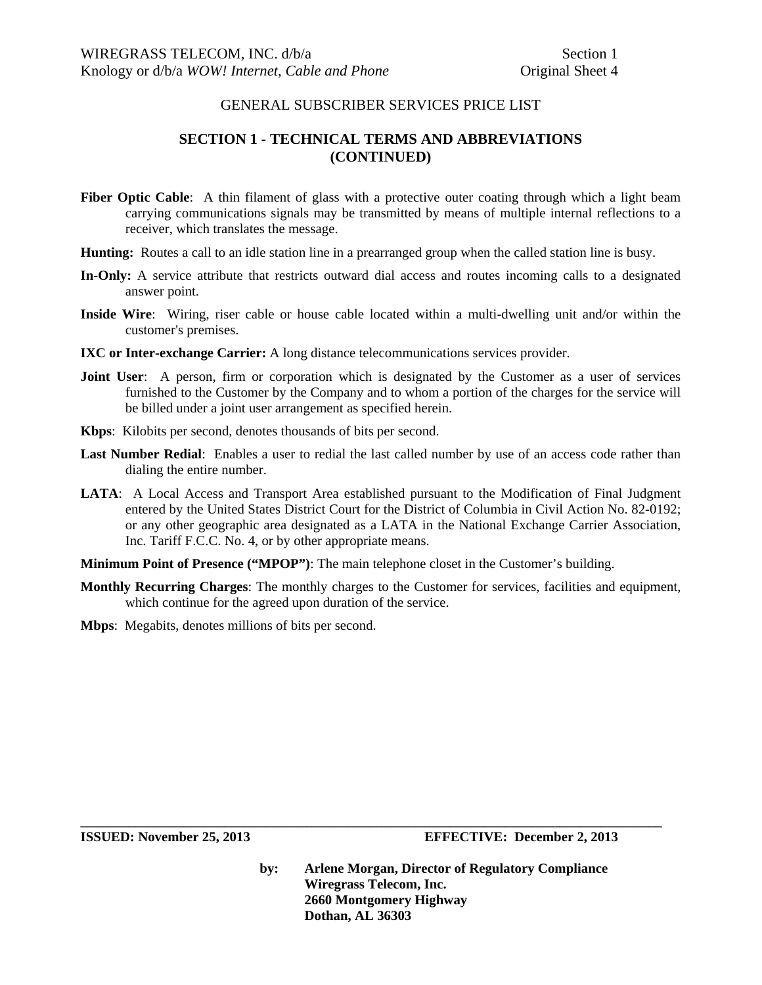# **SECTION 1 - TECHNICAL TERMS AND ABBREVIATIONS (CONTINUED)**

- Fiber Optic Cable: A thin filament of glass with a protective outer coating through which a light beam carrying communications signals may be transmitted by means of multiple internal reflections to a receiver, which translates the message.
- **Hunting:** Routes a call to an idle station line in a prearranged group when the called station line is busy.
- **In-Only:** A service attribute that restricts outward dial access and routes incoming calls to a designated answer point.
- **Inside Wire**: Wiring, riser cable or house cable located within a multi-dwelling unit and/or within the customer's premises.
- **IXC or Inter-exchange Carrier:** A long distance telecommunications services provider.
- **Joint User:** A person, firm or corporation which is designated by the Customer as a user of services furnished to the Customer by the Company and to whom a portion of the charges for the service will be billed under a joint user arrangement as specified herein.
- **Kbps**: Kilobits per second, denotes thousands of bits per second.
- **Last Number Redial**: Enables a user to redial the last called number by use of an access code rather than dialing the entire number.
- **LATA**: A Local Access and Transport Area established pursuant to the Modification of Final Judgment entered by the United States District Court for the District of Columbia in Civil Action No. 82-0192; or any other geographic area designated as a LATA in the National Exchange Carrier Association, Inc. Tariff F.C.C. No. 4, or by other appropriate means.
- **Minimum Point of Presence ("MPOP")**: The main telephone closet in the Customer's building.
- **Monthly Recurring Charges**: The monthly charges to the Customer for services, facilities and equipment, which continue for the agreed upon duration of the service.

**\_\_\_\_\_\_\_\_\_\_\_\_\_\_\_\_\_\_\_\_\_\_\_\_\_\_\_\_\_\_\_\_\_\_\_\_\_\_\_\_\_\_\_\_\_\_\_\_\_\_\_\_\_\_\_\_\_\_\_\_\_\_\_\_\_\_\_\_\_\_\_\_\_\_\_\_\_\_\_\_\_\_\_\_\_** 

**Mbps**: Megabits, denotes millions of bits per second.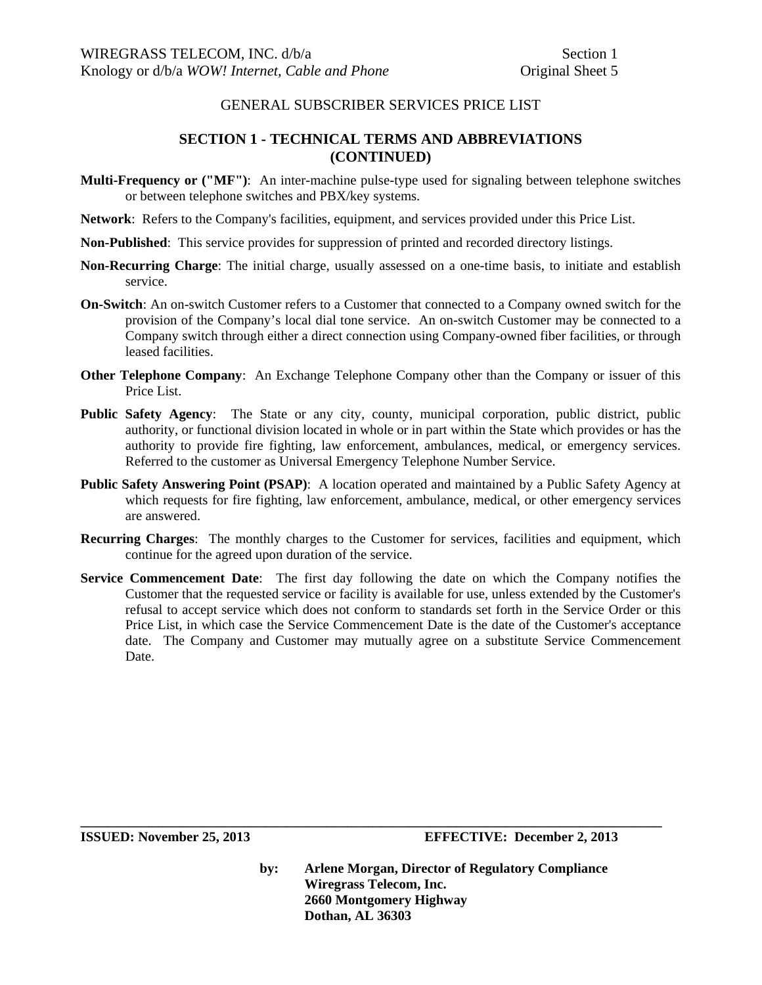## **SECTION 1 - TECHNICAL TERMS AND ABBREVIATIONS (CONTINUED)**

- **Multi-Frequency or ("MF")**: An inter-machine pulse-type used for signaling between telephone switches or between telephone switches and PBX/key systems.
- **Network**: Refers to the Company's facilities, equipment, and services provided under this Price List.
- **Non-Published**: This service provides for suppression of printed and recorded directory listings.
- **Non-Recurring Charge**: The initial charge, usually assessed on a one-time basis, to initiate and establish service.
- **On-Switch**: An on-switch Customer refers to a Customer that connected to a Company owned switch for the provision of the Company's local dial tone service. An on-switch Customer may be connected to a Company switch through either a direct connection using Company-owned fiber facilities, or through leased facilities.
- **Other Telephone Company**: An Exchange Telephone Company other than the Company or issuer of this Price List.
- **Public Safety Agency**: The State or any city, county, municipal corporation, public district, public authority, or functional division located in whole or in part within the State which provides or has the authority to provide fire fighting, law enforcement, ambulances, medical, or emergency services. Referred to the customer as Universal Emergency Telephone Number Service.
- **Public Safety Answering Point (PSAP)**: A location operated and maintained by a Public Safety Agency at which requests for fire fighting, law enforcement, ambulance, medical, or other emergency services are answered.
- **Recurring Charges**: The monthly charges to the Customer for services, facilities and equipment, which continue for the agreed upon duration of the service.
- **Service Commencement Date**: The first day following the date on which the Company notifies the Customer that the requested service or facility is available for use, unless extended by the Customer's refusal to accept service which does not conform to standards set forth in the Service Order or this Price List, in which case the Service Commencement Date is the date of the Customer's acceptance date. The Company and Customer may mutually agree on a substitute Service Commencement Date.

**\_\_\_\_\_\_\_\_\_\_\_\_\_\_\_\_\_\_\_\_\_\_\_\_\_\_\_\_\_\_\_\_\_\_\_\_\_\_\_\_\_\_\_\_\_\_\_\_\_\_\_\_\_\_\_\_\_\_\_\_\_\_\_\_\_\_\_\_\_\_\_\_\_\_\_\_\_\_\_\_\_\_\_\_\_** 

**ISSUED: November 25, 2013 EFFECTIVE: December 2, 2013**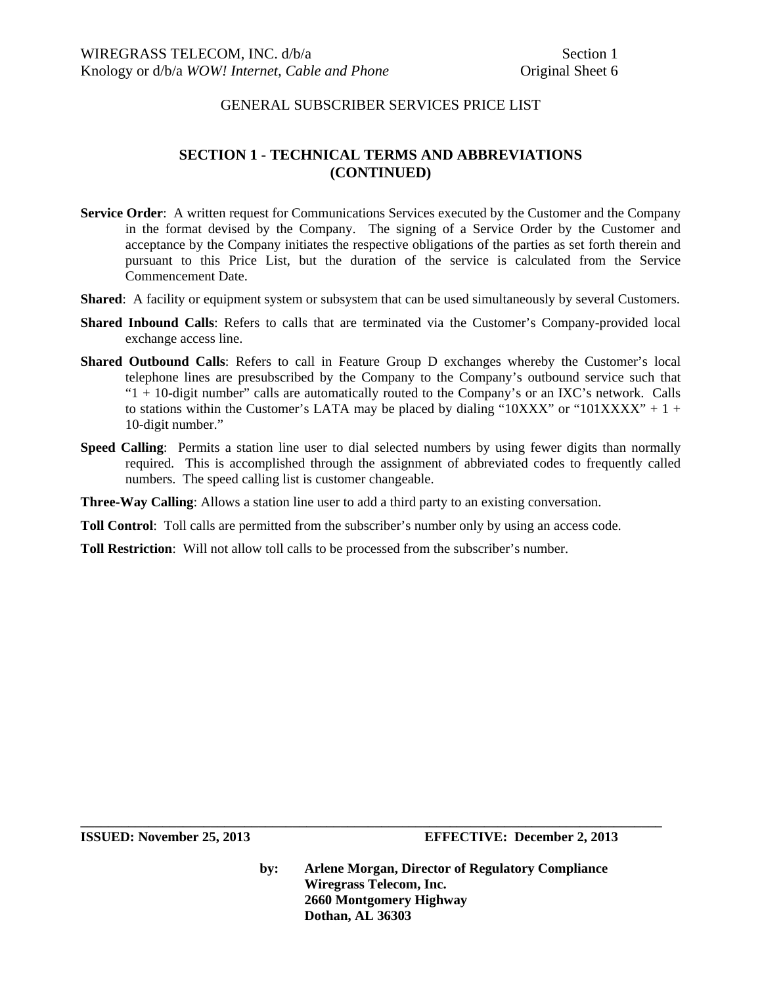# **SECTION 1 - TECHNICAL TERMS AND ABBREVIATIONS (CONTINUED)**

- **Service Order**: A written request for Communications Services executed by the Customer and the Company in the format devised by the Company. The signing of a Service Order by the Customer and acceptance by the Company initiates the respective obligations of the parties as set forth therein and pursuant to this Price List, but the duration of the service is calculated from the Service Commencement Date.
- **Shared**: A facility or equipment system or subsystem that can be used simultaneously by several Customers.
- **Shared Inbound Calls**: Refers to calls that are terminated via the Customer's Company-provided local exchange access line.
- **Shared Outbound Calls**: Refers to call in Feature Group D exchanges whereby the Customer's local telephone lines are presubscribed by the Company to the Company's outbound service such that "1 + 10-digit number" calls are automatically routed to the Company's or an IXC's network. Calls to stations within the Customer's LATA may be placed by dialing " $10XXX"$ " or " $101XXX" + 1 +$ 10-digit number."
- **Speed Calling:** Permits a station line user to dial selected numbers by using fewer digits than normally required. This is accomplished through the assignment of abbreviated codes to frequently called numbers. The speed calling list is customer changeable.

**Three-Way Calling**: Allows a station line user to add a third party to an existing conversation.

**Toll Control**: Toll calls are permitted from the subscriber's number only by using an access code.

**Toll Restriction**: Will not allow toll calls to be processed from the subscriber's number.

**by: Arlene Morgan, Director of Regulatory Compliance Wiregrass Telecom, Inc. 2660 Montgomery Highway Dothan, AL 36303**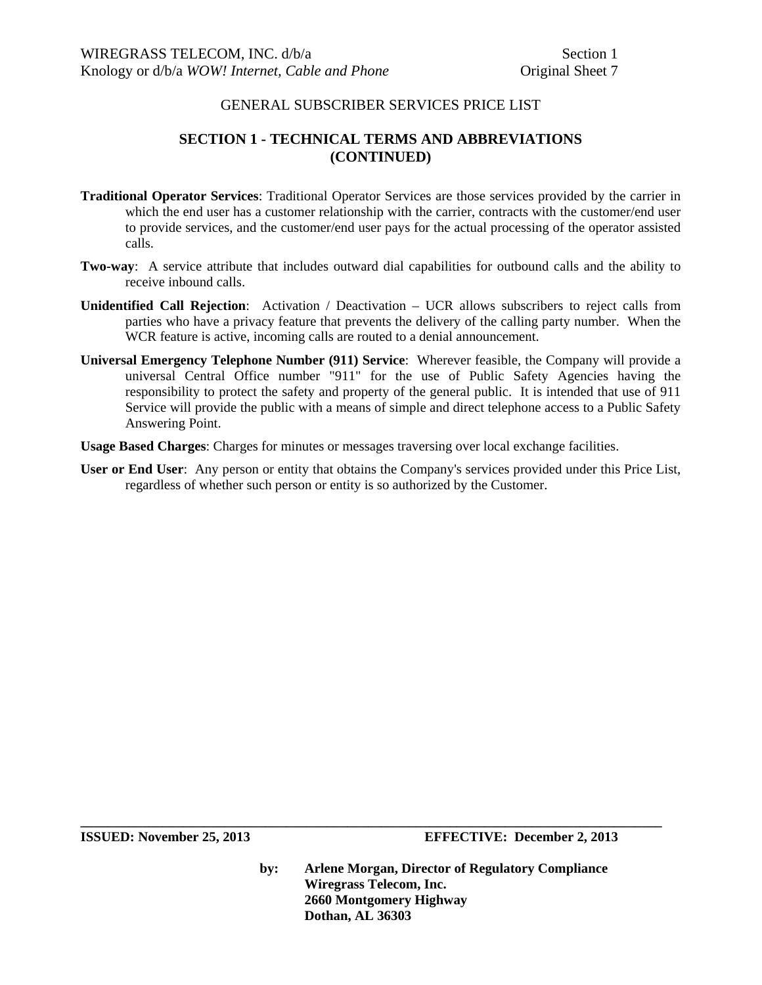# **SECTION 1 - TECHNICAL TERMS AND ABBREVIATIONS (CONTINUED)**

- **Traditional Operator Services**: Traditional Operator Services are those services provided by the carrier in which the end user has a customer relationship with the carrier, contracts with the customer/end user to provide services, and the customer/end user pays for the actual processing of the operator assisted calls.
- **Two-way**: A service attribute that includes outward dial capabilities for outbound calls and the ability to receive inbound calls.
- **Unidentified Call Rejection**: Activation / Deactivation UCR allows subscribers to reject calls from parties who have a privacy feature that prevents the delivery of the calling party number. When the WCR feature is active, incoming calls are routed to a denial announcement.
- **Universal Emergency Telephone Number (911) Service**: Wherever feasible, the Company will provide a universal Central Office number "911" for the use of Public Safety Agencies having the responsibility to protect the safety and property of the general public. It is intended that use of 911 Service will provide the public with a means of simple and direct telephone access to a Public Safety Answering Point.

**Usage Based Charges**: Charges for minutes or messages traversing over local exchange facilities.

**User or End User**: Any person or entity that obtains the Company's services provided under this Price List, regardless of whether such person or entity is so authorized by the Customer.

**ISSUED: November 25, 2013 EFFECTIVE: December 2, 2013** 

**by: Arlene Morgan, Director of Regulatory Compliance Wiregrass Telecom, Inc. 2660 Montgomery Highway Dothan, AL 36303**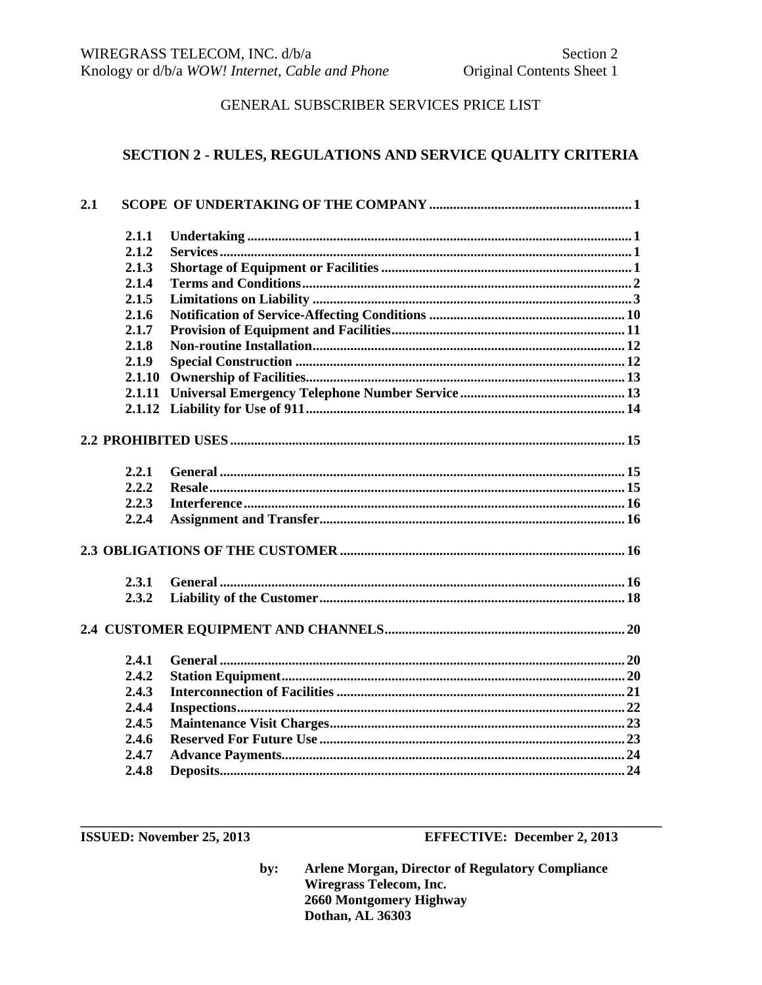# SECTION 2 - RULES, REGULATIONS AND SERVICE QUALITY CRITERIA

| 2.1 |        |  |
|-----|--------|--|
|     | 2.1.1  |  |
|     | 2.1.2  |  |
|     | 2.1.3  |  |
|     | 2.1.4  |  |
|     | 2.1.5  |  |
|     | 2.1.6  |  |
|     | 2.1.7  |  |
|     | 2.1.8  |  |
|     | 2.1.9  |  |
|     | 2.1.10 |  |
|     | 2.1.11 |  |
|     |        |  |
|     |        |  |
|     | 2.2.1  |  |
|     | 2.2.2  |  |
|     | 2.2.3  |  |
|     | 2.2.4  |  |
|     |        |  |
|     | 2.3.1  |  |
|     | 2.3.2  |  |
|     |        |  |
|     | 2.4.1  |  |
|     | 2.4.2  |  |
|     | 2.4.3  |  |
|     | 2.4.4  |  |
|     | 2.4.5  |  |
|     | 2.4.6  |  |
|     | 2.4.7  |  |
|     | 2.4.8  |  |

**ISSUED:** November 25, 2013

**EFFECTIVE: December 2, 2013**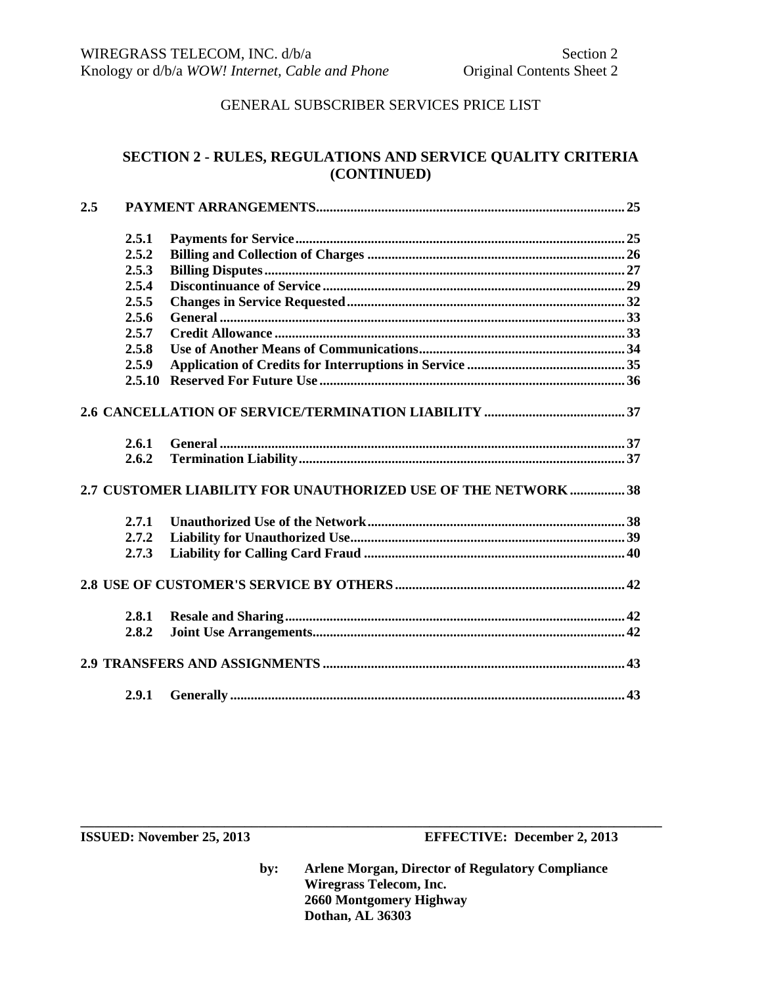# **SECTION 2 - RULES, REGULATIONS AND SERVICE QUALITY CRITERIA (CONTINUED)**

| 2.5 |        |                                                                |  |
|-----|--------|----------------------------------------------------------------|--|
|     | 2.5.1  |                                                                |  |
|     | 2.5.2  |                                                                |  |
|     | 2.5.3  |                                                                |  |
|     | 2.5.4  |                                                                |  |
|     | 2.5.5  |                                                                |  |
|     | 2.5.6  |                                                                |  |
|     | 2.5.7  |                                                                |  |
|     | 2.5.8  |                                                                |  |
|     | 2.5.9  |                                                                |  |
|     | 2.5.10 |                                                                |  |
|     |        |                                                                |  |
|     | 2.6.1  |                                                                |  |
|     | 2.6.2  |                                                                |  |
|     |        | 2.7 CUSTOMER LIABILITY FOR UNAUTHORIZED USE OF THE NETWORK  38 |  |
|     | 2.7.1  |                                                                |  |
|     | 2.7.2  |                                                                |  |
|     | 2.7.3  |                                                                |  |
|     |        |                                                                |  |
|     | 2.8.1  |                                                                |  |
|     | 2.8.2  |                                                                |  |
|     |        |                                                                |  |
|     | 2.9.1  |                                                                |  |

**by: Arlene Morgan, Director of Regulatory Compliance Wiregrass Telecom, Inc. 2660 Montgomery Highway Dothan, AL 36303**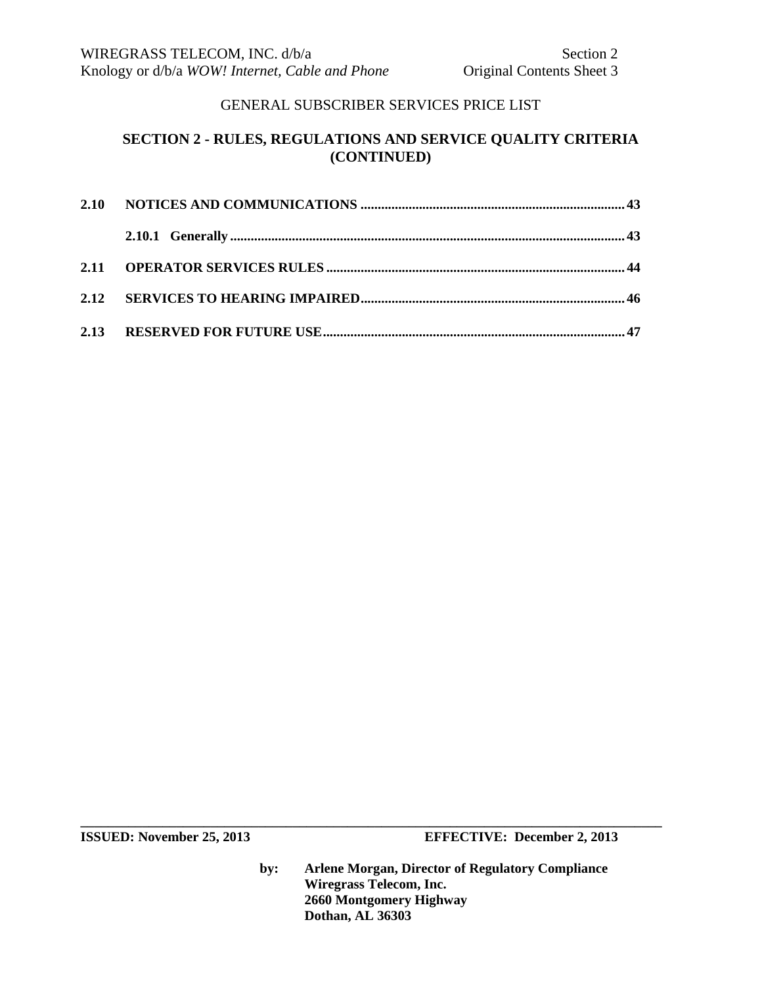# **SECTION 2 - RULES, REGULATIONS AND SERVICE QUALITY CRITERIA (CONTINUED)**

**ISSUED:** November 25, 2013 **EFFECTIVE:** December 2, 2013

**by: Arlene Morgan, Director of Regulatory Compliance Wiregrass Telecom, Inc. 2660 Montgomery Highway Dothan, AL 36303**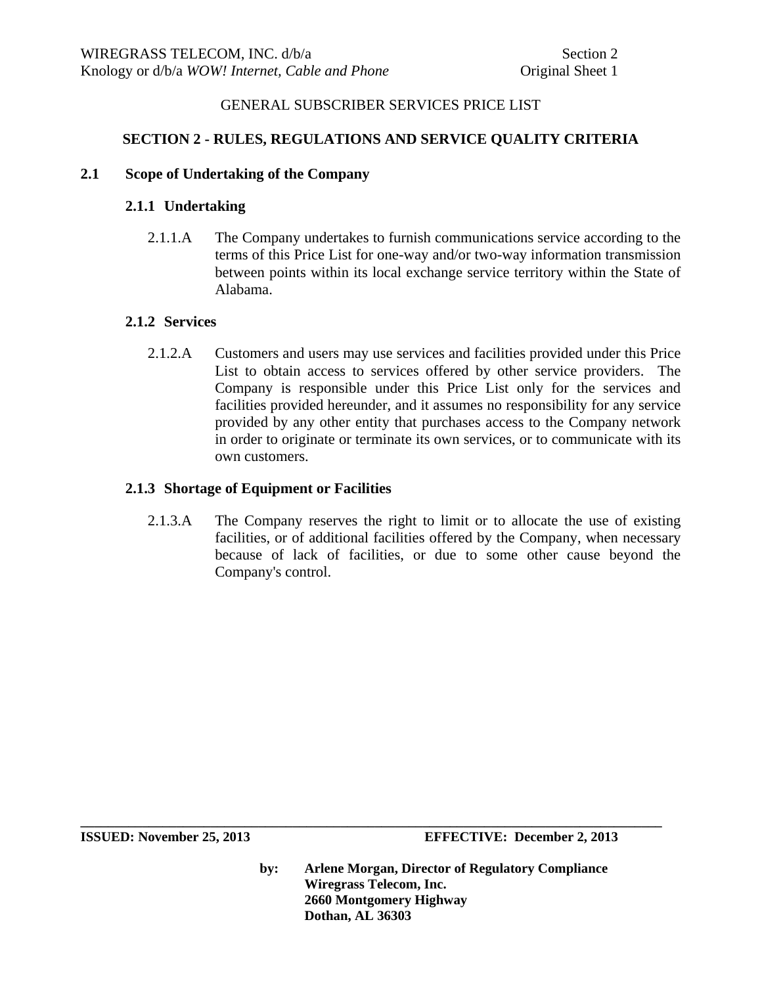# **SECTION 2 - RULES, REGULATIONS AND SERVICE QUALITY CRITERIA**

## **2.1 Scope of Undertaking of the Company**

# **2.1.1 Undertaking**

2.1.1.A The Company undertakes to furnish communications service according to the terms of this Price List for one-way and/or two-way information transmission between points within its local exchange service territory within the State of Alabama.

### **2.1.2 Services**

2.1.2.A Customers and users may use services and facilities provided under this Price List to obtain access to services offered by other service providers. The Company is responsible under this Price List only for the services and facilities provided hereunder, and it assumes no responsibility for any service provided by any other entity that purchases access to the Company network in order to originate or terminate its own services, or to communicate with its own customers.

## **2.1.3 Shortage of Equipment or Facilities**

2.1.3.A The Company reserves the right to limit or to allocate the use of existing facilities, or of additional facilities offered by the Company, when necessary because of lack of facilities, or due to some other cause beyond the Company's control.

**ISSUED: November 25, 2013 EFFECTIVE: December 2, 2013** 

**by: Arlene Morgan, Director of Regulatory Compliance Wiregrass Telecom, Inc. 2660 Montgomery Highway Dothan, AL 36303**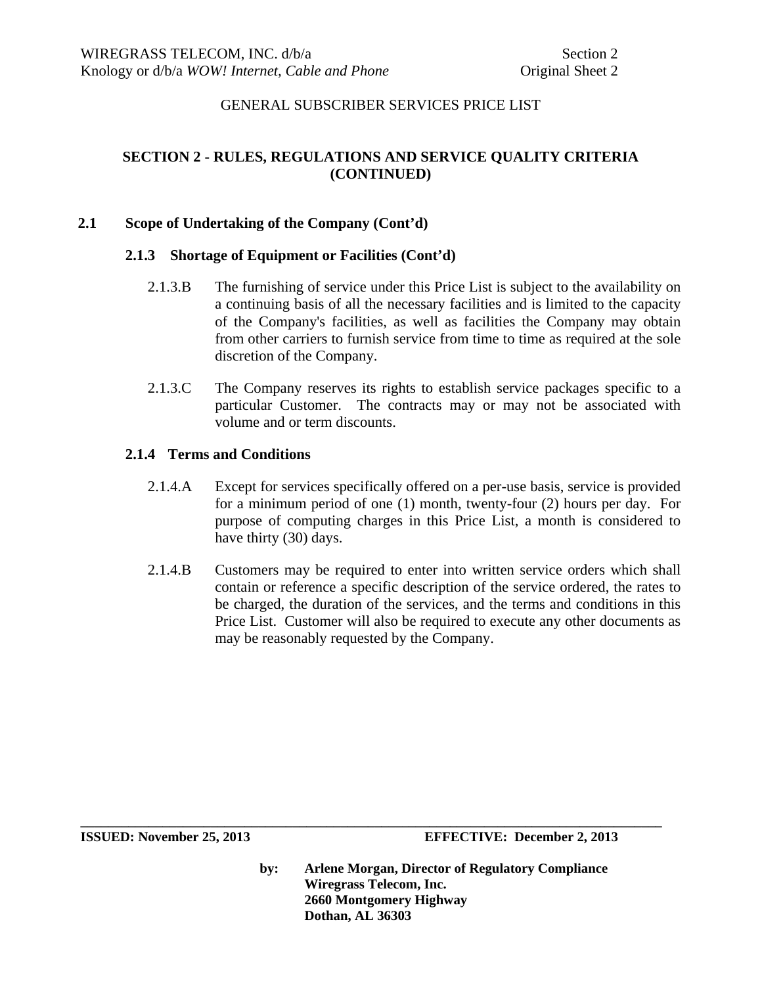# **SECTION 2 - RULES, REGULATIONS AND SERVICE QUALITY CRITERIA (CONTINUED)**

### **2.1 Scope of Undertaking of the Company (Cont'd)**

#### **2.1.3 Shortage of Equipment or Facilities (Cont'd)**

- 2.1.3.B The furnishing of service under this Price List is subject to the availability on a continuing basis of all the necessary facilities and is limited to the capacity of the Company's facilities, as well as facilities the Company may obtain from other carriers to furnish service from time to time as required at the sole discretion of the Company.
- 2.1.3.C The Company reserves its rights to establish service packages specific to a particular Customer. The contracts may or may not be associated with volume and or term discounts.

#### **2.1.4 Terms and Conditions**

- 2.1.4.A Except for services specifically offered on a per-use basis, service is provided for a minimum period of one (1) month, twenty-four (2) hours per day. For purpose of computing charges in this Price List, a month is considered to have thirty (30) days.
- 2.1.4.B Customers may be required to enter into written service orders which shall contain or reference a specific description of the service ordered, the rates to be charged, the duration of the services, and the terms and conditions in this Price List. Customer will also be required to execute any other documents as may be reasonably requested by the Company.

**by: Arlene Morgan, Director of Regulatory Compliance Wiregrass Telecom, Inc. 2660 Montgomery Highway Dothan, AL 36303** 

**ISSUED: November 25, 2013 EFFECTIVE: December 2, 2013**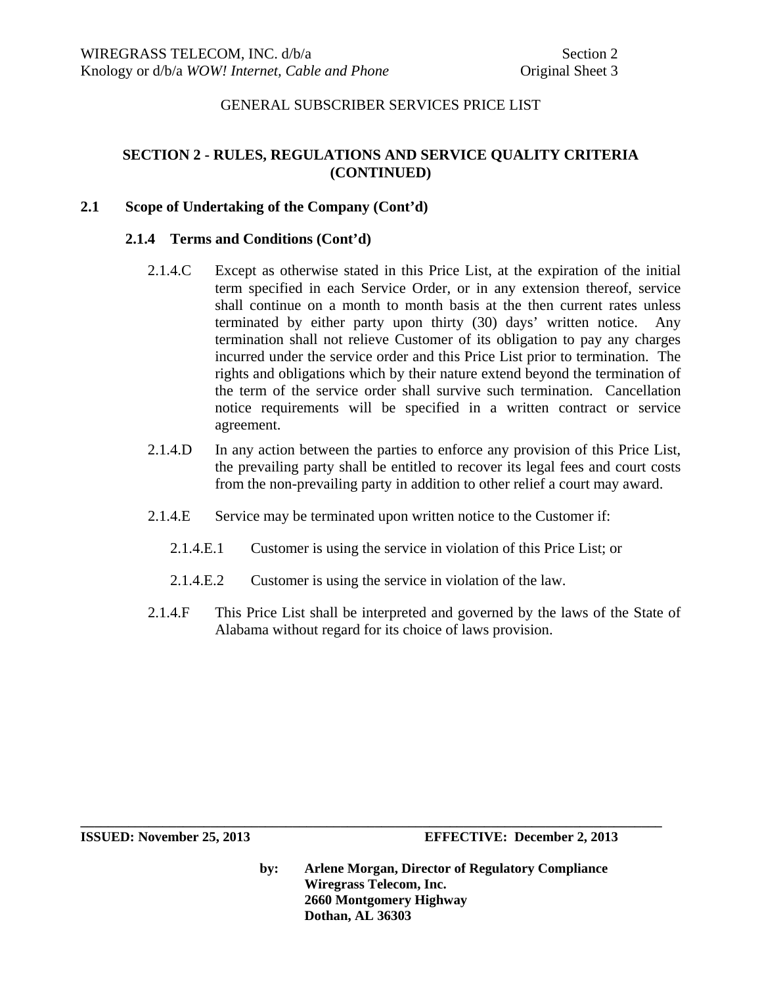# **SECTION 2 - RULES, REGULATIONS AND SERVICE QUALITY CRITERIA (CONTINUED)**

## **2.1 Scope of Undertaking of the Company (Cont'd)**

#### **2.1.4 Terms and Conditions (Cont'd)**

- 2.1.4.C Except as otherwise stated in this Price List, at the expiration of the initial term specified in each Service Order, or in any extension thereof, service shall continue on a month to month basis at the then current rates unless terminated by either party upon thirty (30) days' written notice. Any termination shall not relieve Customer of its obligation to pay any charges incurred under the service order and this Price List prior to termination. The rights and obligations which by their nature extend beyond the termination of the term of the service order shall survive such termination. Cancellation notice requirements will be specified in a written contract or service agreement.
- 2.1.4.D In any action between the parties to enforce any provision of this Price List, the prevailing party shall be entitled to recover its legal fees and court costs from the non-prevailing party in addition to other relief a court may award.
- 2.1.4.E Service may be terminated upon written notice to the Customer if:
	- 2.1.4.E.1 Customer is using the service in violation of this Price List; or
	- 2.1.4.E.2 Customer is using the service in violation of the law.

**\_\_\_\_\_\_\_\_\_\_\_\_\_\_\_\_\_\_\_\_\_\_\_\_\_\_\_\_\_\_\_\_\_\_\_\_\_\_\_\_\_\_\_\_\_\_\_\_\_\_\_\_\_\_\_\_\_\_\_\_\_\_\_\_\_\_\_\_\_\_\_\_\_\_\_\_\_\_\_\_\_\_\_\_\_** 

2.1.4.F This Price List shall be interpreted and governed by the laws of the State of Alabama without regard for its choice of laws provision.

**ISSUED: November 25, 2013 EFFECTIVE: December 2, 2013**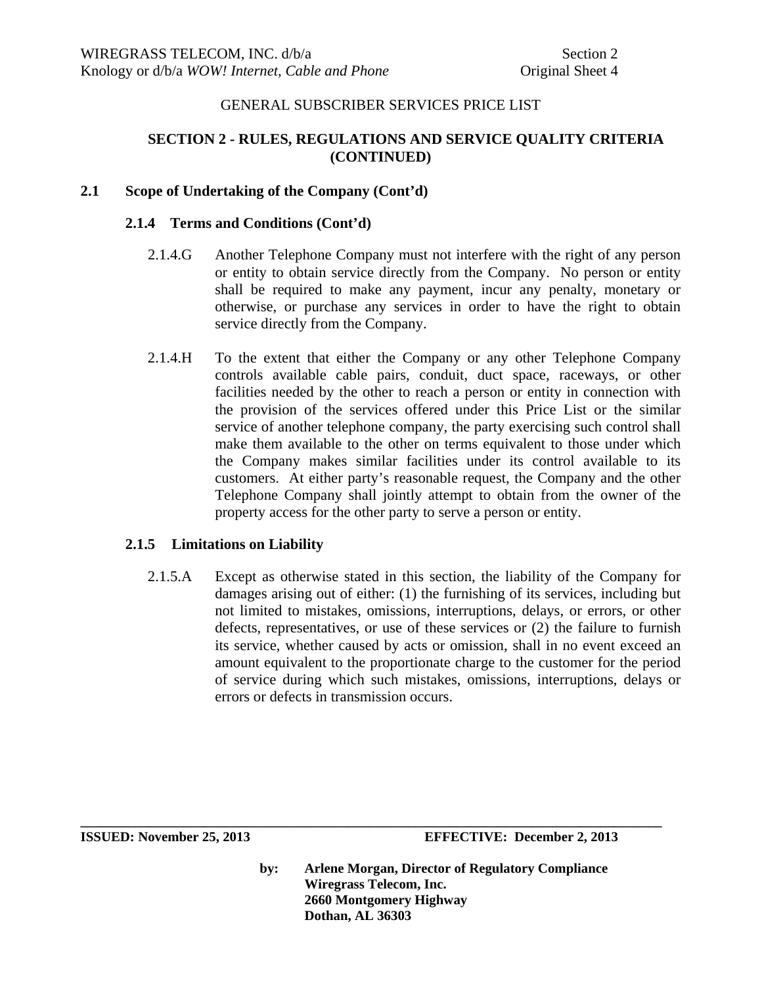# **SECTION 2 - RULES, REGULATIONS AND SERVICE QUALITY CRITERIA (CONTINUED)**

## **2.1 Scope of Undertaking of the Company (Cont'd)**

### **2.1.4 Terms and Conditions (Cont'd)**

- 2.1.4.G Another Telephone Company must not interfere with the right of any person or entity to obtain service directly from the Company. No person or entity shall be required to make any payment, incur any penalty, monetary or otherwise, or purchase any services in order to have the right to obtain service directly from the Company.
- 2.1.4.H To the extent that either the Company or any other Telephone Company controls available cable pairs, conduit, duct space, raceways, or other facilities needed by the other to reach a person or entity in connection with the provision of the services offered under this Price List or the similar service of another telephone company, the party exercising such control shall make them available to the other on terms equivalent to those under which the Company makes similar facilities under its control available to its customers. At either party's reasonable request, the Company and the other Telephone Company shall jointly attempt to obtain from the owner of the property access for the other party to serve a person or entity.

# **2.1.5 Limitations on Liability**

2.1.5.A Except as otherwise stated in this section, the liability of the Company for damages arising out of either: (1) the furnishing of its services, including but not limited to mistakes, omissions, interruptions, delays, or errors, or other defects, representatives, or use of these services or (2) the failure to furnish its service, whether caused by acts or omission, shall in no event exceed an amount equivalent to the proportionate charge to the customer for the period of service during which such mistakes, omissions, interruptions, delays or errors or defects in transmission occurs.

**by: Arlene Morgan, Director of Regulatory Compliance Wiregrass Telecom, Inc. 2660 Montgomery Highway Dothan, AL 36303**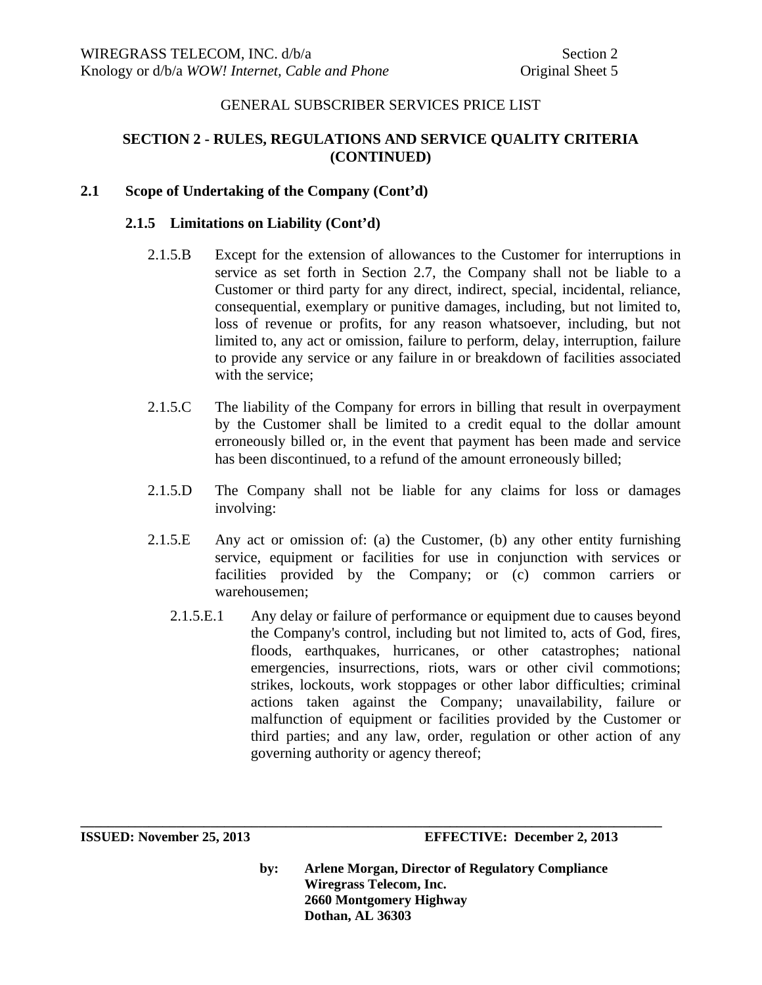# **SECTION 2 - RULES, REGULATIONS AND SERVICE QUALITY CRITERIA (CONTINUED)**

### **2.1 Scope of Undertaking of the Company (Cont'd)**

### **2.1.5 Limitations on Liability (Cont'd)**

- 2.1.5.B Except for the extension of allowances to the Customer for interruptions in service as set forth in Section 2.7, the Company shall not be liable to a Customer or third party for any direct, indirect, special, incidental, reliance, consequential, exemplary or punitive damages, including, but not limited to, loss of revenue or profits, for any reason whatsoever, including, but not limited to, any act or omission, failure to perform, delay, interruption, failure to provide any service or any failure in or breakdown of facilities associated with the service;
- 2.1.5.C The liability of the Company for errors in billing that result in overpayment by the Customer shall be limited to a credit equal to the dollar amount erroneously billed or, in the event that payment has been made and service has been discontinued, to a refund of the amount erroneously billed;
- 2.1.5.D The Company shall not be liable for any claims for loss or damages involving:
- 2.1.5.E Any act or omission of: (a) the Customer, (b) any other entity furnishing service, equipment or facilities for use in conjunction with services or facilities provided by the Company; or (c) common carriers or warehousemen;
	- 2.1.5.E.1 Any delay or failure of performance or equipment due to causes beyond the Company's control, including but not limited to, acts of God, fires, floods, earthquakes, hurricanes, or other catastrophes; national emergencies, insurrections, riots, wars or other civil commotions; strikes, lockouts, work stoppages or other labor difficulties; criminal actions taken against the Company; unavailability, failure or malfunction of equipment or facilities provided by the Customer or third parties; and any law, order, regulation or other action of any governing authority or agency thereof;

**ISSUED: November 25, 2013 EFFECTIVE: December 2, 2013** 

**by: Arlene Morgan, Director of Regulatory Compliance Wiregrass Telecom, Inc. 2660 Montgomery Highway Dothan, AL 36303**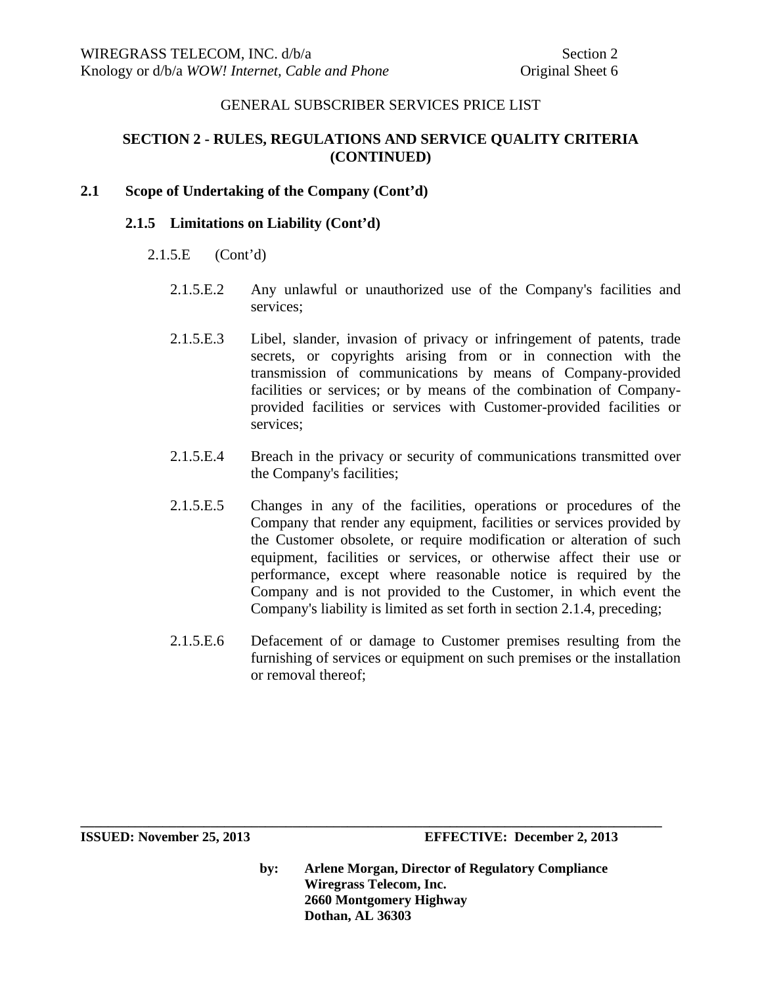# **SECTION 2 - RULES, REGULATIONS AND SERVICE QUALITY CRITERIA (CONTINUED)**

## **2.1 Scope of Undertaking of the Company (Cont'd)**

#### **2.1.5 Limitations on Liability (Cont'd)**

- 2.1.5.E (Cont'd)
	- 2.1.5.E.2 Any unlawful or unauthorized use of the Company's facilities and services;
	- 2.1.5.E.3 Libel, slander, invasion of privacy or infringement of patents, trade secrets, or copyrights arising from or in connection with the transmission of communications by means of Company-provided facilities or services; or by means of the combination of Companyprovided facilities or services with Customer-provided facilities or services;
	- 2.1.5.E.4 Breach in the privacy or security of communications transmitted over the Company's facilities;
	- 2.1.5.E.5 Changes in any of the facilities, operations or procedures of the Company that render any equipment, facilities or services provided by the Customer obsolete, or require modification or alteration of such equipment, facilities or services, or otherwise affect their use or performance, except where reasonable notice is required by the Company and is not provided to the Customer, in which event the Company's liability is limited as set forth in section 2.1.4, preceding;
	- 2.1.5.E.6 Defacement of or damage to Customer premises resulting from the furnishing of services or equipment on such premises or the installation or removal thereof;

**by: Arlene Morgan, Director of Regulatory Compliance Wiregrass Telecom, Inc. 2660 Montgomery Highway Dothan, AL 36303** 

**ISSUED: November 25, 2013 EFFECTIVE: December 2, 2013**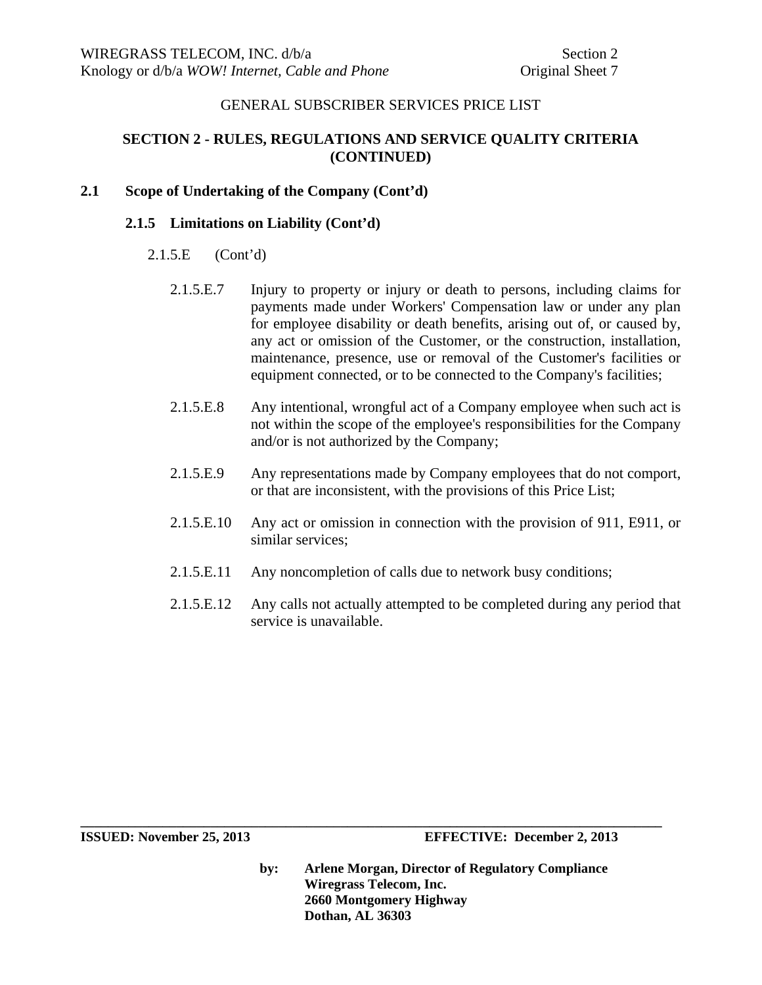# **SECTION 2 - RULES, REGULATIONS AND SERVICE QUALITY CRITERIA (CONTINUED)**

# **2.1 Scope of Undertaking of the Company (Cont'd)**

## **2.1.5 Limitations on Liability (Cont'd)**

- 2.1.5.E (Cont'd)
	- 2.1.5.E.7 Injury to property or injury or death to persons, including claims for payments made under Workers' Compensation law or under any plan for employee disability or death benefits, arising out of, or caused by, any act or omission of the Customer, or the construction, installation, maintenance, presence, use or removal of the Customer's facilities or equipment connected, or to be connected to the Company's facilities;
	- 2.1.5.E.8 Any intentional, wrongful act of a Company employee when such act is not within the scope of the employee's responsibilities for the Company and/or is not authorized by the Company;
	- 2.1.5.E.9 Any representations made by Company employees that do not comport, or that are inconsistent, with the provisions of this Price List;
	- 2.1.5.E.10 Any act or omission in connection with the provision of 911, E911, or similar services;
	- 2.1.5.E.11 Any noncompletion of calls due to network busy conditions;

**\_\_\_\_\_\_\_\_\_\_\_\_\_\_\_\_\_\_\_\_\_\_\_\_\_\_\_\_\_\_\_\_\_\_\_\_\_\_\_\_\_\_\_\_\_\_\_\_\_\_\_\_\_\_\_\_\_\_\_\_\_\_\_\_\_\_\_\_\_\_\_\_\_\_\_\_\_\_\_\_\_\_\_\_\_** 

2.1.5.E.12 Any calls not actually attempted to be completed during any period that service is unavailable.

**ISSUED: November 25, 2013 EFFECTIVE: December 2, 2013**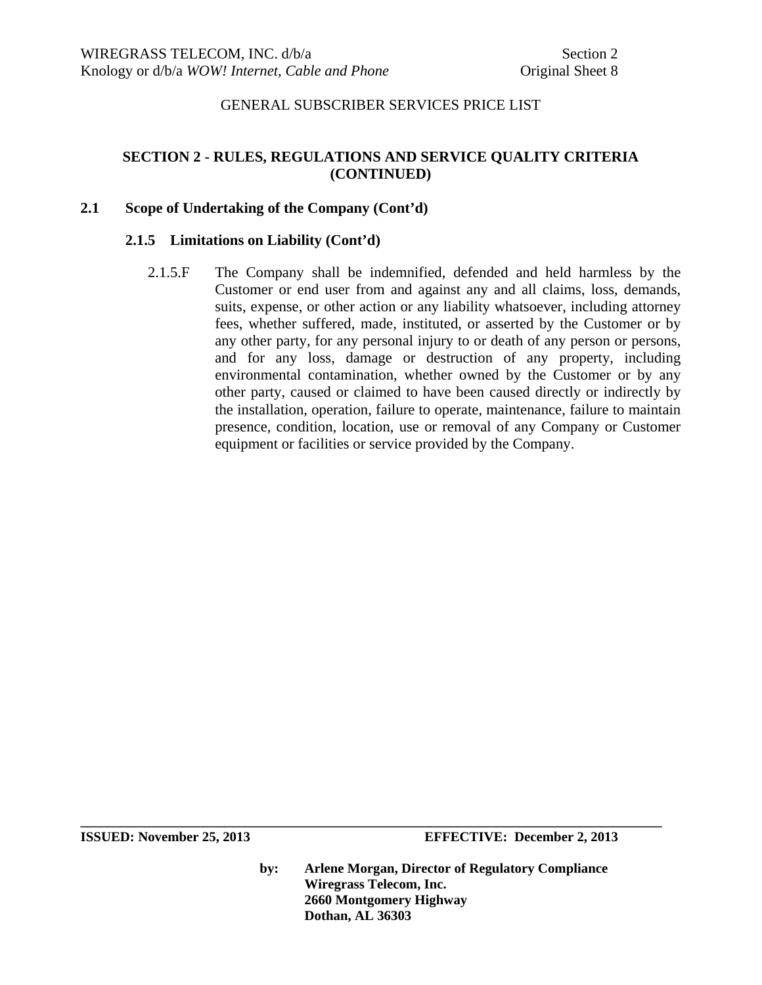# **SECTION 2 - RULES, REGULATIONS AND SERVICE QUALITY CRITERIA (CONTINUED)**

# **2.1 Scope of Undertaking of the Company (Cont'd)**

#### **2.1.5 Limitations on Liability (Cont'd)**

2.1.5.F The Company shall be indemnified, defended and held harmless by the Customer or end user from and against any and all claims, loss, demands, suits, expense, or other action or any liability whatsoever, including attorney fees, whether suffered, made, instituted, or asserted by the Customer or by any other party, for any personal injury to or death of any person or persons, and for any loss, damage or destruction of any property, including environmental contamination, whether owned by the Customer or by any other party, caused or claimed to have been caused directly or indirectly by the installation, operation, failure to operate, maintenance, failure to maintain presence, condition, location, use or removal of any Company or Customer equipment or facilities or service provided by the Company.

**ISSUED: November 25, 2013 EFFECTIVE: December 2, 2013** 

**by: Arlene Morgan, Director of Regulatory Compliance Wiregrass Telecom, Inc. 2660 Montgomery Highway Dothan, AL 36303**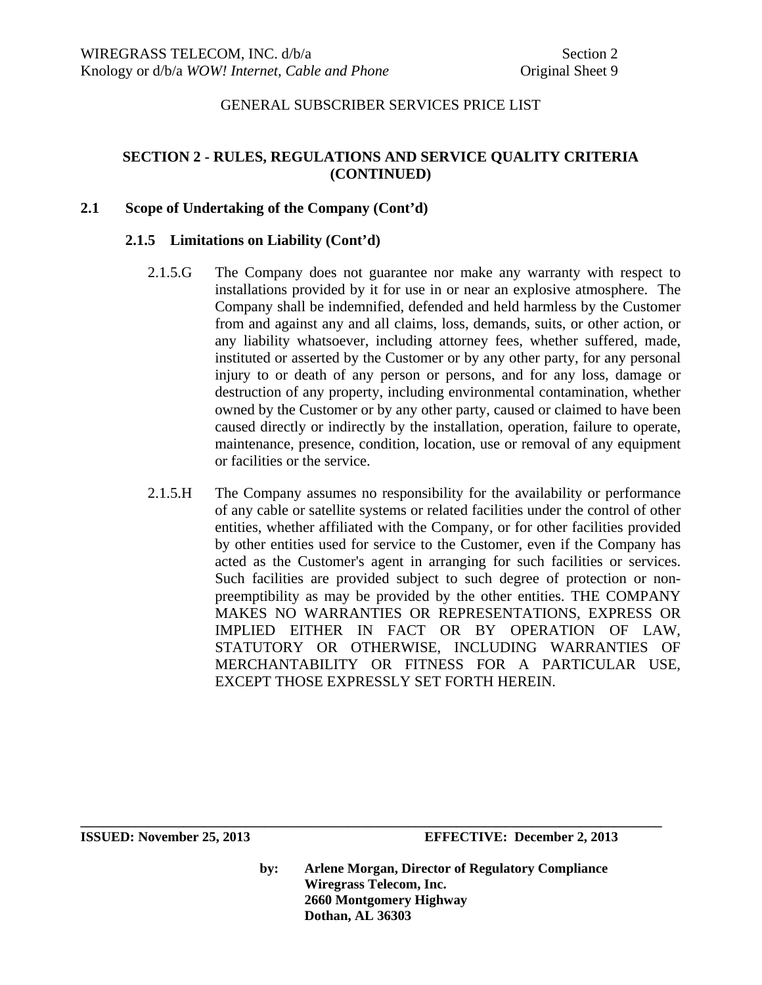# **SECTION 2 - RULES, REGULATIONS AND SERVICE QUALITY CRITERIA (CONTINUED)**

## **2.1 Scope of Undertaking of the Company (Cont'd)**

## **2.1.5 Limitations on Liability (Cont'd)**

- 2.1.5.G The Company does not guarantee nor make any warranty with respect to installations provided by it for use in or near an explosive atmosphere. The Company shall be indemnified, defended and held harmless by the Customer from and against any and all claims, loss, demands, suits, or other action, or any liability whatsoever, including attorney fees, whether suffered, made, instituted or asserted by the Customer or by any other party, for any personal injury to or death of any person or persons, and for any loss, damage or destruction of any property, including environmental contamination, whether owned by the Customer or by any other party, caused or claimed to have been caused directly or indirectly by the installation, operation, failure to operate, maintenance, presence, condition, location, use or removal of any equipment or facilities or the service.
- 2.1.5.H The Company assumes no responsibility for the availability or performance of any cable or satellite systems or related facilities under the control of other entities, whether affiliated with the Company, or for other facilities provided by other entities used for service to the Customer, even if the Company has acted as the Customer's agent in arranging for such facilities or services. Such facilities are provided subject to such degree of protection or nonpreemptibility as may be provided by the other entities. THE COMPANY MAKES NO WARRANTIES OR REPRESENTATIONS, EXPRESS OR IMPLIED EITHER IN FACT OR BY OPERATION OF LAW, STATUTORY OR OTHERWISE, INCLUDING WARRANTIES OF MERCHANTABILITY OR FITNESS FOR A PARTICULAR USE, EXCEPT THOSE EXPRESSLY SET FORTH HEREIN.

**ISSUED: November 25, 2013 EFFECTIVE: December 2, 2013** 

**by: Arlene Morgan, Director of Regulatory Compliance Wiregrass Telecom, Inc. 2660 Montgomery Highway Dothan, AL 36303**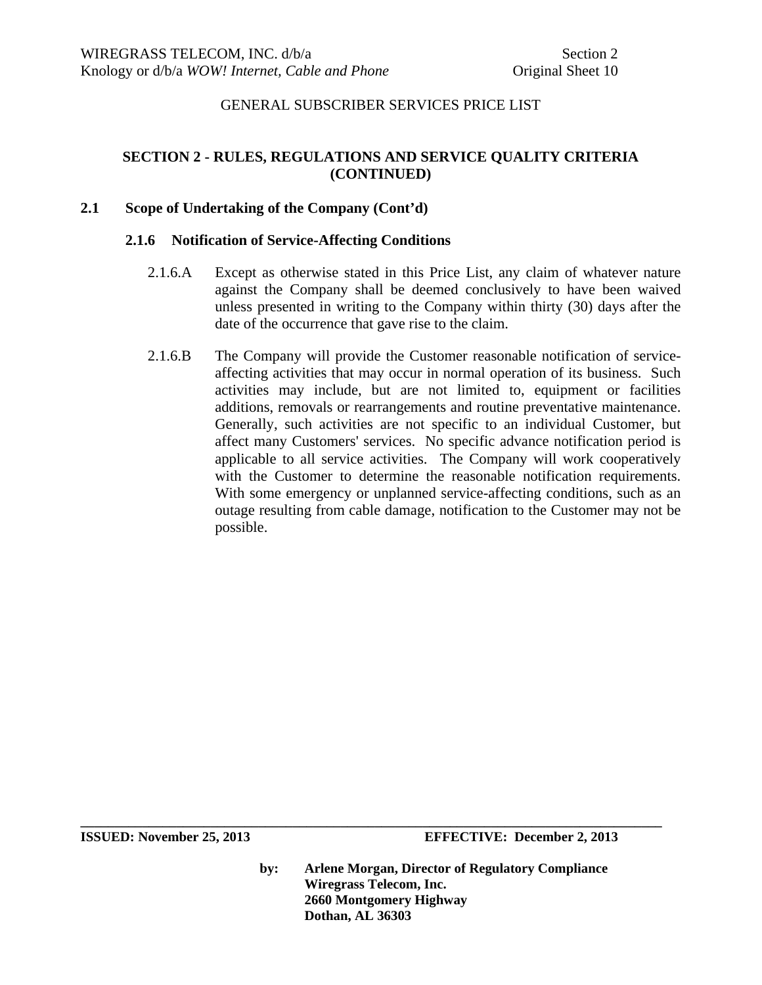# **SECTION 2 - RULES, REGULATIONS AND SERVICE QUALITY CRITERIA (CONTINUED)**

### **2.1 Scope of Undertaking of the Company (Cont'd)**

#### **2.1.6 Notification of Service-Affecting Conditions**

- 2.1.6.A Except as otherwise stated in this Price List, any claim of whatever nature against the Company shall be deemed conclusively to have been waived unless presented in writing to the Company within thirty (30) days after the date of the occurrence that gave rise to the claim.
- 2.1.6.B The Company will provide the Customer reasonable notification of serviceaffecting activities that may occur in normal operation of its business. Such activities may include, but are not limited to, equipment or facilities additions, removals or rearrangements and routine preventative maintenance. Generally, such activities are not specific to an individual Customer, but affect many Customers' services. No specific advance notification period is applicable to all service activities. The Company will work cooperatively with the Customer to determine the reasonable notification requirements. With some emergency or unplanned service-affecting conditions, such as an outage resulting from cable damage, notification to the Customer may not be possible.

**ISSUED: November 25, 2013 EFFECTIVE: December 2, 2013** 

**by: Arlene Morgan, Director of Regulatory Compliance Wiregrass Telecom, Inc. 2660 Montgomery Highway Dothan, AL 36303**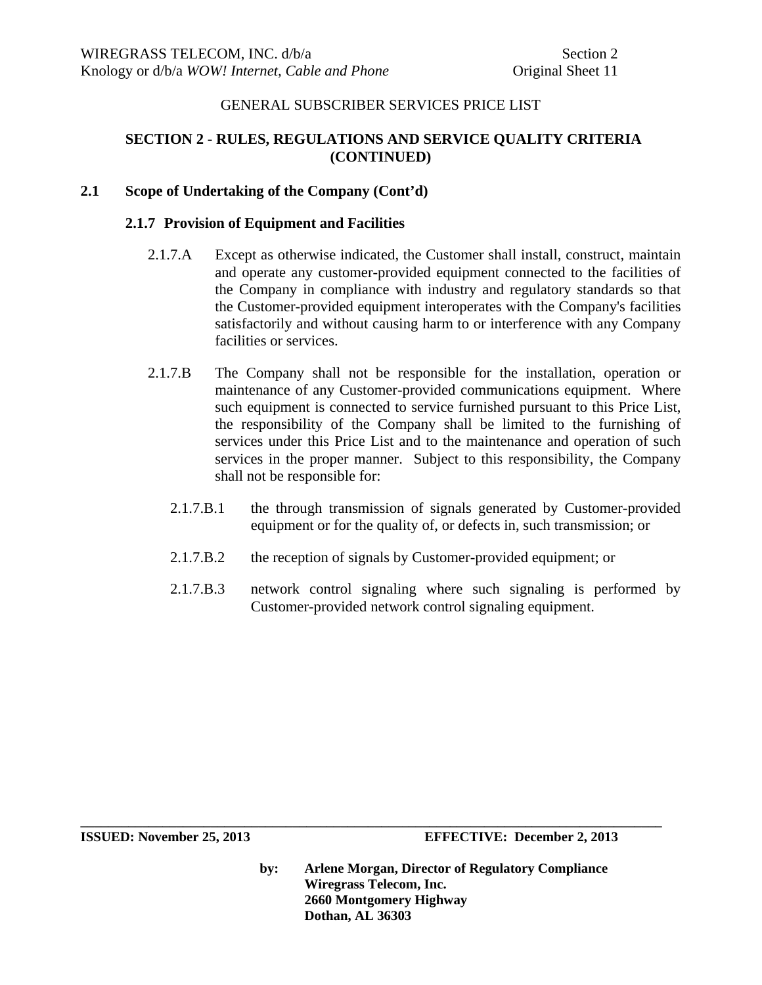# **SECTION 2 - RULES, REGULATIONS AND SERVICE QUALITY CRITERIA (CONTINUED)**

## **2.1 Scope of Undertaking of the Company (Cont'd)**

### **2.1.7 Provision of Equipment and Facilities**

- 2.1.7.A Except as otherwise indicated, the Customer shall install, construct, maintain and operate any customer-provided equipment connected to the facilities of the Company in compliance with industry and regulatory standards so that the Customer-provided equipment interoperates with the Company's facilities satisfactorily and without causing harm to or interference with any Company facilities or services.
- 2.1.7.B The Company shall not be responsible for the installation, operation or maintenance of any Customer-provided communications equipment. Where such equipment is connected to service furnished pursuant to this Price List, the responsibility of the Company shall be limited to the furnishing of services under this Price List and to the maintenance and operation of such services in the proper manner. Subject to this responsibility, the Company shall not be responsible for:
	- 2.1.7.B.1 the through transmission of signals generated by Customer-provided equipment or for the quality of, or defects in, such transmission; or
	- 2.1.7.B.2 the reception of signals by Customer-provided equipment; or

**\_\_\_\_\_\_\_\_\_\_\_\_\_\_\_\_\_\_\_\_\_\_\_\_\_\_\_\_\_\_\_\_\_\_\_\_\_\_\_\_\_\_\_\_\_\_\_\_\_\_\_\_\_\_\_\_\_\_\_\_\_\_\_\_\_\_\_\_\_\_\_\_\_\_\_\_\_\_\_\_\_\_\_\_\_** 

2.1.7.B.3 network control signaling where such signaling is performed by Customer-provided network control signaling equipment.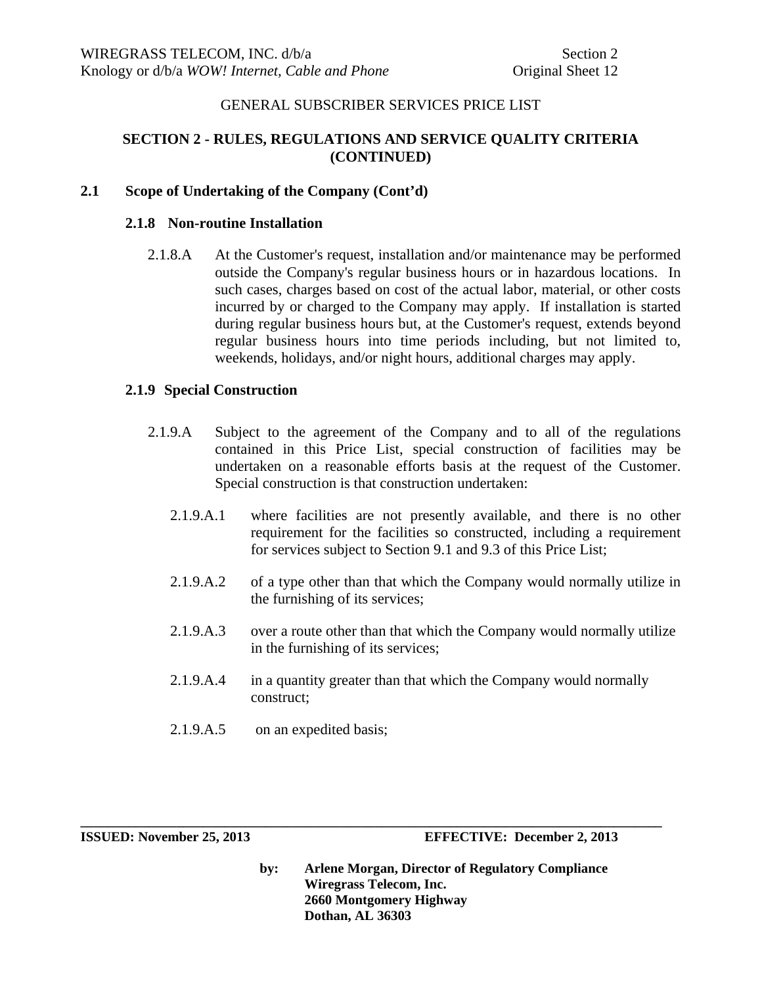# **SECTION 2 - RULES, REGULATIONS AND SERVICE QUALITY CRITERIA (CONTINUED)**

### **2.1 Scope of Undertaking of the Company (Cont'd)**

### **2.1.8 Non-routine Installation**

2.1.8.A At the Customer's request, installation and/or maintenance may be performed outside the Company's regular business hours or in hazardous locations. In such cases, charges based on cost of the actual labor, material, or other costs incurred by or charged to the Company may apply. If installation is started during regular business hours but, at the Customer's request, extends beyond regular business hours into time periods including, but not limited to, weekends, holidays, and/or night hours, additional charges may apply.

# **2.1.9 Special Construction**

- 2.1.9.A Subject to the agreement of the Company and to all of the regulations contained in this Price List, special construction of facilities may be undertaken on a reasonable efforts basis at the request of the Customer. Special construction is that construction undertaken:
	- 2.1.9.A.1 where facilities are not presently available, and there is no other requirement for the facilities so constructed, including a requirement for services subject to Section 9.1 and 9.3 of this Price List;
	- 2.1.9.A.2 of a type other than that which the Company would normally utilize in the furnishing of its services;
	- 2.1.9.A.3 over a route other than that which the Company would normally utilize in the furnishing of its services;
	- 2.1.9.A.4 in a quantity greater than that which the Company would normally construct;

**\_\_\_\_\_\_\_\_\_\_\_\_\_\_\_\_\_\_\_\_\_\_\_\_\_\_\_\_\_\_\_\_\_\_\_\_\_\_\_\_\_\_\_\_\_\_\_\_\_\_\_\_\_\_\_\_\_\_\_\_\_\_\_\_\_\_\_\_\_\_\_\_\_\_\_\_\_\_\_\_\_\_\_\_\_** 

2.1.9.A.5 on an expedited basis;

**ISSUED: November 25, 2013 EFFECTIVE: December 2, 2013**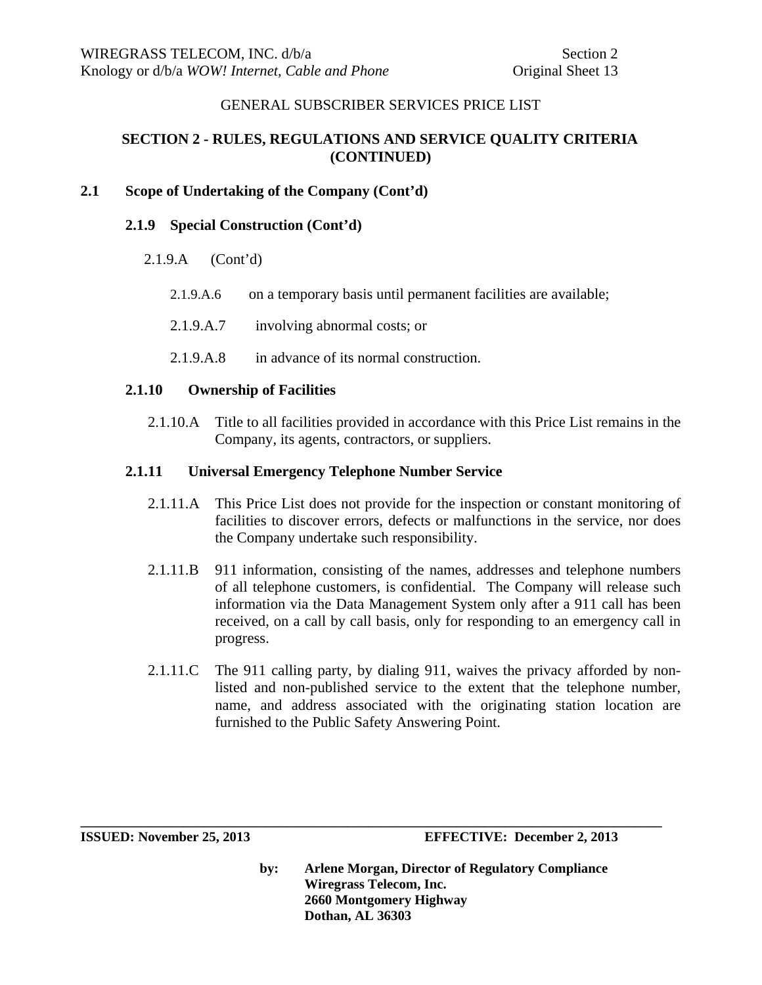# **SECTION 2 - RULES, REGULATIONS AND SERVICE QUALITY CRITERIA (CONTINUED)**

# **2.1 Scope of Undertaking of the Company (Cont'd)**

### **2.1.9 Special Construction (Cont'd)**

- 2.1.9.A (Cont'd)
	- 2.1.9.A.6 on a temporary basis until permanent facilities are available;
	- 2.1.9.A.7 involving abnormal costs; or
	- 2.1.9.A.8 in advance of its normal construction.

#### **2.1.10 Ownership of Facilities**

2.1.10.A Title to all facilities provided in accordance with this Price List remains in the Company, its agents, contractors, or suppliers.

#### **2.1.11 Universal Emergency Telephone Number Service**

- 2.1.11.A This Price List does not provide for the inspection or constant monitoring of facilities to discover errors, defects or malfunctions in the service, nor does the Company undertake such responsibility.
- 2.1.11.B 911 information, consisting of the names, addresses and telephone numbers of all telephone customers, is confidential. The Company will release such information via the Data Management System only after a 911 call has been received, on a call by call basis, only for responding to an emergency call in progress.
- 2.1.11.C The 911 calling party, by dialing 911, waives the privacy afforded by nonlisted and non-published service to the extent that the telephone number, name, and address associated with the originating station location are furnished to the Public Safety Answering Point.

**\_\_\_\_\_\_\_\_\_\_\_\_\_\_\_\_\_\_\_\_\_\_\_\_\_\_\_\_\_\_\_\_\_\_\_\_\_\_\_\_\_\_\_\_\_\_\_\_\_\_\_\_\_\_\_\_\_\_\_\_\_\_\_\_\_\_\_\_\_\_\_\_\_\_\_\_\_\_\_\_\_\_\_\_\_** 

**ISSUED: November 25, 2013 EFFECTIVE: December 2, 2013**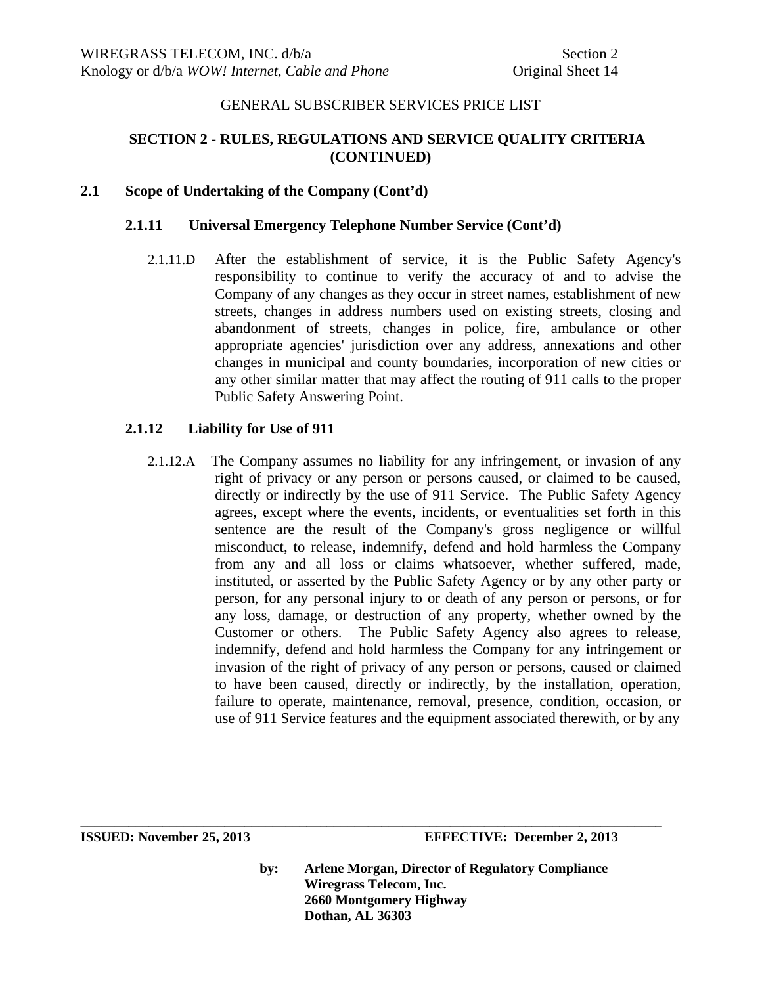# **SECTION 2 - RULES, REGULATIONS AND SERVICE QUALITY CRITERIA (CONTINUED)**

## **2.1 Scope of Undertaking of the Company (Cont'd)**

## **2.1.11 Universal Emergency Telephone Number Service (Cont'd)**

2.1.11.D After the establishment of service, it is the Public Safety Agency's responsibility to continue to verify the accuracy of and to advise the Company of any changes as they occur in street names, establishment of new streets, changes in address numbers used on existing streets, closing and abandonment of streets, changes in police, fire, ambulance or other appropriate agencies' jurisdiction over any address, annexations and other changes in municipal and county boundaries, incorporation of new cities or any other similar matter that may affect the routing of 911 calls to the proper Public Safety Answering Point.

# **2.1.12 Liability for Use of 911**

2.1.12.A The Company assumes no liability for any infringement, or invasion of any right of privacy or any person or persons caused, or claimed to be caused, directly or indirectly by the use of 911 Service. The Public Safety Agency agrees, except where the events, incidents, or eventualities set forth in this sentence are the result of the Company's gross negligence or willful misconduct, to release, indemnify, defend and hold harmless the Company from any and all loss or claims whatsoever, whether suffered, made, instituted, or asserted by the Public Safety Agency or by any other party or person, for any personal injury to or death of any person or persons, or for any loss, damage, or destruction of any property, whether owned by the Customer or others. The Public Safety Agency also agrees to release, indemnify, defend and hold harmless the Company for any infringement or invasion of the right of privacy of any person or persons, caused or claimed to have been caused, directly or indirectly, by the installation, operation, failure to operate, maintenance, removal, presence, condition, occasion, or use of 911 Service features and the equipment associated therewith, or by any

**by: Arlene Morgan, Director of Regulatory Compliance Wiregrass Telecom, Inc. 2660 Montgomery Highway Dothan, AL 36303**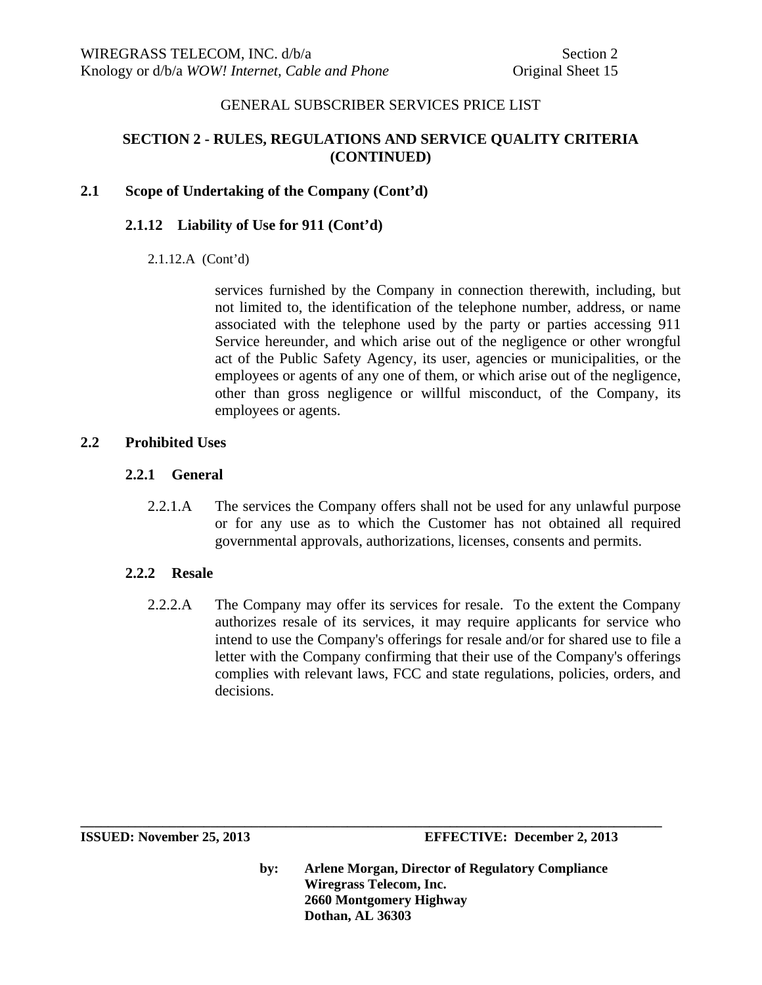# **SECTION 2 - RULES, REGULATIONS AND SERVICE QUALITY CRITERIA (CONTINUED)**

# **2.1 Scope of Undertaking of the Company (Cont'd)**

# **2.1.12 Liability of Use for 911 (Cont'd)**

### 2.1.12.A (Cont'd)

 services furnished by the Company in connection therewith, including, but not limited to, the identification of the telephone number, address, or name associated with the telephone used by the party or parties accessing 911 Service hereunder, and which arise out of the negligence or other wrongful act of the Public Safety Agency, its user, agencies or municipalities, or the employees or agents of any one of them, or which arise out of the negligence, other than gross negligence or willful misconduct, of the Company, its employees or agents.

# **2.2 Prohibited Uses**

# **2.2.1 General**

2.2.1.A The services the Company offers shall not be used for any unlawful purpose or for any use as to which the Customer has not obtained all required governmental approvals, authorizations, licenses, consents and permits.

# **2.2.2 Resale**

2.2.2.A The Company may offer its services for resale. To the extent the Company authorizes resale of its services, it may require applicants for service who intend to use the Company's offerings for resale and/or for shared use to file a letter with the Company confirming that their use of the Company's offerings complies with relevant laws, FCC and state regulations, policies, orders, and decisions.

**by: Arlene Morgan, Director of Regulatory Compliance Wiregrass Telecom, Inc. 2660 Montgomery Highway Dothan, AL 36303**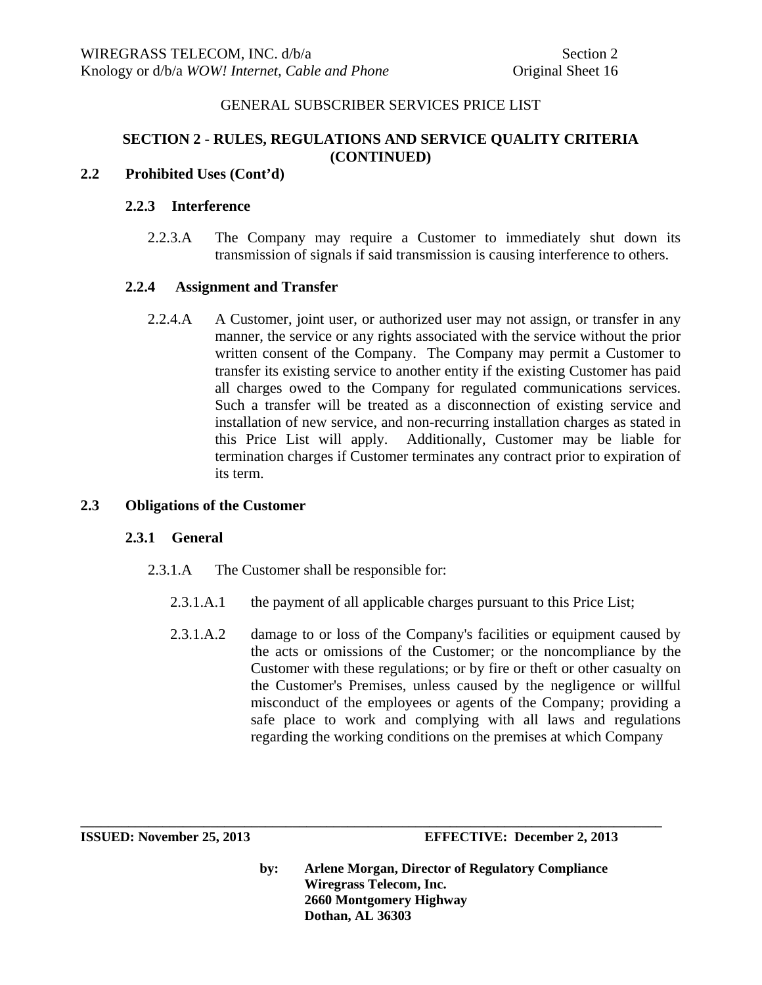# **SECTION 2 - RULES, REGULATIONS AND SERVICE QUALITY CRITERIA (CONTINUED)**

# **2.2 Prohibited Uses (Cont'd)**

## **2.2.3 Interference**

2.2.3.A The Company may require a Customer to immediately shut down its transmission of signals if said transmission is causing interference to others.

# **2.2.4 Assignment and Transfer**

2.2.4.A A Customer, joint user, or authorized user may not assign, or transfer in any manner, the service or any rights associated with the service without the prior written consent of the Company. The Company may permit a Customer to transfer its existing service to another entity if the existing Customer has paid all charges owed to the Company for regulated communications services. Such a transfer will be treated as a disconnection of existing service and installation of new service, and non-recurring installation charges as stated in this Price List will apply. Additionally, Customer may be liable for termination charges if Customer terminates any contract prior to expiration of its term.

# **2.3 Obligations of the Customer**

### **2.3.1 General**

- 2.3.1.A The Customer shall be responsible for:
	- 2.3.1.A.1 the payment of all applicable charges pursuant to this Price List;

**\_\_\_\_\_\_\_\_\_\_\_\_\_\_\_\_\_\_\_\_\_\_\_\_\_\_\_\_\_\_\_\_\_\_\_\_\_\_\_\_\_\_\_\_\_\_\_\_\_\_\_\_\_\_\_\_\_\_\_\_\_\_\_\_\_\_\_\_\_\_\_\_\_\_\_\_\_\_\_\_\_\_\_\_\_** 

2.3.1.A.2 damage to or loss of the Company's facilities or equipment caused by the acts or omissions of the Customer; or the noncompliance by the Customer with these regulations; or by fire or theft or other casualty on the Customer's Premises, unless caused by the negligence or willful misconduct of the employees or agents of the Company; providing a safe place to work and complying with all laws and regulations regarding the working conditions on the premises at which Company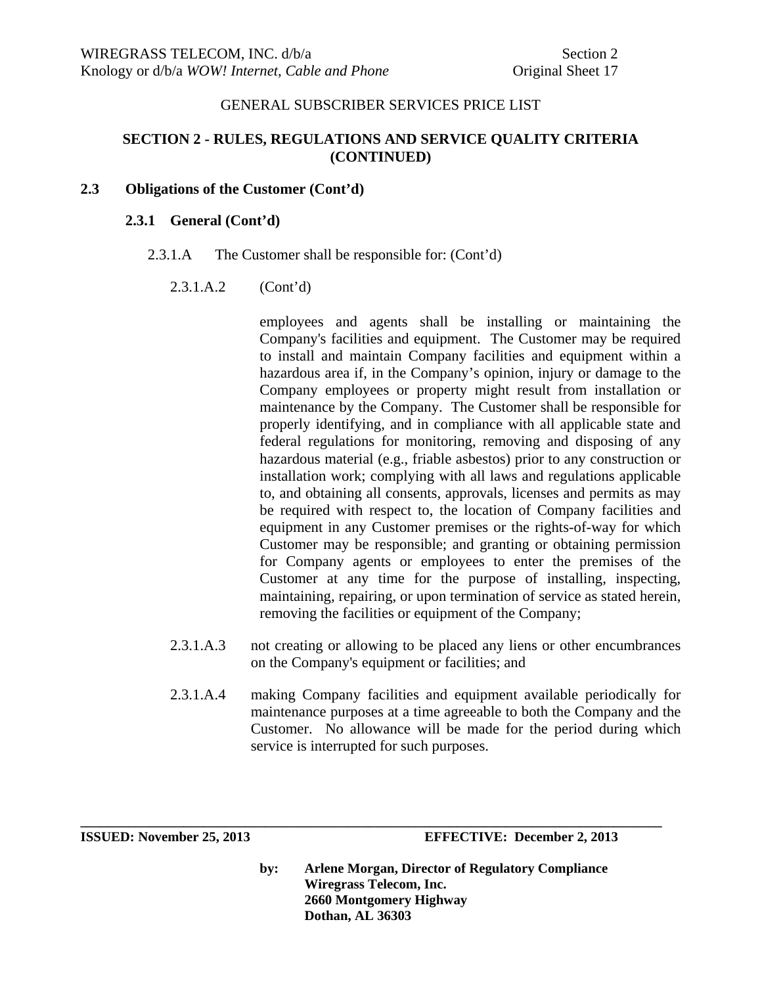# **SECTION 2 - RULES, REGULATIONS AND SERVICE QUALITY CRITERIA (CONTINUED)**

#### **2.3 Obligations of the Customer (Cont'd)**

#### **2.3.1 General (Cont'd)**

2.3.1.A The Customer shall be responsible for: (Cont'd)

### 2.3.1.A.2 (Cont'd)

employees and agents shall be installing or maintaining the Company's facilities and equipment. The Customer may be required to install and maintain Company facilities and equipment within a hazardous area if, in the Company's opinion, injury or damage to the Company employees or property might result from installation or maintenance by the Company. The Customer shall be responsible for properly identifying, and in compliance with all applicable state and federal regulations for monitoring, removing and disposing of any hazardous material (e.g., friable asbestos) prior to any construction or installation work; complying with all laws and regulations applicable to, and obtaining all consents, approvals, licenses and permits as may be required with respect to, the location of Company facilities and equipment in any Customer premises or the rights-of-way for which Customer may be responsible; and granting or obtaining permission for Company agents or employees to enter the premises of the Customer at any time for the purpose of installing, inspecting, maintaining, repairing, or upon termination of service as stated herein, removing the facilities or equipment of the Company;

- 2.3.1.A.3 not creating or allowing to be placed any liens or other encumbrances on the Company's equipment or facilities; and
- 2.3.1.A.4 making Company facilities and equipment available periodically for maintenance purposes at a time agreeable to both the Company and the Customer. No allowance will be made for the period during which service is interrupted for such purposes.

**ISSUED: November 25, 2013 EFFECTIVE: December 2, 2013** 

**by: Arlene Morgan, Director of Regulatory Compliance Wiregrass Telecom, Inc. 2660 Montgomery Highway Dothan, AL 36303**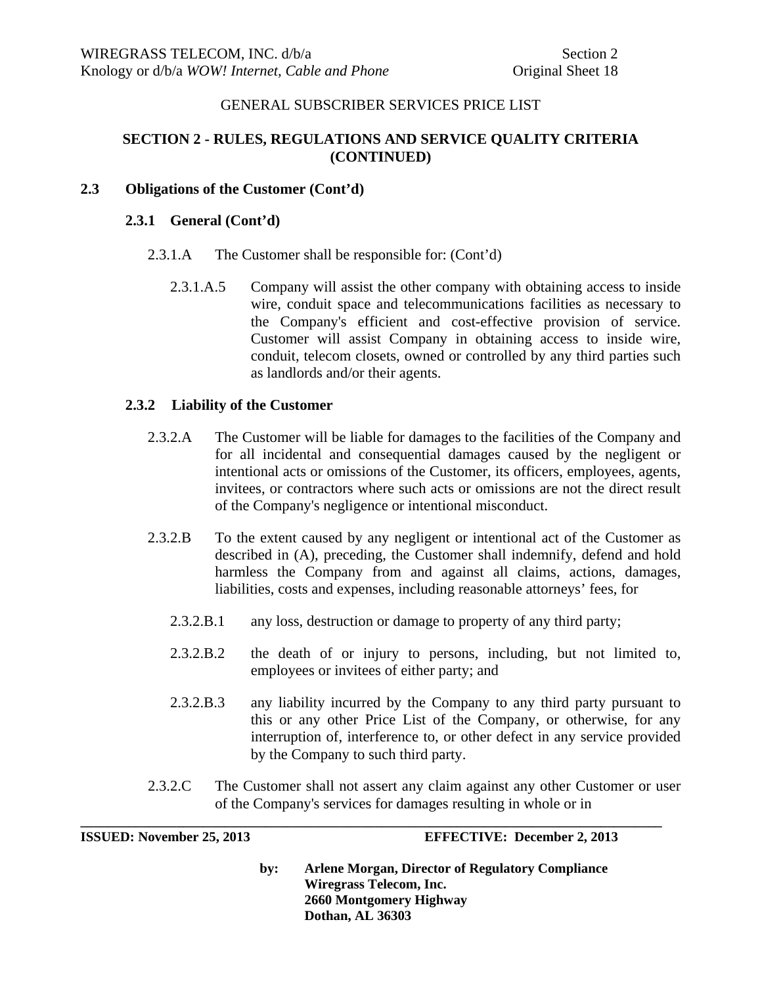# **SECTION 2 - RULES, REGULATIONS AND SERVICE QUALITY CRITERIA (CONTINUED)**

## **2.3 Obligations of the Customer (Cont'd)**

#### **2.3.1 General (Cont'd)**

- 2.3.1.A The Customer shall be responsible for: (Cont'd)
	- 2.3.1.A.5 Company will assist the other company with obtaining access to inside wire, conduit space and telecommunications facilities as necessary to the Company's efficient and cost-effective provision of service. Customer will assist Company in obtaining access to inside wire, conduit, telecom closets, owned or controlled by any third parties such as landlords and/or their agents.

### **2.3.2 Liability of the Customer**

- 2.3.2.A The Customer will be liable for damages to the facilities of the Company and for all incidental and consequential damages caused by the negligent or intentional acts or omissions of the Customer, its officers, employees, agents, invitees, or contractors where such acts or omissions are not the direct result of the Company's negligence or intentional misconduct.
- 2.3.2.B To the extent caused by any negligent or intentional act of the Customer as described in (A), preceding, the Customer shall indemnify, defend and hold harmless the Company from and against all claims, actions, damages, liabilities, costs and expenses, including reasonable attorneys' fees, for
	- 2.3.2.B.1 any loss, destruction or damage to property of any third party;
	- 2.3.2.B.2 the death of or injury to persons, including, but not limited to, employees or invitees of either party; and
	- 2.3.2.B.3 any liability incurred by the Company to any third party pursuant to this or any other Price List of the Company, or otherwise, for any interruption of, interference to, or other defect in any service provided by the Company to such third party.
- 2.3.2.C The Customer shall not assert any claim against any other Customer or user of the Company's services for damages resulting in whole or in

**\_\_\_\_\_\_\_\_\_\_\_\_\_\_\_\_\_\_\_\_\_\_\_\_\_\_\_\_\_\_\_\_\_\_\_\_\_\_\_\_\_\_\_\_\_\_\_\_\_\_\_\_\_\_\_\_\_\_\_\_\_\_\_\_\_\_\_\_\_\_\_\_\_\_\_\_\_\_\_\_\_\_\_\_\_** 

**ISSUED: November 25, 2013 EFFECTIVE: December 2, 2013**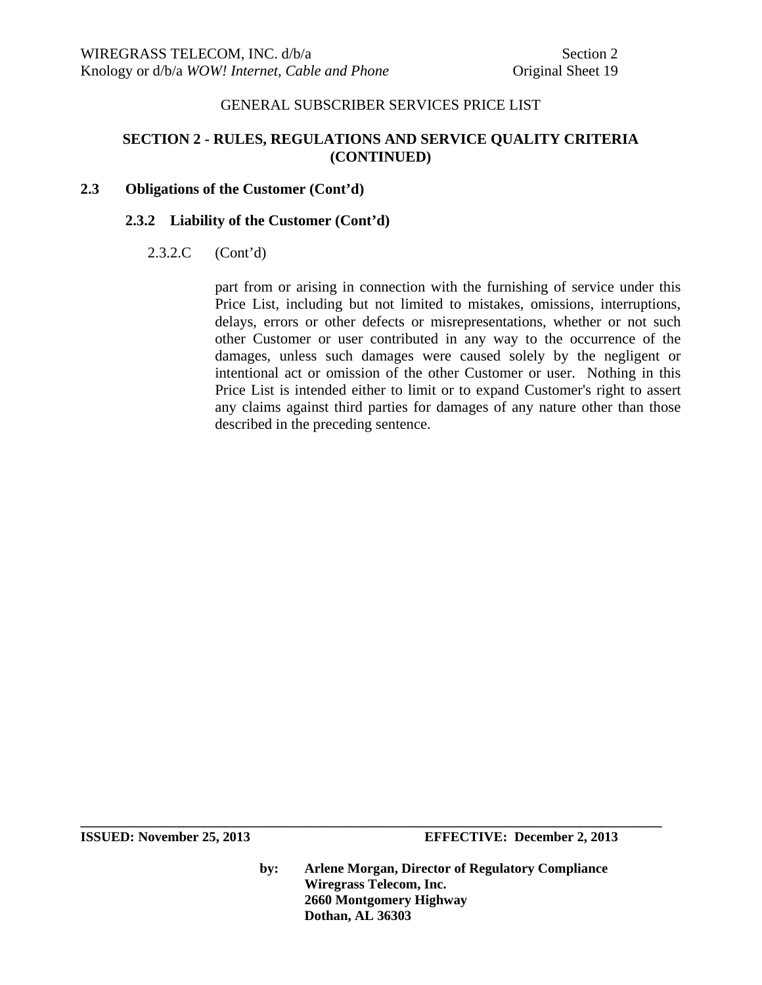# **SECTION 2 - RULES, REGULATIONS AND SERVICE QUALITY CRITERIA (CONTINUED)**

## **2.3 Obligations of the Customer (Cont'd)**

### **2.3.2 Liability of the Customer (Cont'd)**

# 2.3.2.C (Cont'd)

part from or arising in connection with the furnishing of service under this Price List, including but not limited to mistakes, omissions, interruptions, delays, errors or other defects or misrepresentations, whether or not such other Customer or user contributed in any way to the occurrence of the damages, unless such damages were caused solely by the negligent or intentional act or omission of the other Customer or user. Nothing in this Price List is intended either to limit or to expand Customer's right to assert any claims against third parties for damages of any nature other than those described in the preceding sentence.

**ISSUED:** November 25, 2013 **EFFECTIVE:** December 2, 2013

**by: Arlene Morgan, Director of Regulatory Compliance Wiregrass Telecom, Inc. 2660 Montgomery Highway Dothan, AL 36303**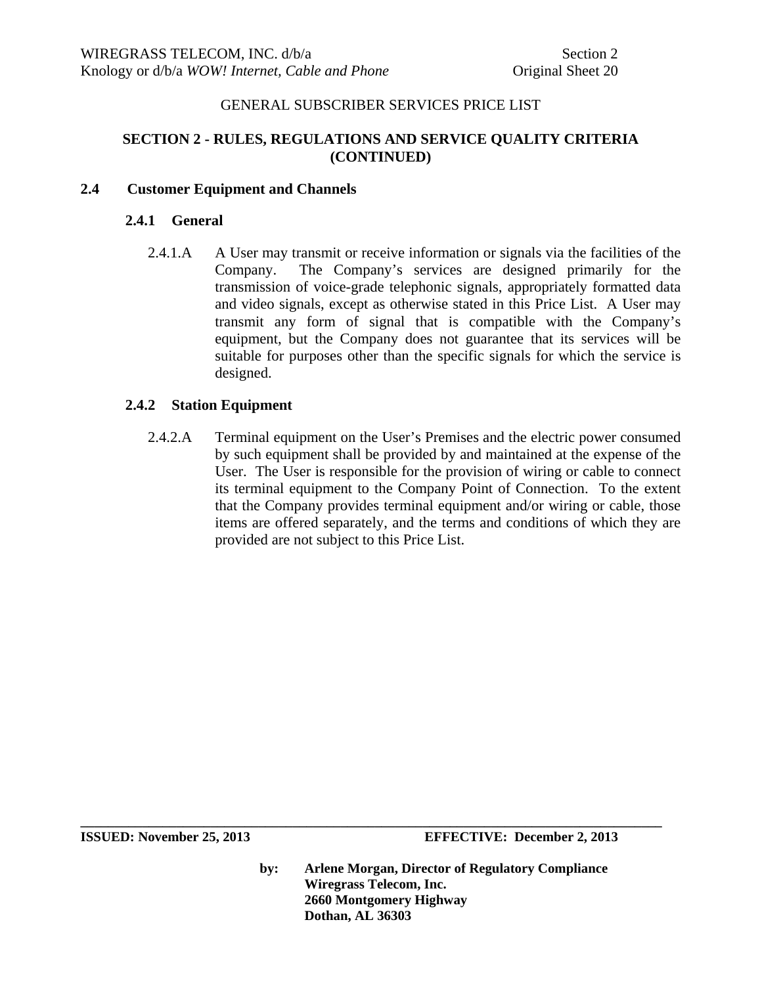# **SECTION 2 - RULES, REGULATIONS AND SERVICE QUALITY CRITERIA (CONTINUED)**

# **2.4 Customer Equipment and Channels**

## **2.4.1 General**

2.4.1.A A User may transmit or receive information or signals via the facilities of the Company. The Company's services are designed primarily for the transmission of voice-grade telephonic signals, appropriately formatted data and video signals, except as otherwise stated in this Price List. A User may transmit any form of signal that is compatible with the Company's equipment, but the Company does not guarantee that its services will be suitable for purposes other than the specific signals for which the service is designed.

# **2.4.2 Station Equipment**

2.4.2.A Terminal equipment on the User's Premises and the electric power consumed by such equipment shall be provided by and maintained at the expense of the User. The User is responsible for the provision of wiring or cable to connect its terminal equipment to the Company Point of Connection. To the extent that the Company provides terminal equipment and/or wiring or cable, those items are offered separately, and the terms and conditions of which they are provided are not subject to this Price List.

**ISSUED: November 25, 2013 EFFECTIVE: December 2, 2013** 

**by: Arlene Morgan, Director of Regulatory Compliance Wiregrass Telecom, Inc. 2660 Montgomery Highway Dothan, AL 36303**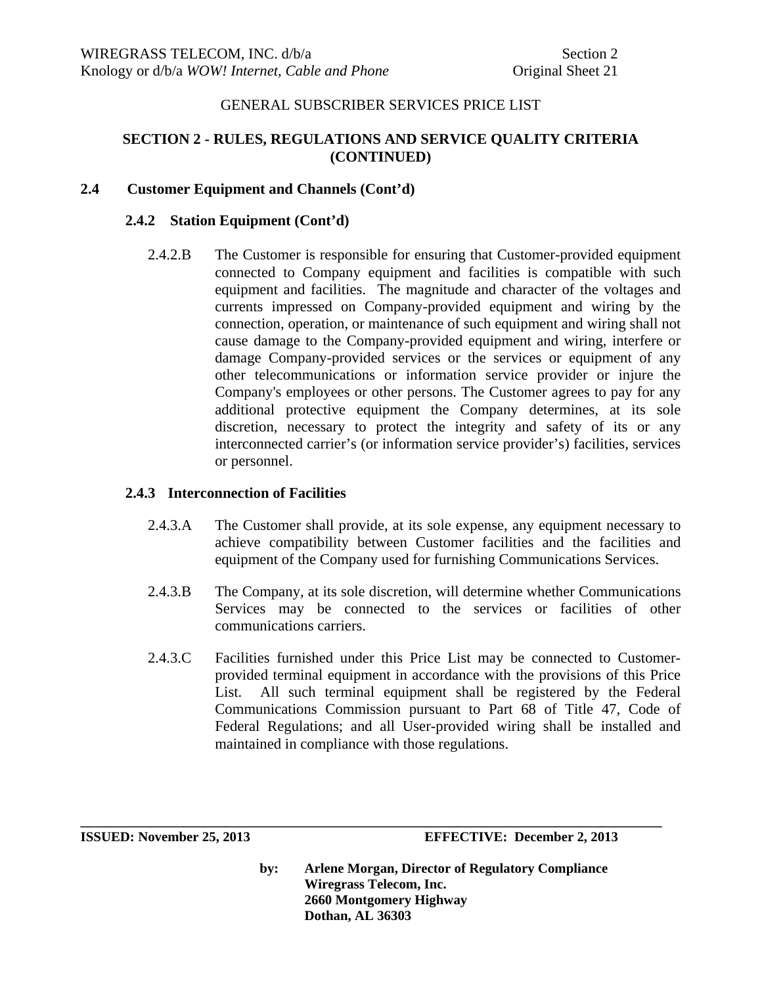# **SECTION 2 - RULES, REGULATIONS AND SERVICE QUALITY CRITERIA (CONTINUED)**

# **2.4 Customer Equipment and Channels (Cont'd)**

### **2.4.2 Station Equipment (Cont'd)**

2.4.2.B The Customer is responsible for ensuring that Customer-provided equipment connected to Company equipment and facilities is compatible with such equipment and facilities. The magnitude and character of the voltages and currents impressed on Company-provided equipment and wiring by the connection, operation, or maintenance of such equipment and wiring shall not cause damage to the Company-provided equipment and wiring, interfere or damage Company-provided services or the services or equipment of any other telecommunications or information service provider or injure the Company's employees or other persons. The Customer agrees to pay for any additional protective equipment the Company determines, at its sole discretion, necessary to protect the integrity and safety of its or any interconnected carrier's (or information service provider's) facilities, services or personnel.

### **2.4.3 Interconnection of Facilities**

- 2.4.3.A The Customer shall provide, at its sole expense, any equipment necessary to achieve compatibility between Customer facilities and the facilities and equipment of the Company used for furnishing Communications Services.
- 2.4.3.B The Company, at its sole discretion, will determine whether Communications Services may be connected to the services or facilities of other communications carriers.
- 2.4.3.C Facilities furnished under this Price List may be connected to Customerprovided terminal equipment in accordance with the provisions of this Price List. All such terminal equipment shall be registered by the Federal Communications Commission pursuant to Part 68 of Title 47, Code of Federal Regulations; and all User-provided wiring shall be installed and maintained in compliance with those regulations.

**\_\_\_\_\_\_\_\_\_\_\_\_\_\_\_\_\_\_\_\_\_\_\_\_\_\_\_\_\_\_\_\_\_\_\_\_\_\_\_\_\_\_\_\_\_\_\_\_\_\_\_\_\_\_\_\_\_\_\_\_\_\_\_\_\_\_\_\_\_\_\_\_\_\_\_\_\_\_\_\_\_\_\_\_\_** 

**ISSUED: November 25, 2013 EFFECTIVE: December 2, 2013**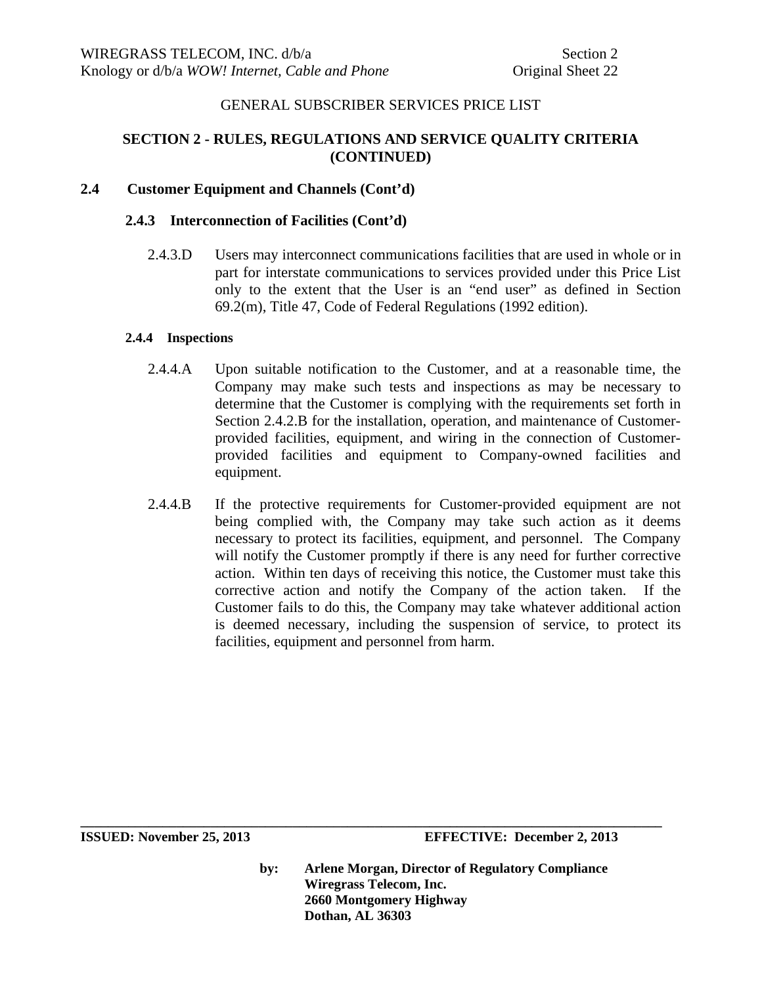# **SECTION 2 - RULES, REGULATIONS AND SERVICE QUALITY CRITERIA (CONTINUED)**

# **2.4 Customer Equipment and Channels (Cont'd)**

#### **2.4.3 Interconnection of Facilities (Cont'd)**

2.4.3.D Users may interconnect communications facilities that are used in whole or in part for interstate communications to services provided under this Price List only to the extent that the User is an "end user" as defined in Section 69.2(m), Title 47, Code of Federal Regulations (1992 edition).

#### **2.4.4 Inspections**

- 2.4.4.A Upon suitable notification to the Customer, and at a reasonable time, the Company may make such tests and inspections as may be necessary to determine that the Customer is complying with the requirements set forth in Section 2.4.2.B for the installation, operation, and maintenance of Customerprovided facilities, equipment, and wiring in the connection of Customerprovided facilities and equipment to Company-owned facilities and equipment.
- 2.4.4.B If the protective requirements for Customer-provided equipment are not being complied with, the Company may take such action as it deems necessary to protect its facilities, equipment, and personnel. The Company will notify the Customer promptly if there is any need for further corrective action. Within ten days of receiving this notice, the Customer must take this corrective action and notify the Company of the action taken. If the Customer fails to do this, the Company may take whatever additional action is deemed necessary, including the suspension of service, to protect its facilities, equipment and personnel from harm.

**ISSUED: November 25, 2013 EFFECTIVE: December 2, 2013** 

**by: Arlene Morgan, Director of Regulatory Compliance Wiregrass Telecom, Inc. 2660 Montgomery Highway Dothan, AL 36303**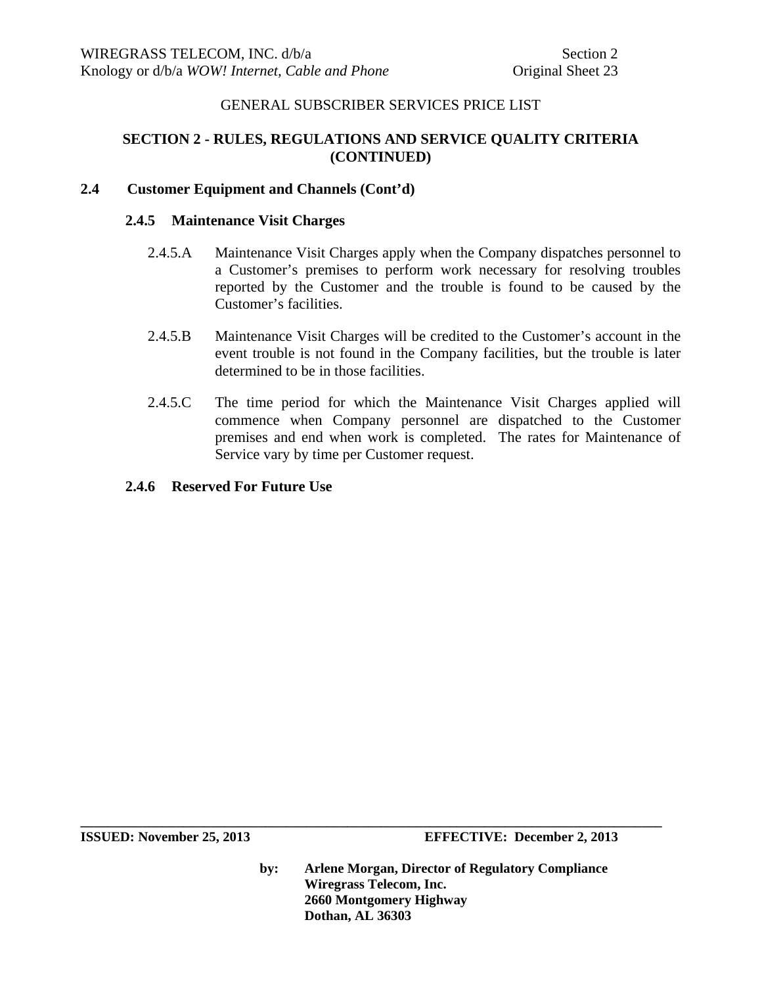# **SECTION 2 - RULES, REGULATIONS AND SERVICE QUALITY CRITERIA (CONTINUED)**

# **2.4 Customer Equipment and Channels (Cont'd)**

#### **2.4.5 Maintenance Visit Charges**

- 2.4.5.A Maintenance Visit Charges apply when the Company dispatches personnel to a Customer's premises to perform work necessary for resolving troubles reported by the Customer and the trouble is found to be caused by the Customer's facilities.
- 2.4.5.B Maintenance Visit Charges will be credited to the Customer's account in the event trouble is not found in the Company facilities, but the trouble is later determined to be in those facilities.
- 2.4.5.C The time period for which the Maintenance Visit Charges applied will commence when Company personnel are dispatched to the Customer premises and end when work is completed. The rates for Maintenance of Service vary by time per Customer request.

# **2.4.6 Reserved For Future Use**

**by: Arlene Morgan, Director of Regulatory Compliance Wiregrass Telecom, Inc. 2660 Montgomery Highway Dothan, AL 36303**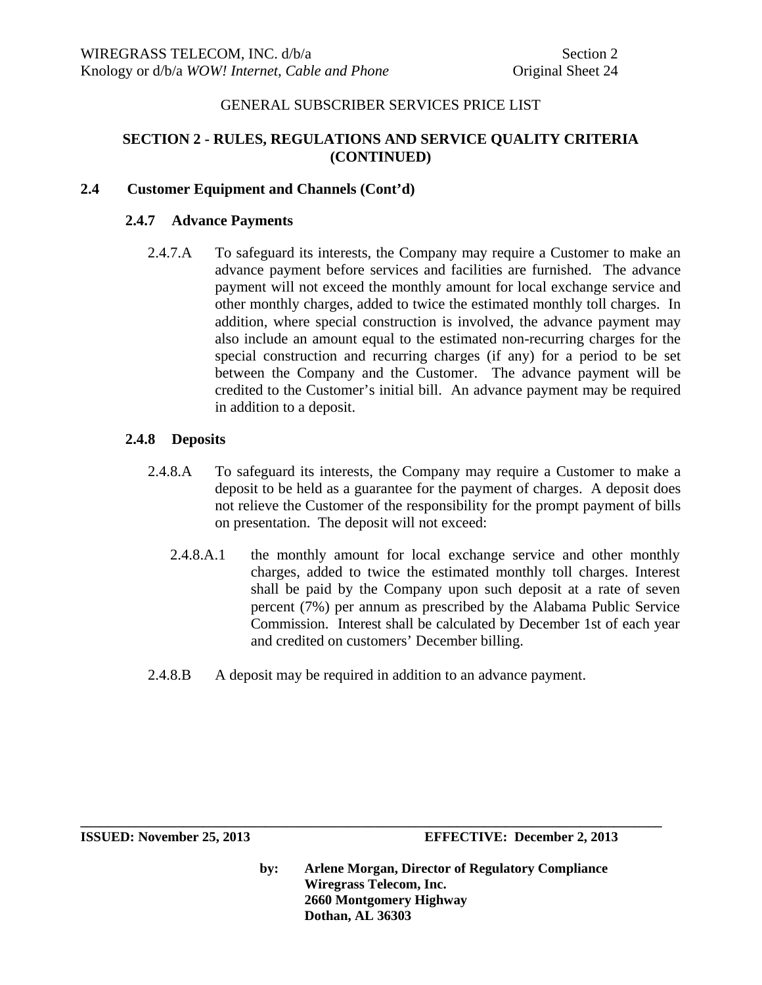# **SECTION 2 - RULES, REGULATIONS AND SERVICE QUALITY CRITERIA (CONTINUED)**

# **2.4 Customer Equipment and Channels (Cont'd)**

## **2.4.7 Advance Payments**

2.4.7.A To safeguard its interests, the Company may require a Customer to make an advance payment before services and facilities are furnished. The advance payment will not exceed the monthly amount for local exchange service and other monthly charges, added to twice the estimated monthly toll charges. In addition, where special construction is involved, the advance payment may also include an amount equal to the estimated non-recurring charges for the special construction and recurring charges (if any) for a period to be set between the Company and the Customer. The advance payment will be credited to the Customer's initial bill. An advance payment may be required in addition to a deposit.

# **2.4.8 Deposits**

- 2.4.8.A To safeguard its interests, the Company may require a Customer to make a deposit to be held as a guarantee for the payment of charges. A deposit does not relieve the Customer of the responsibility for the prompt payment of bills on presentation. The deposit will not exceed:
	- 2.4.8.A.1 the monthly amount for local exchange service and other monthly charges, added to twice the estimated monthly toll charges. Interest shall be paid by the Company upon such deposit at a rate of seven percent (7%) per annum as prescribed by the Alabama Public Service Commission. Interest shall be calculated by December 1st of each year and credited on customers' December billing.
- 2.4.8.B A deposit may be required in addition to an advance payment.

**\_\_\_\_\_\_\_\_\_\_\_\_\_\_\_\_\_\_\_\_\_\_\_\_\_\_\_\_\_\_\_\_\_\_\_\_\_\_\_\_\_\_\_\_\_\_\_\_\_\_\_\_\_\_\_\_\_\_\_\_\_\_\_\_\_\_\_\_\_\_\_\_\_\_\_\_\_\_\_\_\_\_\_\_\_** 

**ISSUED: November 25, 2013 EFFECTIVE: December 2, 2013**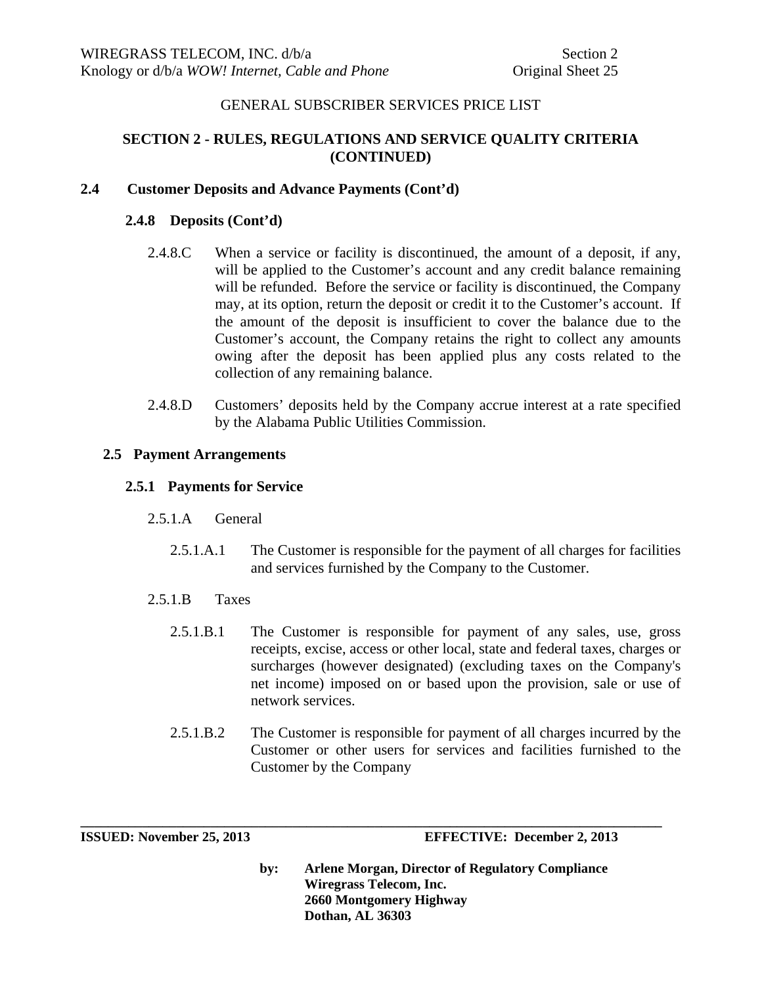# **SECTION 2 - RULES, REGULATIONS AND SERVICE QUALITY CRITERIA (CONTINUED)**

# **2.4 Customer Deposits and Advance Payments (Cont'd)**

## **2.4.8 Deposits (Cont'd)**

- 2.4.8.C When a service or facility is discontinued, the amount of a deposit, if any, will be applied to the Customer's account and any credit balance remaining will be refunded. Before the service or facility is discontinued, the Company may, at its option, return the deposit or credit it to the Customer's account. If the amount of the deposit is insufficient to cover the balance due to the Customer's account, the Company retains the right to collect any amounts owing after the deposit has been applied plus any costs related to the collection of any remaining balance.
- 2.4.8.D Customers' deposits held by the Company accrue interest at a rate specified by the Alabama Public Utilities Commission.

#### **2.5 Payment Arrangements**

#### **2.5.1 Payments for Service**

- 2.5.1.A General
	- 2.5.1.A.1 The Customer is responsible for the payment of all charges for facilities and services furnished by the Company to the Customer.
- 2.5.1.B Taxes
	- 2.5.1.B.1 The Customer is responsible for payment of any sales, use, gross receipts, excise, access or other local, state and federal taxes, charges or surcharges (however designated) (excluding taxes on the Company's net income) imposed on or based upon the provision, sale or use of network services.
	- 2.5.1.B.2 The Customer is responsible for payment of all charges incurred by the Customer or other users for services and facilities furnished to the Customer by the Company

**\_\_\_\_\_\_\_\_\_\_\_\_\_\_\_\_\_\_\_\_\_\_\_\_\_\_\_\_\_\_\_\_\_\_\_\_\_\_\_\_\_\_\_\_\_\_\_\_\_\_\_\_\_\_\_\_\_\_\_\_\_\_\_\_\_\_\_\_\_\_\_\_\_\_\_\_\_\_\_\_\_\_\_\_\_** 

**ISSUED: November 25, 2013 EFFECTIVE: December 2, 2013**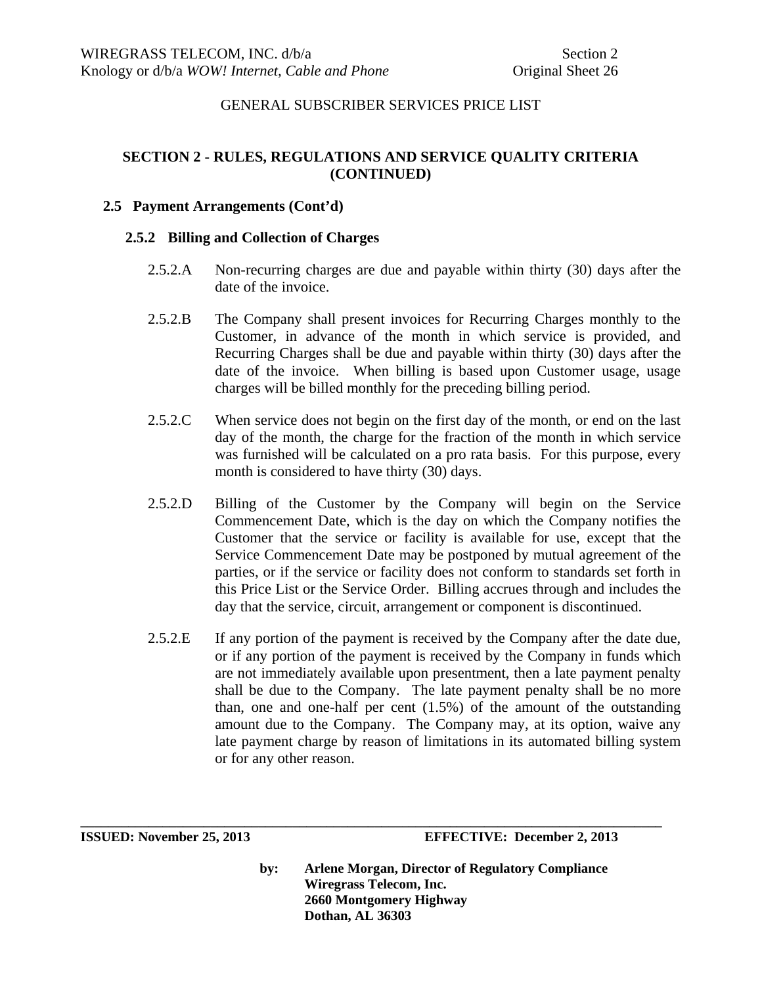# **SECTION 2 - RULES, REGULATIONS AND SERVICE QUALITY CRITERIA (CONTINUED)**

### **2.5 Payment Arrangements (Cont'd)**

#### **2.5.2 Billing and Collection of Charges**

- 2.5.2.A Non-recurring charges are due and payable within thirty (30) days after the date of the invoice.
- 2.5.2.B The Company shall present invoices for Recurring Charges monthly to the Customer, in advance of the month in which service is provided, and Recurring Charges shall be due and payable within thirty (30) days after the date of the invoice. When billing is based upon Customer usage, usage charges will be billed monthly for the preceding billing period.
- 2.5.2.C When service does not begin on the first day of the month, or end on the last day of the month, the charge for the fraction of the month in which service was furnished will be calculated on a pro rata basis. For this purpose, every month is considered to have thirty (30) days.
- 2.5.2.D Billing of the Customer by the Company will begin on the Service Commencement Date, which is the day on which the Company notifies the Customer that the service or facility is available for use, except that the Service Commencement Date may be postponed by mutual agreement of the parties, or if the service or facility does not conform to standards set forth in this Price List or the Service Order. Billing accrues through and includes the day that the service, circuit, arrangement or component is discontinued.
- 2.5.2.E If any portion of the payment is received by the Company after the date due, or if any portion of the payment is received by the Company in funds which are not immediately available upon presentment, then a late payment penalty shall be due to the Company. The late payment penalty shall be no more than, one and one-half per cent (1.5%) of the amount of the outstanding amount due to the Company. The Company may, at its option, waive any late payment charge by reason of limitations in its automated billing system or for any other reason.

**\_\_\_\_\_\_\_\_\_\_\_\_\_\_\_\_\_\_\_\_\_\_\_\_\_\_\_\_\_\_\_\_\_\_\_\_\_\_\_\_\_\_\_\_\_\_\_\_\_\_\_\_\_\_\_\_\_\_\_\_\_\_\_\_\_\_\_\_\_\_\_\_\_\_\_\_\_\_\_\_\_\_\_\_\_** 

**ISSUED: November 25, 2013 EFFECTIVE: December 2, 2013**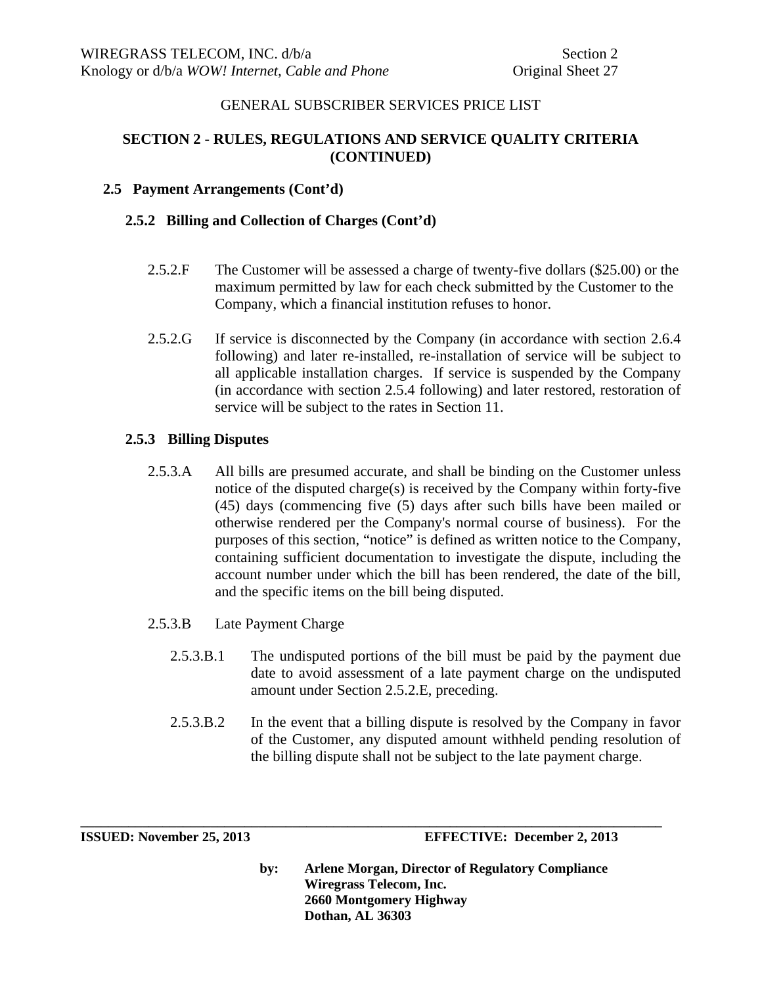# **SECTION 2 - RULES, REGULATIONS AND SERVICE QUALITY CRITERIA (CONTINUED)**

# **2.5 Payment Arrangements (Cont'd)**

## **2.5.2 Billing and Collection of Charges (Cont'd)**

- 2.5.2.F The Customer will be assessed a charge of twenty-five dollars (\$25.00) or the maximum permitted by law for each check submitted by the Customer to the Company, which a financial institution refuses to honor.
- 2.5.2.G If service is disconnected by the Company (in accordance with section 2.6.4 following) and later re-installed, re-installation of service will be subject to all applicable installation charges. If service is suspended by the Company (in accordance with section 2.5.4 following) and later restored, restoration of service will be subject to the rates in Section 11.

# **2.5.3 Billing Disputes**

- 2.5.3.A All bills are presumed accurate, and shall be binding on the Customer unless notice of the disputed charge(s) is received by the Company within forty-five (45) days (commencing five (5) days after such bills have been mailed or otherwise rendered per the Company's normal course of business). For the purposes of this section, "notice" is defined as written notice to the Company, containing sufficient documentation to investigate the dispute, including the account number under which the bill has been rendered, the date of the bill, and the specific items on the bill being disputed.
- 2.5.3.B Late Payment Charge
	- 2.5.3.B.1 The undisputed portions of the bill must be paid by the payment due date to avoid assessment of a late payment charge on the undisputed amount under Section 2.5.2.E, preceding.
	- 2.5.3.B.2 In the event that a billing dispute is resolved by the Company in favor of the Customer, any disputed amount withheld pending resolution of the billing dispute shall not be subject to the late payment charge.

**\_\_\_\_\_\_\_\_\_\_\_\_\_\_\_\_\_\_\_\_\_\_\_\_\_\_\_\_\_\_\_\_\_\_\_\_\_\_\_\_\_\_\_\_\_\_\_\_\_\_\_\_\_\_\_\_\_\_\_\_\_\_\_\_\_\_\_\_\_\_\_\_\_\_\_\_\_\_\_\_\_\_\_\_\_** 

**ISSUED: November 25, 2013 EFFECTIVE: December 2, 2013**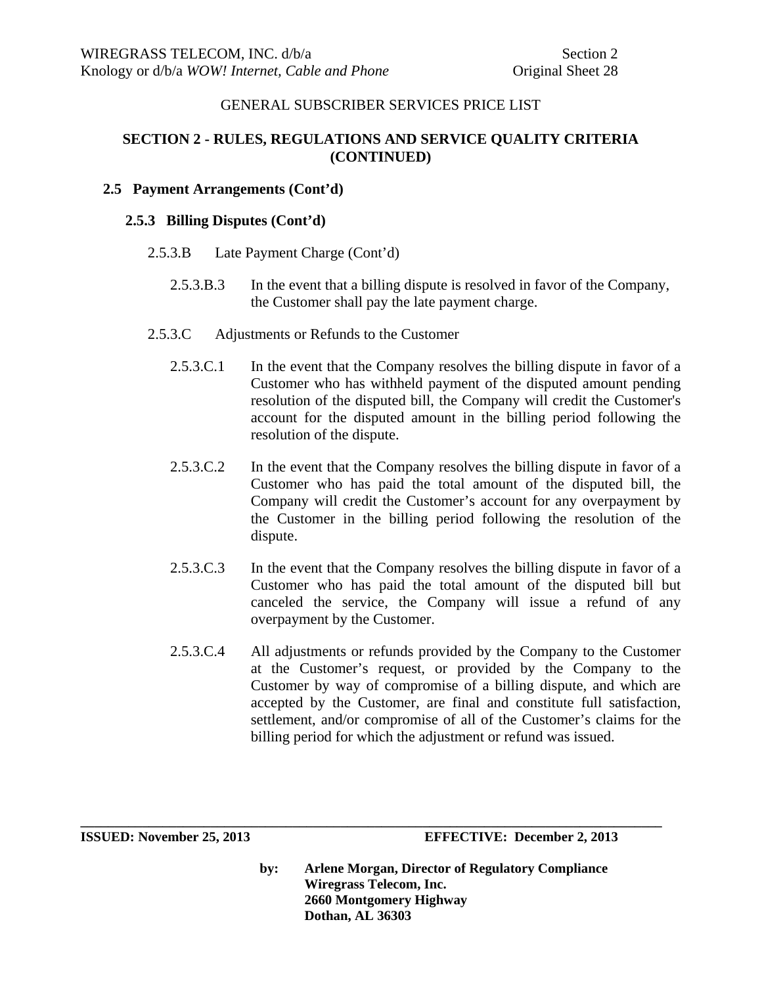# **SECTION 2 - RULES, REGULATIONS AND SERVICE QUALITY CRITERIA (CONTINUED)**

# **2.5 Payment Arrangements (Cont'd)**

## **2.5.3 Billing Disputes (Cont'd)**

- 2.5.3.B Late Payment Charge (Cont'd)
	- 2.5.3.B.3 In the event that a billing dispute is resolved in favor of the Company, the Customer shall pay the late payment charge.
- 2.5.3.C Adjustments or Refunds to the Customer
	- 2.5.3.C.1 In the event that the Company resolves the billing dispute in favor of a Customer who has withheld payment of the disputed amount pending resolution of the disputed bill, the Company will credit the Customer's account for the disputed amount in the billing period following the resolution of the dispute.
	- 2.5.3.C.2 In the event that the Company resolves the billing dispute in favor of a Customer who has paid the total amount of the disputed bill, the Company will credit the Customer's account for any overpayment by the Customer in the billing period following the resolution of the dispute.
	- 2.5.3.C.3 In the event that the Company resolves the billing dispute in favor of a Customer who has paid the total amount of the disputed bill but canceled the service, the Company will issue a refund of any overpayment by the Customer.
	- 2.5.3.C.4 All adjustments or refunds provided by the Company to the Customer at the Customer's request, or provided by the Company to the Customer by way of compromise of a billing dispute, and which are accepted by the Customer, are final and constitute full satisfaction, settlement, and/or compromise of all of the Customer's claims for the billing period for which the adjustment or refund was issued.

**by: Arlene Morgan, Director of Regulatory Compliance Wiregrass Telecom, Inc. 2660 Montgomery Highway Dothan, AL 36303** 

**ISSUED: November 25, 2013 EFFECTIVE: December 2, 2013**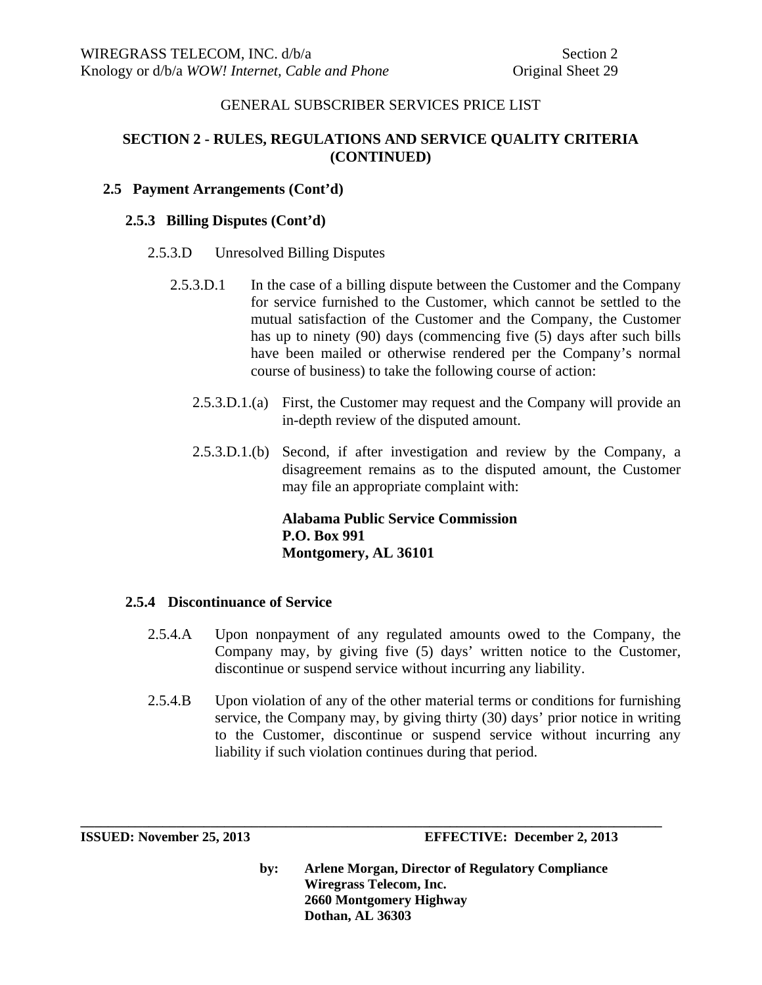# **SECTION 2 - RULES, REGULATIONS AND SERVICE QUALITY CRITERIA (CONTINUED)**

# **2.5 Payment Arrangements (Cont'd)**

## **2.5.3 Billing Disputes (Cont'd)**

- 2.5.3.D Unresolved Billing Disputes
	- 2.5.3.D.1 In the case of a billing dispute between the Customer and the Company for service furnished to the Customer, which cannot be settled to the mutual satisfaction of the Customer and the Company, the Customer has up to ninety (90) days (commencing five (5) days after such bills have been mailed or otherwise rendered per the Company's normal course of business) to take the following course of action:
		- 2.5.3.D.1.(a) First, the Customer may request and the Company will provide an in-depth review of the disputed amount.
		- 2.5.3.D.1.(b) Second, if after investigation and review by the Company, a disagreement remains as to the disputed amount, the Customer may file an appropriate complaint with:

**Alabama Public Service Commission P.O. Box 991 Montgomery, AL 36101**

## **2.5.4 Discontinuance of Service**

- 2.5.4.A Upon nonpayment of any regulated amounts owed to the Company, the Company may, by giving five (5) days' written notice to the Customer, discontinue or suspend service without incurring any liability.
- 2.5.4.B Upon violation of any of the other material terms or conditions for furnishing service, the Company may, by giving thirty (30) days' prior notice in writing to the Customer, discontinue or suspend service without incurring any liability if such violation continues during that period.

**\_\_\_\_\_\_\_\_\_\_\_\_\_\_\_\_\_\_\_\_\_\_\_\_\_\_\_\_\_\_\_\_\_\_\_\_\_\_\_\_\_\_\_\_\_\_\_\_\_\_\_\_\_\_\_\_\_\_\_\_\_\_\_\_\_\_\_\_\_\_\_\_\_\_\_\_\_\_\_\_\_\_\_\_\_** 

**ISSUED: November 25, 2013 EFFECTIVE: December 2, 2013**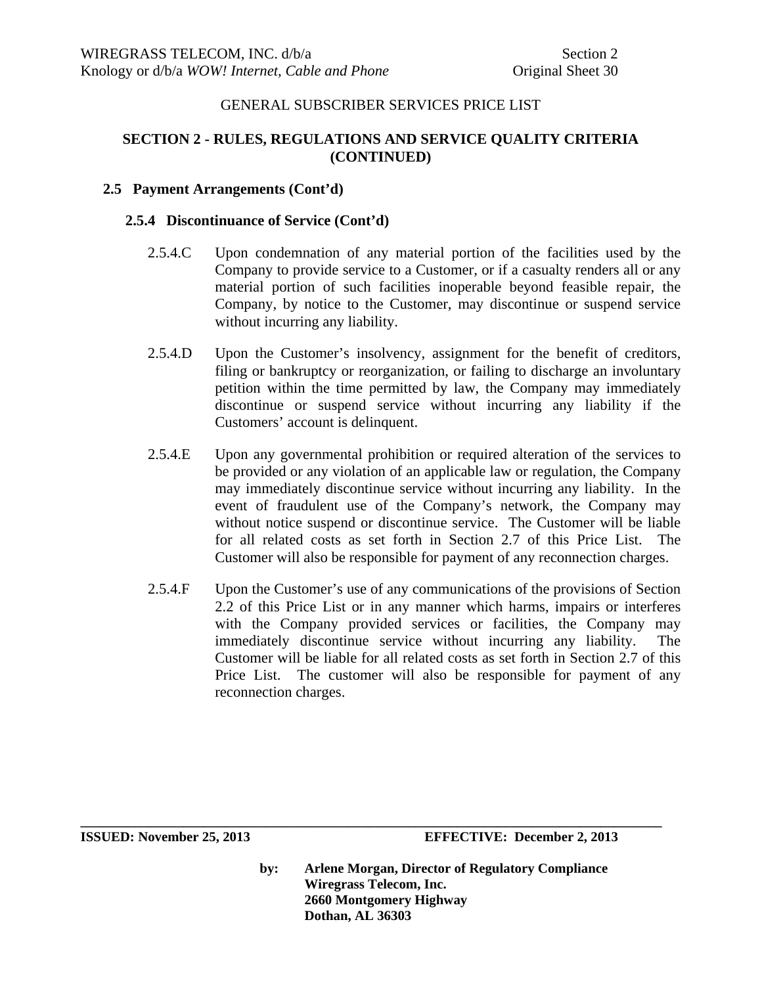# **SECTION 2 - RULES, REGULATIONS AND SERVICE QUALITY CRITERIA (CONTINUED)**

## **2.5 Payment Arrangements (Cont'd)**

#### **2.5.4 Discontinuance of Service (Cont'd)**

- 2.5.4.C Upon condemnation of any material portion of the facilities used by the Company to provide service to a Customer, or if a casualty renders all or any material portion of such facilities inoperable beyond feasible repair, the Company, by notice to the Customer, may discontinue or suspend service without incurring any liability.
- 2.5.4.D Upon the Customer's insolvency, assignment for the benefit of creditors, filing or bankruptcy or reorganization, or failing to discharge an involuntary petition within the time permitted by law, the Company may immediately discontinue or suspend service without incurring any liability if the Customers' account is delinquent.
- 2.5.4.E Upon any governmental prohibition or required alteration of the services to be provided or any violation of an applicable law or regulation, the Company may immediately discontinue service without incurring any liability. In the event of fraudulent use of the Company's network, the Company may without notice suspend or discontinue service. The Customer will be liable for all related costs as set forth in Section 2.7 of this Price List. The Customer will also be responsible for payment of any reconnection charges.
- 2.5.4.F Upon the Customer's use of any communications of the provisions of Section 2.2 of this Price List or in any manner which harms, impairs or interferes with the Company provided services or facilities, the Company may immediately discontinue service without incurring any liability. The Customer will be liable for all related costs as set forth in Section 2.7 of this Price List. The customer will also be responsible for payment of any reconnection charges.

**by: Arlene Morgan, Director of Regulatory Compliance Wiregrass Telecom, Inc. 2660 Montgomery Highway Dothan, AL 36303** 

**ISSUED: November 25, 2013 EFFECTIVE: December 2, 2013**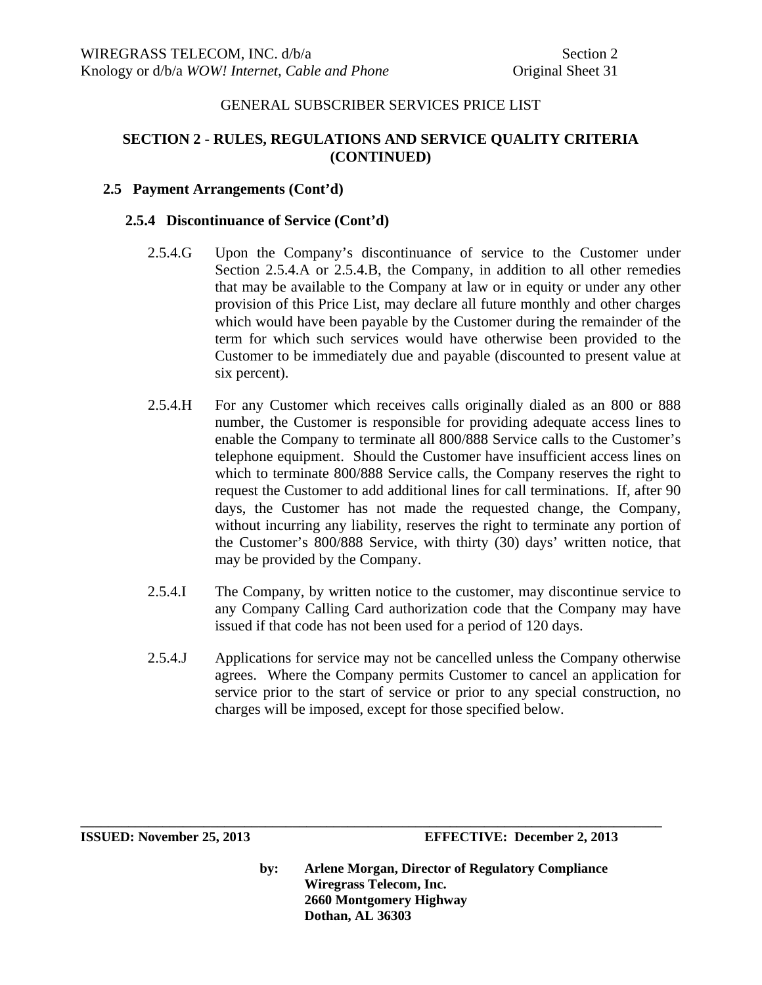# **SECTION 2 - RULES, REGULATIONS AND SERVICE QUALITY CRITERIA (CONTINUED)**

## **2.5 Payment Arrangements (Cont'd)**

#### **2.5.4 Discontinuance of Service (Cont'd)**

- 2.5.4.G Upon the Company's discontinuance of service to the Customer under Section 2.5.4.A or 2.5.4.B, the Company, in addition to all other remedies that may be available to the Company at law or in equity or under any other provision of this Price List, may declare all future monthly and other charges which would have been payable by the Customer during the remainder of the term for which such services would have otherwise been provided to the Customer to be immediately due and payable (discounted to present value at six percent).
- 2.5.4.H For any Customer which receives calls originally dialed as an 800 or 888 number, the Customer is responsible for providing adequate access lines to enable the Company to terminate all 800/888 Service calls to the Customer's telephone equipment. Should the Customer have insufficient access lines on which to terminate 800/888 Service calls, the Company reserves the right to request the Customer to add additional lines for call terminations. If, after 90 days, the Customer has not made the requested change, the Company, without incurring any liability, reserves the right to terminate any portion of the Customer's 800/888 Service, with thirty (30) days' written notice, that may be provided by the Company.
- 2.5.4.I The Company, by written notice to the customer, may discontinue service to any Company Calling Card authorization code that the Company may have issued if that code has not been used for a period of 120 days.
- 2.5.4.J Applications for service may not be cancelled unless the Company otherwise agrees. Where the Company permits Customer to cancel an application for service prior to the start of service or prior to any special construction, no charges will be imposed, except for those specified below.

**\_\_\_\_\_\_\_\_\_\_\_\_\_\_\_\_\_\_\_\_\_\_\_\_\_\_\_\_\_\_\_\_\_\_\_\_\_\_\_\_\_\_\_\_\_\_\_\_\_\_\_\_\_\_\_\_\_\_\_\_\_\_\_\_\_\_\_\_\_\_\_\_\_\_\_\_\_\_\_\_\_\_\_\_\_**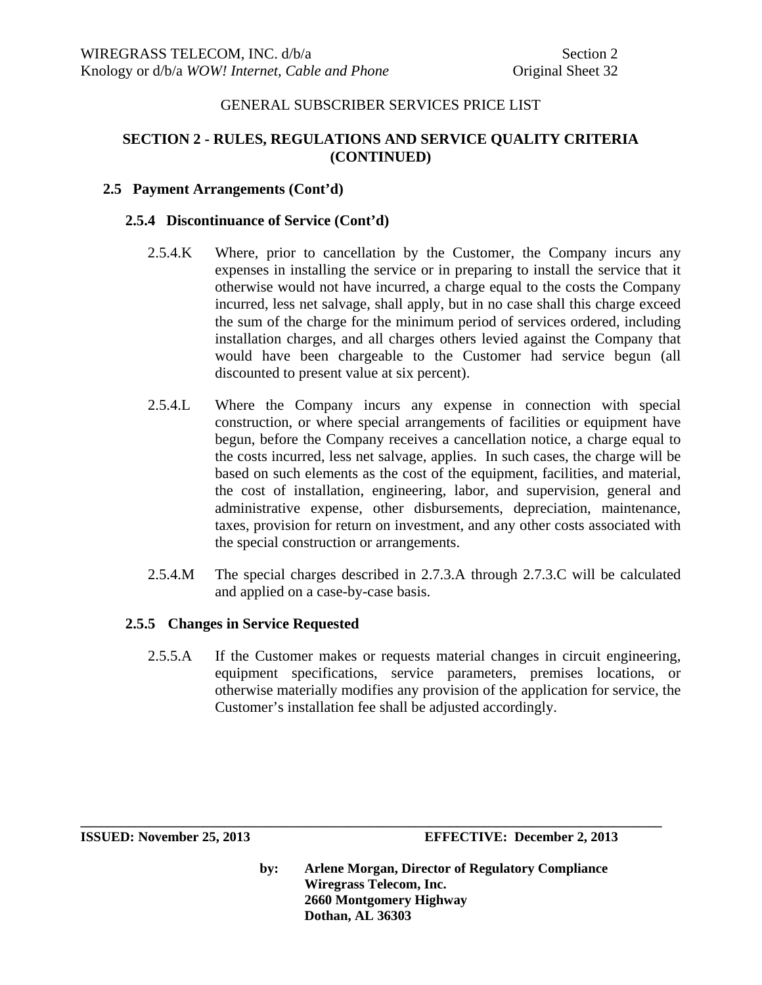# **SECTION 2 - RULES, REGULATIONS AND SERVICE QUALITY CRITERIA (CONTINUED)**

## **2.5 Payment Arrangements (Cont'd)**

#### **2.5.4 Discontinuance of Service (Cont'd)**

- 2.5.4.K Where, prior to cancellation by the Customer, the Company incurs any expenses in installing the service or in preparing to install the service that it otherwise would not have incurred, a charge equal to the costs the Company incurred, less net salvage, shall apply, but in no case shall this charge exceed the sum of the charge for the minimum period of services ordered, including installation charges, and all charges others levied against the Company that would have been chargeable to the Customer had service begun (all discounted to present value at six percent).
- 2.5.4.L Where the Company incurs any expense in connection with special construction, or where special arrangements of facilities or equipment have begun, before the Company receives a cancellation notice, a charge equal to the costs incurred, less net salvage, applies. In such cases, the charge will be based on such elements as the cost of the equipment, facilities, and material, the cost of installation, engineering, labor, and supervision, general and administrative expense, other disbursements, depreciation, maintenance, taxes, provision for return on investment, and any other costs associated with the special construction or arrangements.
- 2.5.4.M The special charges described in 2.7.3.A through 2.7.3.C will be calculated and applied on a case-by-case basis.

## **2.5.5 Changes in Service Requested**

2.5.5.A If the Customer makes or requests material changes in circuit engineering, equipment specifications, service parameters, premises locations, or otherwise materially modifies any provision of the application for service, the Customer's installation fee shall be adjusted accordingly.

**\_\_\_\_\_\_\_\_\_\_\_\_\_\_\_\_\_\_\_\_\_\_\_\_\_\_\_\_\_\_\_\_\_\_\_\_\_\_\_\_\_\_\_\_\_\_\_\_\_\_\_\_\_\_\_\_\_\_\_\_\_\_\_\_\_\_\_\_\_\_\_\_\_\_\_\_\_\_\_\_\_\_\_\_\_**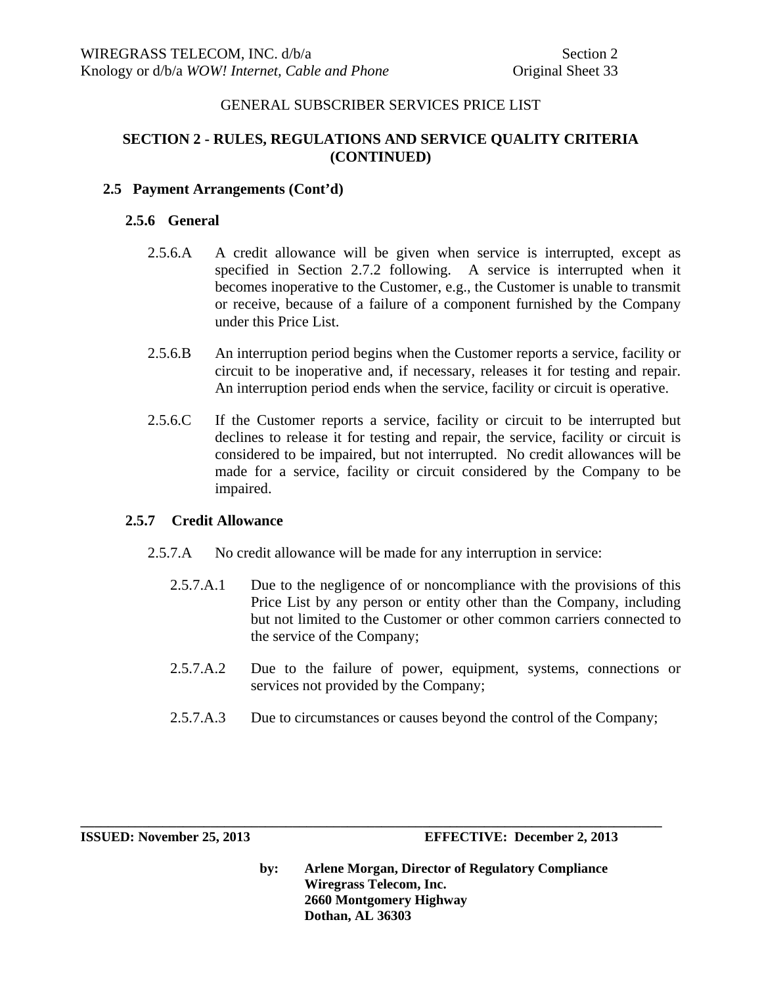# **SECTION 2 - RULES, REGULATIONS AND SERVICE QUALITY CRITERIA (CONTINUED)**

# **2.5 Payment Arrangements (Cont'd)**

## **2.5.6 General**

- 2.5.6.A A credit allowance will be given when service is interrupted, except as specified in Section 2.7.2 following. A service is interrupted when it becomes inoperative to the Customer, e.g., the Customer is unable to transmit or receive, because of a failure of a component furnished by the Company under this Price List.
- 2.5.6.B An interruption period begins when the Customer reports a service, facility or circuit to be inoperative and, if necessary, releases it for testing and repair. An interruption period ends when the service, facility or circuit is operative.
- 2.5.6.C If the Customer reports a service, facility or circuit to be interrupted but declines to release it for testing and repair, the service, facility or circuit is considered to be impaired, but not interrupted. No credit allowances will be made for a service, facility or circuit considered by the Company to be impaired.

## **2.5.7 Credit Allowance**

2.5.7.A No credit allowance will be made for any interruption in service:

**\_\_\_\_\_\_\_\_\_\_\_\_\_\_\_\_\_\_\_\_\_\_\_\_\_\_\_\_\_\_\_\_\_\_\_\_\_\_\_\_\_\_\_\_\_\_\_\_\_\_\_\_\_\_\_\_\_\_\_\_\_\_\_\_\_\_\_\_\_\_\_\_\_\_\_\_\_\_\_\_\_\_\_\_\_** 

- 2.5.7.A.1 Due to the negligence of or noncompliance with the provisions of this Price List by any person or entity other than the Company, including but not limited to the Customer or other common carriers connected to the service of the Company;
- 2.5.7.A.2 Due to the failure of power, equipment, systems, connections or services not provided by the Company;
- 2.5.7.A.3 Due to circumstances or causes beyond the control of the Company;

**ISSUED: November 25, 2013 EFFECTIVE: December 2, 2013**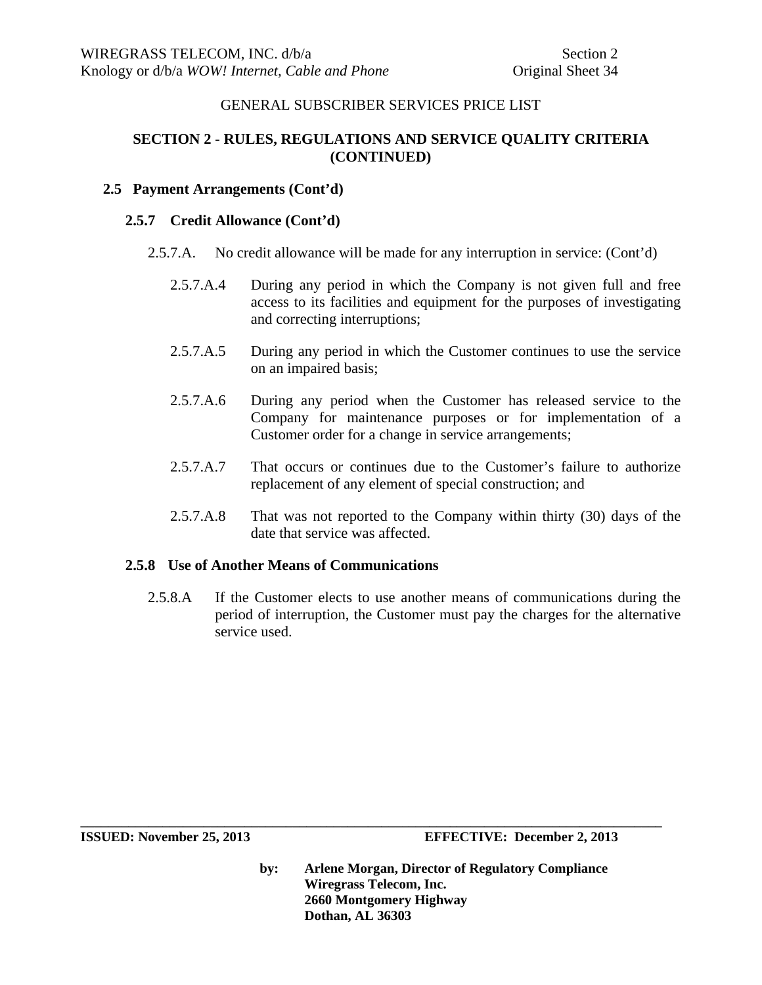# **SECTION 2 - RULES, REGULATIONS AND SERVICE QUALITY CRITERIA (CONTINUED)**

## **2.5 Payment Arrangements (Cont'd)**

#### **2.5.7 Credit Allowance (Cont'd)**

- 2.5.7.A. No credit allowance will be made for any interruption in service: (Cont'd)
	- 2.5.7.A.4 During any period in which the Company is not given full and free access to its facilities and equipment for the purposes of investigating and correcting interruptions;
	- 2.5.7.A.5 During any period in which the Customer continues to use the service on an impaired basis;
	- 2.5.7.A.6 During any period when the Customer has released service to the Company for maintenance purposes or for implementation of a Customer order for a change in service arrangements;
	- 2.5.7.A.7 That occurs or continues due to the Customer's failure to authorize replacement of any element of special construction; and
	- 2.5.7.A.8 That was not reported to the Company within thirty (30) days of the date that service was affected.

## **2.5.8 Use of Another Means of Communications**

2.5.8.A If the Customer elects to use another means of communications during the period of interruption, the Customer must pay the charges for the alternative service used.

**by: Arlene Morgan, Director of Regulatory Compliance Wiregrass Telecom, Inc. 2660 Montgomery Highway Dothan, AL 36303** 

**ISSUED: November 25, 2013 EFFECTIVE: December 2, 2013**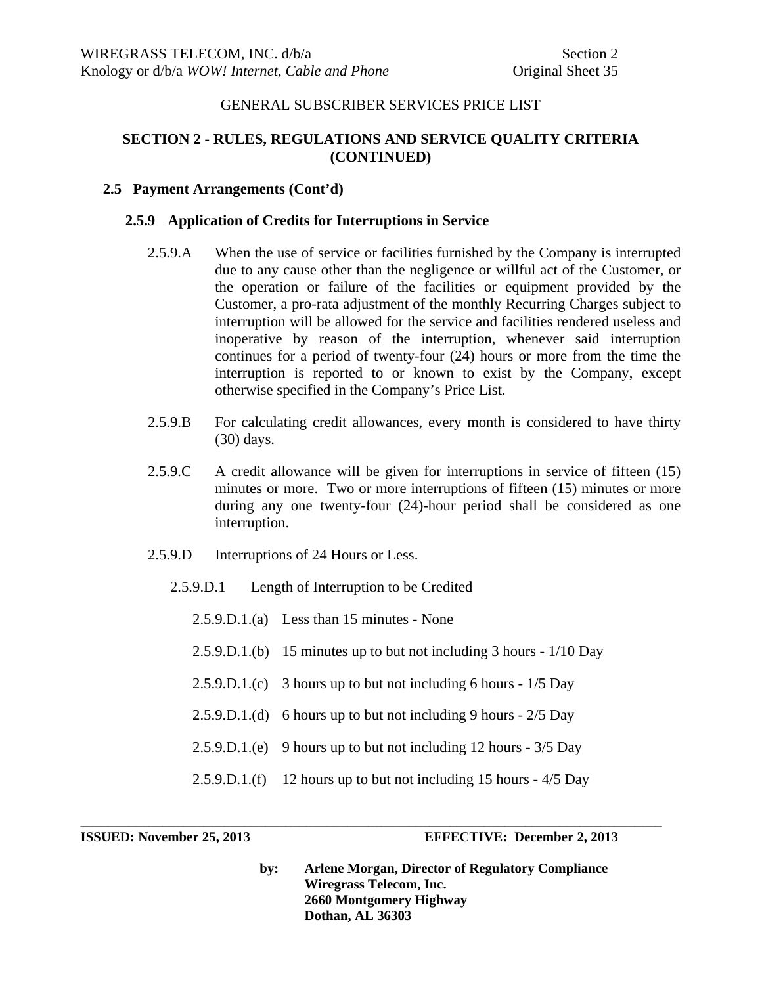# **SECTION 2 - RULES, REGULATIONS AND SERVICE QUALITY CRITERIA (CONTINUED)**

#### **2.5 Payment Arrangements (Cont'd)**

#### **2.5.9 Application of Credits for Interruptions in Service**

- 2.5.9.A When the use of service or facilities furnished by the Company is interrupted due to any cause other than the negligence or willful act of the Customer, or the operation or failure of the facilities or equipment provided by the Customer, a pro-rata adjustment of the monthly Recurring Charges subject to interruption will be allowed for the service and facilities rendered useless and inoperative by reason of the interruption, whenever said interruption continues for a period of twenty-four (24) hours or more from the time the interruption is reported to or known to exist by the Company, except otherwise specified in the Company's Price List.
- 2.5.9.B For calculating credit allowances, every month is considered to have thirty (30) days.
- 2.5.9.C A credit allowance will be given for interruptions in service of fifteen (15) minutes or more. Two or more interruptions of fifteen (15) minutes or more during any one twenty-four (24)-hour period shall be considered as one interruption.
- 2.5.9.D Interruptions of 24 Hours or Less.
	- 2.5.9.D.1 Length of Interruption to be Credited
		- 2.5.9.D.1.(a) Less than 15 minutes None
		- 2.5.9.D.1.(b) 15 minutes up to but not including 3 hours 1/10 Day
		- 2.5.9.D.1.(c) 3 hours up to but not including 6 hours 1/5 Day
		- $2.5.9 \text{.}D.1$ .(d) 6 hours up to but not including 9 hours  $2/5$  Day
		- 2.5.9.D.1.(e) 9 hours up to but not including 12 hours 3/5 Day
		- 2.5.9.D.1.(f) 12 hours up to but not including 15 hours 4/5 Day

**\_\_\_\_\_\_\_\_\_\_\_\_\_\_\_\_\_\_\_\_\_\_\_\_\_\_\_\_\_\_\_\_\_\_\_\_\_\_\_\_\_\_\_\_\_\_\_\_\_\_\_\_\_\_\_\_\_\_\_\_\_\_\_\_\_\_\_\_\_\_\_\_\_\_\_\_\_\_\_\_\_\_\_\_\_** 

**ISSUED: November 25, 2013 EFFECTIVE: December 2, 2013**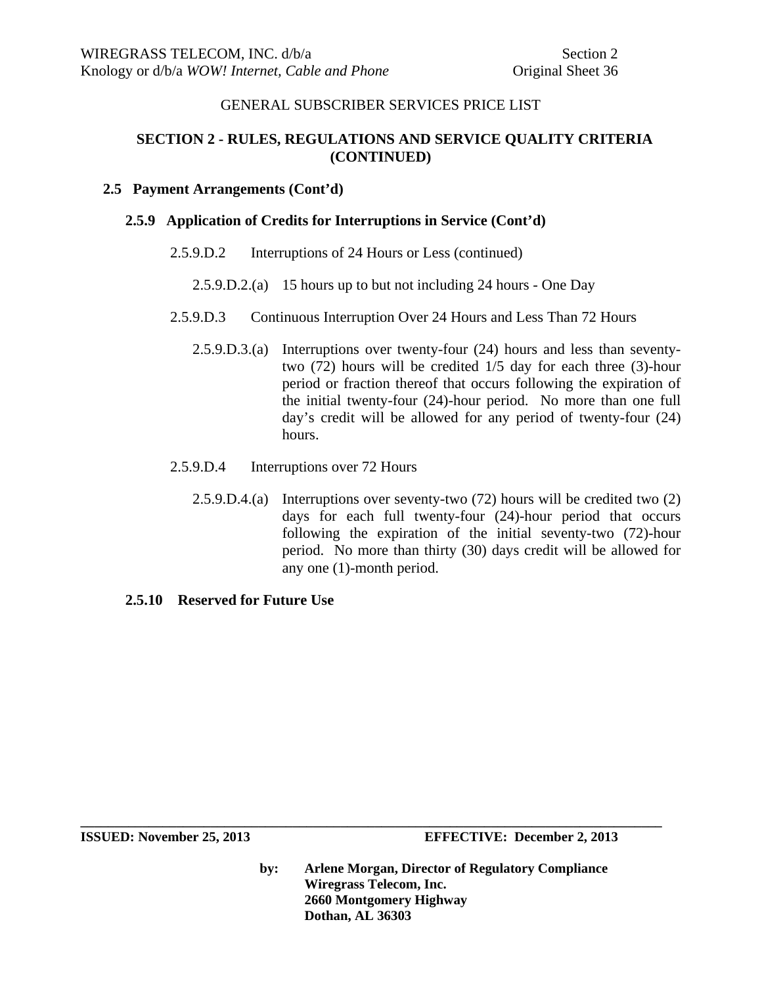# **SECTION 2 - RULES, REGULATIONS AND SERVICE QUALITY CRITERIA (CONTINUED)**

#### **2.5 Payment Arrangements (Cont'd)**

#### **2.5.9 Application of Credits for Interruptions in Service (Cont'd)**

#### 2.5.9.D.2 Interruptions of 24 Hours or Less (continued)

- 2.5.9.D.2.(a) 15 hours up to but not including 24 hours One Day
- 2.5.9.D.3 Continuous Interruption Over 24 Hours and Less Than 72 Hours
	- 2.5.9.D.3.(a) Interruptions over twenty-four (24) hours and less than seventytwo (72) hours will be credited 1/5 day for each three (3)-hour period or fraction thereof that occurs following the expiration of the initial twenty-four (24)-hour period. No more than one full day's credit will be allowed for any period of twenty-four (24) hours.
- 2.5.9.D.4 Interruptions over 72 Hours
	- 2.5.9.D.4.(a) Interruptions over seventy-two (72) hours will be credited two (2) days for each full twenty-four (24)-hour period that occurs following the expiration of the initial seventy-two (72)-hour period. No more than thirty (30) days credit will be allowed for any one (1)-month period.
- **2.5.10 Reserved for Future Use**

**by: Arlene Morgan, Director of Regulatory Compliance Wiregrass Telecom, Inc. 2660 Montgomery Highway Dothan, AL 36303**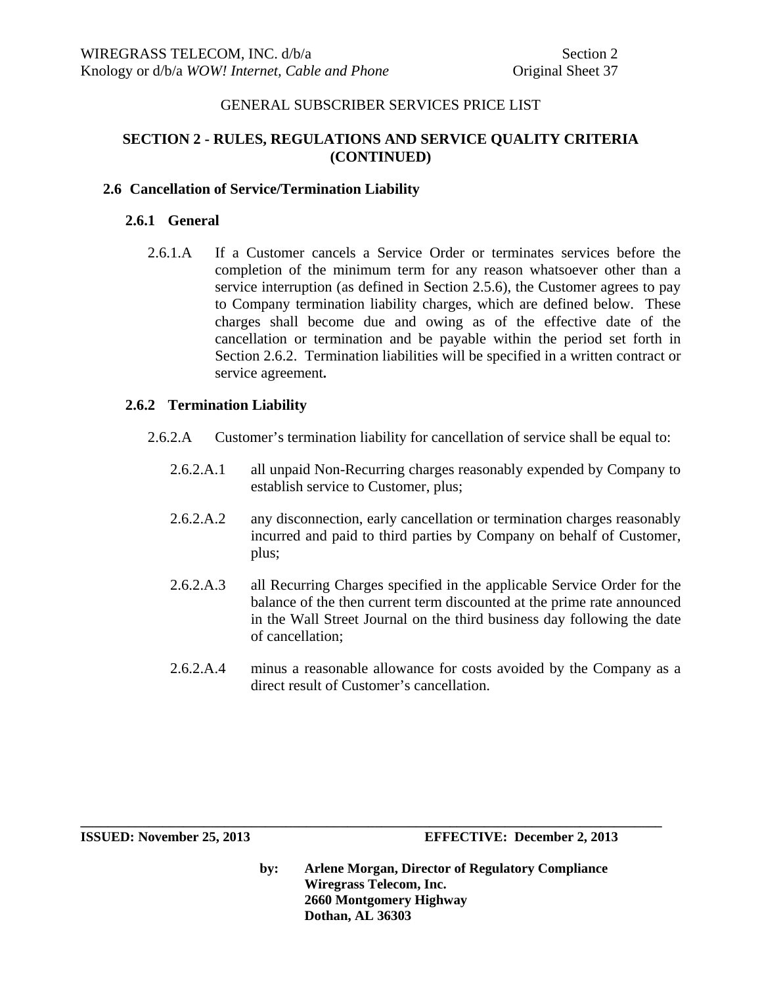# **SECTION 2 - RULES, REGULATIONS AND SERVICE QUALITY CRITERIA (CONTINUED)**

## **2.6 Cancellation of Service/Termination Liability**

#### **2.6.1 General**

2.6.1.A If a Customer cancels a Service Order or terminates services before the completion of the minimum term for any reason whatsoever other than a service interruption (as defined in Section 2.5.6), the Customer agrees to pay to Company termination liability charges, which are defined below. These charges shall become due and owing as of the effective date of the cancellation or termination and be payable within the period set forth in Section 2.6.2. Termination liabilities will be specified in a written contract or service agreement**.**

## **2.6.2 Termination Liability**

- 2.6.2.A Customer's termination liability for cancellation of service shall be equal to:
	- 2.6.2.A.1 all unpaid Non-Recurring charges reasonably expended by Company to establish service to Customer, plus;
	- 2.6.2.A.2 any disconnection, early cancellation or termination charges reasonably incurred and paid to third parties by Company on behalf of Customer, plus;
	- 2.6.2.A.3 all Recurring Charges specified in the applicable Service Order for the balance of the then current term discounted at the prime rate announced in the Wall Street Journal on the third business day following the date of cancellation;
	- 2.6.2.A.4 minus a reasonable allowance for costs avoided by the Company as a direct result of Customer's cancellation.

**ISSUED: November 25, 2013 EFFECTIVE: December 2, 2013** 

**by: Arlene Morgan, Director of Regulatory Compliance Wiregrass Telecom, Inc. 2660 Montgomery Highway Dothan, AL 36303**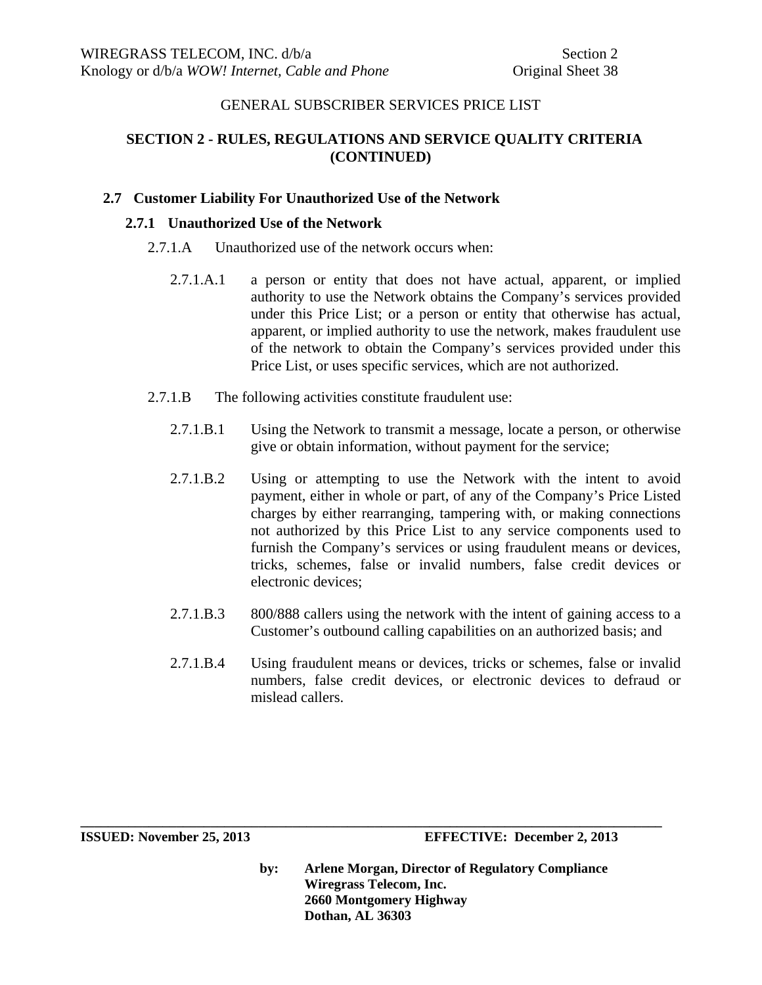# **SECTION 2 - RULES, REGULATIONS AND SERVICE QUALITY CRITERIA (CONTINUED)**

## **2.7 Customer Liability For Unauthorized Use of the Network**

## **2.7.1 Unauthorized Use of the Network**

- 2.7.1.A Unauthorized use of the network occurs when:
	- 2.7.1.A.1 a person or entity that does not have actual, apparent, or implied authority to use the Network obtains the Company's services provided under this Price List; or a person or entity that otherwise has actual, apparent, or implied authority to use the network, makes fraudulent use of the network to obtain the Company's services provided under this Price List, or uses specific services, which are not authorized.
- 2.7.1.B The following activities constitute fraudulent use:
	- 2.7.1.B.1 Using the Network to transmit a message, locate a person, or otherwise give or obtain information, without payment for the service;
	- 2.7.1.B.2 Using or attempting to use the Network with the intent to avoid payment, either in whole or part, of any of the Company's Price Listed charges by either rearranging, tampering with, or making connections not authorized by this Price List to any service components used to furnish the Company's services or using fraudulent means or devices, tricks, schemes, false or invalid numbers, false credit devices or electronic devices;
	- 2.7.1.B.3 800/888 callers using the network with the intent of gaining access to a Customer's outbound calling capabilities on an authorized basis; and
	- 2.7.1.B.4 Using fraudulent means or devices, tricks or schemes, false or invalid numbers, false credit devices, or electronic devices to defraud or mislead callers.

**by: Arlene Morgan, Director of Regulatory Compliance Wiregrass Telecom, Inc. 2660 Montgomery Highway Dothan, AL 36303**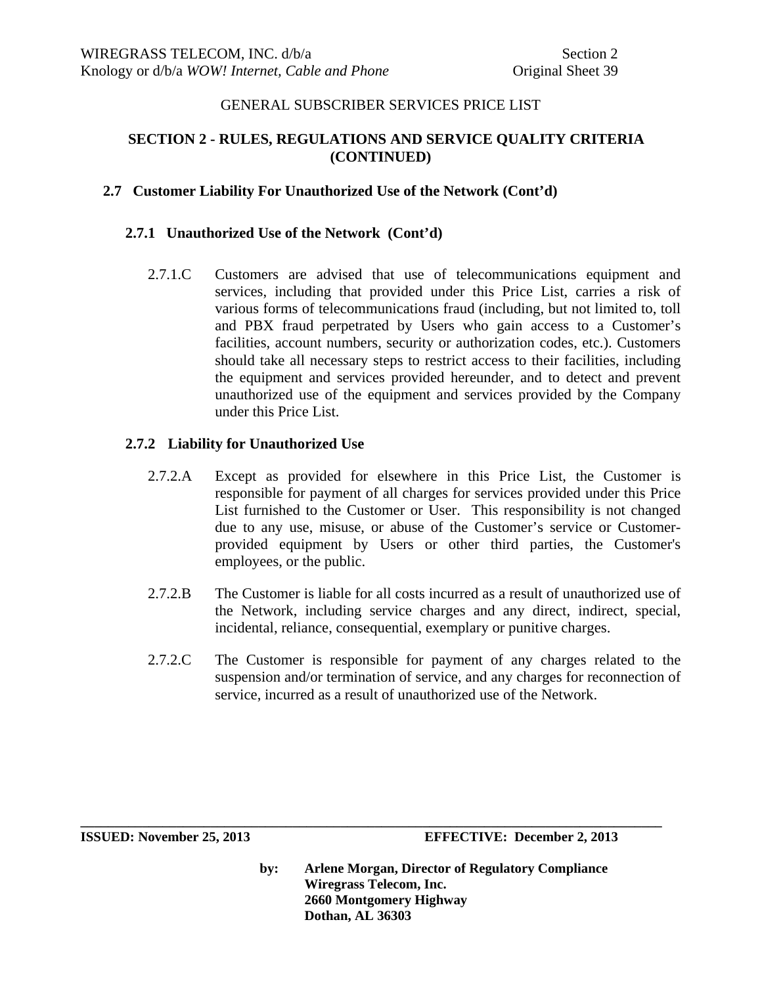# **SECTION 2 - RULES, REGULATIONS AND SERVICE QUALITY CRITERIA (CONTINUED)**

# **2.7 Customer Liability For Unauthorized Use of the Network (Cont'd)**

# **2.7.1 Unauthorized Use of the Network (Cont'd)**

2.7.1.C Customers are advised that use of telecommunications equipment and services, including that provided under this Price List, carries a risk of various forms of telecommunications fraud (including, but not limited to, toll and PBX fraud perpetrated by Users who gain access to a Customer's facilities, account numbers, security or authorization codes, etc.). Customers should take all necessary steps to restrict access to their facilities, including the equipment and services provided hereunder, and to detect and prevent unauthorized use of the equipment and services provided by the Company under this Price List.

## **2.7.2 Liability for Unauthorized Use**

- 2.7.2.A Except as provided for elsewhere in this Price List, the Customer is responsible for payment of all charges for services provided under this Price List furnished to the Customer or User. This responsibility is not changed due to any use, misuse, or abuse of the Customer's service or Customerprovided equipment by Users or other third parties, the Customer's employees, or the public.
- 2.7.2.B The Customer is liable for all costs incurred as a result of unauthorized use of the Network, including service charges and any direct, indirect, special, incidental, reliance, consequential, exemplary or punitive charges.
- 2.7.2.C The Customer is responsible for payment of any charges related to the suspension and/or termination of service, and any charges for reconnection of service, incurred as a result of unauthorized use of the Network.

**\_\_\_\_\_\_\_\_\_\_\_\_\_\_\_\_\_\_\_\_\_\_\_\_\_\_\_\_\_\_\_\_\_\_\_\_\_\_\_\_\_\_\_\_\_\_\_\_\_\_\_\_\_\_\_\_\_\_\_\_\_\_\_\_\_\_\_\_\_\_\_\_\_\_\_\_\_\_\_\_\_\_\_\_\_** 

**ISSUED: November 25, 2013 EFFECTIVE: December 2, 2013**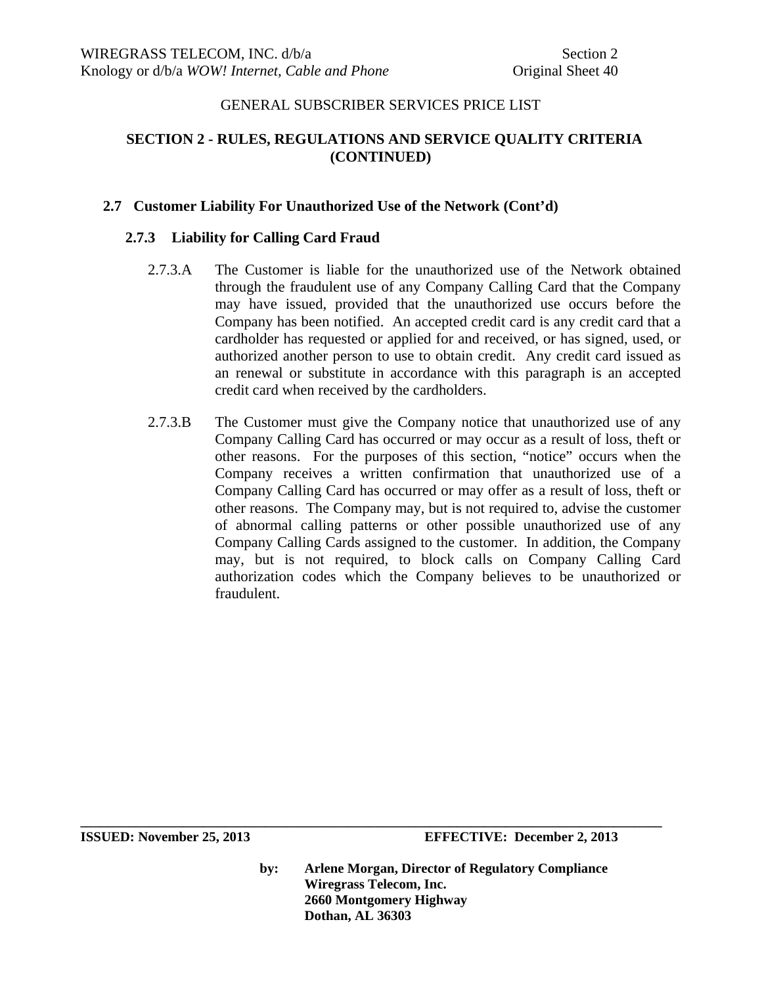# **SECTION 2 - RULES, REGULATIONS AND SERVICE QUALITY CRITERIA (CONTINUED)**

## **2.7 Customer Liability For Unauthorized Use of the Network (Cont'd)**

# **2.7.3 Liability for Calling Card Fraud**

- 2.7.3.A The Customer is liable for the unauthorized use of the Network obtained through the fraudulent use of any Company Calling Card that the Company may have issued, provided that the unauthorized use occurs before the Company has been notified. An accepted credit card is any credit card that a cardholder has requested or applied for and received, or has signed, used, or authorized another person to use to obtain credit. Any credit card issued as an renewal or substitute in accordance with this paragraph is an accepted credit card when received by the cardholders.
- 2.7.3.B The Customer must give the Company notice that unauthorized use of any Company Calling Card has occurred or may occur as a result of loss, theft or other reasons. For the purposes of this section, "notice" occurs when the Company receives a written confirmation that unauthorized use of a Company Calling Card has occurred or may offer as a result of loss, theft or other reasons. The Company may, but is not required to, advise the customer of abnormal calling patterns or other possible unauthorized use of any Company Calling Cards assigned to the customer. In addition, the Company may, but is not required, to block calls on Company Calling Card authorization codes which the Company believes to be unauthorized or fraudulent.

**ISSUED: November 25, 2013 EFFECTIVE: December 2, 2013** 

**by: Arlene Morgan, Director of Regulatory Compliance Wiregrass Telecom, Inc. 2660 Montgomery Highway Dothan, AL 36303**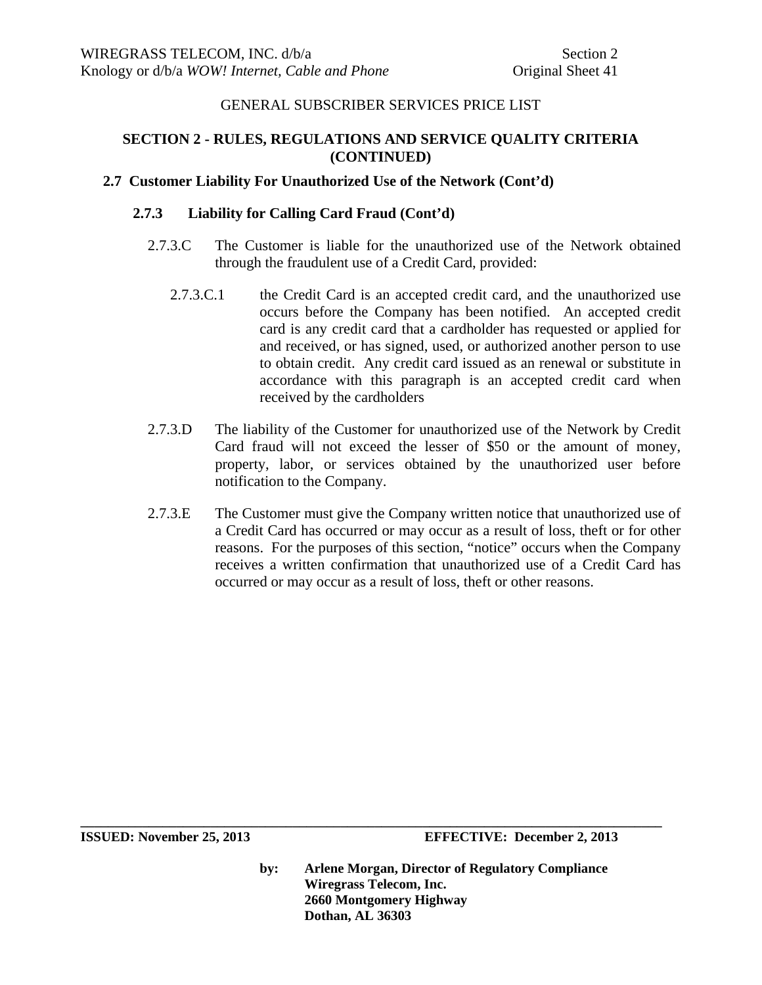# **SECTION 2 - RULES, REGULATIONS AND SERVICE QUALITY CRITERIA (CONTINUED)**

# **2.7 Customer Liability For Unauthorized Use of the Network (Cont'd)**

# **2.7.3 Liability for Calling Card Fraud (Cont'd)**

- 2.7.3.C The Customer is liable for the unauthorized use of the Network obtained through the fraudulent use of a Credit Card, provided:
	- 2.7.3.C.1 the Credit Card is an accepted credit card, and the unauthorized use occurs before the Company has been notified. An accepted credit card is any credit card that a cardholder has requested or applied for and received, or has signed, used, or authorized another person to use to obtain credit. Any credit card issued as an renewal or substitute in accordance with this paragraph is an accepted credit card when received by the cardholders
- 2.7.3.D The liability of the Customer for unauthorized use of the Network by Credit Card fraud will not exceed the lesser of \$50 or the amount of money, property, labor, or services obtained by the unauthorized user before notification to the Company.
- 2.7.3.E The Customer must give the Company written notice that unauthorized use of a Credit Card has occurred or may occur as a result of loss, theft or for other reasons. For the purposes of this section, "notice" occurs when the Company receives a written confirmation that unauthorized use of a Credit Card has occurred or may occur as a result of loss, theft or other reasons.

**ISSUED: November 25, 2013 EFFECTIVE: December 2, 2013** 

**by: Arlene Morgan, Director of Regulatory Compliance Wiregrass Telecom, Inc. 2660 Montgomery Highway Dothan, AL 36303**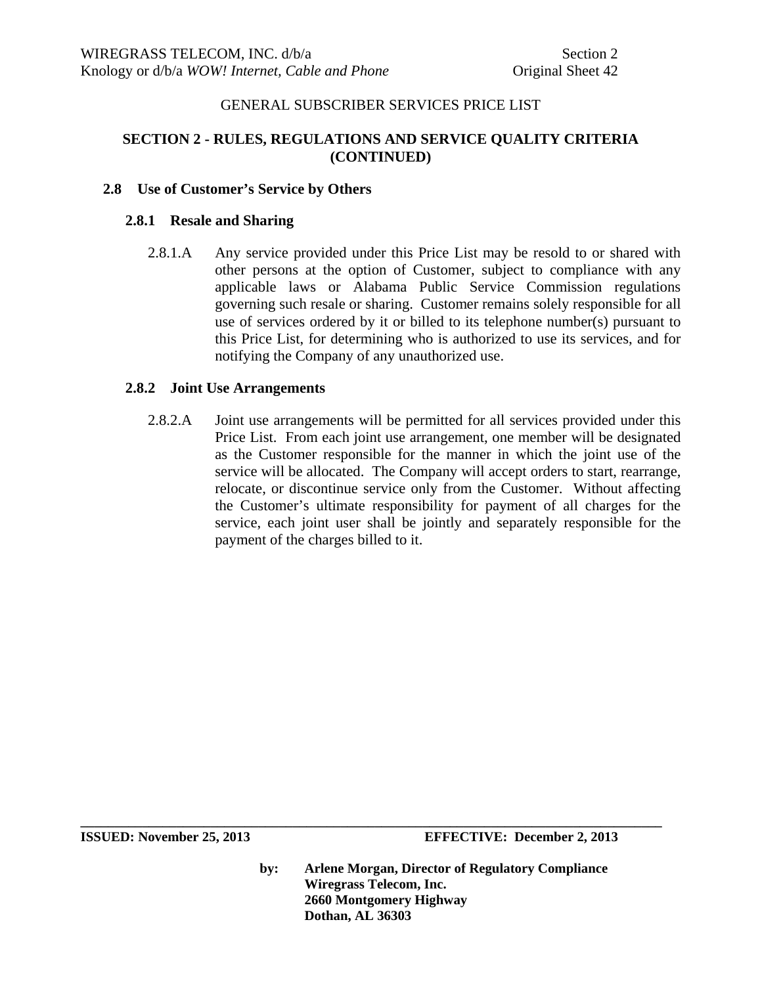# **SECTION 2 - RULES, REGULATIONS AND SERVICE QUALITY CRITERIA (CONTINUED)**

## **2.8 Use of Customer's Service by Others**

#### **2.8.1 Resale and Sharing**

2.8.1.A Any service provided under this Price List may be resold to or shared with other persons at the option of Customer, subject to compliance with any applicable laws or Alabama Public Service Commission regulations governing such resale or sharing. Customer remains solely responsible for all use of services ordered by it or billed to its telephone number(s) pursuant to this Price List, for determining who is authorized to use its services, and for notifying the Company of any unauthorized use.

#### **2.8.2 Joint Use Arrangements**

2.8.2.A Joint use arrangements will be permitted for all services provided under this Price List. From each joint use arrangement, one member will be designated as the Customer responsible for the manner in which the joint use of the service will be allocated. The Company will accept orders to start, rearrange, relocate, or discontinue service only from the Customer. Without affecting the Customer's ultimate responsibility for payment of all charges for the service, each joint user shall be jointly and separately responsible for the payment of the charges billed to it.

**ISSUED: November 25, 2013 EFFECTIVE: December 2, 2013** 

**by: Arlene Morgan, Director of Regulatory Compliance Wiregrass Telecom, Inc. 2660 Montgomery Highway Dothan, AL 36303**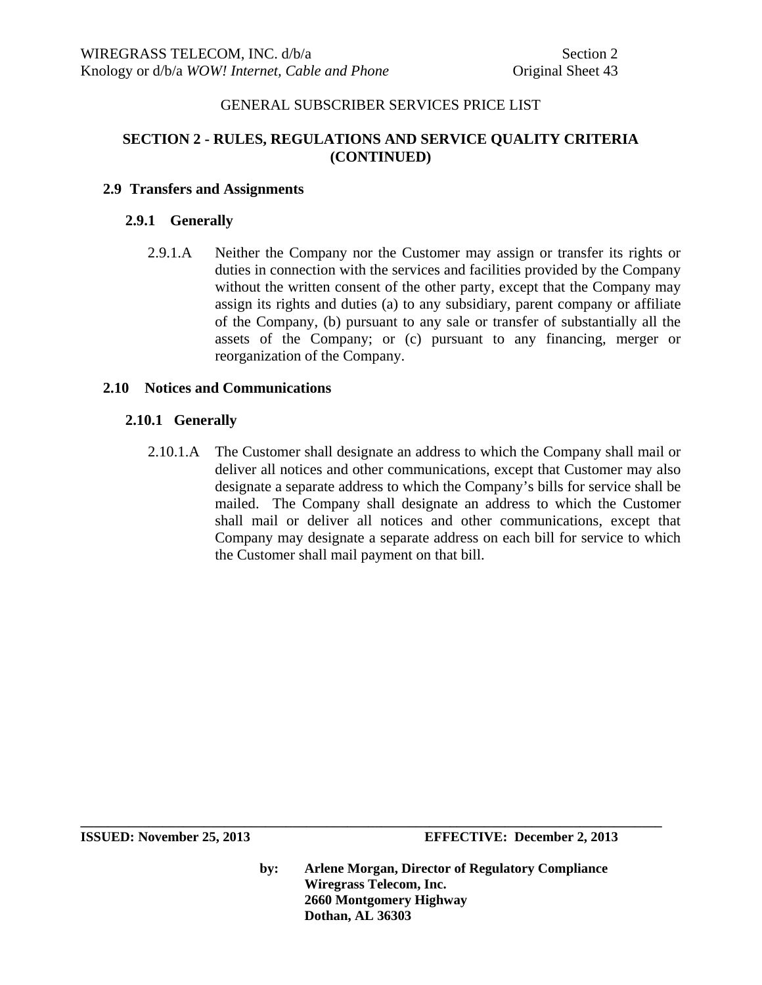# **SECTION 2 - RULES, REGULATIONS AND SERVICE QUALITY CRITERIA (CONTINUED)**

## **2.9 Transfers and Assignments**

## **2.9.1 Generally**

2.9.1.A Neither the Company nor the Customer may assign or transfer its rights or duties in connection with the services and facilities provided by the Company without the written consent of the other party, except that the Company may assign its rights and duties (a) to any subsidiary, parent company or affiliate of the Company, (b) pursuant to any sale or transfer of substantially all the assets of the Company; or (c) pursuant to any financing, merger or reorganization of the Company.

## **2.10 Notices and Communications**

# **2.10.1 Generally**

2.10.1.A The Customer shall designate an address to which the Company shall mail or deliver all notices and other communications, except that Customer may also designate a separate address to which the Company's bills for service shall be mailed. The Company shall designate an address to which the Customer shall mail or deliver all notices and other communications, except that Company may designate a separate address on each bill for service to which the Customer shall mail payment on that bill.

**by: Arlene Morgan, Director of Regulatory Compliance Wiregrass Telecom, Inc. 2660 Montgomery Highway Dothan, AL 36303**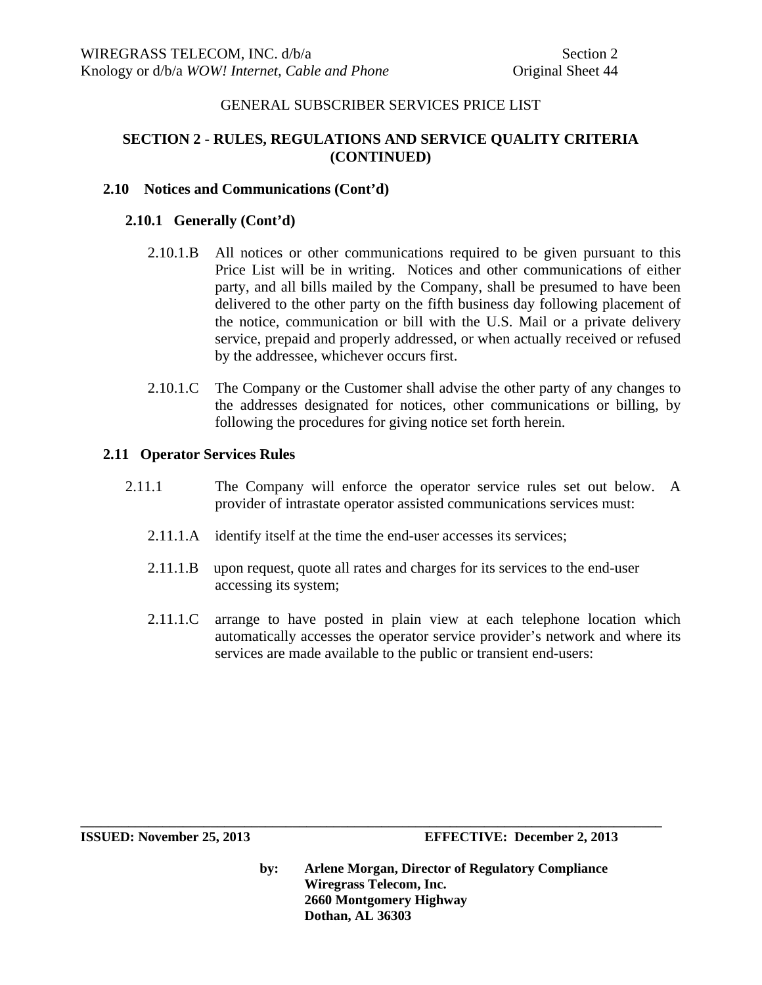# **SECTION 2 - RULES, REGULATIONS AND SERVICE QUALITY CRITERIA (CONTINUED)**

## **2.10 Notices and Communications (Cont'd)**

## **2.10.1 Generally (Cont'd)**

- 2.10.1.B All notices or other communications required to be given pursuant to this Price List will be in writing. Notices and other communications of either party, and all bills mailed by the Company, shall be presumed to have been delivered to the other party on the fifth business day following placement of the notice, communication or bill with the U.S. Mail or a private delivery service, prepaid and properly addressed, or when actually received or refused by the addressee, whichever occurs first.
- 2.10.1.C The Company or the Customer shall advise the other party of any changes to the addresses designated for notices, other communications or billing, by following the procedures for giving notice set forth herein.

## **2.11 Operator Services Rules**

- 2.11.1 The Company will enforce the operator service rules set out below. A provider of intrastate operator assisted communications services must:
	- 2.11.1.A identify itself at the time the end-user accesses its services;
	- 2.11.1.B upon request, quote all rates and charges for its services to the end-user accessing its system;

**\_\_\_\_\_\_\_\_\_\_\_\_\_\_\_\_\_\_\_\_\_\_\_\_\_\_\_\_\_\_\_\_\_\_\_\_\_\_\_\_\_\_\_\_\_\_\_\_\_\_\_\_\_\_\_\_\_\_\_\_\_\_\_\_\_\_\_\_\_\_\_\_\_\_\_\_\_\_\_\_\_\_\_\_\_** 

2.11.1.C arrange to have posted in plain view at each telephone location which automatically accesses the operator service provider's network and where its services are made available to the public or transient end-users: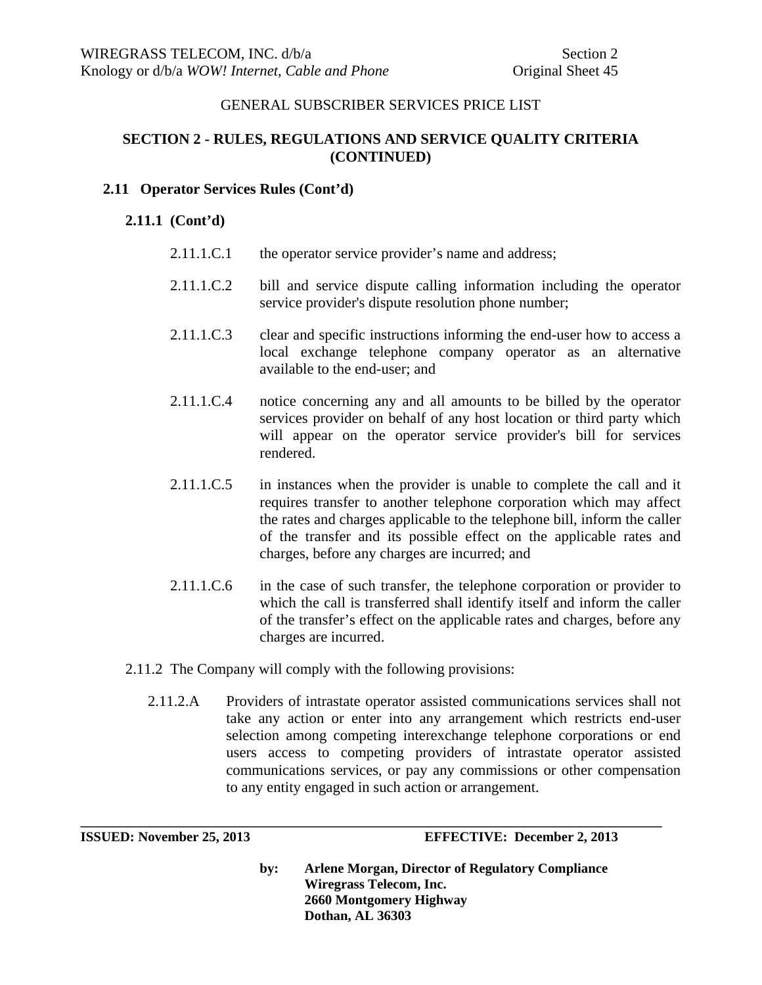# **SECTION 2 - RULES, REGULATIONS AND SERVICE QUALITY CRITERIA (CONTINUED)**

## **2.11 Operator Services Rules (Cont'd)**

# **2.11.1 (Cont'd)**

- 2.11.1.C.1 the operator service provider's name and address;
- 2.11.1.C.2 bill and service dispute calling information including the operator service provider's dispute resolution phone number;
- 2.11.1.C.3 clear and specific instructions informing the end-user how to access a local exchange telephone company operator as an alternative available to the end-user; and
- 2.11.1.C.4 notice concerning any and all amounts to be billed by the operator services provider on behalf of any host location or third party which will appear on the operator service provider's bill for services rendered.
- 2.11.1.C.5 in instances when the provider is unable to complete the call and it requires transfer to another telephone corporation which may affect the rates and charges applicable to the telephone bill, inform the caller of the transfer and its possible effect on the applicable rates and charges, before any charges are incurred; and
- 2.11.1.C.6 in the case of such transfer, the telephone corporation or provider to which the call is transferred shall identify itself and inform the caller of the transfer's effect on the applicable rates and charges, before any charges are incurred.
- 2.11.2 The Company will comply with the following provisions:
	- 2.11.2.A Providers of intrastate operator assisted communications services shall not take any action or enter into any arrangement which restricts end-user selection among competing interexchange telephone corporations or end users access to competing providers of intrastate operator assisted communications services, or pay any commissions or other compensation to any entity engaged in such action or arrangement.

**\_\_\_\_\_\_\_\_\_\_\_\_\_\_\_\_\_\_\_\_\_\_\_\_\_\_\_\_\_\_\_\_\_\_\_\_\_\_\_\_\_\_\_\_\_\_\_\_\_\_\_\_\_\_\_\_\_\_\_\_\_\_\_\_\_\_\_\_\_\_\_\_\_\_\_\_\_\_\_\_\_\_\_\_\_** 

**ISSUED: November 25, 2013 EFFECTIVE: December 2, 2013**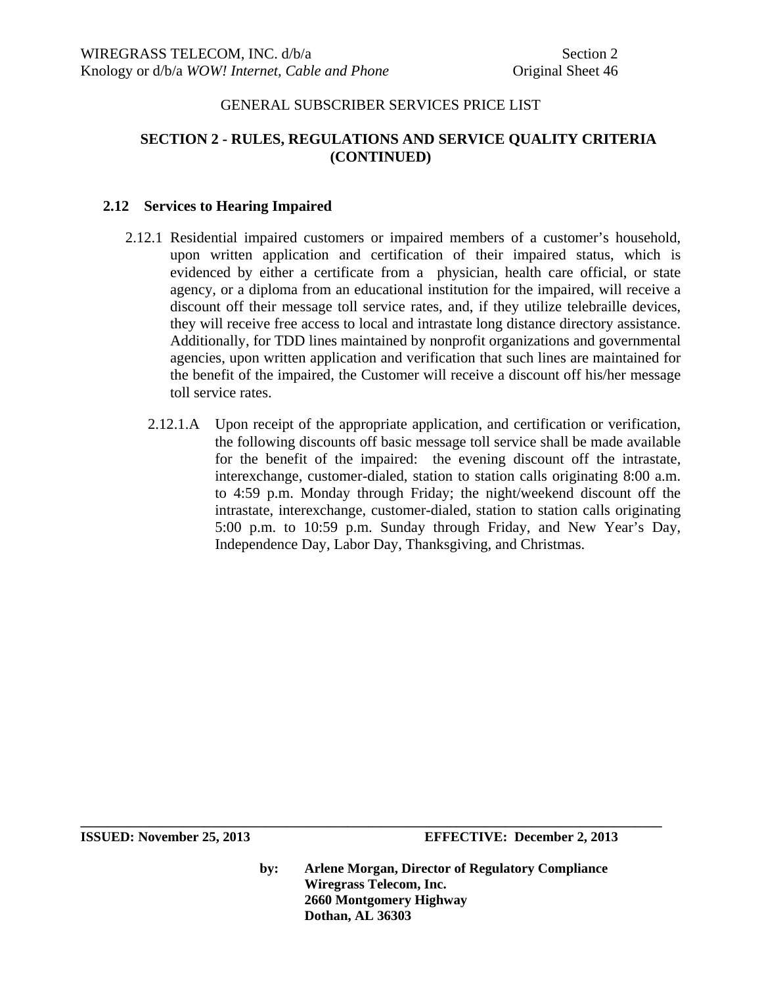# **SECTION 2 - RULES, REGULATIONS AND SERVICE QUALITY CRITERIA (CONTINUED)**

## **2.12 Services to Hearing Impaired**

- 2.12.1 Residential impaired customers or impaired members of a customer's household, upon written application and certification of their impaired status, which is evidenced by either a certificate from a physician, health care official, or state agency, or a diploma from an educational institution for the impaired, will receive a discount off their message toll service rates, and, if they utilize telebraille devices, they will receive free access to local and intrastate long distance directory assistance. Additionally, for TDD lines maintained by nonprofit organizations and governmental agencies, upon written application and verification that such lines are maintained for the benefit of the impaired, the Customer will receive a discount off his/her message toll service rates.
	- 2.12.1.A Upon receipt of the appropriate application, and certification or verification, the following discounts off basic message toll service shall be made available for the benefit of the impaired: the evening discount off the intrastate, interexchange, customer-dialed, station to station calls originating 8:00 a.m. to 4:59 p.m. Monday through Friday; the night/weekend discount off the intrastate, interexchange, customer-dialed, station to station calls originating 5:00 p.m. to 10:59 p.m. Sunday through Friday, and New Year's Day, Independence Day, Labor Day, Thanksgiving, and Christmas.

**ISSUED: November 25, 2013 EFFECTIVE: December 2, 2013** 

**by: Arlene Morgan, Director of Regulatory Compliance Wiregrass Telecom, Inc. 2660 Montgomery Highway Dothan, AL 36303**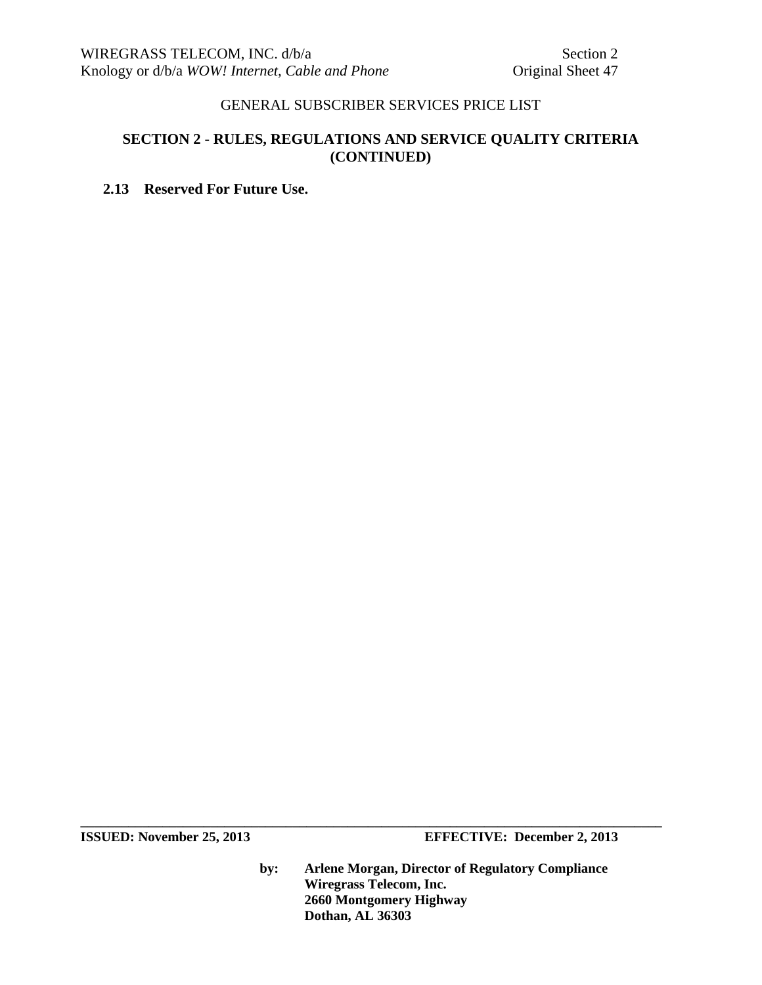# **SECTION 2 - RULES, REGULATIONS AND SERVICE QUALITY CRITERIA (CONTINUED)**

# **2.13 Reserved For Future Use.**

**ISSUED:** November 25, 2013 **EFFECTIVE:** December 2, 2013

**by: Arlene Morgan, Director of Regulatory Compliance Wiregrass Telecom, Inc. 2660 Montgomery Highway Dothan, AL 36303**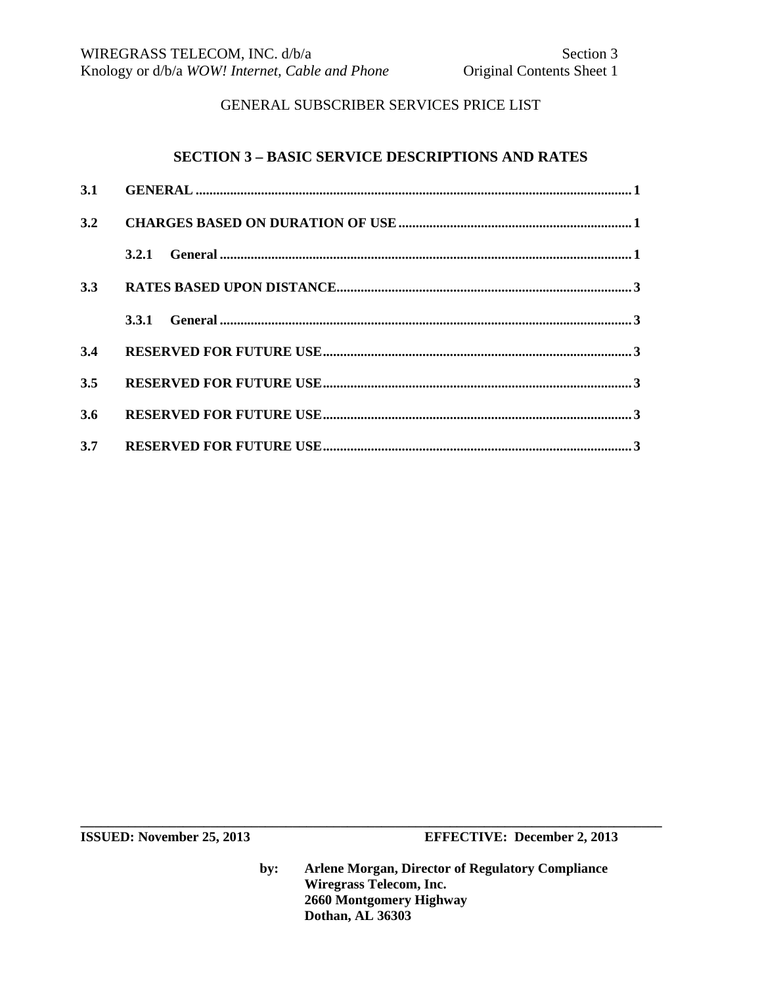#### **SECTION 3 – BASIC SERVICE DESCRIPTIONS AND RATES**

| 3.2 |       |  |
|-----|-------|--|
|     | 3.2.1 |  |
| 3.3 |       |  |
|     |       |  |
| 3.4 |       |  |
| 3.5 |       |  |
| 3.6 |       |  |
| 3.7 |       |  |

**ISSUED:** November 25, 2013 **EFFECTIVE:** December 2, 2013

**by: Arlene Morgan, Director of Regulatory Compliance Wiregrass Telecom, Inc. 2660 Montgomery Highway Dothan, AL 36303**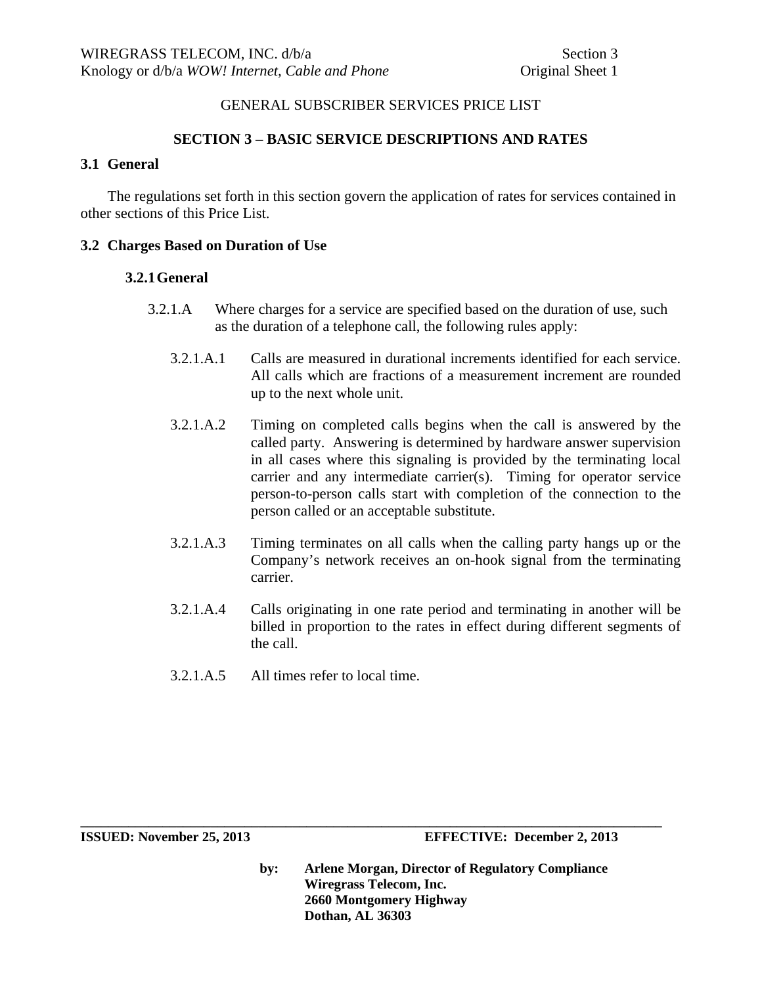## **SECTION 3 – BASIC SERVICE DESCRIPTIONS AND RATES**

# **3.1 General**

The regulations set forth in this section govern the application of rates for services contained in other sections of this Price List.

### **3.2 Charges Based on Duration of Use**

#### **3.2.1General**

- 3.2.1.A Where charges for a service are specified based on the duration of use, such as the duration of a telephone call, the following rules apply:
	- 3.2.1.A.1 Calls are measured in durational increments identified for each service. All calls which are fractions of a measurement increment are rounded up to the next whole unit.
	- 3.2.1.A.2 Timing on completed calls begins when the call is answered by the called party. Answering is determined by hardware answer supervision in all cases where this signaling is provided by the terminating local carrier and any intermediate carrier(s). Timing for operator service person-to-person calls start with completion of the connection to the person called or an acceptable substitute.
	- 3.2.1.A.3 Timing terminates on all calls when the calling party hangs up or the Company's network receives an on-hook signal from the terminating carrier.
	- 3.2.1.A.4 Calls originating in one rate period and terminating in another will be billed in proportion to the rates in effect during different segments of the call.
	- 3.2.1.A.5 All times refer to local time.

**by: Arlene Morgan, Director of Regulatory Compliance Wiregrass Telecom, Inc. 2660 Montgomery Highway Dothan, AL 36303**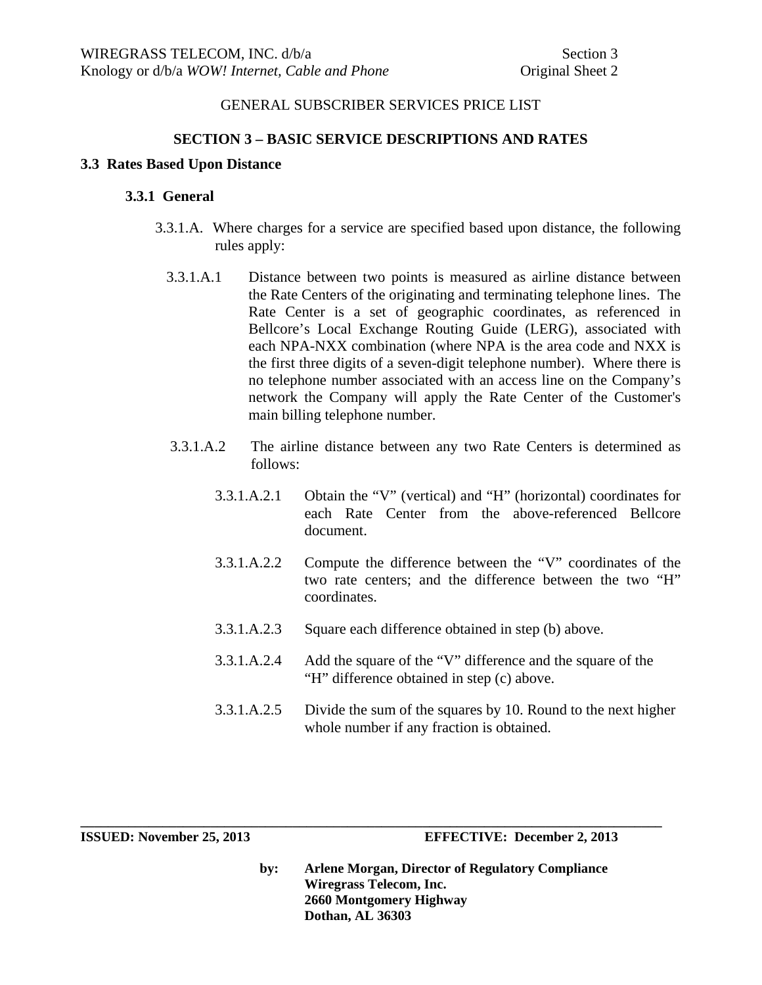#### **SECTION 3 – BASIC SERVICE DESCRIPTIONS AND RATES**

#### **3.3 Rates Based Upon Distance**

#### **3.3.1 General**

- 3.3.1.A. Where charges for a service are specified based upon distance, the following rules apply:
	- 3.3.1.A.1 Distance between two points is measured as airline distance between the Rate Centers of the originating and terminating telephone lines. The Rate Center is a set of geographic coordinates, as referenced in Bellcore's Local Exchange Routing Guide (LERG), associated with each NPA-NXX combination (where NPA is the area code and NXX is the first three digits of a seven-digit telephone number). Where there is no telephone number associated with an access line on the Company's network the Company will apply the Rate Center of the Customer's main billing telephone number.
	- 3.3.1.A.2 The airline distance between any two Rate Centers is determined as follows:
		- 3.3.1.A.2.1 Obtain the "V" (vertical) and "H" (horizontal) coordinates for each Rate Center from the above-referenced Bellcore document.
		- 3.3.1.A.2.2 Compute the difference between the "V" coordinates of the two rate centers; and the difference between the two "H" coordinates.
		- 3.3.1.A.2.3 Square each difference obtained in step (b) above.

**\_\_\_\_\_\_\_\_\_\_\_\_\_\_\_\_\_\_\_\_\_\_\_\_\_\_\_\_\_\_\_\_\_\_\_\_\_\_\_\_\_\_\_\_\_\_\_\_\_\_\_\_\_\_\_\_\_\_\_\_\_\_\_\_\_\_\_\_\_\_\_\_\_\_\_\_\_\_\_\_\_\_\_\_\_** 

- 3.3.1.A.2.4 Add the square of the "V" difference and the square of the "H" difference obtained in step (c) above.
- 3.3.1.A.2.5 Divide the sum of the squares by 10. Round to the next higher whole number if any fraction is obtained.

**ISSUED: November 25, 2013 EFFECTIVE: December 2, 2013**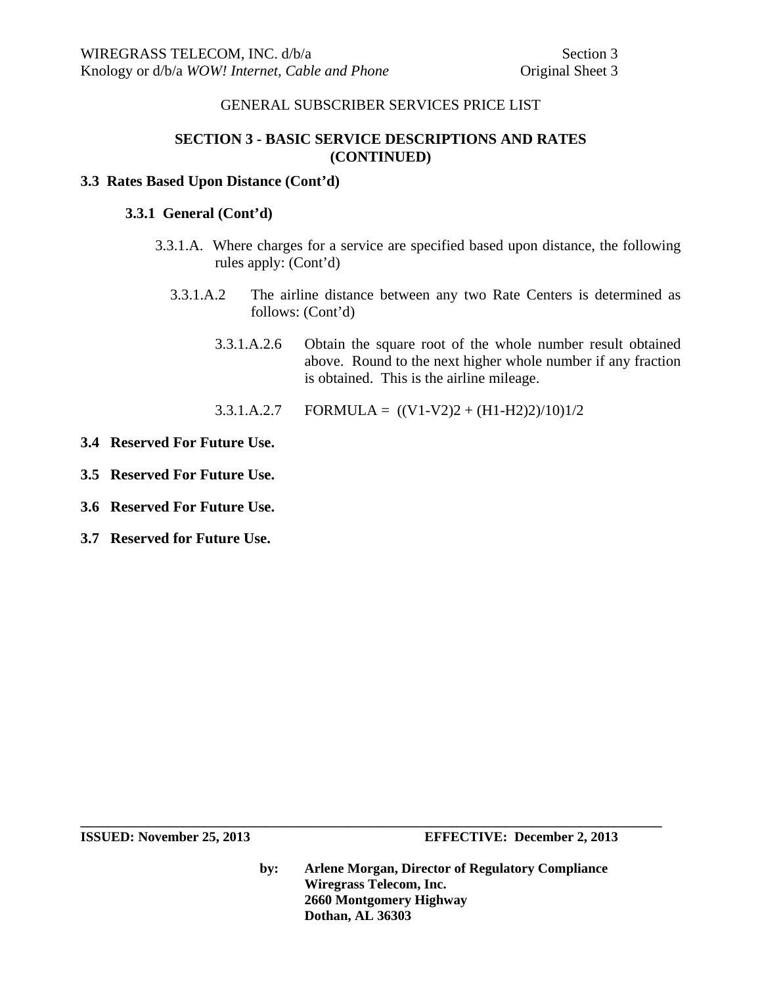# **SECTION 3 - BASIC SERVICE DESCRIPTIONS AND RATES (CONTINUED)**

#### **3.3 Rates Based Upon Distance (Cont'd)**

#### **3.3.1 General (Cont'd)**

- 3.3.1.A. Where charges for a service are specified based upon distance, the following rules apply: (Cont'd)
	- 3.3.1.A.2 The airline distance between any two Rate Centers is determined as follows: (Cont'd)
		- 3.3.1.A.2.6 Obtain the square root of the whole number result obtained above. Round to the next higher whole number if any fraction is obtained. This is the airline mileage.
		- 3.3.1.A.2.7 FORMULA =  $((V1-V2)2 + (H1-H2)2)/10)1/2$
- **3.4 Reserved For Future Use.**
- **3.5 Reserved For Future Use.**
- **3.6 Reserved For Future Use.**
- **3.7 Reserved for Future Use.**

**by: Arlene Morgan, Director of Regulatory Compliance Wiregrass Telecom, Inc. 2660 Montgomery Highway Dothan, AL 36303**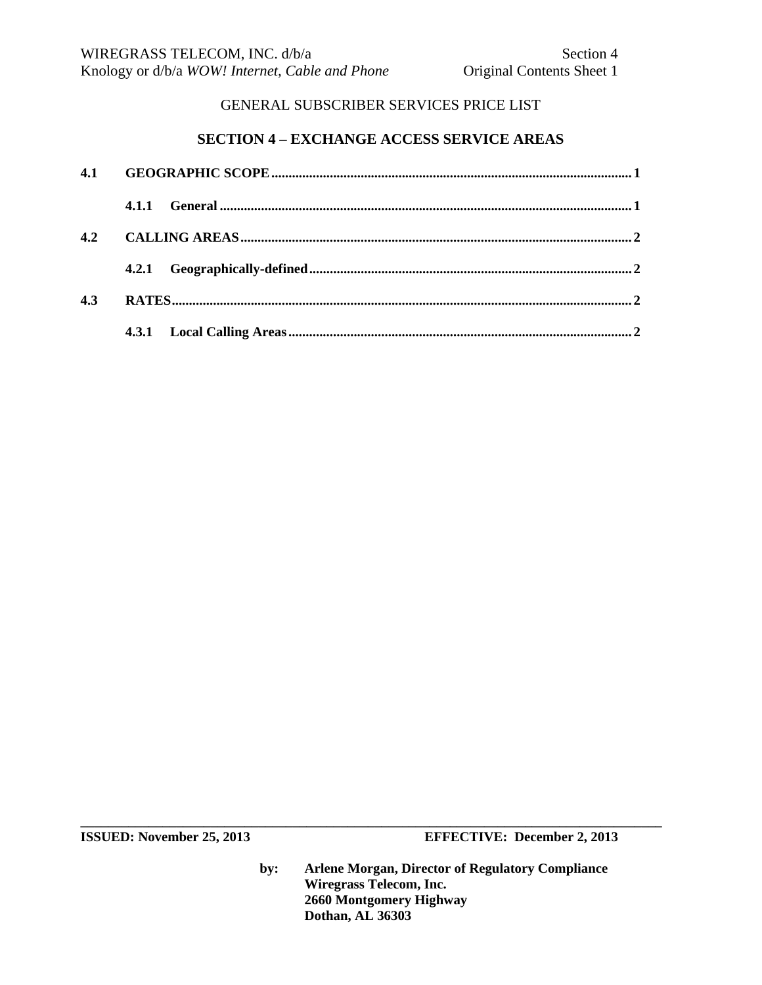# **SECTION 4 – EXCHANGE ACCESS SERVICE AREAS**

| 4.1 |       |  |  |  |
|-----|-------|--|--|--|
|     | 4.1.1 |  |  |  |
| 4.2 |       |  |  |  |
|     |       |  |  |  |
| 4.3 |       |  |  |  |
|     |       |  |  |  |

**ISSUED:** November 25, 2013 **EFFECTIVE:** December 2, 2013

**by: Arlene Morgan, Director of Regulatory Compliance Wiregrass Telecom, Inc. 2660 Montgomery Highway Dothan, AL 36303**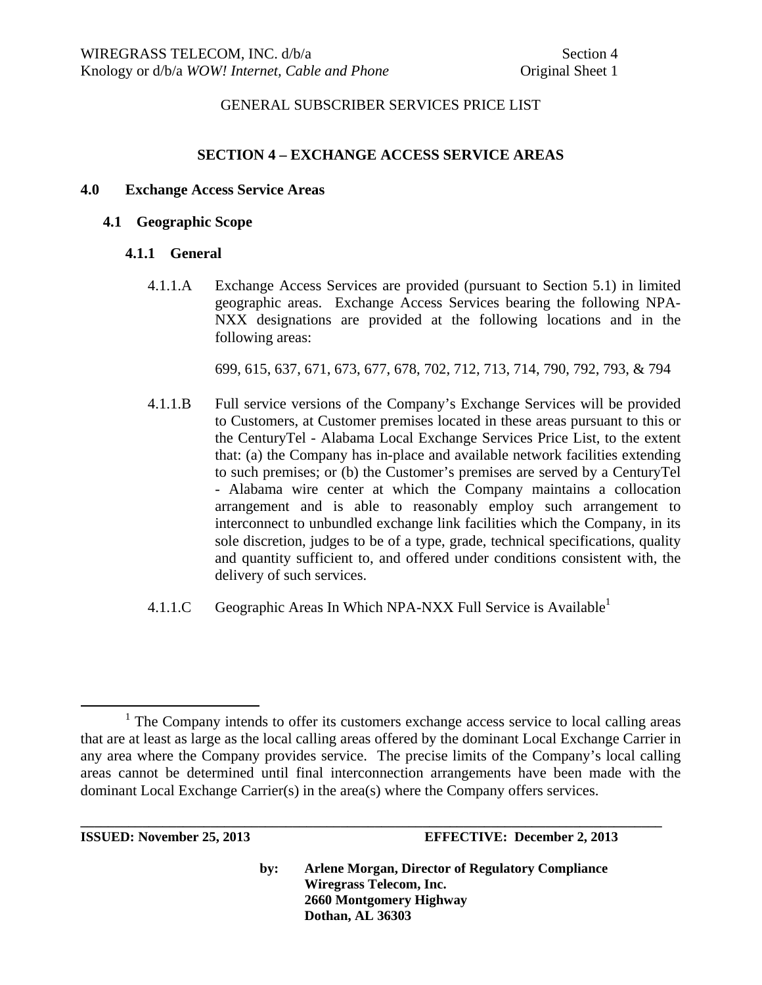#### **SECTION 4 – EXCHANGE ACCESS SERVICE AREAS**

#### **4.0 Exchange Access Service Areas**

#### **4.1 Geographic Scope**

#### **4.1.1 General**

4.1.1.A Exchange Access Services are provided (pursuant to Section 5.1) in limited geographic areas. Exchange Access Services bearing the following NPA-NXX designations are provided at the following locations and in the following areas:

699, 615, 637, 671, 673, 677, 678, 702, 712, 713, 714, 790, 792, 793, & 794

- 4.1.1.B Full service versions of the Company's Exchange Services will be provided to Customers, at Customer premises located in these areas pursuant to this or the CenturyTel - Alabama Local Exchange Services Price List, to the extent that: (a) the Company has in-place and available network facilities extending to such premises; or (b) the Customer's premises are served by a CenturyTel - Alabama wire center at which the Company maintains a collocation arrangement and is able to reasonably employ such arrangement to interconnect to unbundled exchange link facilities which the Company, in its sole discretion, judges to be of a type, grade, technical specifications, quality and quantity sufficient to, and offered under conditions consistent with, the delivery of such services.
- 4.1.1.C Geographic Areas In Which NPA-NXX Full Service is Available<sup>1</sup>

**\_\_\_\_\_\_\_\_\_\_\_\_\_\_\_\_\_\_\_\_\_\_\_\_\_\_\_\_\_\_\_\_\_\_\_\_\_\_\_\_\_\_\_\_\_\_\_\_\_\_\_\_\_\_\_\_\_\_\_\_\_\_\_\_\_\_\_\_\_\_\_\_\_\_\_\_\_\_\_\_\_\_\_\_\_** 

<sup>&</sup>lt;u>1</u>  $1$  The Company intends to offer its customers exchange access service to local calling areas that are at least as large as the local calling areas offered by the dominant Local Exchange Carrier in any area where the Company provides service. The precise limits of the Company's local calling areas cannot be determined until final interconnection arrangements have been made with the dominant Local Exchange Carrier(s) in the area(s) where the Company offers services.

**ISSUED: November 25, 2013 EFFECTIVE: December 2, 2013**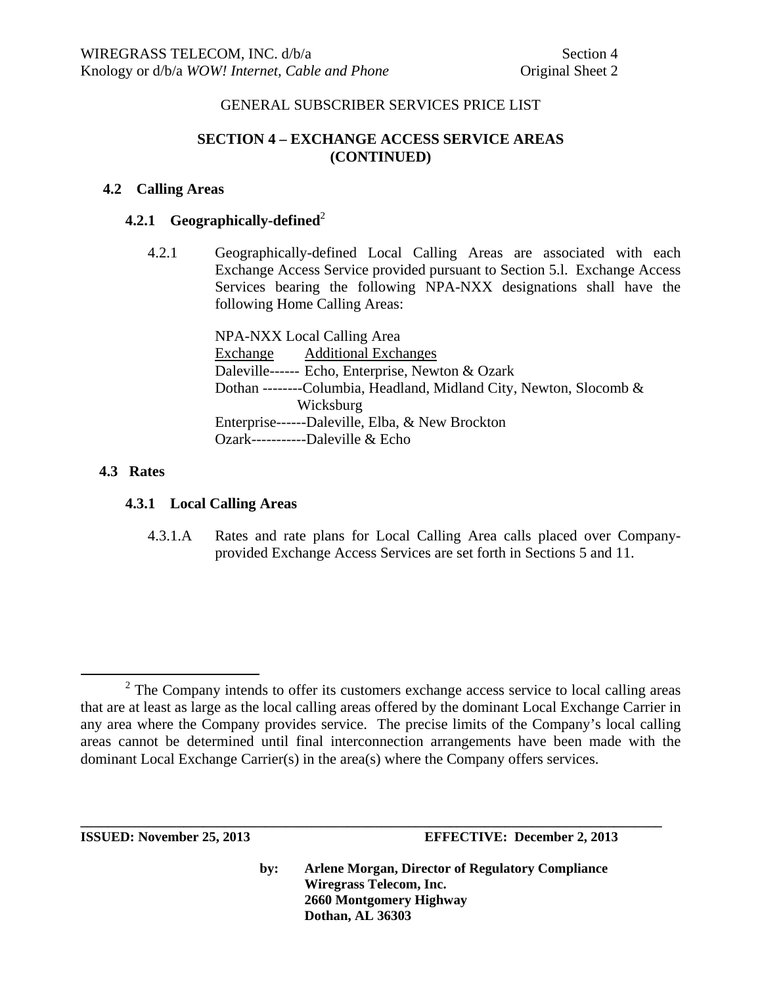# **SECTION 4 – EXCHANGE ACCESS SERVICE AREAS (CONTINUED)**

## **4.2 Calling Areas**

## **4.2.1 Geographically-defined**<sup>2</sup>

4.2.1 Geographically-defined Local Calling Areas are associated with each Exchange Access Service provided pursuant to Section 5.l. Exchange Access Services bearing the following NPA-NXX designations shall have the following Home Calling Areas:

> NPA-NXX Local Calling Area Exchange Additional Exchanges Daleville------ Echo, Enterprise, Newton & Ozark Dothan --------Columbia, Headland, Midland City, Newton, Slocomb & Wicksburg Enterprise------Daleville, Elba, & New Brockton Ozark-----------Daleville & Echo

## **4.3 Rates**

## **4.3.1 Local Calling Areas**

4.3.1.A Rates and rate plans for Local Calling Area calls placed over Companyprovided Exchange Access Services are set forth in Sections 5 and 11.

**\_\_\_\_\_\_\_\_\_\_\_\_\_\_\_\_\_\_\_\_\_\_\_\_\_\_\_\_\_\_\_\_\_\_\_\_\_\_\_\_\_\_\_\_\_\_\_\_\_\_\_\_\_\_\_\_\_\_\_\_\_\_\_\_\_\_\_\_\_\_\_\_\_\_\_\_\_\_\_\_\_\_\_\_\_** 

**ISSUED: November 25, 2013 EFFECTIVE: December 2, 2013** 

 $\frac{1}{2}$ <sup>2</sup> The Company intends to offer its customers exchange access service to local calling areas that are at least as large as the local calling areas offered by the dominant Local Exchange Carrier in any area where the Company provides service. The precise limits of the Company's local calling areas cannot be determined until final interconnection arrangements have been made with the dominant Local Exchange Carrier(s) in the area(s) where the Company offers services.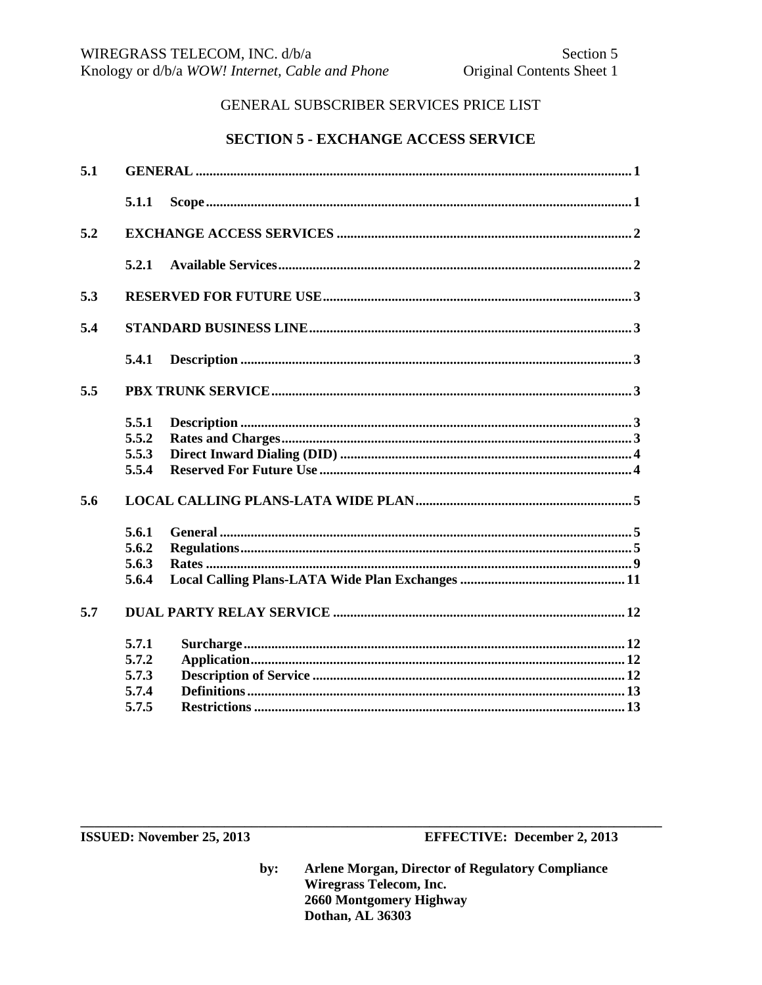# **SECTION 5 - EXCHANGE ACCESS SERVICE**

| 5.1 |       |  |  |  |  |
|-----|-------|--|--|--|--|
|     | 5.1.1 |  |  |  |  |
| 5.2 |       |  |  |  |  |
|     | 5.2.1 |  |  |  |  |
| 5.3 |       |  |  |  |  |
| 5.4 |       |  |  |  |  |
|     | 5.4.1 |  |  |  |  |
| 5.5 |       |  |  |  |  |
|     | 5.5.1 |  |  |  |  |
|     | 5.5.2 |  |  |  |  |
|     | 5.5.3 |  |  |  |  |
|     | 5.5.4 |  |  |  |  |
| 5.6 |       |  |  |  |  |
|     | 5.6.1 |  |  |  |  |
|     | 5.6.2 |  |  |  |  |
|     | 5.6.3 |  |  |  |  |
|     | 5.6.4 |  |  |  |  |
| 5.7 |       |  |  |  |  |
|     | 5.7.1 |  |  |  |  |
|     | 5.7.2 |  |  |  |  |
|     | 5.7.3 |  |  |  |  |
|     | 5.7.4 |  |  |  |  |
|     | 5.7.5 |  |  |  |  |

ISSUED: November 25, 2013

**EFFECTIVE: December 2, 2013**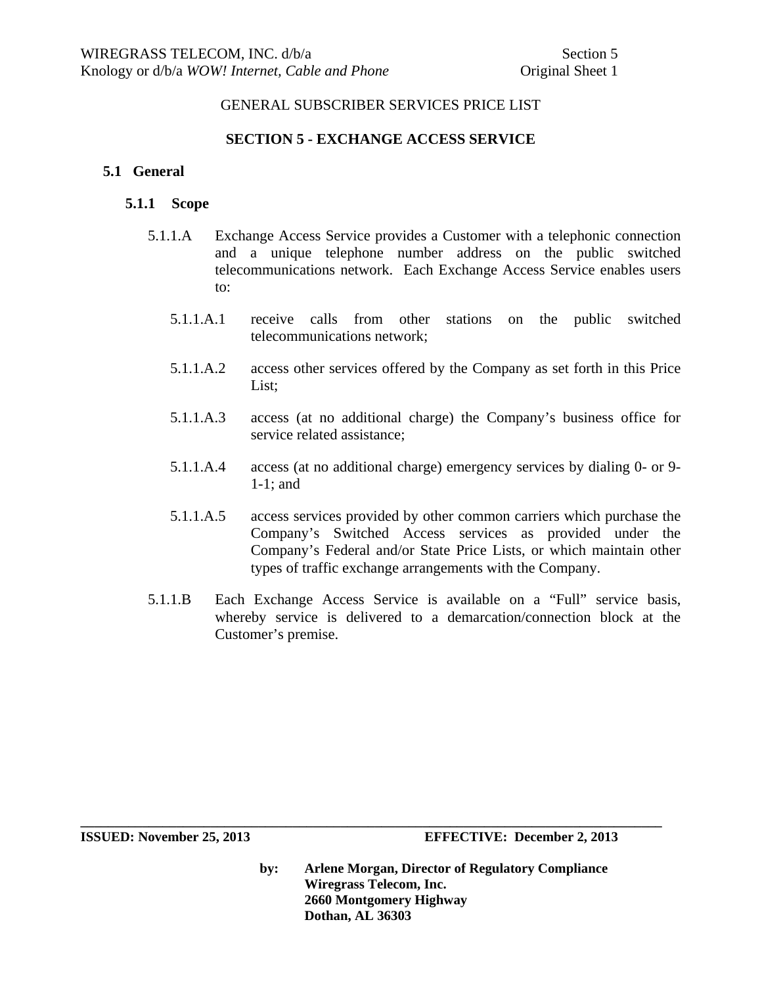## **SECTION 5 - EXCHANGE ACCESS SERVICE**

## **5.1 General**

## **5.1.1 Scope**

- 5.1.1.A Exchange Access Service provides a Customer with a telephonic connection and a unique telephone number address on the public switched telecommunications network. Each Exchange Access Service enables users to:
	- 5.1.1.A.1 receive calls from other stations on the public switched telecommunications network;
	- 5.1.1.A.2 access other services offered by the Company as set forth in this Price List;
	- 5.1.1.A.3 access (at no additional charge) the Company's business office for service related assistance;
	- 5.1.1.A.4 access (at no additional charge) emergency services by dialing 0- or 9- 1-1; and
	- 5.1.1.A.5 access services provided by other common carriers which purchase the Company's Switched Access services as provided under the Company's Federal and/or State Price Lists, or which maintain other types of traffic exchange arrangements with the Company.
- 5.1.1.B Each Exchange Access Service is available on a "Full" service basis, whereby service is delivered to a demarcation/connection block at the Customer's premise.

**by: Arlene Morgan, Director of Regulatory Compliance Wiregrass Telecom, Inc. 2660 Montgomery Highway Dothan, AL 36303** 

**ISSUED: November 25, 2013 EFFECTIVE: December 2, 2013**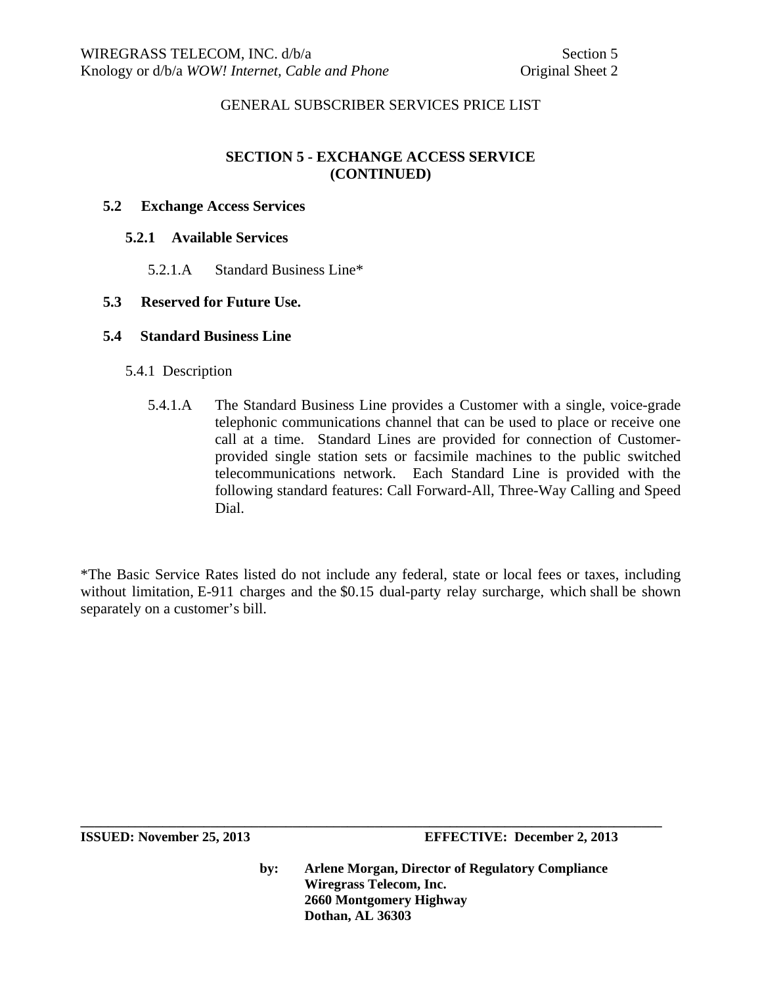# **SECTION 5 - EXCHANGE ACCESS SERVICE (CONTINUED)**

#### **5.2 Exchange Access Services**

#### **5.2.1 Available Services**

5.2.1.A Standard Business Line\*

#### **5.3 Reserved for Future Use.**

#### **5.4 Standard Business Line**

- 5.4.1 Description
	- 5.4.1.A The Standard Business Line provides a Customer with a single, voice-grade telephonic communications channel that can be used to place or receive one call at a time. Standard Lines are provided for connection of Customerprovided single station sets or facsimile machines to the public switched telecommunications network. Each Standard Line is provided with the following standard features: Call Forward-All, Three-Way Calling and Speed Dial.

\*The Basic Service Rates listed do not include any federal, state or local fees or taxes, including without limitation, E-911 charges and the \$0.15 dual-party relay surcharge, which shall be shown separately on a customer's bill.

**\_\_\_\_\_\_\_\_\_\_\_\_\_\_\_\_\_\_\_\_\_\_\_\_\_\_\_\_\_\_\_\_\_\_\_\_\_\_\_\_\_\_\_\_\_\_\_\_\_\_\_\_\_\_\_\_\_\_\_\_\_\_\_\_\_\_\_\_\_\_\_\_\_\_\_\_\_\_\_\_\_\_\_\_\_**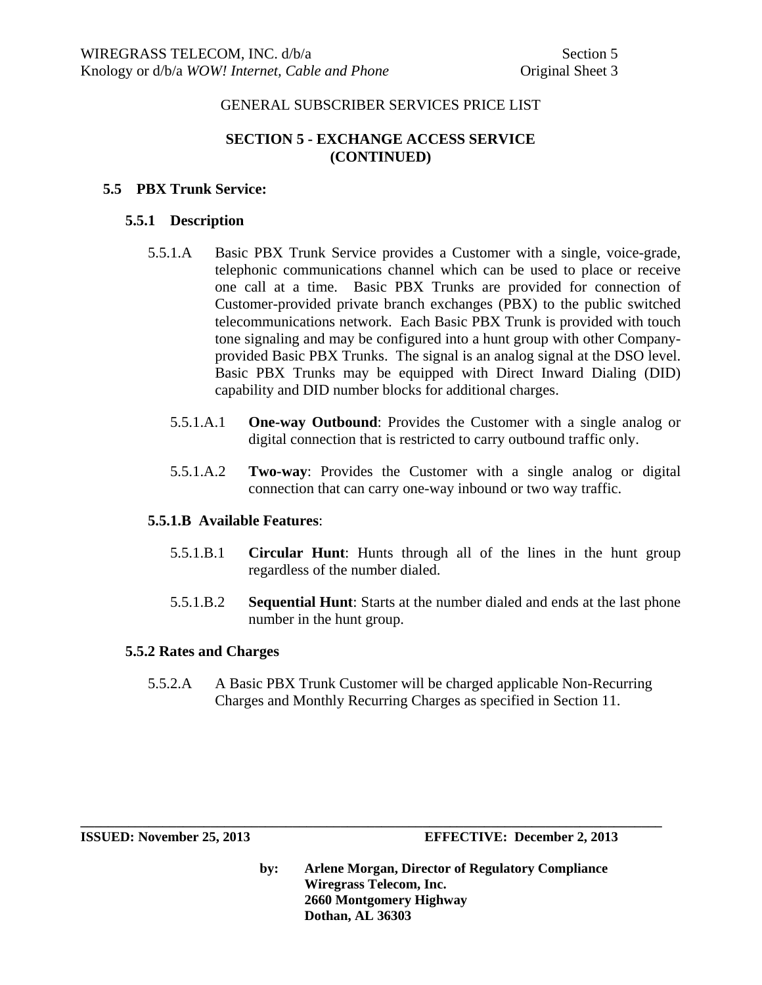# **SECTION 5 - EXCHANGE ACCESS SERVICE (CONTINUED)**

## **5.5 PBX Trunk Service:**

#### **5.5.1 Description**

- 5.5.1.A Basic PBX Trunk Service provides a Customer with a single, voice-grade, telephonic communications channel which can be used to place or receive one call at a time. Basic PBX Trunks are provided for connection of Customer-provided private branch exchanges (PBX) to the public switched telecommunications network. Each Basic PBX Trunk is provided with touch tone signaling and may be configured into a hunt group with other Companyprovided Basic PBX Trunks. The signal is an analog signal at the DSO level. Basic PBX Trunks may be equipped with Direct Inward Dialing (DID) capability and DID number blocks for additional charges.
	- 5.5.1.A.1 **One-way Outbound**: Provides the Customer with a single analog or digital connection that is restricted to carry outbound traffic only.
	- 5.5.1.A.2 **Two-way**: Provides the Customer with a single analog or digital connection that can carry one-way inbound or two way traffic.

#### **5.5.1.B Available Features**:

- 5.5.1.B.1 **Circular Hunt**: Hunts through all of the lines in the hunt group regardless of the number dialed.
- 5.5.1.B.2 **Sequential Hunt**: Starts at the number dialed and ends at the last phone number in the hunt group.

#### **5.5.2 Rates and Charges**

5.5.2.A A Basic PBX Trunk Customer will be charged applicable Non-Recurring Charges and Monthly Recurring Charges as specified in Section 11.

**\_\_\_\_\_\_\_\_\_\_\_\_\_\_\_\_\_\_\_\_\_\_\_\_\_\_\_\_\_\_\_\_\_\_\_\_\_\_\_\_\_\_\_\_\_\_\_\_\_\_\_\_\_\_\_\_\_\_\_\_\_\_\_\_\_\_\_\_\_\_\_\_\_\_\_\_\_\_\_\_\_\_\_\_\_** 

**ISSUED: November 25, 2013 EFFECTIVE: December 2, 2013**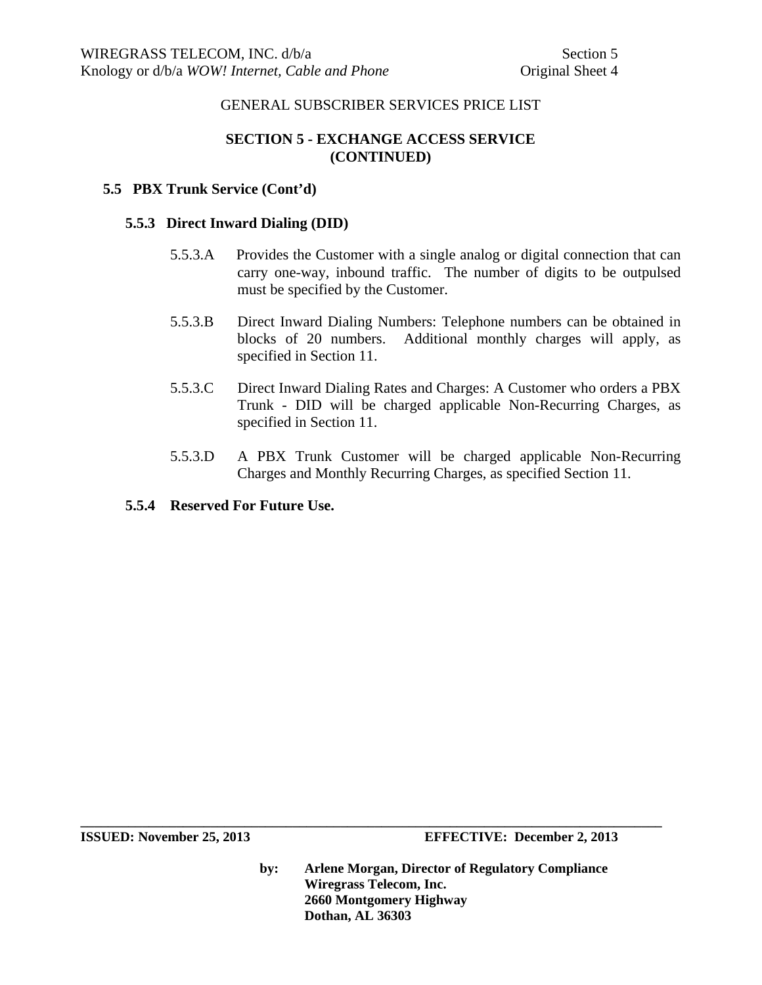# **SECTION 5 - EXCHANGE ACCESS SERVICE (CONTINUED)**

#### **5.5 PBX Trunk Service (Cont'd)**

#### **5.5.3 Direct Inward Dialing (DID)**

- 5.5.3.A Provides the Customer with a single analog or digital connection that can carry one-way, inbound traffic. The number of digits to be outpulsed must be specified by the Customer.
- 5.5.3.B Direct Inward Dialing Numbers: Telephone numbers can be obtained in blocks of 20 numbers. Additional monthly charges will apply, as specified in Section 11.
- 5.5.3.C Direct Inward Dialing Rates and Charges: A Customer who orders a PBX Trunk - DID will be charged applicable Non-Recurring Charges, as specified in Section 11.
- 5.5.3.D A PBX Trunk Customer will be charged applicable Non-Recurring Charges and Monthly Recurring Charges, as specified Section 11.

## **5.5.4 Reserved For Future Use.**

**by: Arlene Morgan, Director of Regulatory Compliance Wiregrass Telecom, Inc. 2660 Montgomery Highway Dothan, AL 36303**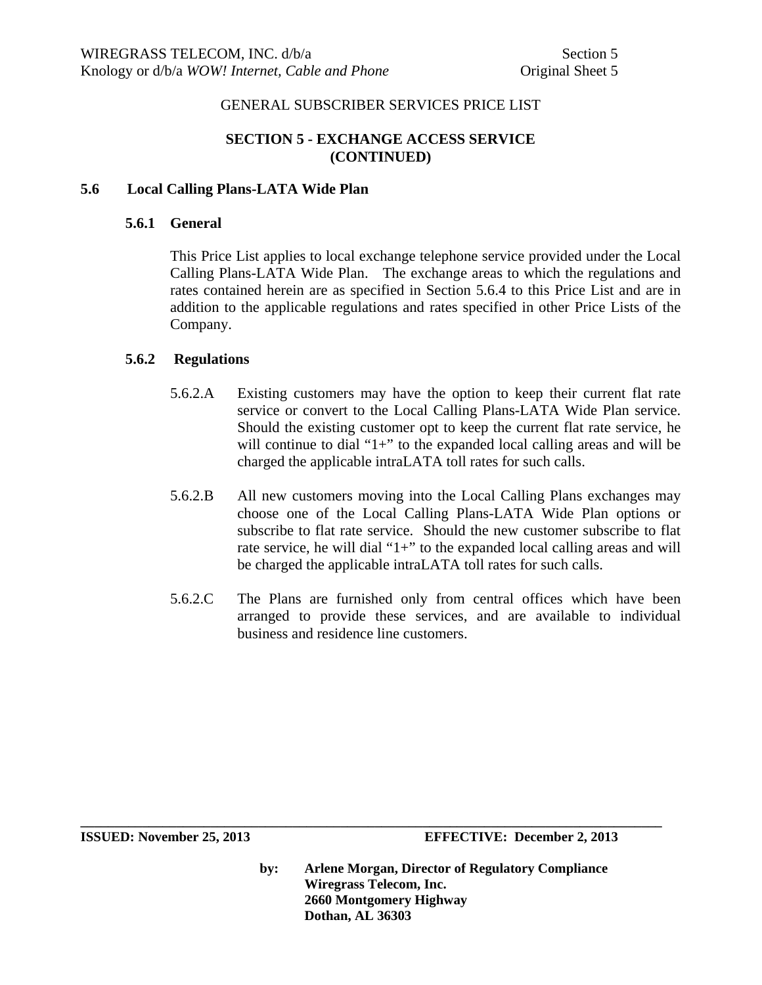# **SECTION 5 - EXCHANGE ACCESS SERVICE (CONTINUED)**

#### **5.6 Local Calling Plans-LATA Wide Plan**

#### **5.6.1 General**

This Price List applies to local exchange telephone service provided under the Local Calling Plans-LATA Wide Plan. The exchange areas to which the regulations and rates contained herein are as specified in Section 5.6.4 to this Price List and are in addition to the applicable regulations and rates specified in other Price Lists of the Company.

#### **5.6.2 Regulations**

- 5.6.2.A Existing customers may have the option to keep their current flat rate service or convert to the Local Calling Plans-LATA Wide Plan service. Should the existing customer opt to keep the current flat rate service, he will continue to dial "1+" to the expanded local calling areas and will be charged the applicable intraLATA toll rates for such calls.
- 5.6.2.B All new customers moving into the Local Calling Plans exchanges may choose one of the Local Calling Plans-LATA Wide Plan options or subscribe to flat rate service. Should the new customer subscribe to flat rate service, he will dial "1+" to the expanded local calling areas and will be charged the applicable intraLATA toll rates for such calls.
- 5.6.2.C The Plans are furnished only from central offices which have been arranged to provide these services, and are available to individual business and residence line customers.

**by: Arlene Morgan, Director of Regulatory Compliance Wiregrass Telecom, Inc. 2660 Montgomery Highway Dothan, AL 36303** 

**ISSUED: November 25, 2013 EFFECTIVE: December 2, 2013**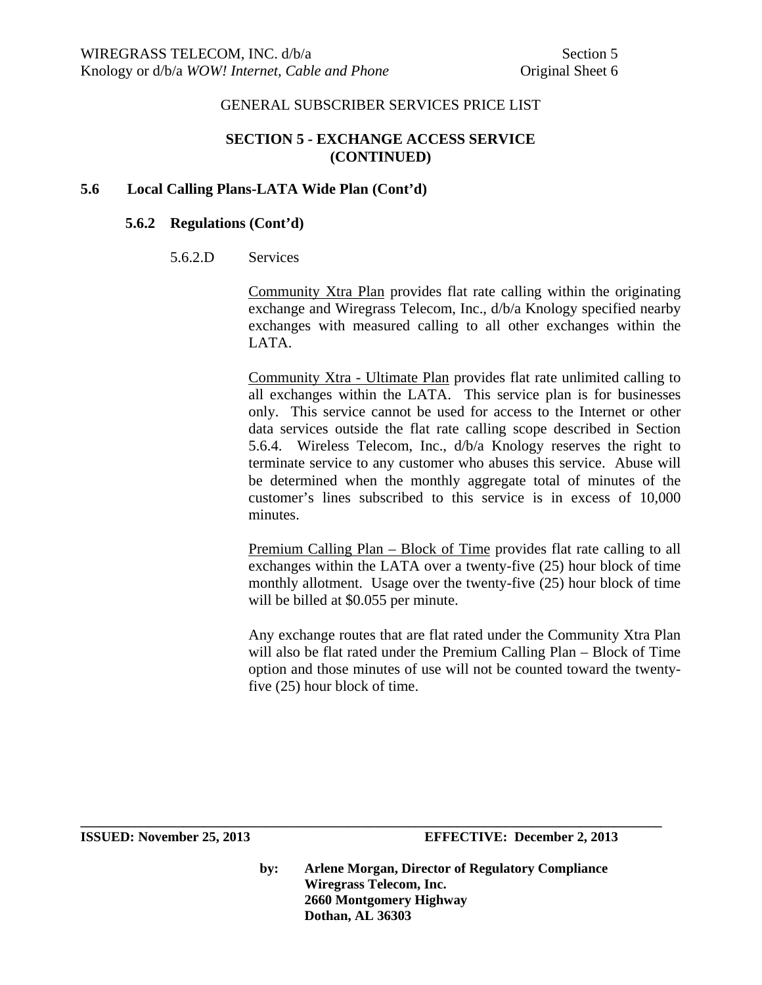## **SECTION 5 - EXCHANGE ACCESS SERVICE (CONTINUED)**

## **5.6 Local Calling Plans-LATA Wide Plan (Cont'd)**

#### **5.6.2 Regulations (Cont'd)**

#### 5.6.2.D Services

Community Xtra Plan provides flat rate calling within the originating exchange and Wiregrass Telecom, Inc., d/b/a Knology specified nearby exchanges with measured calling to all other exchanges within the LATA.

Community Xtra - Ultimate Plan provides flat rate unlimited calling to all exchanges within the LATA. This service plan is for businesses only. This service cannot be used for access to the Internet or other data services outside the flat rate calling scope described in Section 5.6.4. Wireless Telecom, Inc., d/b/a Knology reserves the right to terminate service to any customer who abuses this service. Abuse will be determined when the monthly aggregate total of minutes of the customer's lines subscribed to this service is in excess of 10,000 minutes.

Premium Calling Plan – Block of Time provides flat rate calling to all exchanges within the LATA over a twenty-five (25) hour block of time monthly allotment. Usage over the twenty-five (25) hour block of time will be billed at \$0.055 per minute.

Any exchange routes that are flat rated under the Community Xtra Plan will also be flat rated under the Premium Calling Plan – Block of Time option and those minutes of use will not be counted toward the twentyfive (25) hour block of time.

**by: Arlene Morgan, Director of Regulatory Compliance Wiregrass Telecom, Inc. 2660 Montgomery Highway Dothan, AL 36303**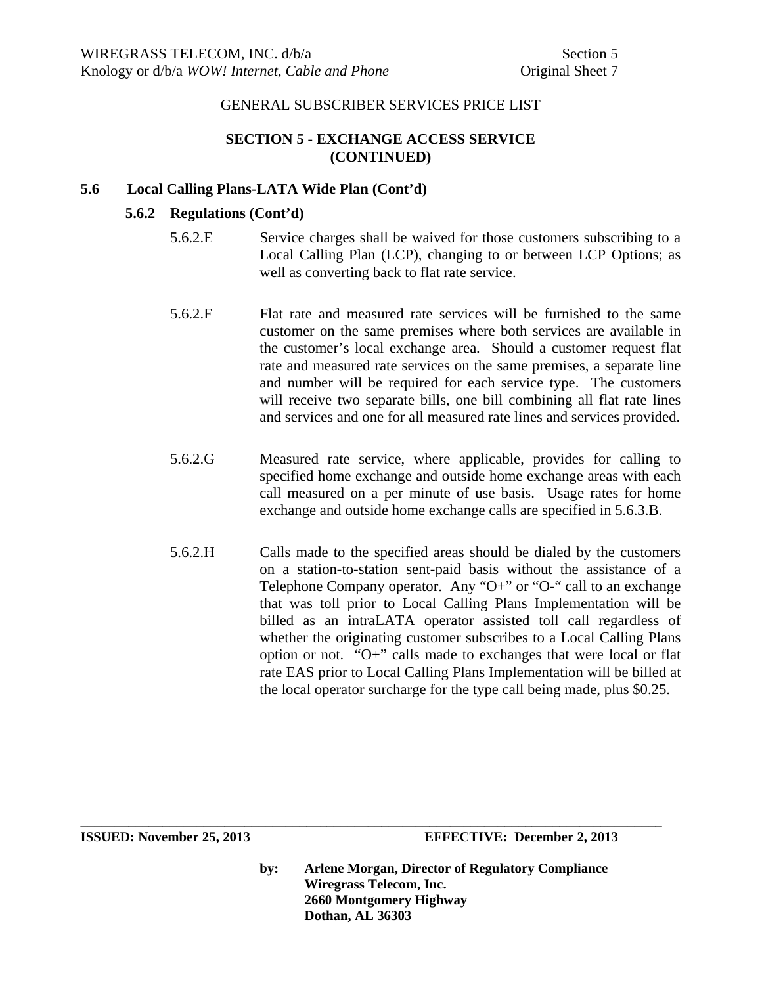# **SECTION 5 - EXCHANGE ACCESS SERVICE (CONTINUED)**

## **5.6 Local Calling Plans-LATA Wide Plan (Cont'd)**

## **5.6.2 Regulations (Cont'd)**

- 5.6.2.E Service charges shall be waived for those customers subscribing to a Local Calling Plan (LCP), changing to or between LCP Options; as well as converting back to flat rate service.
- 5.6.2.F Flat rate and measured rate services will be furnished to the same customer on the same premises where both services are available in the customer's local exchange area. Should a customer request flat rate and measured rate services on the same premises, a separate line and number will be required for each service type. The customers will receive two separate bills, one bill combining all flat rate lines and services and one for all measured rate lines and services provided.
- 5.6.2.G Measured rate service, where applicable, provides for calling to specified home exchange and outside home exchange areas with each call measured on a per minute of use basis. Usage rates for home exchange and outside home exchange calls are specified in 5.6.3.B.
- 5.6.2.H Calls made to the specified areas should be dialed by the customers on a station-to-station sent-paid basis without the assistance of a Telephone Company operator. Any "O+" or "O-" call to an exchange that was toll prior to Local Calling Plans Implementation will be billed as an intraLATA operator assisted toll call regardless of whether the originating customer subscribes to a Local Calling Plans option or not. "O+" calls made to exchanges that were local or flat rate EAS prior to Local Calling Plans Implementation will be billed at the local operator surcharge for the type call being made, plus \$0.25.

**by: Arlene Morgan, Director of Regulatory Compliance Wiregrass Telecom, Inc. 2660 Montgomery Highway Dothan, AL 36303**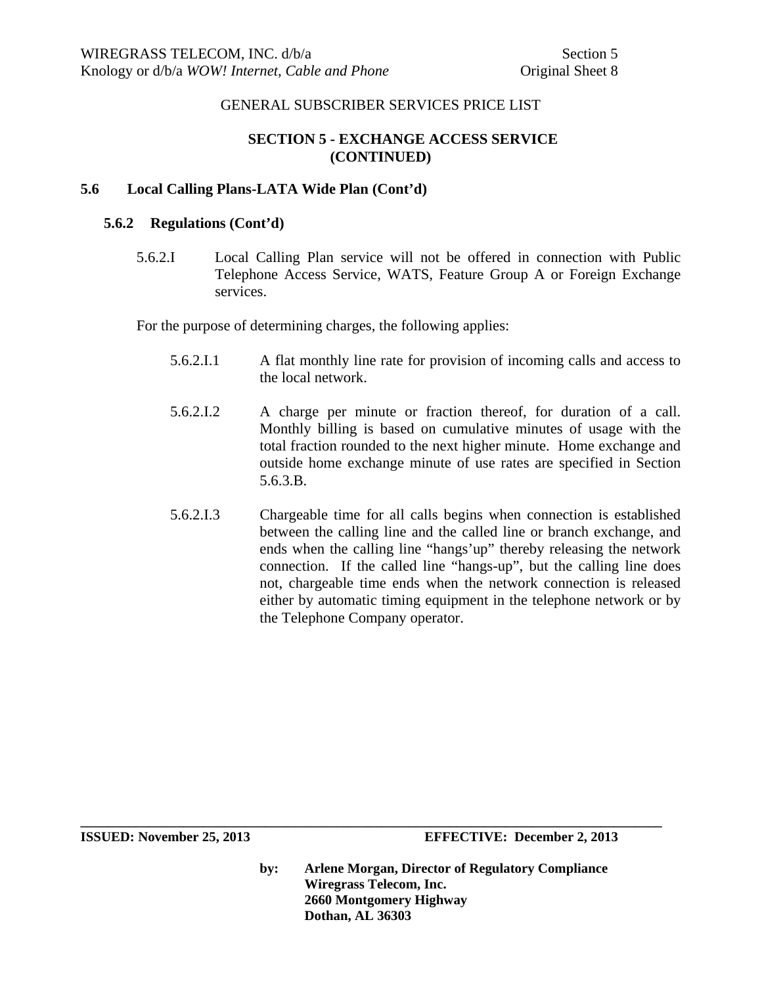# **SECTION 5 - EXCHANGE ACCESS SERVICE (CONTINUED)**

## **5.6 Local Calling Plans-LATA Wide Plan (Cont'd)**

#### **5.6.2 Regulations (Cont'd)**

5.6.2.I Local Calling Plan service will not be offered in connection with Public Telephone Access Service, WATS, Feature Group A or Foreign Exchange services.

For the purpose of determining charges, the following applies:

- 5.6.2.I.1 A flat monthly line rate for provision of incoming calls and access to the local network.
- 5.6.2.I.2 A charge per minute or fraction thereof, for duration of a call. Monthly billing is based on cumulative minutes of usage with the total fraction rounded to the next higher minute. Home exchange and outside home exchange minute of use rates are specified in Section 5.6.3.B.
- 5.6.2.I.3 Chargeable time for all calls begins when connection is established between the calling line and the called line or branch exchange, and ends when the calling line "hangs'up" thereby releasing the network connection. If the called line "hangs-up", but the calling line does not, chargeable time ends when the network connection is released either by automatic timing equipment in the telephone network or by the Telephone Company operator.

**by: Arlene Morgan, Director of Regulatory Compliance Wiregrass Telecom, Inc. 2660 Montgomery Highway Dothan, AL 36303** 

**ISSUED: November 25, 2013 EFFECTIVE: December 2, 2013**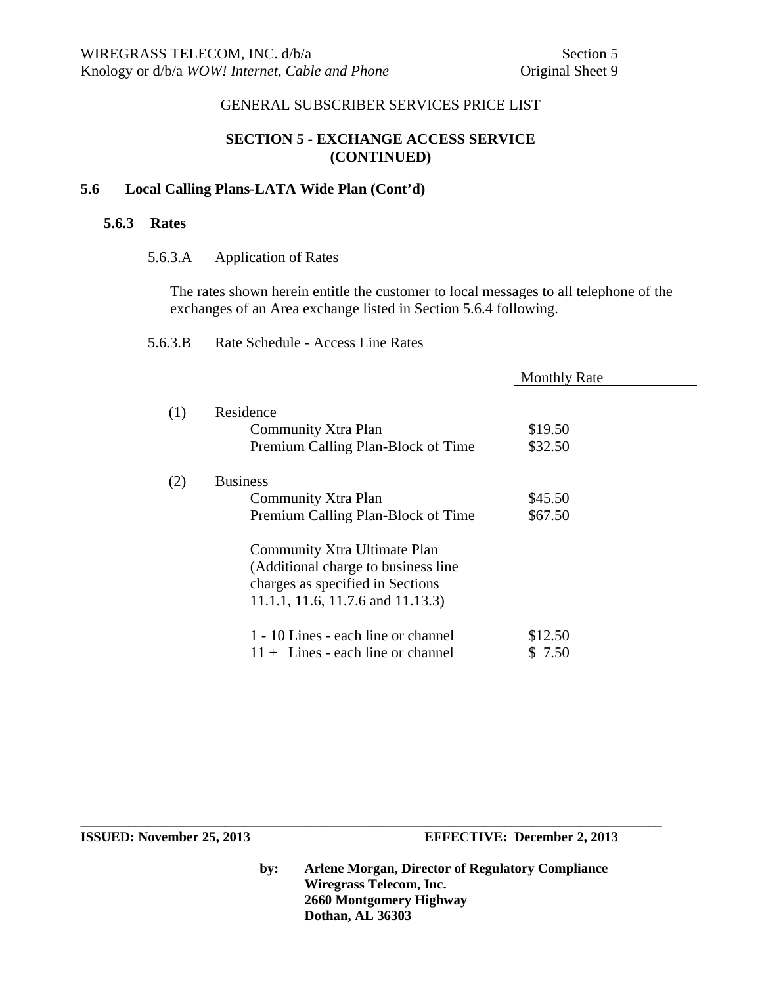## **SECTION 5 - EXCHANGE ACCESS SERVICE (CONTINUED)**

#### **5.6 Local Calling Plans-LATA Wide Plan (Cont'd)**

#### **5.6.3 Rates**

5.6.3.A Application of Rates

The rates shown herein entitle the customer to local messages to all telephone of the exchanges of an Area exchange listed in Section 5.6.4 following.

|     |                                                                                                                                               | <b>Monthly Rate</b> |  |
|-----|-----------------------------------------------------------------------------------------------------------------------------------------------|---------------------|--|
| (1) | Residence<br>Community Xtra Plan<br>Premium Calling Plan-Block of Time                                                                        | \$19.50<br>\$32.50  |  |
| (2) | <b>Business</b><br>Community Xtra Plan<br>Premium Calling Plan-Block of Time                                                                  | \$45.50<br>\$67.50  |  |
|     | Community Xtra Ultimate Plan<br>(Additional charge to business line)<br>charges as specified in Sections<br>11.1.1, 11.6, 11.7.6 and 11.13.3) |                     |  |
|     | 1 - 10 Lines - each line or channel<br>$11 +$ Lines - each line or channel                                                                    | \$12.50<br>\$ 7.50  |  |

**by: Arlene Morgan, Director of Regulatory Compliance Wiregrass Telecom, Inc. 2660 Montgomery Highway Dothan, AL 36303**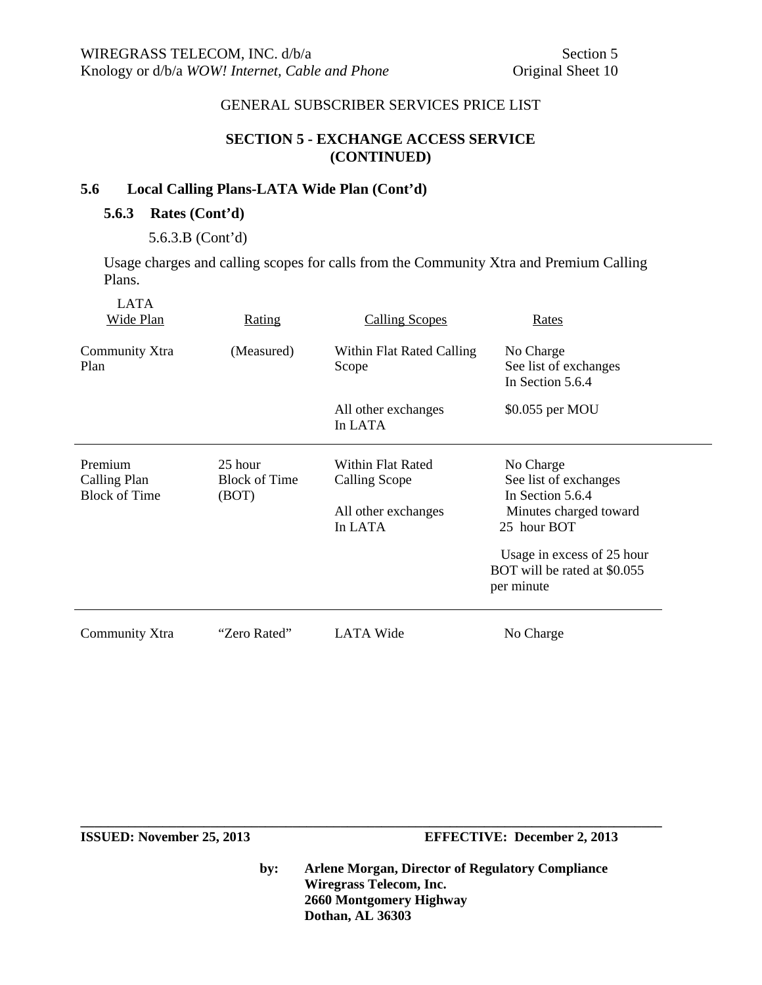## **SECTION 5 - EXCHANGE ACCESS SERVICE (CONTINUED)**

# **5.6 Local Calling Plans-LATA Wide Plan (Cont'd)**

## **5.6.3 Rates (Cont'd)**

5.6.3.B (Cont'd)

Usage charges and calling scopes for calls from the Community Xtra and Premium Calling Plans.

| <b>LATA</b><br>Wide Plan                        | <b>Rating</b>                            | <b>Calling Scopes</b>                                                | Rates                                                                                                                                                                       |
|-------------------------------------------------|------------------------------------------|----------------------------------------------------------------------|-----------------------------------------------------------------------------------------------------------------------------------------------------------------------------|
| Community Xtra<br>Plan                          | (Measured)                               | Within Flat Rated Calling<br>Scope                                   | No Charge<br>See list of exchanges<br>In Section 5.6.4                                                                                                                      |
|                                                 |                                          | All other exchanges<br>In LATA                                       | \$0.055 per MOU                                                                                                                                                             |
| Premium<br>Calling Plan<br><b>Block of Time</b> | 25 hour<br><b>Block of Time</b><br>(BOT) | Within Flat Rated<br>Calling Scope<br>All other exchanges<br>In LATA | No Charge<br>See list of exchanges<br>In Section 5.6.4<br>Minutes charged toward<br>25 hour BOT<br>Usage in excess of 25 hour<br>BOT will be rated at \$0.055<br>per minute |
| Community Xtra                                  | "Zero Rated"                             | LATA Wide                                                            | No Charge                                                                                                                                                                   |

**ISSUED:** November 25, 2013 **EFFECTIVE:** December 2, 2013

**by: Arlene Morgan, Director of Regulatory Compliance Wiregrass Telecom, Inc. 2660 Montgomery Highway Dothan, AL 36303**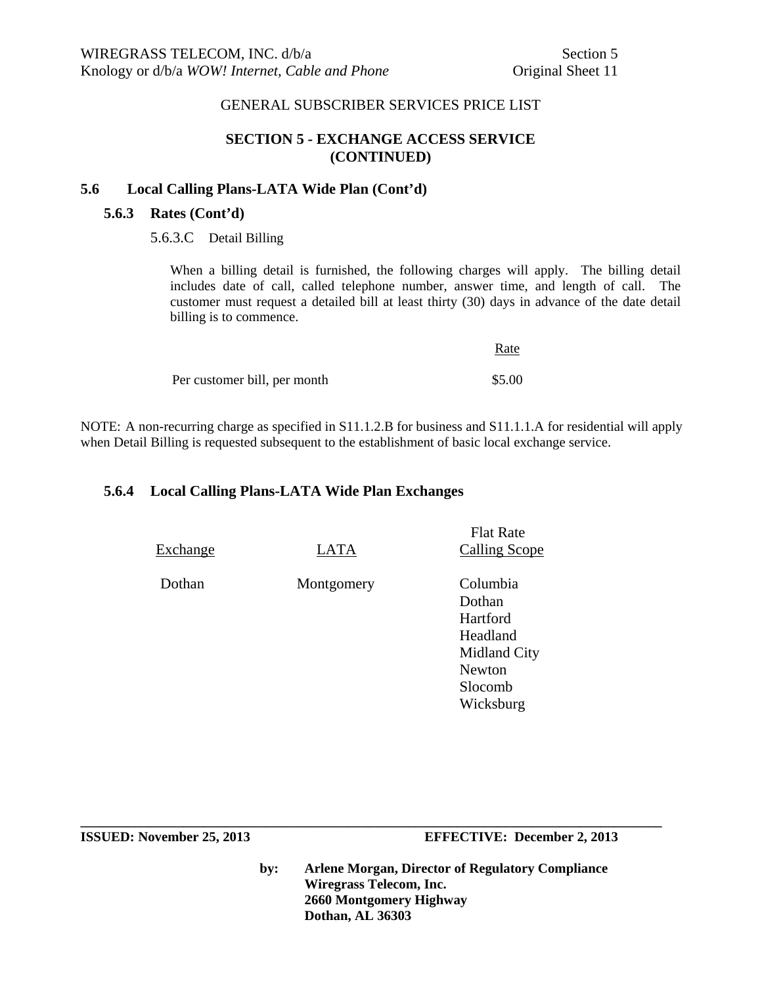#### **SECTION 5 - EXCHANGE ACCESS SERVICE (CONTINUED)**

#### **5.6 Local Calling Plans-LATA Wide Plan (Cont'd)**

#### **5.6.3 Rates (Cont'd)**

5.6.3.C Detail Billing

When a billing detail is furnished, the following charges will apply. The billing detail includes date of call, called telephone number, answer time, and length of call. The customer must request a detailed bill at least thirty (30) days in advance of the date detail billing is to commence.

|                              | Rate   |
|------------------------------|--------|
| Per customer bill, per month | \$5.00 |

NOTE: A non-recurring charge as specified in S11.1.2.B for business and S11.1.1.A for residential will apply when Detail Billing is requested subsequent to the establishment of basic local exchange service.

#### **5.6.4 Local Calling Plans-LATA Wide Plan Exchanges**

| Exchange | LATA       | <b>Calling Scope</b>                                                                                |
|----------|------------|-----------------------------------------------------------------------------------------------------|
| Dothan   | Montgomery | Columbia<br>Dothan<br>Hartford<br>Headland<br>Midland City<br><b>Newton</b><br>Slocomb<br>Wicksburg |

**\_\_\_\_\_\_\_\_\_\_\_\_\_\_\_\_\_\_\_\_\_\_\_\_\_\_\_\_\_\_\_\_\_\_\_\_\_\_\_\_\_\_\_\_\_\_\_\_\_\_\_\_\_\_\_\_\_\_\_\_\_\_\_\_\_\_\_\_\_\_\_\_\_\_\_\_\_\_\_\_\_\_\_\_\_** 

**ISSUED: November 25, 2013 EFFECTIVE: December 2, 2013** 

Flat Rate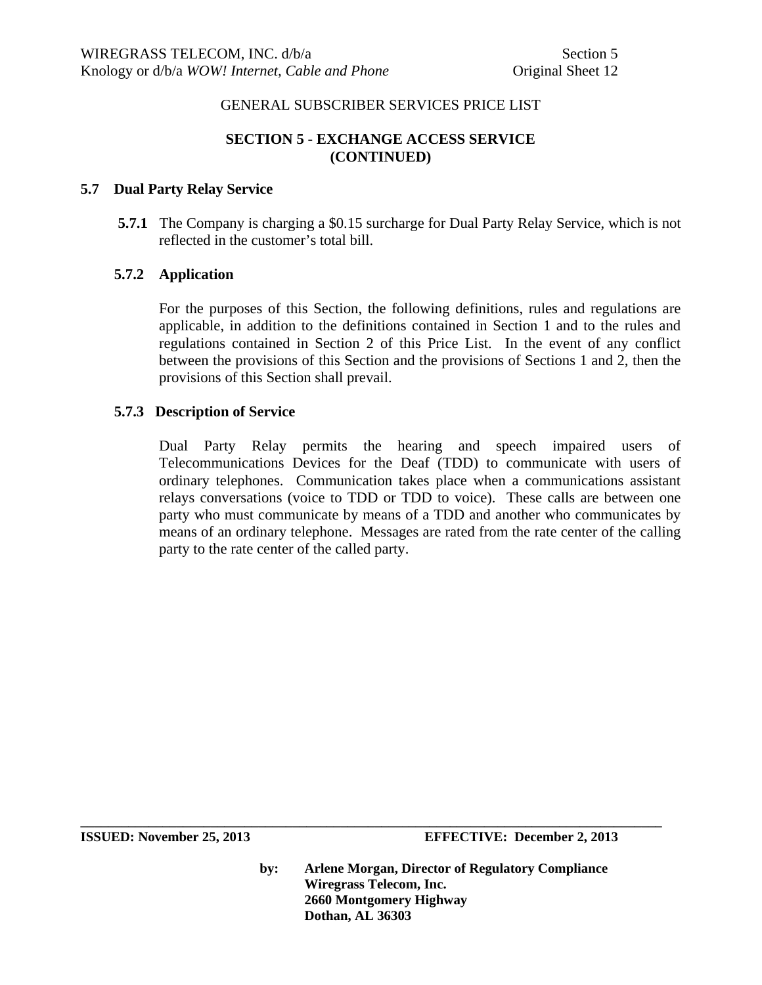# **SECTION 5 - EXCHANGE ACCESS SERVICE (CONTINUED)**

#### **5.7 Dual Party Relay Service**

 **5.7.1** The Company is charging a \$0.15 surcharge for Dual Party Relay Service, which is not reflected in the customer's total bill.

#### **5.7.2 Application**

For the purposes of this Section, the following definitions, rules and regulations are applicable, in addition to the definitions contained in Section 1 and to the rules and regulations contained in Section 2 of this Price List. In the event of any conflict between the provisions of this Section and the provisions of Sections 1 and 2, then the provisions of this Section shall prevail.

#### **5.7.3 Description of Service**

Dual Party Relay permits the hearing and speech impaired users of Telecommunications Devices for the Deaf (TDD) to communicate with users of ordinary telephones. Communication takes place when a communications assistant relays conversations (voice to TDD or TDD to voice). These calls are between one party who must communicate by means of a TDD and another who communicates by means of an ordinary telephone. Messages are rated from the rate center of the calling party to the rate center of the called party.

**by: Arlene Morgan, Director of Regulatory Compliance Wiregrass Telecom, Inc. 2660 Montgomery Highway Dothan, AL 36303**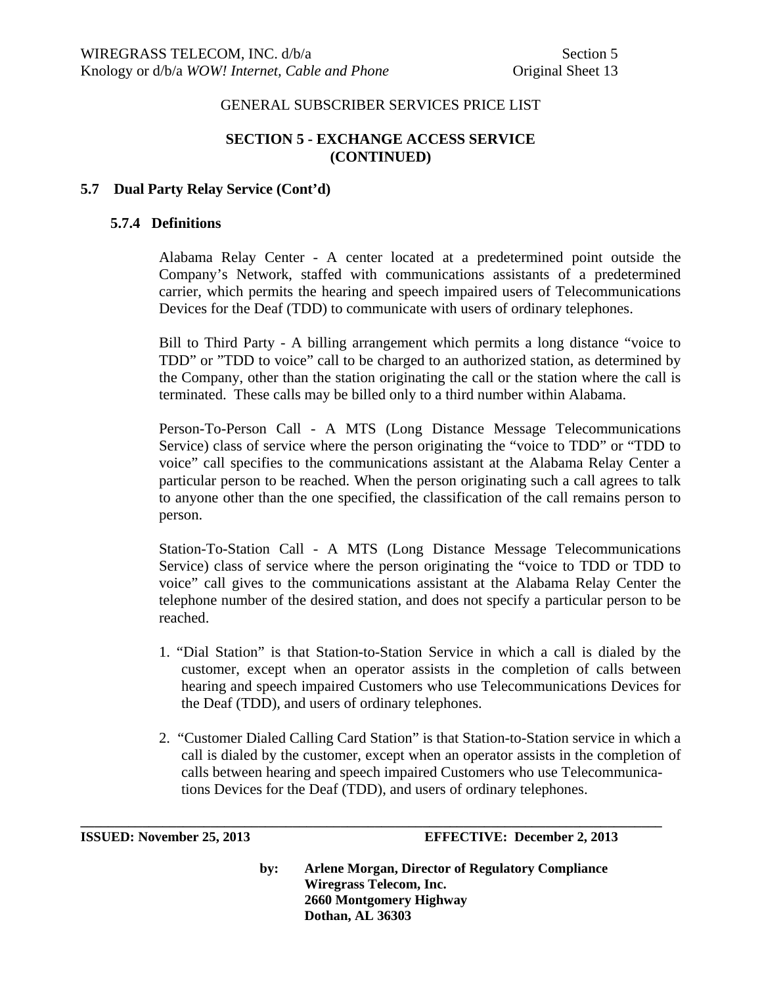# **SECTION 5 - EXCHANGE ACCESS SERVICE (CONTINUED)**

#### **5.7 Dual Party Relay Service (Cont'd)**

#### **5.7.4 Definitions**

Alabama Relay Center - A center located at a predetermined point outside the Company's Network, staffed with communications assistants of a predetermined carrier, which permits the hearing and speech impaired users of Telecommunications Devices for the Deaf (TDD) to communicate with users of ordinary telephones.

Bill to Third Party - A billing arrangement which permits a long distance "voice to TDD" or "TDD to voice" call to be charged to an authorized station, as determined by the Company, other than the station originating the call or the station where the call is terminated. These calls may be billed only to a third number within Alabama.

Person-To-Person Call - A MTS (Long Distance Message Telecommunications Service) class of service where the person originating the "voice to TDD" or "TDD to voice" call specifies to the communications assistant at the Alabama Relay Center a particular person to be reached. When the person originating such a call agrees to talk to anyone other than the one specified, the classification of the call remains person to person.

Station-To-Station Call - A MTS (Long Distance Message Telecommunications Service) class of service where the person originating the "voice to TDD or TDD to voice" call gives to the communications assistant at the Alabama Relay Center the telephone number of the desired station, and does not specify a particular person to be reached.

- 1. "Dial Station" is that Station-to-Station Service in which a call is dialed by the customer, except when an operator assists in the completion of calls between hearing and speech impaired Customers who use Telecommunications Devices for the Deaf (TDD), and users of ordinary telephones.
- 2. "Customer Dialed Calling Card Station" is that Station-to-Station service in which a call is dialed by the customer, except when an operator assists in the completion of calls between hearing and speech impaired Customers who use Telecommunica tions Devices for the Deaf (TDD), and users of ordinary telephones.

**\_\_\_\_\_\_\_\_\_\_\_\_\_\_\_\_\_\_\_\_\_\_\_\_\_\_\_\_\_\_\_\_\_\_\_\_\_\_\_\_\_\_\_\_\_\_\_\_\_\_\_\_\_\_\_\_\_\_\_\_\_\_\_\_\_\_\_\_\_\_\_\_\_\_\_\_\_\_\_\_\_\_\_\_\_** 

**ISSUED: November 25, 2013 EFFECTIVE: December 2, 2013**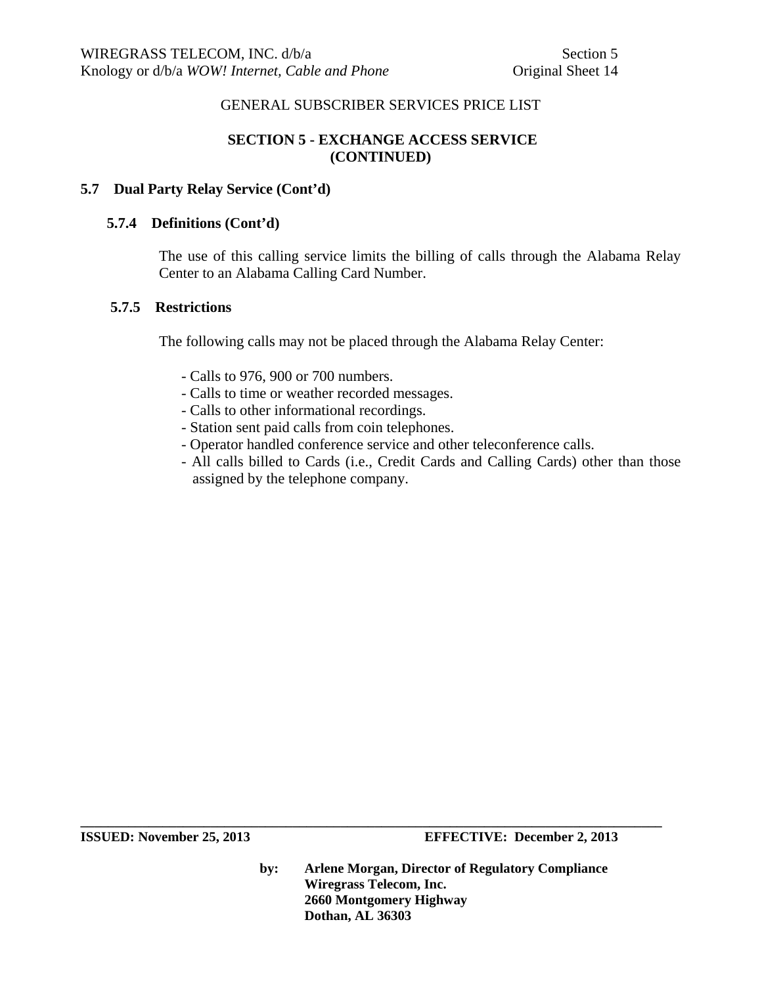# **SECTION 5 - EXCHANGE ACCESS SERVICE (CONTINUED)**

#### **5.7 Dual Party Relay Service (Cont'd)**

#### **5.7.4 Definitions (Cont'd)**

The use of this calling service limits the billing of calls through the Alabama Relay Center to an Alabama Calling Card Number.

#### **5.7.5 Restrictions**

The following calls may not be placed through the Alabama Relay Center:

- Calls to 976, 900 or 700 numbers.
- Calls to time or weather recorded messages.
- Calls to other informational recordings.
- Station sent paid calls from coin telephones.
- Operator handled conference service and other teleconference calls.
- All calls billed to Cards (i.e., Credit Cards and Calling Cards) other than those assigned by the telephone company.

**ISSUED: November 25, 2013 EFFECTIVE: December 2, 2013** 

**by: Arlene Morgan, Director of Regulatory Compliance Wiregrass Telecom, Inc. 2660 Montgomery Highway Dothan, AL 36303**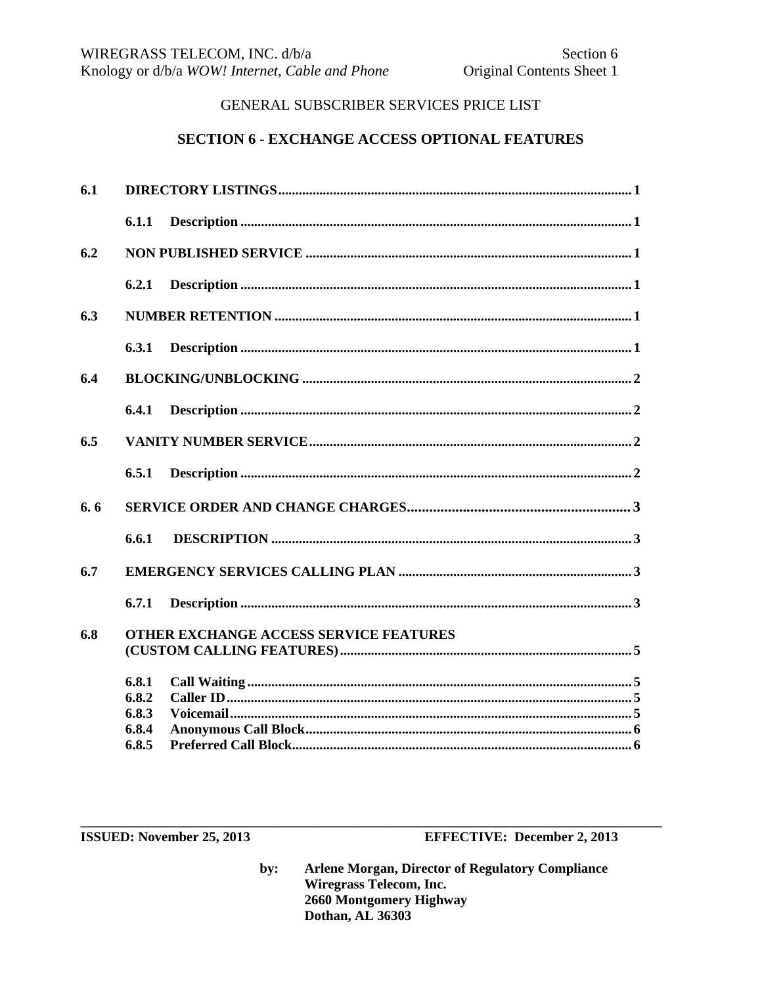#### **SECTION 6 - EXCHANGE ACCESS OPTIONAL FEATURES**

| 6.1 |                |                                        |
|-----|----------------|----------------------------------------|
|     | 6.1.1          |                                        |
| 6.2 |                |                                        |
|     | 6.2.1          |                                        |
| 6.3 |                |                                        |
|     | 6.3.1          |                                        |
| 6.4 |                |                                        |
|     | 6.4.1          |                                        |
| 6.5 |                |                                        |
|     | 6.5.1          |                                        |
| 6.6 |                |                                        |
|     | 6.6.1          |                                        |
| 6.7 |                |                                        |
|     | 6.7.1          |                                        |
| 6.8 |                | OTHER EXCHANGE ACCESS SERVICE FEATURES |
|     | 6.8.1<br>6.8.2 |                                        |
|     | 6.8.3          |                                        |
|     | 6.8.4          |                                        |
|     | 6.8.5          |                                        |

ISSUED: November 25, 2013

**EFFECTIVE: December 2, 2013**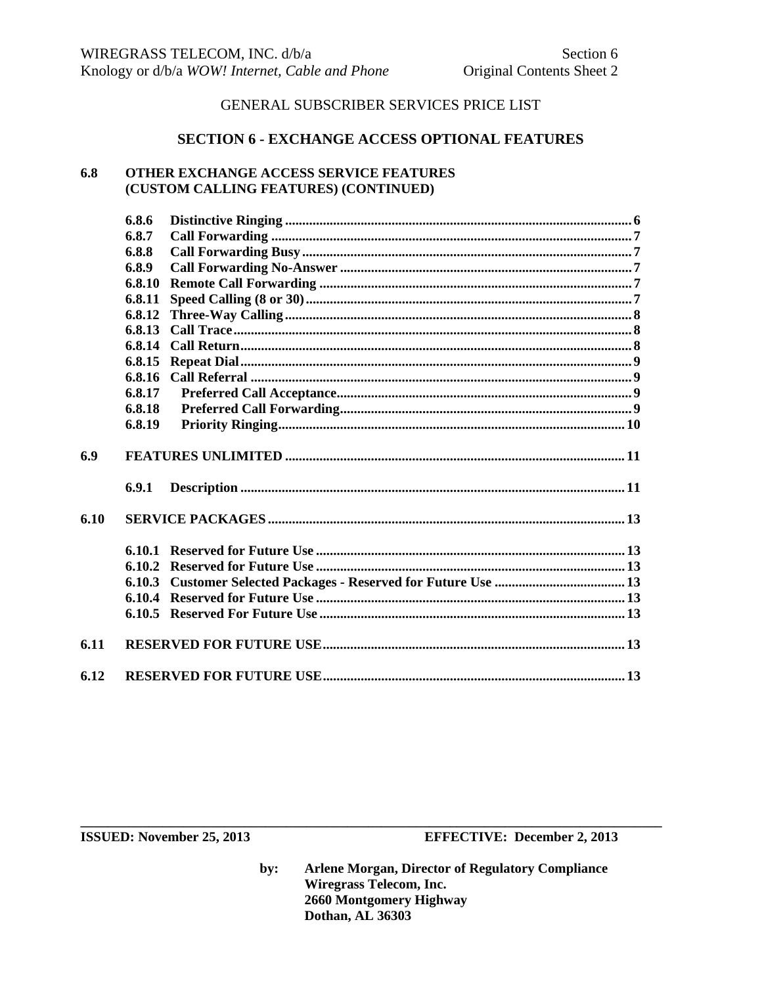#### **SECTION 6 - EXCHANGE ACCESS OPTIONAL FEATURES**

#### 6.8 OTHER EXCHANGE ACCESS SERVICE FEATURES (CUSTOM CALLING FEATURES) (CONTINUED)

|      | 6.8.6  |  |  |  |
|------|--------|--|--|--|
|      | 6.8.7  |  |  |  |
|      | 6.8.8  |  |  |  |
|      | 6.8.9  |  |  |  |
|      | 6.8.10 |  |  |  |
|      | 6.8.11 |  |  |  |
|      | 6.8.12 |  |  |  |
|      | 6.8.13 |  |  |  |
|      | 6.8.14 |  |  |  |
|      | 6.8.15 |  |  |  |
|      | 6.8.16 |  |  |  |
|      | 6.8.17 |  |  |  |
|      | 6.8.18 |  |  |  |
|      | 6.8.19 |  |  |  |
| 6.9  |        |  |  |  |
|      | 6.9.1  |  |  |  |
| 6.10 |        |  |  |  |
|      |        |  |  |  |
|      | 6.10.2 |  |  |  |
|      | 6.10.3 |  |  |  |
|      | 6.10.4 |  |  |  |
|      |        |  |  |  |
| 6.11 |        |  |  |  |
| 6.12 |        |  |  |  |

ISSUED: November 25, 2013

**EFFECTIVE: December 2, 2013**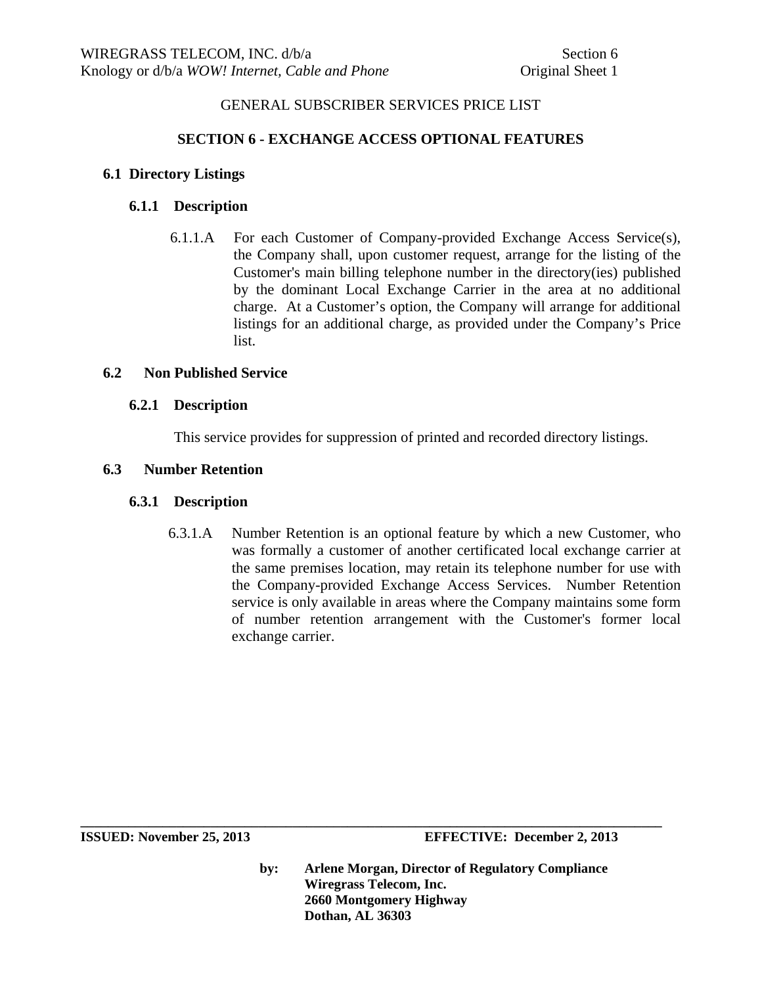## **SECTION 6 - EXCHANGE ACCESS OPTIONAL FEATURES**

#### **6.1 Directory Listings**

## **6.1.1 Description**

6.1.1.A For each Customer of Company-provided Exchange Access Service(s), the Company shall, upon customer request, arrange for the listing of the Customer's main billing telephone number in the directory(ies) published by the dominant Local Exchange Carrier in the area at no additional charge. At a Customer's option, the Company will arrange for additional listings for an additional charge, as provided under the Company's Price list.

#### **6.2 Non Published Service**

#### **6.2.1 Description**

This service provides for suppression of printed and recorded directory listings.

#### **6.3 Number Retention**

#### **6.3.1 Description**

 6.3.1.A Number Retention is an optional feature by which a new Customer, who was formally a customer of another certificated local exchange carrier at the same premises location, may retain its telephone number for use with the Company-provided Exchange Access Services. Number Retention service is only available in areas where the Company maintains some form of number retention arrangement with the Customer's former local exchange carrier.

**by: Arlene Morgan, Director of Regulatory Compliance Wiregrass Telecom, Inc. 2660 Montgomery Highway Dothan, AL 36303**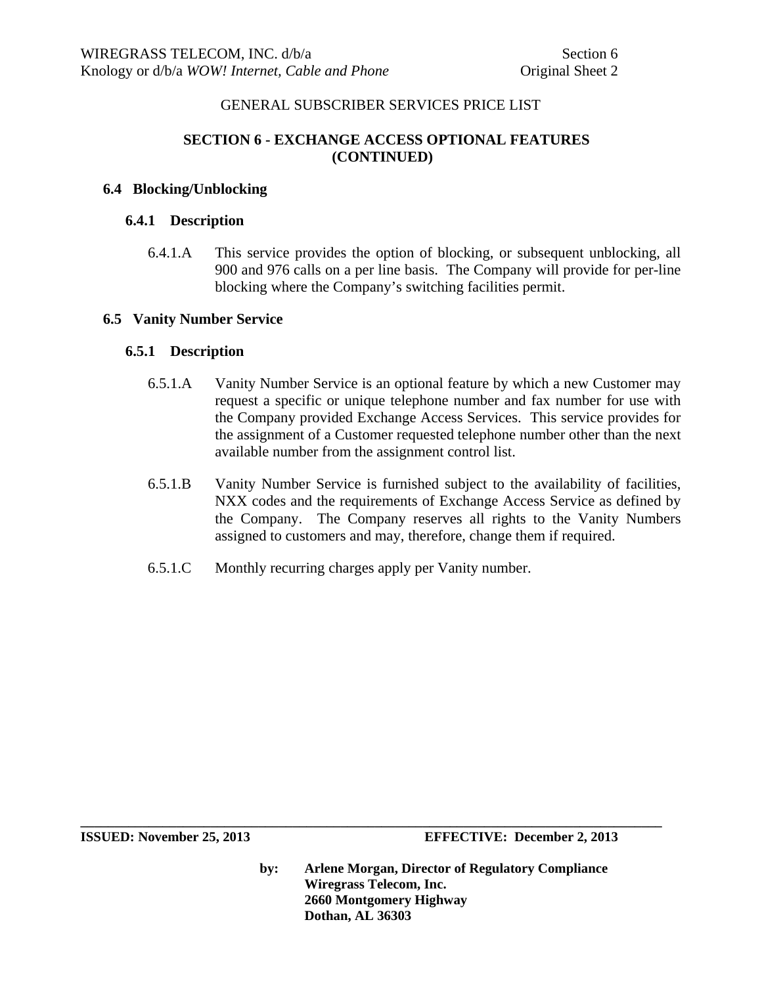# **SECTION 6 - EXCHANGE ACCESS OPTIONAL FEATURES (CONTINUED)**

#### **6.4 Blocking/Unblocking**

#### **6.4.1 Description**

6.4.1.A This service provides the option of blocking, or subsequent unblocking, all 900 and 976 calls on a per line basis. The Company will provide for per-line blocking where the Company's switching facilities permit.

#### **6.5 Vanity Number Service**

#### **6.5.1 Description**

- 6.5.1.A Vanity Number Service is an optional feature by which a new Customer may request a specific or unique telephone number and fax number for use with the Company provided Exchange Access Services. This service provides for the assignment of a Customer requested telephone number other than the next available number from the assignment control list.
- 6.5.1.B Vanity Number Service is furnished subject to the availability of facilities, NXX codes and the requirements of Exchange Access Service as defined by the Company. The Company reserves all rights to the Vanity Numbers assigned to customers and may, therefore, change them if required.
- 6.5.1.C Monthly recurring charges apply per Vanity number.

**by: Arlene Morgan, Director of Regulatory Compliance Wiregrass Telecom, Inc. 2660 Montgomery Highway Dothan, AL 36303**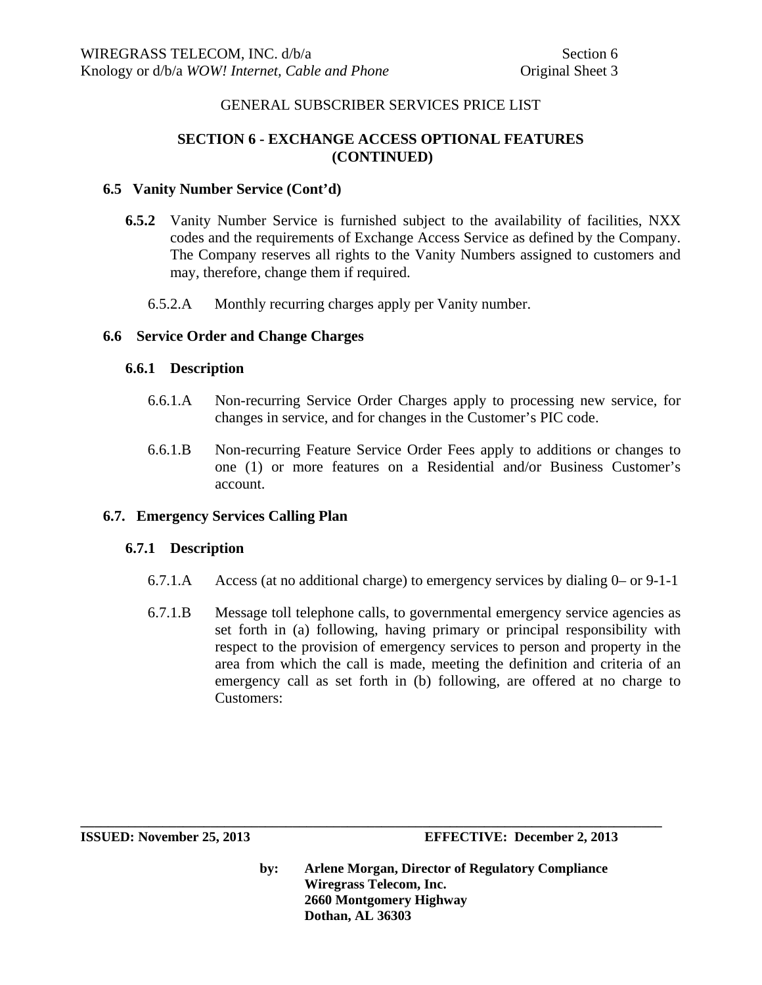# **SECTION 6 - EXCHANGE ACCESS OPTIONAL FEATURES (CONTINUED)**

#### **6.5 Vanity Number Service (Cont'd)**

- **6.5.2** Vanity Number Service is furnished subject to the availability of facilities, NXX codes and the requirements of Exchange Access Service as defined by the Company. The Company reserves all rights to the Vanity Numbers assigned to customers and may, therefore, change them if required.
	- 6.5.2.A Monthly recurring charges apply per Vanity number.

#### **6.6 Service Order and Change Charges**

#### **6.6.1 Description**

- 6.6.1.A Non-recurring Service Order Charges apply to processing new service, for changes in service, and for changes in the Customer's PIC code.
- 6.6.1.B Non-recurring Feature Service Order Fees apply to additions or changes to one (1) or more features on a Residential and/or Business Customer's account.

#### **6.7. Emergency Services Calling Plan**

#### **6.7.1 Description**

- 6.7.1.A Access (at no additional charge) to emergency services by dialing 0– or 9-1-1
- 6.7.1.B Message toll telephone calls, to governmental emergency service agencies as set forth in (a) following, having primary or principal responsibility with respect to the provision of emergency services to person and property in the area from which the call is made, meeting the definition and criteria of an emergency call as set forth in (b) following, are offered at no charge to Customers:

**ISSUED: November 25, 2013 EFFECTIVE: December 2, 2013** 

**by: Arlene Morgan, Director of Regulatory Compliance Wiregrass Telecom, Inc. 2660 Montgomery Highway Dothan, AL 36303**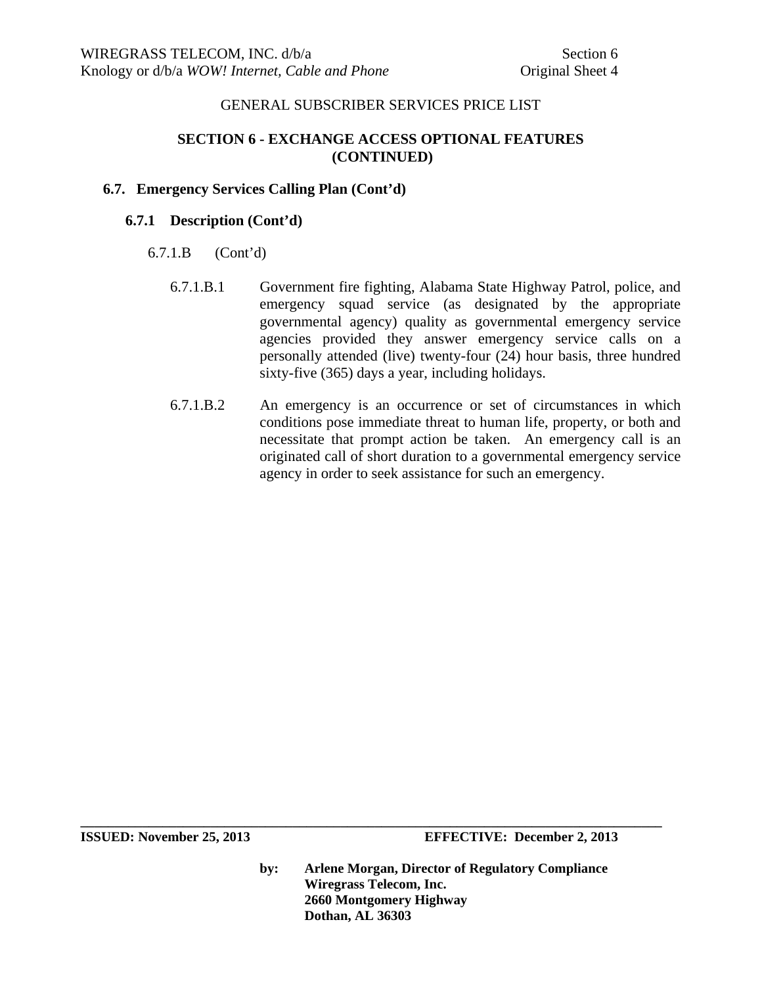# **SECTION 6 - EXCHANGE ACCESS OPTIONAL FEATURES (CONTINUED)**

## **6.7. Emergency Services Calling Plan (Cont'd)**

## **6.7.1 Description (Cont'd)**

- 6.7.1.B (Cont'd)
	- 6.7.1.B.1 Government fire fighting, Alabama State Highway Patrol, police, and emergency squad service (as designated by the appropriate governmental agency) quality as governmental emergency service agencies provided they answer emergency service calls on a personally attended (live) twenty-four (24) hour basis, three hundred sixty-five (365) days a year, including holidays.
	- 6.7.1.B.2 An emergency is an occurrence or set of circumstances in which conditions pose immediate threat to human life, property, or both and necessitate that prompt action be taken. An emergency call is an originated call of short duration to a governmental emergency service agency in order to seek assistance for such an emergency.

**ISSUED: November 25, 2013 EFFECTIVE: December 2, 2013** 

**by: Arlene Morgan, Director of Regulatory Compliance Wiregrass Telecom, Inc. 2660 Montgomery Highway Dothan, AL 36303**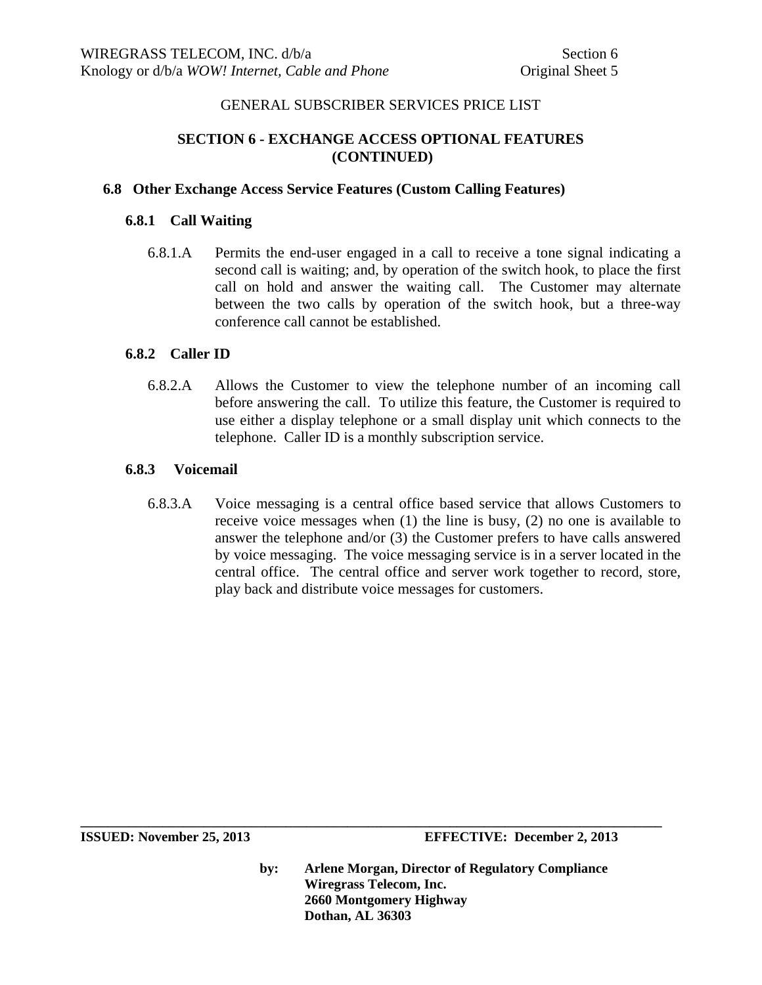# **SECTION 6 - EXCHANGE ACCESS OPTIONAL FEATURES (CONTINUED)**

#### **6.8 Other Exchange Access Service Features (Custom Calling Features)**

#### **6.8.1 Call Waiting**

6.8.1.A Permits the end-user engaged in a call to receive a tone signal indicating a second call is waiting; and, by operation of the switch hook, to place the first call on hold and answer the waiting call. The Customer may alternate between the two calls by operation of the switch hook, but a three-way conference call cannot be established.

#### **6.8.2 Caller ID**

6.8.2.A Allows the Customer to view the telephone number of an incoming call before answering the call. To utilize this feature, the Customer is required to use either a display telephone or a small display unit which connects to the telephone. Caller ID is a monthly subscription service.

#### **6.8.3 Voicemail**

6.8.3.A Voice messaging is a central office based service that allows Customers to receive voice messages when (1) the line is busy, (2) no one is available to answer the telephone and/or (3) the Customer prefers to have calls answered by voice messaging. The voice messaging service is in a server located in the central office. The central office and server work together to record, store, play back and distribute voice messages for customers.

**by: Arlene Morgan, Director of Regulatory Compliance Wiregrass Telecom, Inc. 2660 Montgomery Highway Dothan, AL 36303**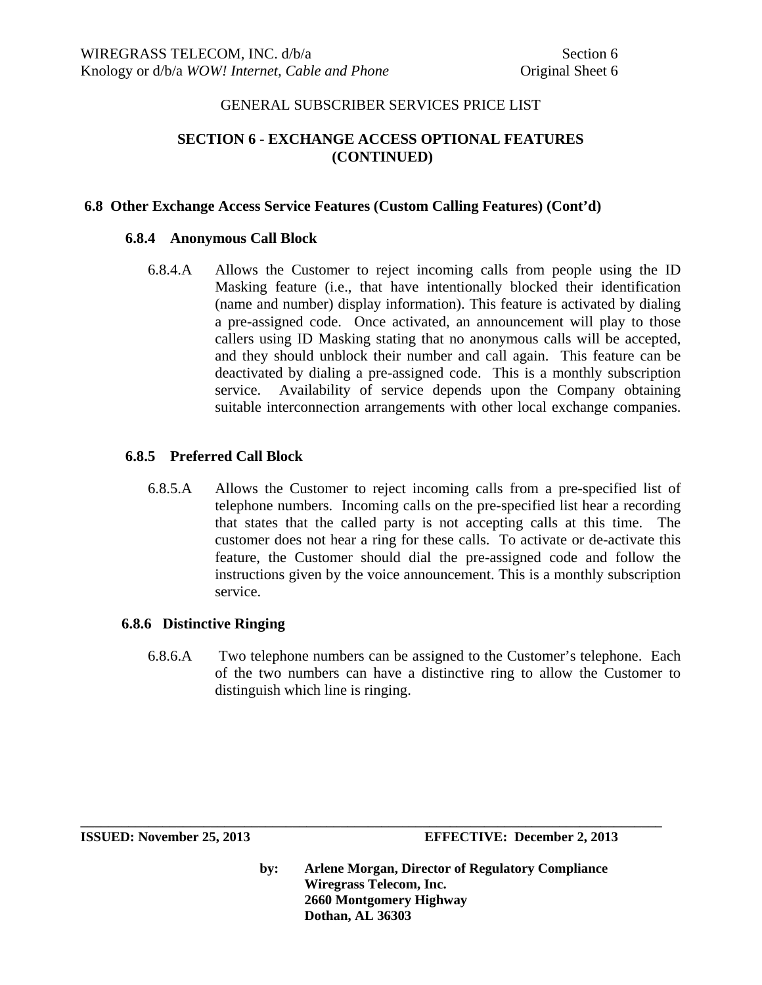# **SECTION 6 - EXCHANGE ACCESS OPTIONAL FEATURES (CONTINUED)**

#### **6.8 Other Exchange Access Service Features (Custom Calling Features) (Cont'd)**

#### **6.8.4 Anonymous Call Block**

6.8.4.A Allows the Customer to reject incoming calls from people using the ID Masking feature (i.e., that have intentionally blocked their identification (name and number) display information). This feature is activated by dialing a pre-assigned code. Once activated, an announcement will play to those callers using ID Masking stating that no anonymous calls will be accepted, and they should unblock their number and call again. This feature can be deactivated by dialing a pre-assigned code. This is a monthly subscription service. Availability of service depends upon the Company obtaining suitable interconnection arrangements with other local exchange companies.

#### **6.8.5 Preferred Call Block**

6.8.5.A Allows the Customer to reject incoming calls from a pre-specified list of telephone numbers. Incoming calls on the pre-specified list hear a recording that states that the called party is not accepting calls at this time. The customer does not hear a ring for these calls. To activate or de-activate this feature, the Customer should dial the pre-assigned code and follow the instructions given by the voice announcement. This is a monthly subscription service.

#### **6.8.6 Distinctive Ringing**

6.8.6.A Two telephone numbers can be assigned to the Customer's telephone. Each of the two numbers can have a distinctive ring to allow the Customer to distinguish which line is ringing.

**\_\_\_\_\_\_\_\_\_\_\_\_\_\_\_\_\_\_\_\_\_\_\_\_\_\_\_\_\_\_\_\_\_\_\_\_\_\_\_\_\_\_\_\_\_\_\_\_\_\_\_\_\_\_\_\_\_\_\_\_\_\_\_\_\_\_\_\_\_\_\_\_\_\_\_\_\_\_\_\_\_\_\_\_\_** 

**ISSUED: November 25, 2013 EFFECTIVE: December 2, 2013**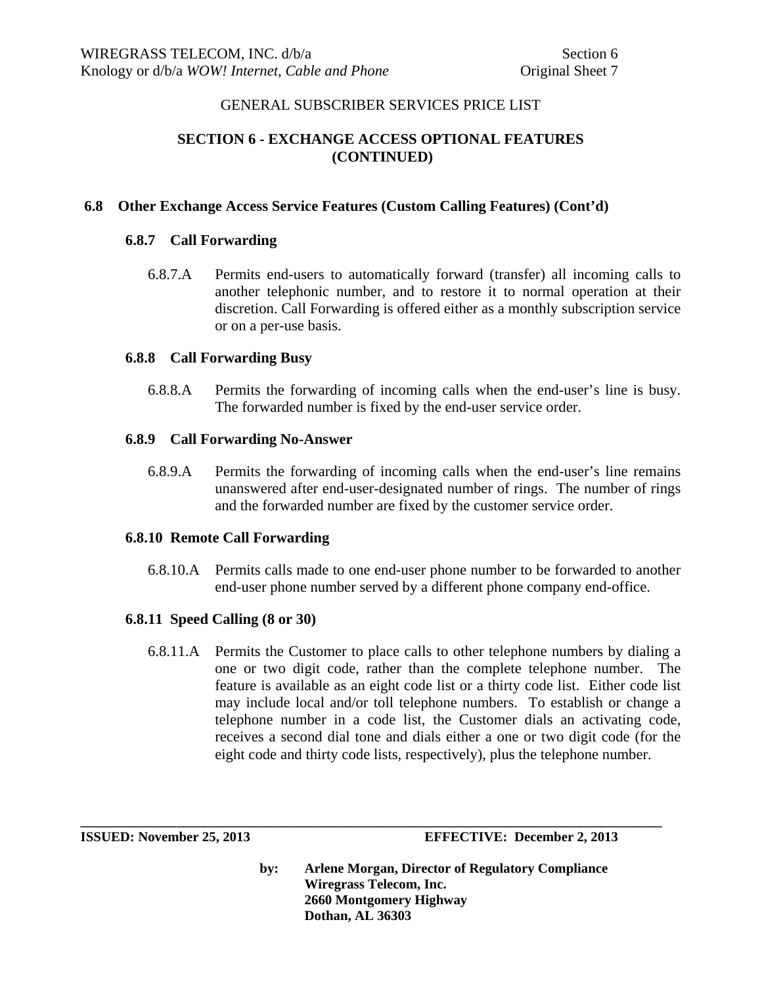# **SECTION 6 - EXCHANGE ACCESS OPTIONAL FEATURES (CONTINUED)**

## **6.8 Other Exchange Access Service Features (Custom Calling Features) (Cont'd)**

## **6.8.7 Call Forwarding**

6.8.7.A Permits end-users to automatically forward (transfer) all incoming calls to another telephonic number, and to restore it to normal operation at their discretion. Call Forwarding is offered either as a monthly subscription service or on a per-use basis.

#### **6.8.8 Call Forwarding Busy**

6.8.8.A Permits the forwarding of incoming calls when the end-user's line is busy. The forwarded number is fixed by the end-user service order.

#### **6.8.9 Call Forwarding No-Answer**

6.8.9.A Permits the forwarding of incoming calls when the end-user's line remains unanswered after end-user-designated number of rings. The number of rings and the forwarded number are fixed by the customer service order.

#### **6.8.10 Remote Call Forwarding**

6.8.10.A Permits calls made to one end-user phone number to be forwarded to another end-user phone number served by a different phone company end-office.

#### **6.8.11 Speed Calling (8 or 30)**

6.8.11.A Permits the Customer to place calls to other telephone numbers by dialing a one or two digit code, rather than the complete telephone number. The feature is available as an eight code list or a thirty code list. Either code list may include local and/or toll telephone numbers. To establish or change a telephone number in a code list, the Customer dials an activating code, receives a second dial tone and dials either a one or two digit code (for the eight code and thirty code lists, respectively), plus the telephone number.

**\_\_\_\_\_\_\_\_\_\_\_\_\_\_\_\_\_\_\_\_\_\_\_\_\_\_\_\_\_\_\_\_\_\_\_\_\_\_\_\_\_\_\_\_\_\_\_\_\_\_\_\_\_\_\_\_\_\_\_\_\_\_\_\_\_\_\_\_\_\_\_\_\_\_\_\_\_\_\_\_\_\_\_\_\_** 

**ISSUED: November 25, 2013 EFFECTIVE: December 2, 2013**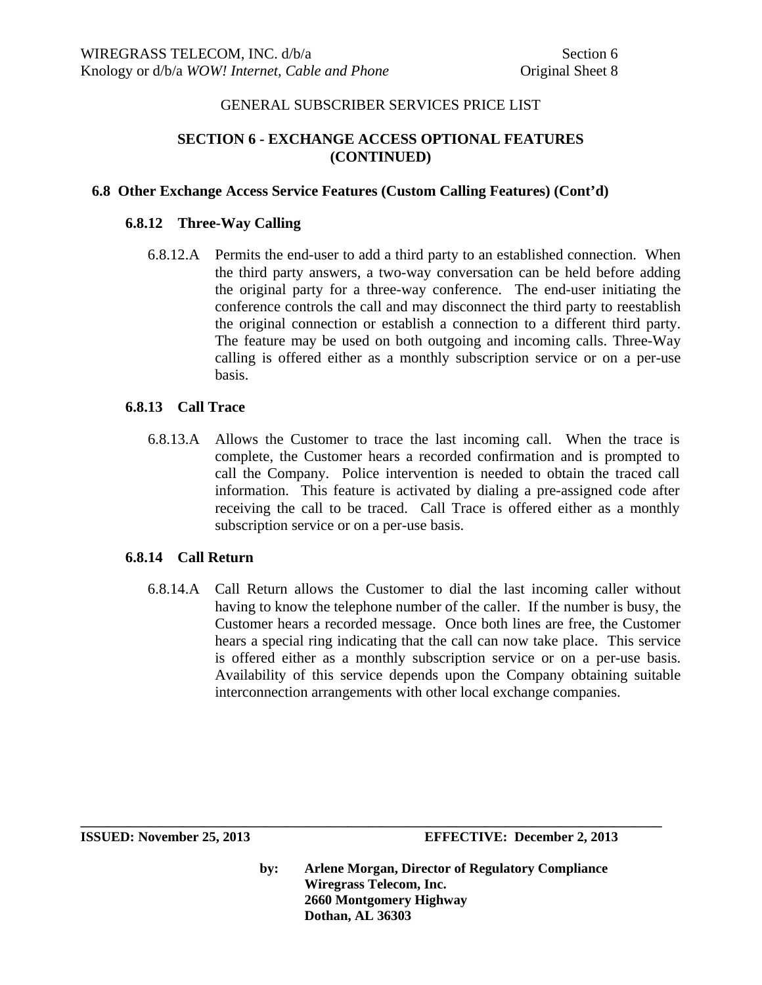# **SECTION 6 - EXCHANGE ACCESS OPTIONAL FEATURES (CONTINUED)**

#### **6.8 Other Exchange Access Service Features (Custom Calling Features) (Cont'd)**

#### **6.8.12 Three-Way Calling**

6.8.12.A Permits the end-user to add a third party to an established connection. When the third party answers, a two-way conversation can be held before adding the original party for a three-way conference. The end-user initiating the conference controls the call and may disconnect the third party to reestablish the original connection or establish a connection to a different third party. The feature may be used on both outgoing and incoming calls. Three-Way calling is offered either as a monthly subscription service or on a per-use basis.

#### **6.8.13 Call Trace**

6.8.13.A Allows the Customer to trace the last incoming call. When the trace is complete, the Customer hears a recorded confirmation and is prompted to call the Company. Police intervention is needed to obtain the traced call information. This feature is activated by dialing a pre-assigned code after receiving the call to be traced. Call Trace is offered either as a monthly subscription service or on a per-use basis.

#### **6.8.14 Call Return**

6.8.14.A Call Return allows the Customer to dial the last incoming caller without having to know the telephone number of the caller. If the number is busy, the Customer hears a recorded message. Once both lines are free, the Customer hears a special ring indicating that the call can now take place. This service is offered either as a monthly subscription service or on a per-use basis. Availability of this service depends upon the Company obtaining suitable interconnection arrangements with other local exchange companies.

**by: Arlene Morgan, Director of Regulatory Compliance Wiregrass Telecom, Inc. 2660 Montgomery Highway Dothan, AL 36303**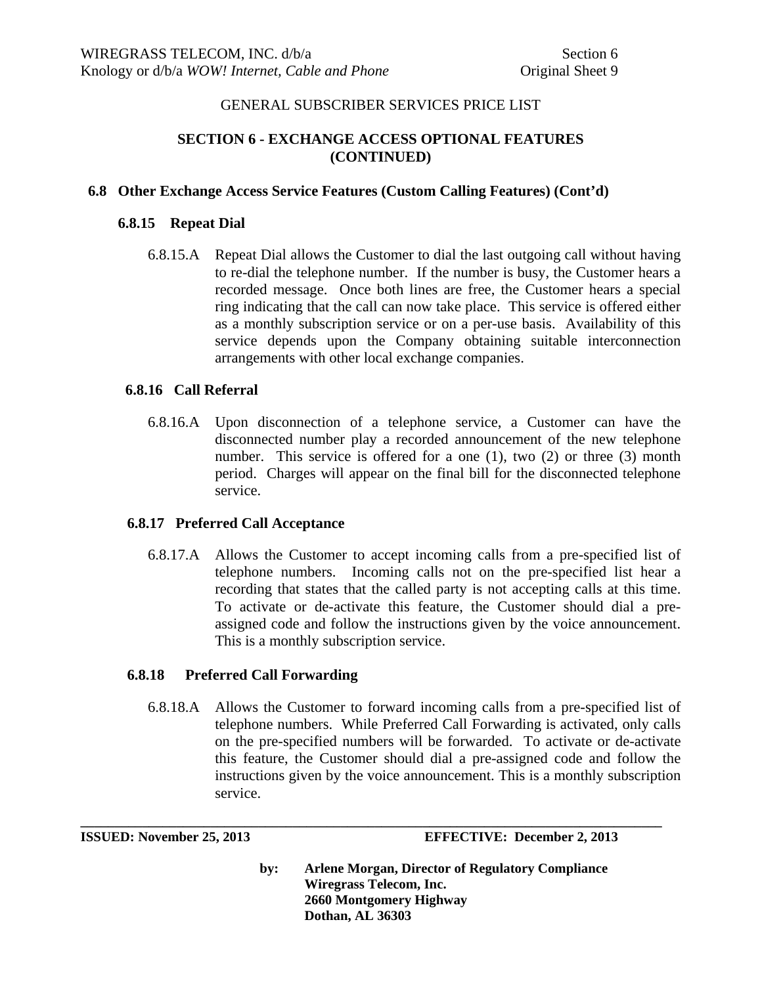# **SECTION 6 - EXCHANGE ACCESS OPTIONAL FEATURES (CONTINUED)**

#### **6.8 Other Exchange Access Service Features (Custom Calling Features) (Cont'd)**

#### **6.8.15 Repeat Dial**

6.8.15.A Repeat Dial allows the Customer to dial the last outgoing call without having to re-dial the telephone number. If the number is busy, the Customer hears a recorded message. Once both lines are free, the Customer hears a special ring indicating that the call can now take place. This service is offered either as a monthly subscription service or on a per-use basis. Availability of this service depends upon the Company obtaining suitable interconnection arrangements with other local exchange companies.

#### **6.8.16 Call Referral**

6.8.16.A Upon disconnection of a telephone service, a Customer can have the disconnected number play a recorded announcement of the new telephone number. This service is offered for a one (1), two (2) or three (3) month period. Charges will appear on the final bill for the disconnected telephone service.

#### **6.8.17 Preferred Call Acceptance**

6.8.17.A Allows the Customer to accept incoming calls from a pre-specified list of telephone numbers. Incoming calls not on the pre-specified list hear a recording that states that the called party is not accepting calls at this time. To activate or de-activate this feature, the Customer should dial a preassigned code and follow the instructions given by the voice announcement. This is a monthly subscription service.

#### **6.8.18 Preferred Call Forwarding**

6.8.18.A Allows the Customer to forward incoming calls from a pre-specified list of telephone numbers. While Preferred Call Forwarding is activated, only calls on the pre-specified numbers will be forwarded. To activate or de-activate this feature, the Customer should dial a pre-assigned code and follow the instructions given by the voice announcement. This is a monthly subscription service.

**\_\_\_\_\_\_\_\_\_\_\_\_\_\_\_\_\_\_\_\_\_\_\_\_\_\_\_\_\_\_\_\_\_\_\_\_\_\_\_\_\_\_\_\_\_\_\_\_\_\_\_\_\_\_\_\_\_\_\_\_\_\_\_\_\_\_\_\_\_\_\_\_\_\_\_\_\_\_\_\_\_\_\_\_\_** 

**ISSUED: November 25, 2013 EFFECTIVE: December 2, 2013**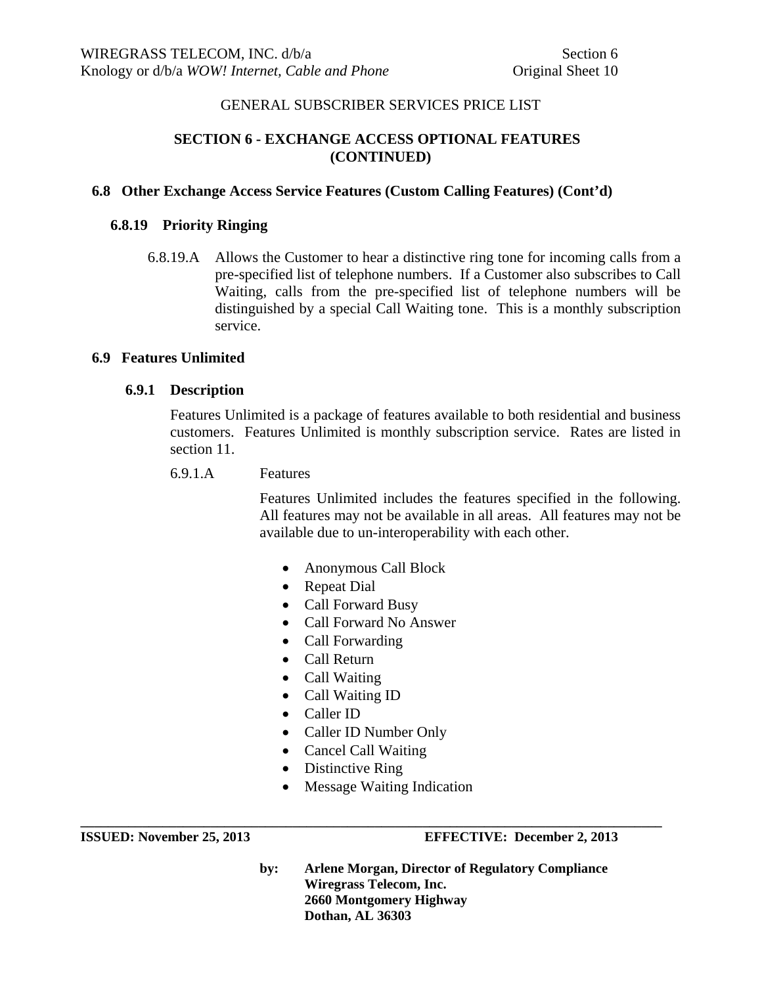# **SECTION 6 - EXCHANGE ACCESS OPTIONAL FEATURES (CONTINUED)**

## **6.8 Other Exchange Access Service Features (Custom Calling Features) (Cont'd)**

## **6.8.19 Priority Ringing**

 6.8.19.A Allows the Customer to hear a distinctive ring tone for incoming calls from a pre-specified list of telephone numbers. If a Customer also subscribes to Call Waiting, calls from the pre-specified list of telephone numbers will be distinguished by a special Call Waiting tone. This is a monthly subscription service.

#### **6.9 Features Unlimited**

## **6.9.1 Description**

Features Unlimited is a package of features available to both residential and business customers. Features Unlimited is monthly subscription service. Rates are listed in section 11.

6.9.1.A Features

Features Unlimited includes the features specified in the following. All features may not be available in all areas. All features may not be available due to un-interoperability with each other.

- Anonymous Call Block
- Repeat Dial
- Call Forward Busy
- Call Forward No Answer
- Call Forwarding
- Call Return
- Call Waiting
- Call Waiting ID
- Caller ID
- Caller ID Number Only
- Cancel Call Waiting
- Distinctive Ring
- Message Waiting Indication

**\_\_\_\_\_\_\_\_\_\_\_\_\_\_\_\_\_\_\_\_\_\_\_\_\_\_\_\_\_\_\_\_\_\_\_\_\_\_\_\_\_\_\_\_\_\_\_\_\_\_\_\_\_\_\_\_\_\_\_\_\_\_\_\_\_\_\_\_\_\_\_\_\_\_\_\_\_\_\_\_\_\_\_\_\_ ISSUED: November 25, 2013 EFFECTIVE: December 2, 2013**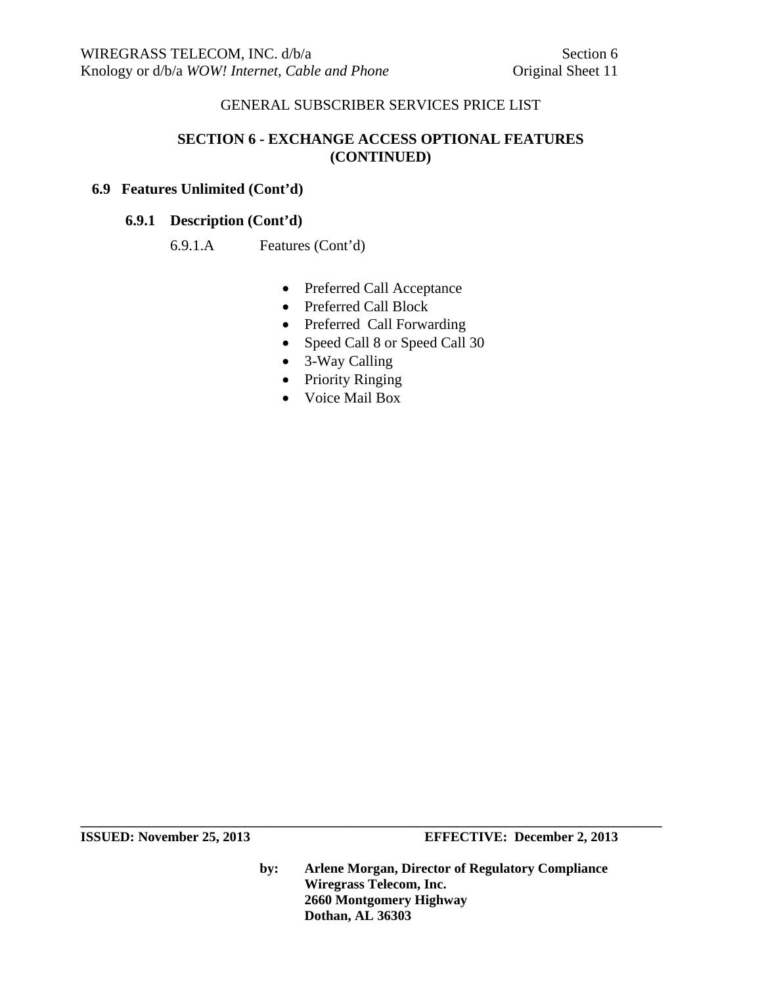# **SECTION 6 - EXCHANGE ACCESS OPTIONAL FEATURES (CONTINUED)**

# **6.9 Features Unlimited (Cont'd)**

## **6.9.1 Description (Cont'd)**

## 6.9.1.A Features (Cont'd)

- Preferred Call Acceptance
- Preferred Call Block
- Preferred Call Forwarding
- Speed Call 8 or Speed Call 30
- 3-Way Calling
- Priority Ringing
- Voice Mail Box

**by: Arlene Morgan, Director of Regulatory Compliance Wiregrass Telecom, Inc. 2660 Montgomery Highway Dothan, AL 36303**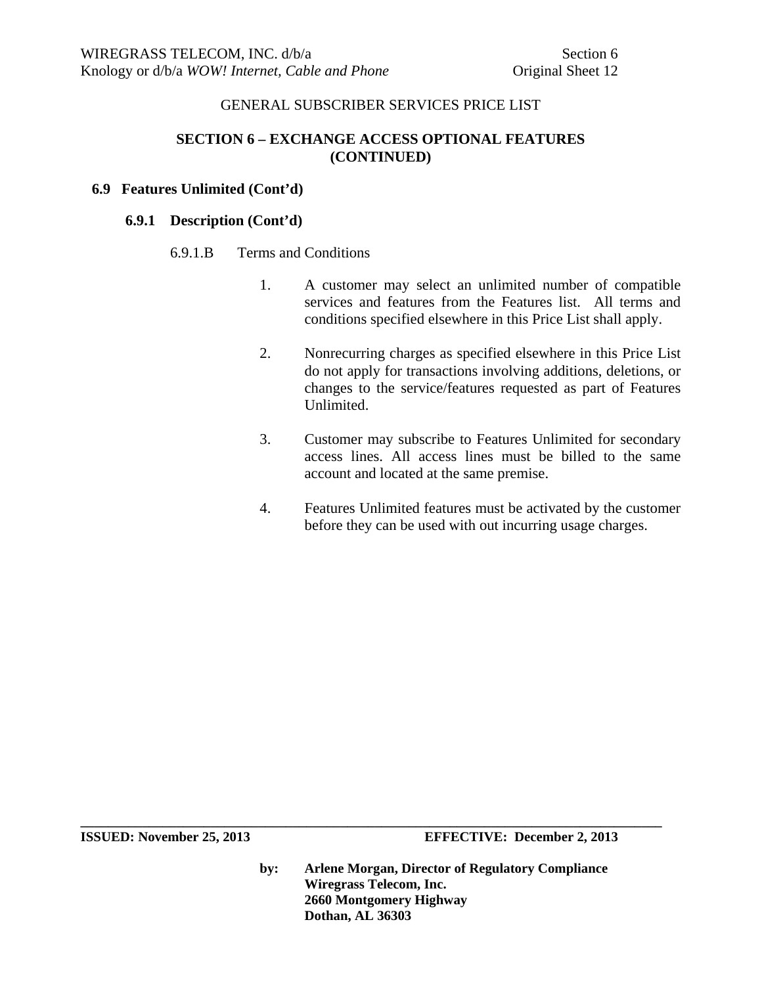# **SECTION 6 – EXCHANGE ACCESS OPTIONAL FEATURES (CONTINUED)**

#### **6.9 Features Unlimited (Cont'd)**

#### **6.9.1 Description (Cont'd)**

#### 6.9.1.B Terms and Conditions

- 1. A customer may select an unlimited number of compatible services and features from the Features list. All terms and conditions specified elsewhere in this Price List shall apply.
- 2. Nonrecurring charges as specified elsewhere in this Price List do not apply for transactions involving additions, deletions, or changes to the service/features requested as part of Features Unlimited.
- 3. Customer may subscribe to Features Unlimited for secondary access lines. All access lines must be billed to the same account and located at the same premise.
- 4. Features Unlimited features must be activated by the customer before they can be used with out incurring usage charges.

**ISSUED:** November 25, 2013 **EFFECTIVE:** December 2, 2013

**by: Arlene Morgan, Director of Regulatory Compliance Wiregrass Telecom, Inc. 2660 Montgomery Highway Dothan, AL 36303**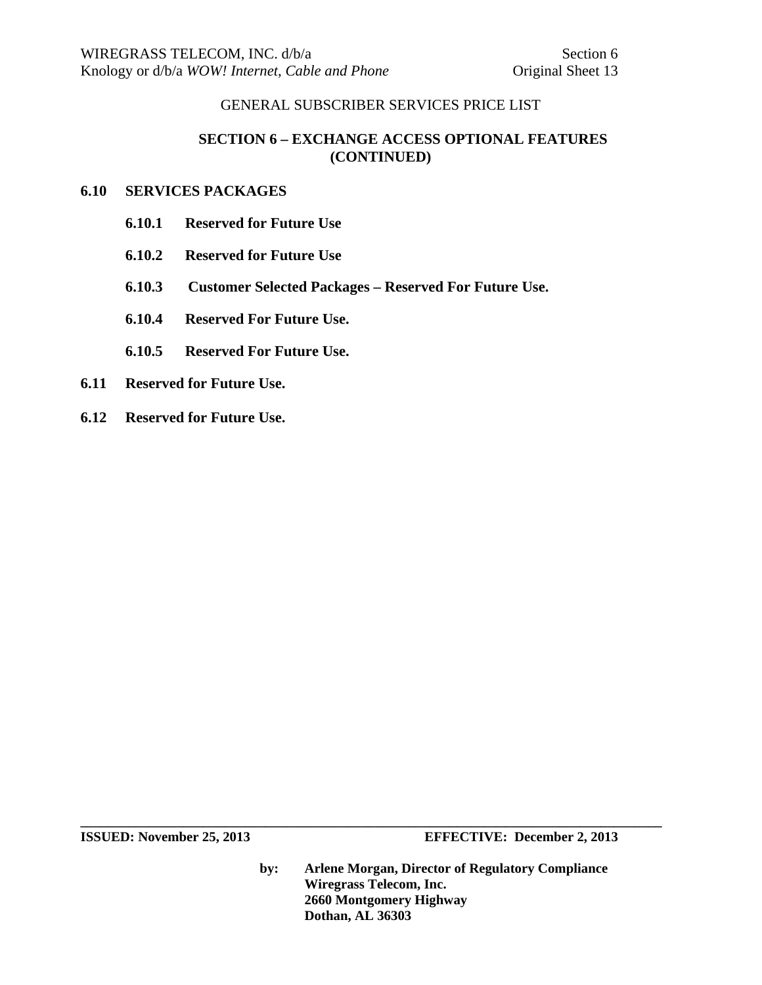# **SECTION 6 – EXCHANGE ACCESS OPTIONAL FEATURES (CONTINUED)**

#### **6.10 SERVICES PACKAGES**

- **6.10.1 Reserved for Future Use**
- **6.10.2 Reserved for Future Use**
- **6.10.3 Customer Selected Packages Reserved For Future Use.**
- **6.10.4 Reserved For Future Use.**
- **6.10.5 Reserved For Future Use.**
- **6.11 Reserved for Future Use.**
- **6.12 Reserved for Future Use.**

**by: Arlene Morgan, Director of Regulatory Compliance Wiregrass Telecom, Inc. 2660 Montgomery Highway Dothan, AL 36303**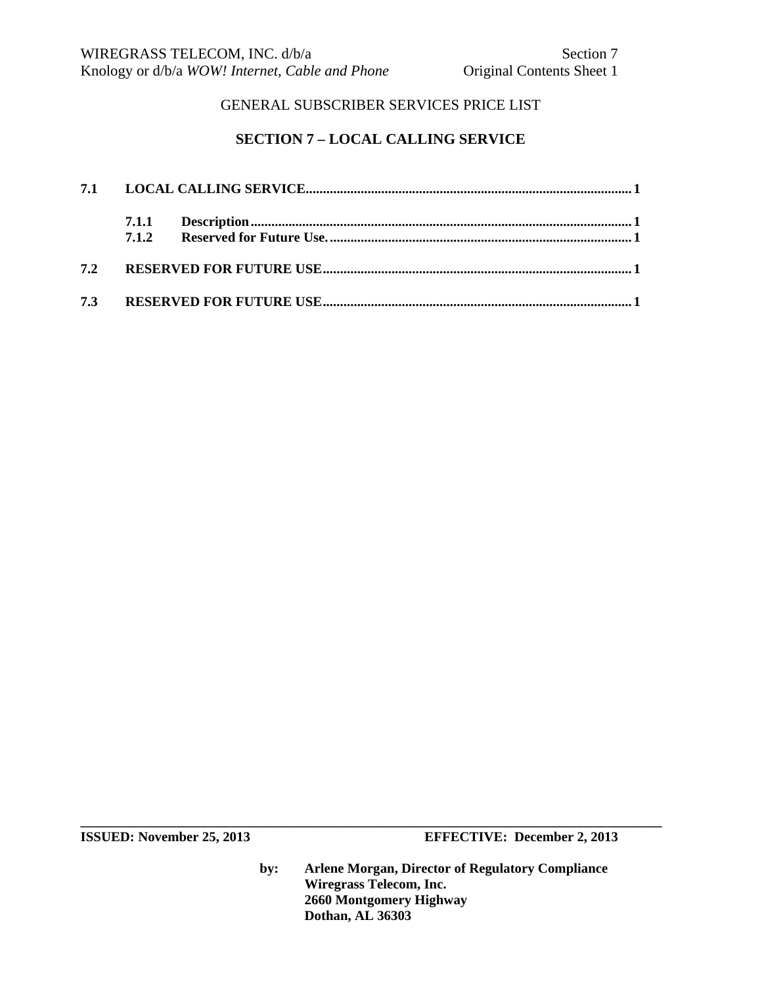# **SECTION 7 – LOCAL CALLING SERVICE**

**ISSUED:** November 25, 2013 **EFFECTIVE:** December 2, 2013

**by: Arlene Morgan, Director of Regulatory Compliance Wiregrass Telecom, Inc. 2660 Montgomery Highway Dothan, AL 36303**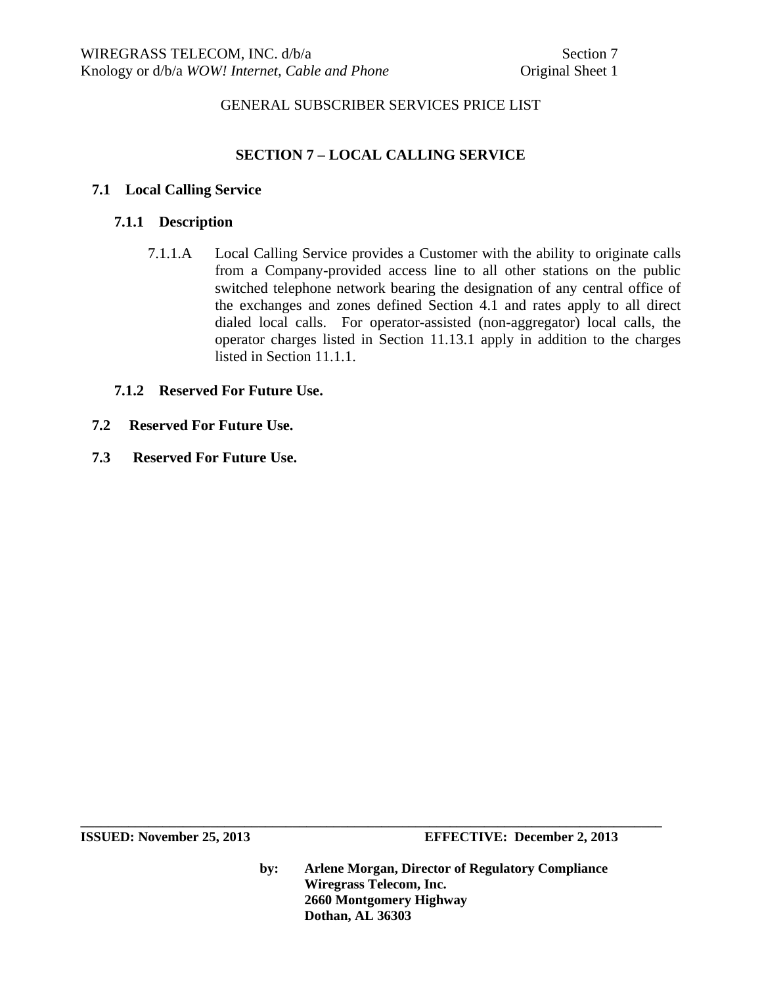# **SECTION 7 – LOCAL CALLING SERVICE**

#### **7.1 Local Calling Service**

#### **7.1.1 Description**

7.1.1.A Local Calling Service provides a Customer with the ability to originate calls from a Company-provided access line to all other stations on the public switched telephone network bearing the designation of any central office of the exchanges and zones defined Section 4.1 and rates apply to all direct dialed local calls. For operator-assisted (non-aggregator) local calls, the operator charges listed in Section 11.13.1 apply in addition to the charges listed in Section 11.1.1.

#### **7.1.2 Reserved For Future Use.**

- **7.2 Reserved For Future Use.**
- **7.3 Reserved For Future Use.**

**ISSUED:** November 25, 2013 **EFFECTIVE:** December 2, 2013

**by: Arlene Morgan, Director of Regulatory Compliance Wiregrass Telecom, Inc. 2660 Montgomery Highway Dothan, AL 36303**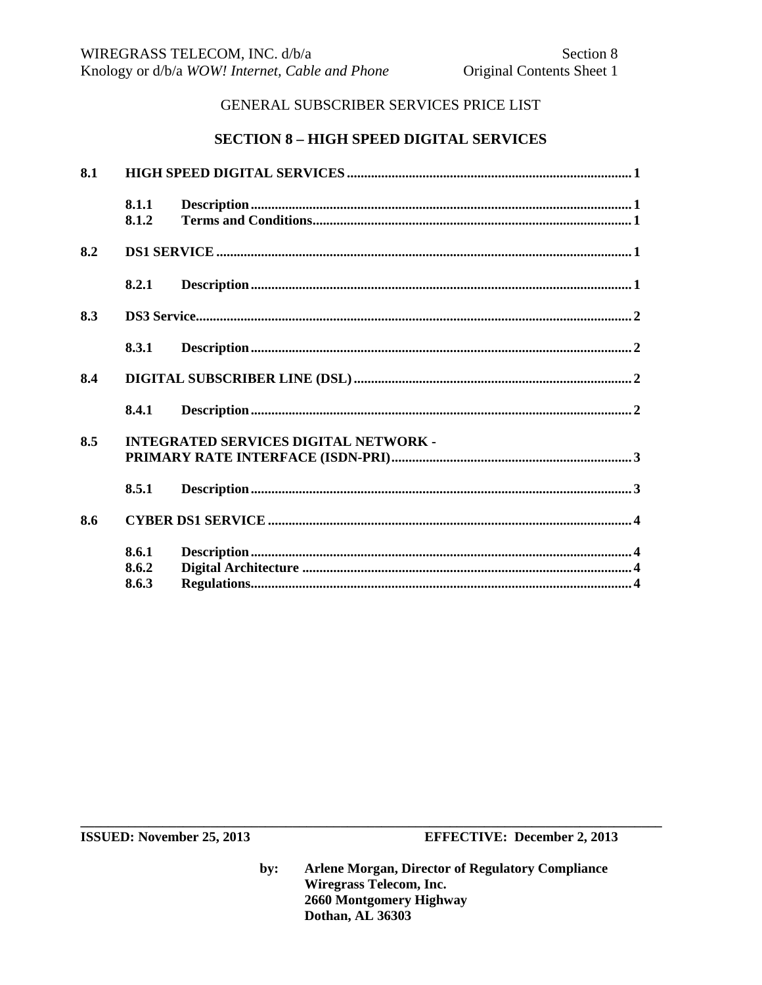## **SECTION 8 - HIGH SPEED DIGITAL SERVICES**

| 8.1 |                                              |                                                                                                                                                                                                                                                                                                                                                                                                  |  |  |
|-----|----------------------------------------------|--------------------------------------------------------------------------------------------------------------------------------------------------------------------------------------------------------------------------------------------------------------------------------------------------------------------------------------------------------------------------------------------------|--|--|
|     | 8.1.1<br>8.1.2                               |                                                                                                                                                                                                                                                                                                                                                                                                  |  |  |
| 8.2 |                                              |                                                                                                                                                                                                                                                                                                                                                                                                  |  |  |
|     | 8.2.1                                        | $\label{eq:1} \textbf{Description} \textbf{.} \textbf{} \textbf{} \textbf{} \textbf{} \textbf{} \textbf{} \textbf{} \textbf{} \textbf{} \textbf{} \textbf{} \textbf{} \textbf{} \textbf{} \textbf{} \textbf{} \textbf{} \textbf{} \textbf{} \textbf{} \textbf{} \textbf{} \textbf{} \textbf{} \textbf{} \textbf{} \textbf{} \textbf{} \textbf{} \textbf{} \textbf{} \textbf{} \textbf{} \textbf$ |  |  |
| 8.3 |                                              |                                                                                                                                                                                                                                                                                                                                                                                                  |  |  |
|     | 8.3.1                                        |                                                                                                                                                                                                                                                                                                                                                                                                  |  |  |
| 8.4 |                                              |                                                                                                                                                                                                                                                                                                                                                                                                  |  |  |
|     | 8.4.1                                        |                                                                                                                                                                                                                                                                                                                                                                                                  |  |  |
| 8.5 | <b>INTEGRATED SERVICES DIGITAL NETWORK -</b> |                                                                                                                                                                                                                                                                                                                                                                                                  |  |  |
|     | 8.5.1                                        |                                                                                                                                                                                                                                                                                                                                                                                                  |  |  |
| 8.6 |                                              |                                                                                                                                                                                                                                                                                                                                                                                                  |  |  |
|     | 8.6.1<br>8.6.2<br>8.6.3                      |                                                                                                                                                                                                                                                                                                                                                                                                  |  |  |

ISSUED: November 25, 2013

**EFFECTIVE: December 2, 2013**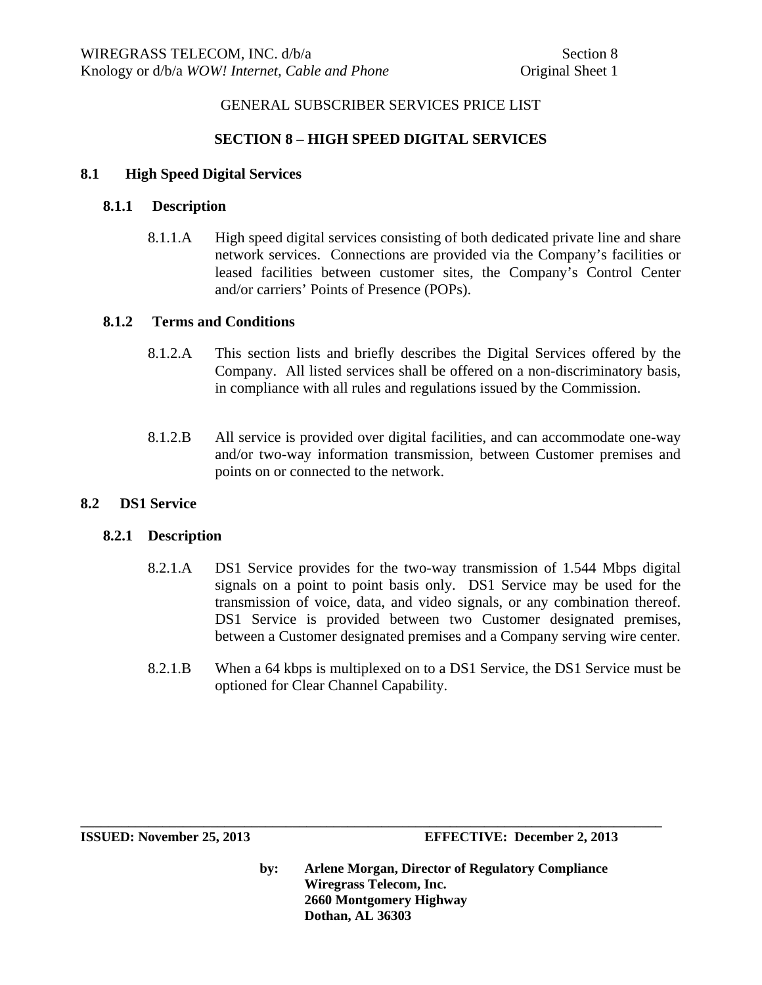# **SECTION 8 – HIGH SPEED DIGITAL SERVICES**

#### **8.1 High Speed Digital Services**

#### **8.1.1 Description**

8.1.1.A High speed digital services consisting of both dedicated private line and share network services. Connections are provided via the Company's facilities or leased facilities between customer sites, the Company's Control Center and/or carriers' Points of Presence (POPs).

#### **8.1.2 Terms and Conditions**

- 8.1.2.A This section lists and briefly describes the Digital Services offered by the Company. All listed services shall be offered on a non-discriminatory basis, in compliance with all rules and regulations issued by the Commission.
- 8.1.2.B All service is provided over digital facilities, and can accommodate one-way and/or two-way information transmission, between Customer premises and points on or connected to the network.

#### **8.2 DS1 Service**

#### **8.2.1 Description**

- 8.2.1.A DS1 Service provides for the two-way transmission of 1.544 Mbps digital signals on a point to point basis only. DS1 Service may be used for the transmission of voice, data, and video signals, or any combination thereof. DS1 Service is provided between two Customer designated premises, between a Customer designated premises and a Company serving wire center.
- 8.2.1.B When a 64 kbps is multiplexed on to a DS1 Service, the DS1 Service must be optioned for Clear Channel Capability.

**\_\_\_\_\_\_\_\_\_\_\_\_\_\_\_\_\_\_\_\_\_\_\_\_\_\_\_\_\_\_\_\_\_\_\_\_\_\_\_\_\_\_\_\_\_\_\_\_\_\_\_\_\_\_\_\_\_\_\_\_\_\_\_\_\_\_\_\_\_\_\_\_\_\_\_\_\_\_\_\_\_\_\_\_\_**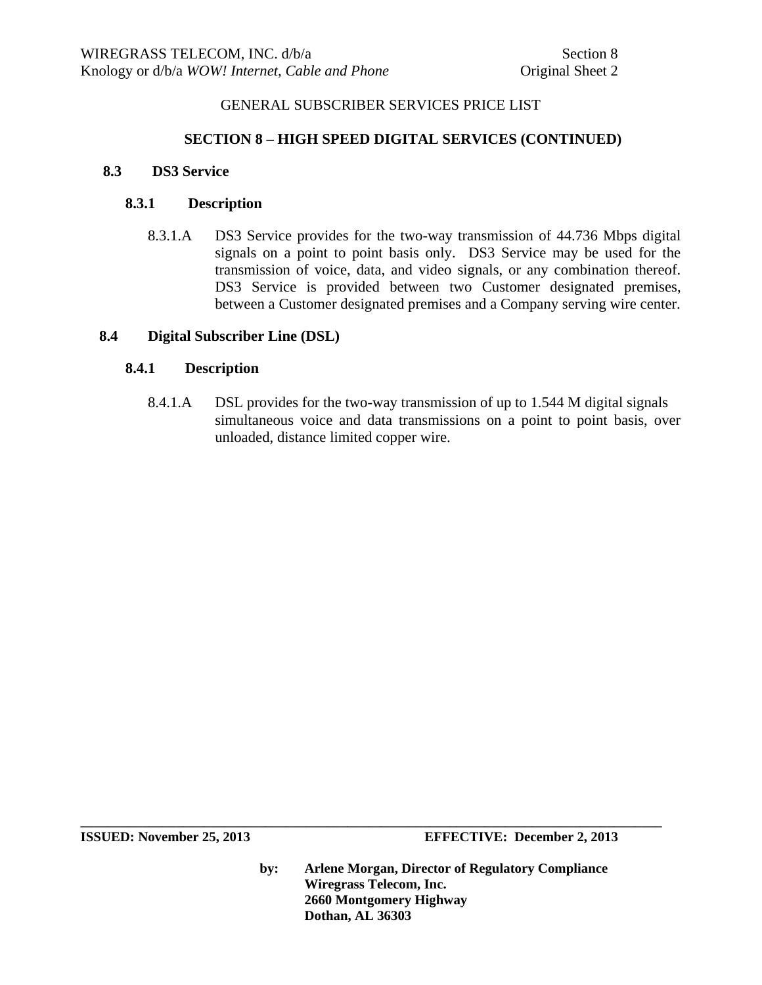## **SECTION 8 – HIGH SPEED DIGITAL SERVICES (CONTINUED)**

#### **8.3 DS3 Service**

#### **8.3.1 Description**

8.3.1.A DS3 Service provides for the two-way transmission of 44.736 Mbps digital signals on a point to point basis only. DS3 Service may be used for the transmission of voice, data, and video signals, or any combination thereof. DS3 Service is provided between two Customer designated premises, between a Customer designated premises and a Company serving wire center.

#### **8.4 Digital Subscriber Line (DSL)**

## **8.4.1 Description**

 8.4.1.A DSL provides for the two-way transmission of up to 1.544 M digital signals simultaneous voice and data transmissions on a point to point basis, over unloaded, distance limited copper wire.

**ISSUED: November 25, 2013 EFFECTIVE: December 2, 2013** 

**by: Arlene Morgan, Director of Regulatory Compliance Wiregrass Telecom, Inc. 2660 Montgomery Highway Dothan, AL 36303**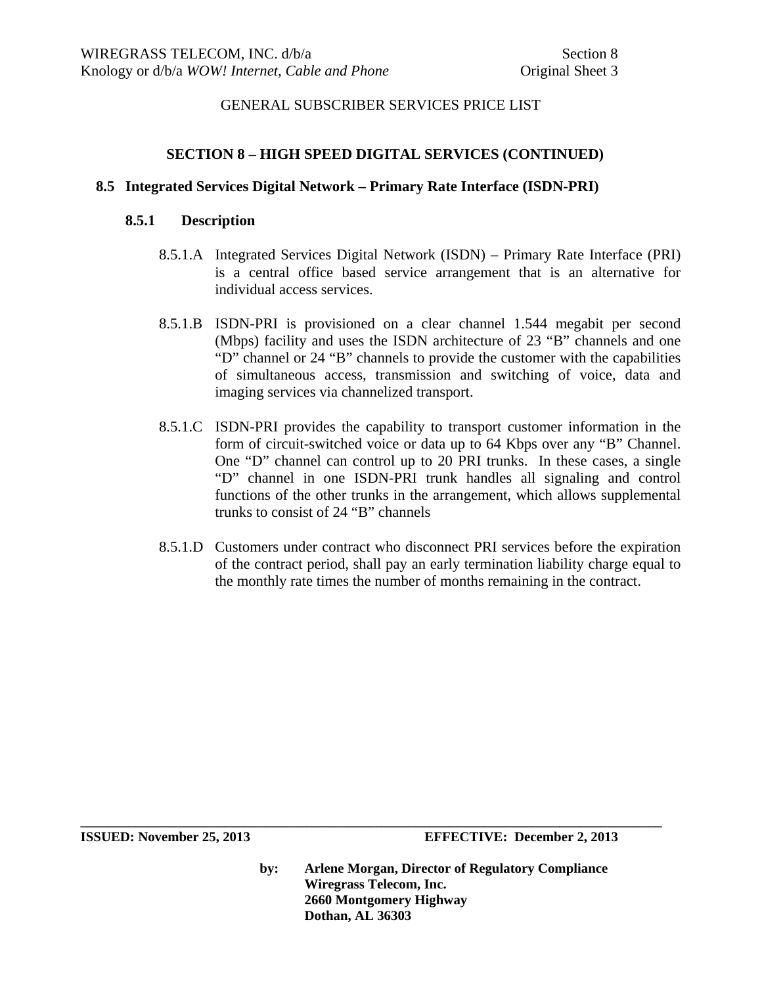#### **SECTION 8 – HIGH SPEED DIGITAL SERVICES (CONTINUED)**

#### **8.5 Integrated Services Digital Network – Primary Rate Interface (ISDN-PRI)**

#### **8.5.1 Description**

- 8.5.1.A Integrated Services Digital Network (ISDN) Primary Rate Interface (PRI) is a central office based service arrangement that is an alternative for individual access services.
- 8.5.1.B ISDN-PRI is provisioned on a clear channel 1.544 megabit per second (Mbps) facility and uses the ISDN architecture of 23 "B" channels and one "D" channel or 24 "B" channels to provide the customer with the capabilities of simultaneous access, transmission and switching of voice, data and imaging services via channelized transport.
- 8.5.1.C ISDN-PRI provides the capability to transport customer information in the form of circuit-switched voice or data up to 64 Kbps over any "B" Channel. One "D" channel can control up to 20 PRI trunks. In these cases, a single "D" channel in one ISDN-PRI trunk handles all signaling and control functions of the other trunks in the arrangement, which allows supplemental trunks to consist of 24 "B" channels
- 8.5.1.D Customers under contract who disconnect PRI services before the expiration of the contract period, shall pay an early termination liability charge equal to the monthly rate times the number of months remaining in the contract.

**by: Arlene Morgan, Director of Regulatory Compliance Wiregrass Telecom, Inc. 2660 Montgomery Highway Dothan, AL 36303**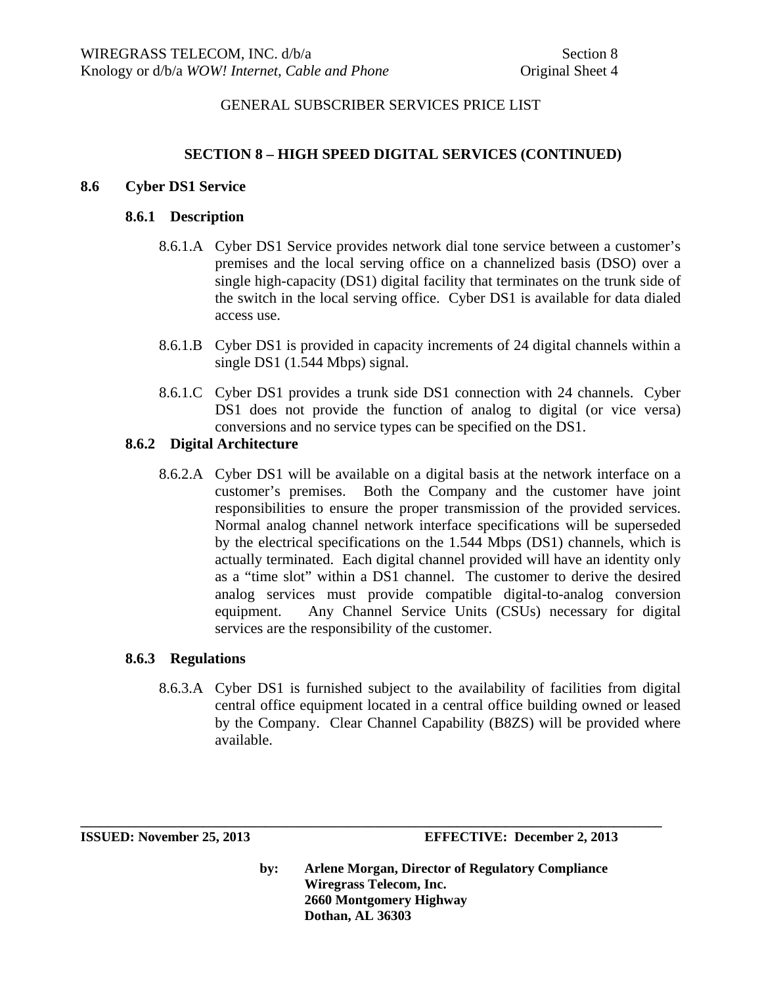## **SECTION 8 – HIGH SPEED DIGITAL SERVICES (CONTINUED)**

#### **8.6 Cyber DS1 Service**

#### **8.6.1 Description**

- 8.6.1.A Cyber DS1 Service provides network dial tone service between a customer's premises and the local serving office on a channelized basis (DSO) over a single high-capacity (DS1) digital facility that terminates on the trunk side of the switch in the local serving office. Cyber DS1 is available for data dialed access use.
- 8.6.1.B Cyber DS1 is provided in capacity increments of 24 digital channels within a single DS1 (1.544 Mbps) signal.
- 8.6.1.C Cyber DS1 provides a trunk side DS1 connection with 24 channels. Cyber DS1 does not provide the function of analog to digital (or vice versa) conversions and no service types can be specified on the DS1.

#### **8.6.2 Digital Architecture**

8.6.2.A Cyber DS1 will be available on a digital basis at the network interface on a customer's premises. Both the Company and the customer have joint responsibilities to ensure the proper transmission of the provided services. Normal analog channel network interface specifications will be superseded by the electrical specifications on the 1.544 Mbps (DS1) channels, which is actually terminated. Each digital channel provided will have an identity only as a "time slot" within a DS1 channel. The customer to derive the desired analog services must provide compatible digital-to-analog conversion equipment. Any Channel Service Units (CSUs) necessary for digital services are the responsibility of the customer.

#### **8.6.3 Regulations**

8.6.3.A Cyber DS1 is furnished subject to the availability of facilities from digital central office equipment located in a central office building owned or leased by the Company. Clear Channel Capability (B8ZS) will be provided where available.

**\_\_\_\_\_\_\_\_\_\_\_\_\_\_\_\_\_\_\_\_\_\_\_\_\_\_\_\_\_\_\_\_\_\_\_\_\_\_\_\_\_\_\_\_\_\_\_\_\_\_\_\_\_\_\_\_\_\_\_\_\_\_\_\_\_\_\_\_\_\_\_\_\_\_\_\_\_\_\_\_\_\_\_\_\_** 

**ISSUED: November 25, 2013 EFFECTIVE: December 2, 2013**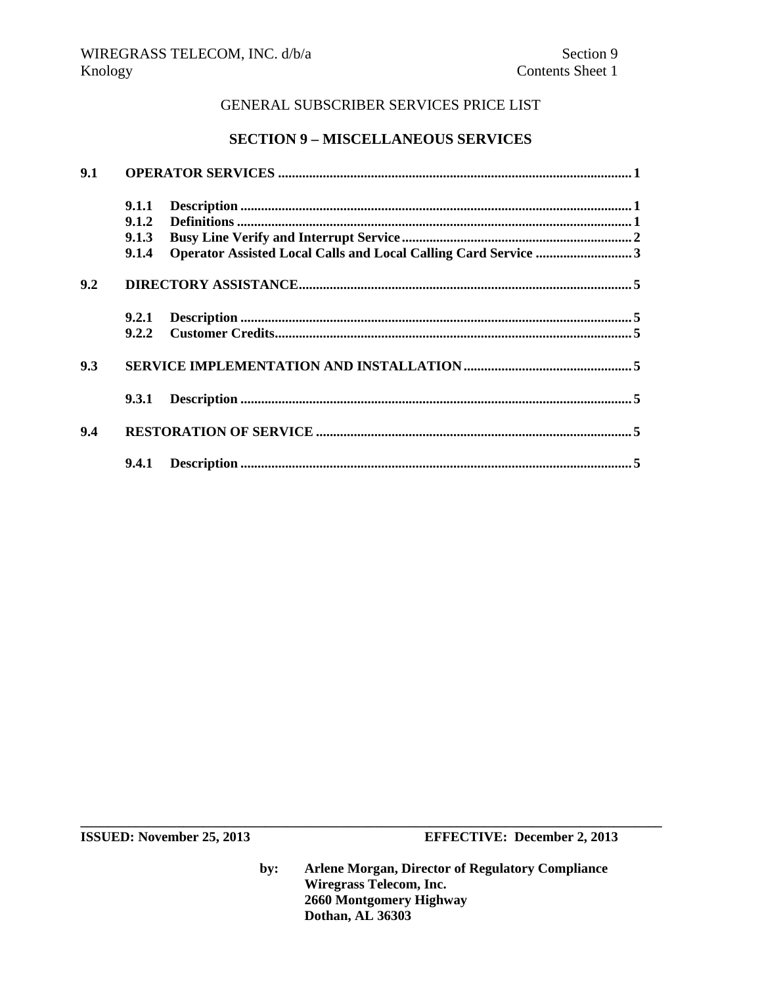# **SECTION 9 – MISCELLANEOUS SERVICES**

| 9.1 |       |  |  |  |  |
|-----|-------|--|--|--|--|
|     | 9.1.1 |  |  |  |  |
|     | 9.1.2 |  |  |  |  |
|     | 9.1.3 |  |  |  |  |
|     | 9.1.4 |  |  |  |  |
| 9.2 |       |  |  |  |  |
|     | 9.2.1 |  |  |  |  |
|     | 9.2.2 |  |  |  |  |
| 9.3 |       |  |  |  |  |
|     | 9.3.1 |  |  |  |  |
| 9.4 |       |  |  |  |  |
|     |       |  |  |  |  |

**ISSUED: November 25, 2013 EFFECTIVE: December 2, 2013** 

**by: Arlene Morgan, Director of Regulatory Compliance Wiregrass Telecom, Inc. 2660 Montgomery Highway Dothan, AL 36303**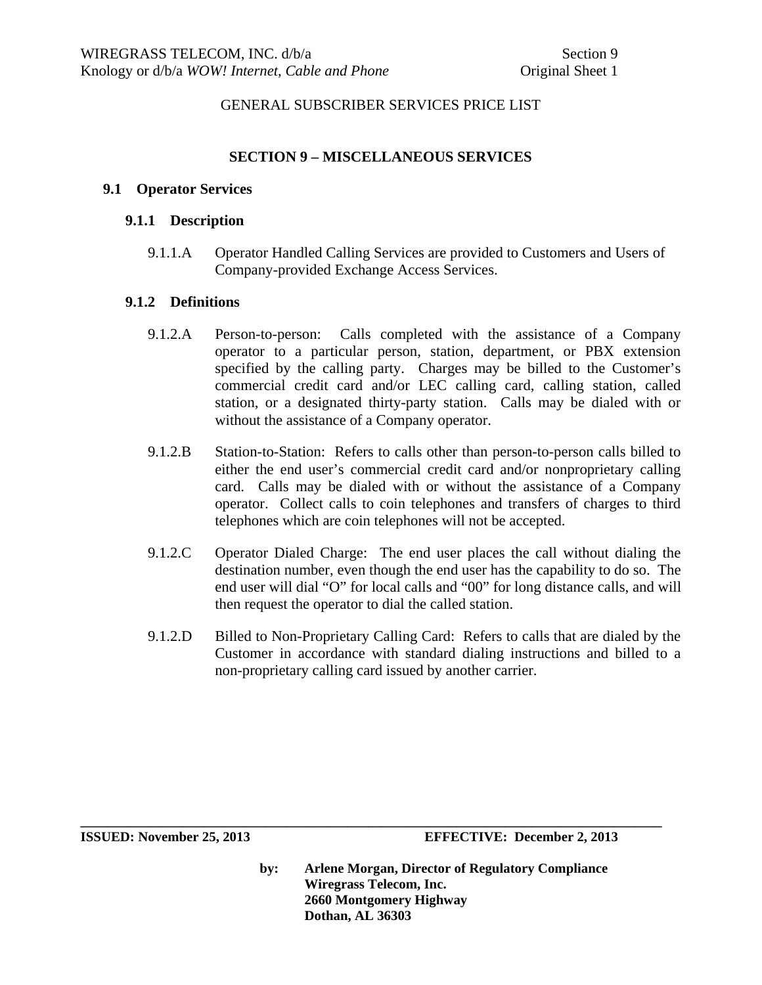#### **SECTION 9 – MISCELLANEOUS SERVICES**

#### **9.1 Operator Services**

#### **9.1.1 Description**

9.1.1.A Operator Handled Calling Services are provided to Customers and Users of Company-provided Exchange Access Services.

#### **9.1.2 Definitions**

- 9.1.2.A Person-to-person: Calls completed with the assistance of a Company operator to a particular person, station, department, or PBX extension specified by the calling party. Charges may be billed to the Customer's commercial credit card and/or LEC calling card, calling station, called station, or a designated thirty-party station. Calls may be dialed with or without the assistance of a Company operator.
- 9.1.2.B Station-to-Station: Refers to calls other than person-to-person calls billed to either the end user's commercial credit card and/or nonproprietary calling card. Calls may be dialed with or without the assistance of a Company operator. Collect calls to coin telephones and transfers of charges to third telephones which are coin telephones will not be accepted.
- 9.1.2.C Operator Dialed Charge: The end user places the call without dialing the destination number, even though the end user has the capability to do so. The end user will dial "O" for local calls and "00" for long distance calls, and will then request the operator to dial the called station.
- 9.1.2.D Billed to Non-Proprietary Calling Card: Refers to calls that are dialed by the Customer in accordance with standard dialing instructions and billed to a non-proprietary calling card issued by another carrier.

**by: Arlene Morgan, Director of Regulatory Compliance Wiregrass Telecom, Inc. 2660 Montgomery Highway Dothan, AL 36303** 

**ISSUED: November 25, 2013 EFFECTIVE: December 2, 2013**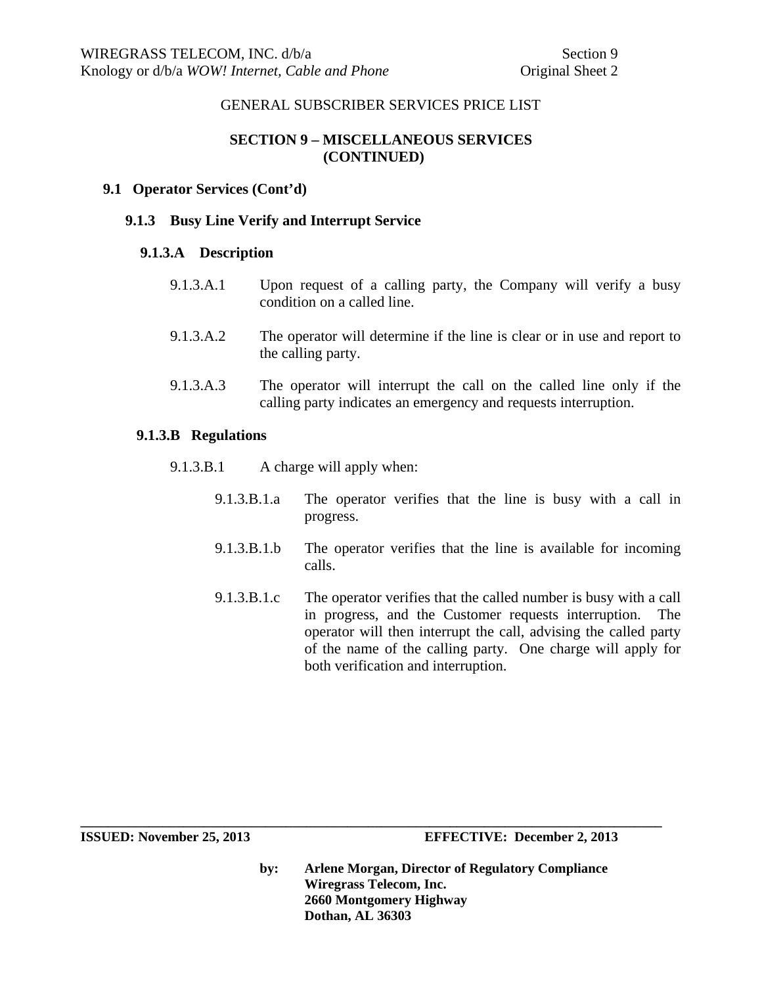# **SECTION 9 – MISCELLANEOUS SERVICES (CONTINUED)**

#### **9.1 Operator Services (Cont'd)**

#### **9.1.3 Busy Line Verify and Interrupt Service**

#### **9.1.3.A Description**

- 9.1.3.A.1 Upon request of a calling party, the Company will verify a busy condition on a called line.
- 9.1.3.A.2 The operator will determine if the line is clear or in use and report to the calling party.
- 9.1.3.A.3 The operator will interrupt the call on the called line only if the calling party indicates an emergency and requests interruption.

#### **9.1.3.B Regulations**

- 9.1.3.B.1 A charge will apply when:
	- 9.1.3.B.1.a The operator verifies that the line is busy with a call in progress.
	- 9.1.3.B.1.b The operator verifies that the line is available for incoming calls.
	- 9.1.3.B.1.c The operator verifies that the called number is busy with a call in progress, and the Customer requests interruption. The operator will then interrupt the call, advising the called party of the name of the calling party. One charge will apply for both verification and interruption.

**by: Arlene Morgan, Director of Regulatory Compliance Wiregrass Telecom, Inc. 2660 Montgomery Highway Dothan, AL 36303**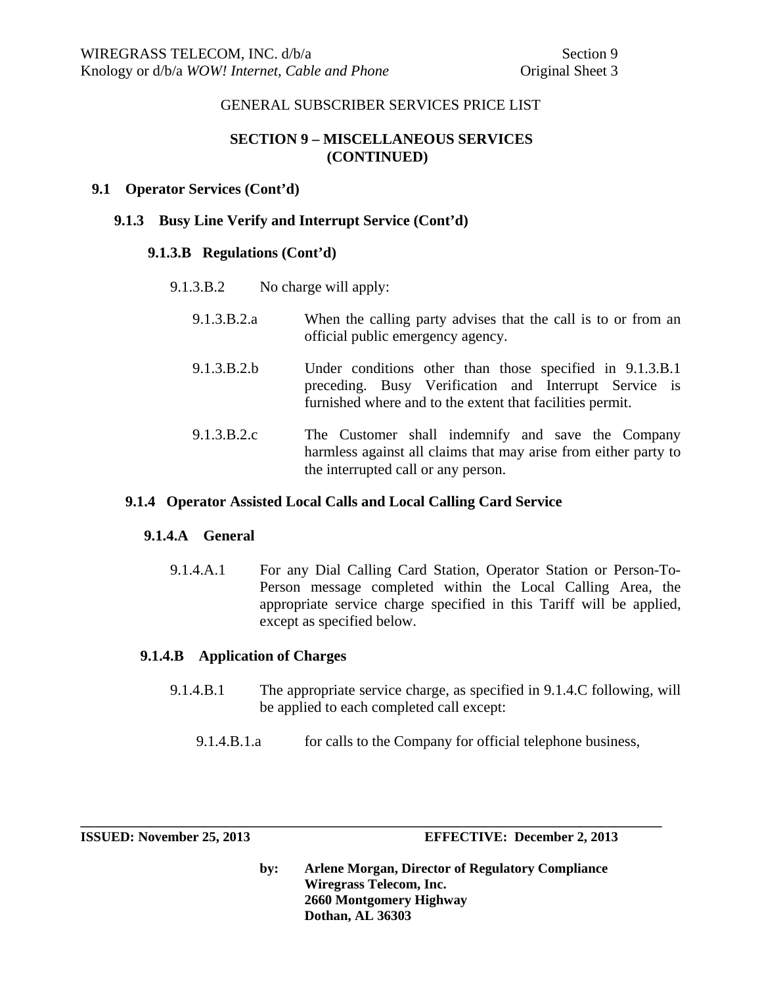# **SECTION 9 – MISCELLANEOUS SERVICES (CONTINUED)**

## **9.1 Operator Services (Cont'd)**

## **9.1.3 Busy Line Verify and Interrupt Service (Cont'd)**

## **9.1.3.B Regulations (Cont'd)**

| 9.1.3.B.2.a | When the calling party advises that the call is to or from an<br>official public emergency agency.                                                                             |  |
|-------------|--------------------------------------------------------------------------------------------------------------------------------------------------------------------------------|--|
| 9.1.3.B.2.b | Under conditions other than those specified in 9.1.3.B.1<br>preceding. Busy Verification and Interrupt Service is<br>furnished where and to the extent that facilities permit. |  |
| 9.1.3.B.2.c | The Customer shall indemnify and save the Company<br>harmless against all claims that may arise from either party to<br>the interrupted call or any person.                    |  |

## **9.1.4 Operator Assisted Local Calls and Local Calling Card Service**

#### **9.1.4.A General**

9.1.4.A.1 For any Dial Calling Card Station, Operator Station or Person-To-Person message completed within the Local Calling Area, the appropriate service charge specified in this Tariff will be applied, except as specified below.

#### **9.1.4.B Application of Charges**

- 9.1.4.B.1 The appropriate service charge, as specified in 9.1.4.C following, will be applied to each completed call except:
	- 9.1.4.B.1.a for calls to the Company for official telephone business,

**\_\_\_\_\_\_\_\_\_\_\_\_\_\_\_\_\_\_\_\_\_\_\_\_\_\_\_\_\_\_\_\_\_\_\_\_\_\_\_\_\_\_\_\_\_\_\_\_\_\_\_\_\_\_\_\_\_\_\_\_\_\_\_\_\_\_\_\_\_\_\_\_\_\_\_\_\_\_\_\_\_\_\_\_\_** 

**ISSUED: November 25, 2013 EFFECTIVE: December 2, 2013**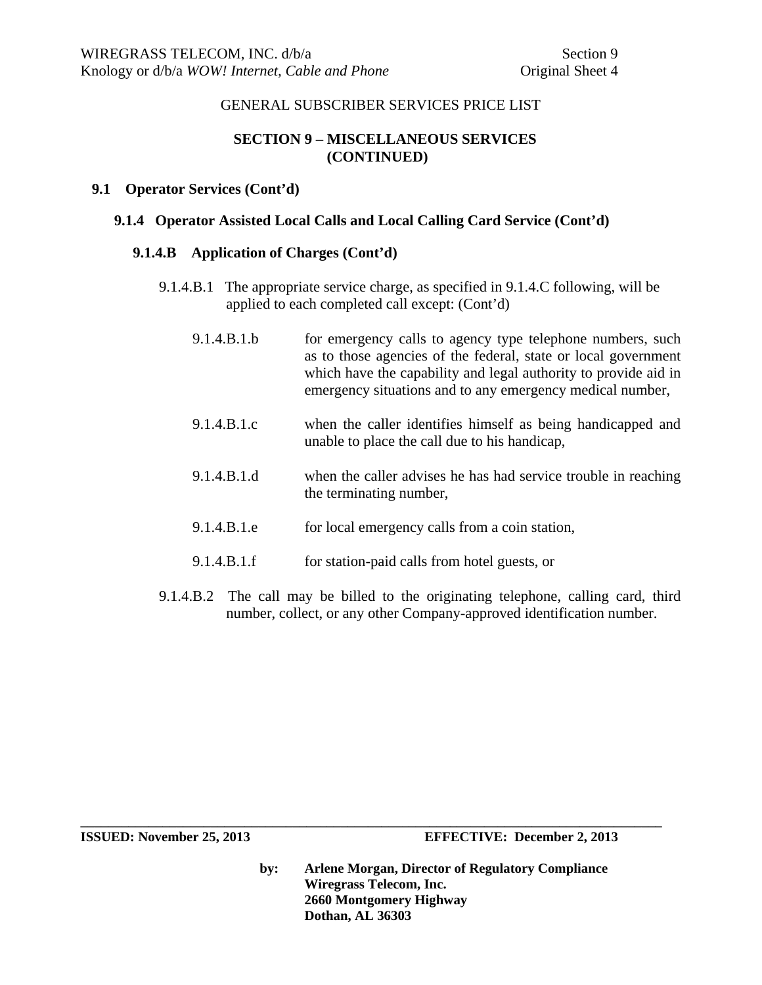## **SECTION 9 – MISCELLANEOUS SERVICES (CONTINUED)**

#### **9.1 Operator Services (Cont'd)**

#### **9.1.4 Operator Assisted Local Calls and Local Calling Card Service (Cont'd)**

#### **9.1.4.B Application of Charges (Cont'd)**

- 9.1.4.B.1 The appropriate service charge, as specified in 9.1.4.C following, will be applied to each completed call except: (Cont'd)
	- 9.1.4.B.1.b for emergency calls to agency type telephone numbers, such as to those agencies of the federal, state or local government which have the capability and legal authority to provide aid in emergency situations and to any emergency medical number,
	- 9.1.4.B.1.c when the caller identifies himself as being handicapped and unable to place the call due to his handicap,
	- 9.1.4.B.1.d when the caller advises he has had service trouble in reaching the terminating number,
	- 9.1.4.B.1.e for local emergency calls from a coin station,
	- 9.1.4.B.1.f for station-paid calls from hotel guests, or

**\_\_\_\_\_\_\_\_\_\_\_\_\_\_\_\_\_\_\_\_\_\_\_\_\_\_\_\_\_\_\_\_\_\_\_\_\_\_\_\_\_\_\_\_\_\_\_\_\_\_\_\_\_\_\_\_\_\_\_\_\_\_\_\_\_\_\_\_\_\_\_\_\_\_\_\_\_\_\_\_\_\_\_\_\_** 

9.1.4.B.2 The call may be billed to the originating telephone, calling card, third number, collect, or any other Company-approved identification number.

**ISSUED: November 25, 2013 EFFECTIVE: December 2, 2013**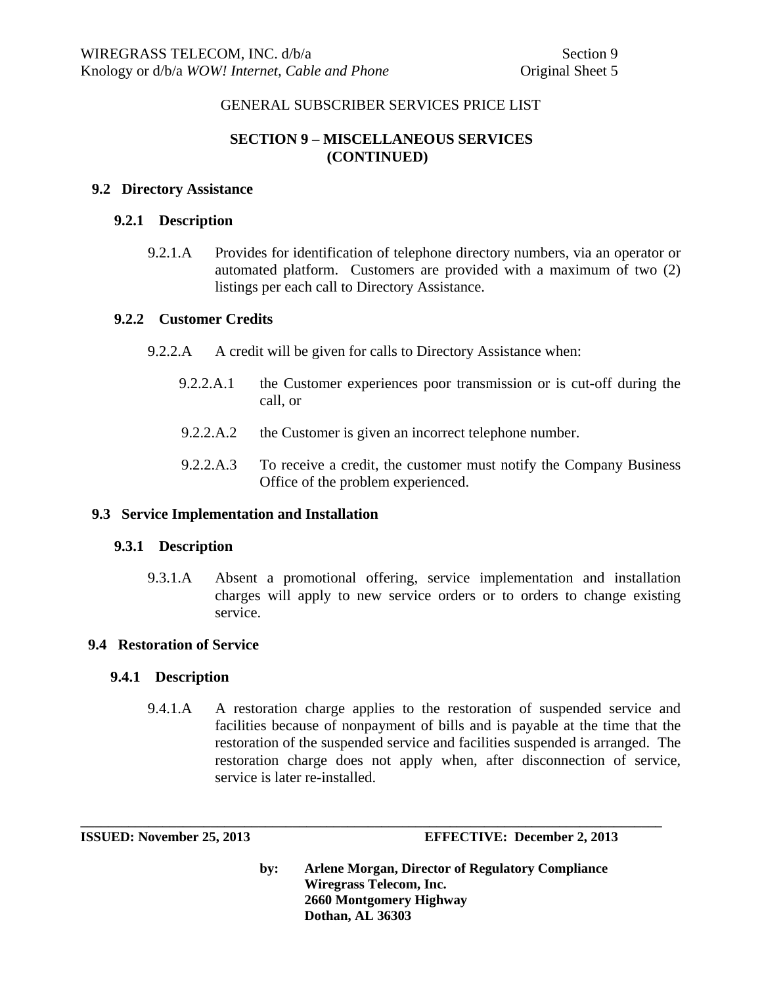# **SECTION 9 – MISCELLANEOUS SERVICES (CONTINUED)**

## **9.2 Directory Assistance**

#### **9.2.1 Description**

9.2.1.A Provides for identification of telephone directory numbers, via an operator or automated platform. Customers are provided with a maximum of two (2) listings per each call to Directory Assistance.

#### **9.2.2 Customer Credits**

- 9.2.2.A A credit will be given for calls to Directory Assistance when:
	- 9.2.2.A.1 the Customer experiences poor transmission or is cut-off during the call, or
	- 9.2.2.A.2 the Customer is given an incorrect telephone number.
	- 9.2.2.A.3 To receive a credit, the customer must notify the Company Business Office of the problem experienced.

## **9.3 Service Implementation and Installation**

## **9.3.1 Description**

9.3.1.A Absent a promotional offering, service implementation and installation charges will apply to new service orders or to orders to change existing service.

## **9.4 Restoration of Service**

## **9.4.1 Description**

9.4.1.A A restoration charge applies to the restoration of suspended service and facilities because of nonpayment of bills and is payable at the time that the restoration of the suspended service and facilities suspended is arranged. The restoration charge does not apply when, after disconnection of service, service is later re-installed.

**\_\_\_\_\_\_\_\_\_\_\_\_\_\_\_\_\_\_\_\_\_\_\_\_\_\_\_\_\_\_\_\_\_\_\_\_\_\_\_\_\_\_\_\_\_\_\_\_\_\_\_\_\_\_\_\_\_\_\_\_\_\_\_\_\_\_\_\_\_\_\_\_\_\_\_\_\_\_\_\_\_\_\_\_\_** 

**ISSUED: November 25, 2013 EFFECTIVE: December 2, 2013**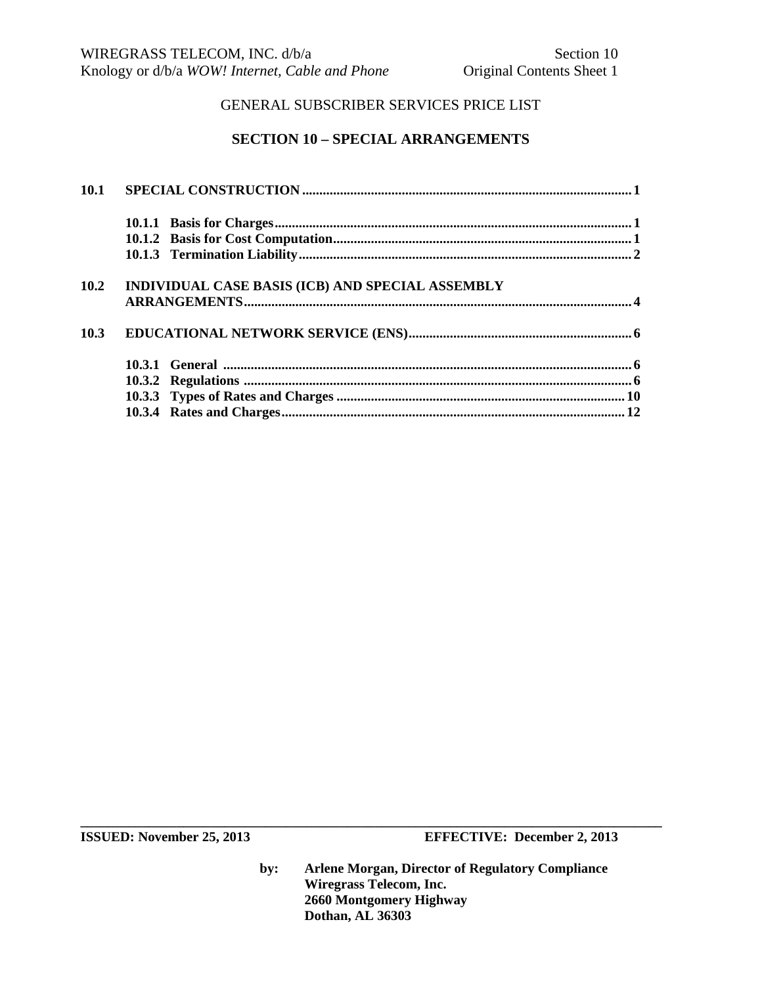# **SECTION 10 – SPECIAL ARRANGEMENTS**

| 10.2 | INDIVIDUAL CASE BASIS (ICB) AND SPECIAL ASSEMBLY |
|------|--------------------------------------------------|
|      |                                                  |
| 10.3 |                                                  |
|      |                                                  |
|      |                                                  |
|      |                                                  |
|      |                                                  |

**ISSUED:** November 25, 2013 **EFFECTIVE:** December 2, 2013

**by: Arlene Morgan, Director of Regulatory Compliance Wiregrass Telecom, Inc. 2660 Montgomery Highway Dothan, AL 36303**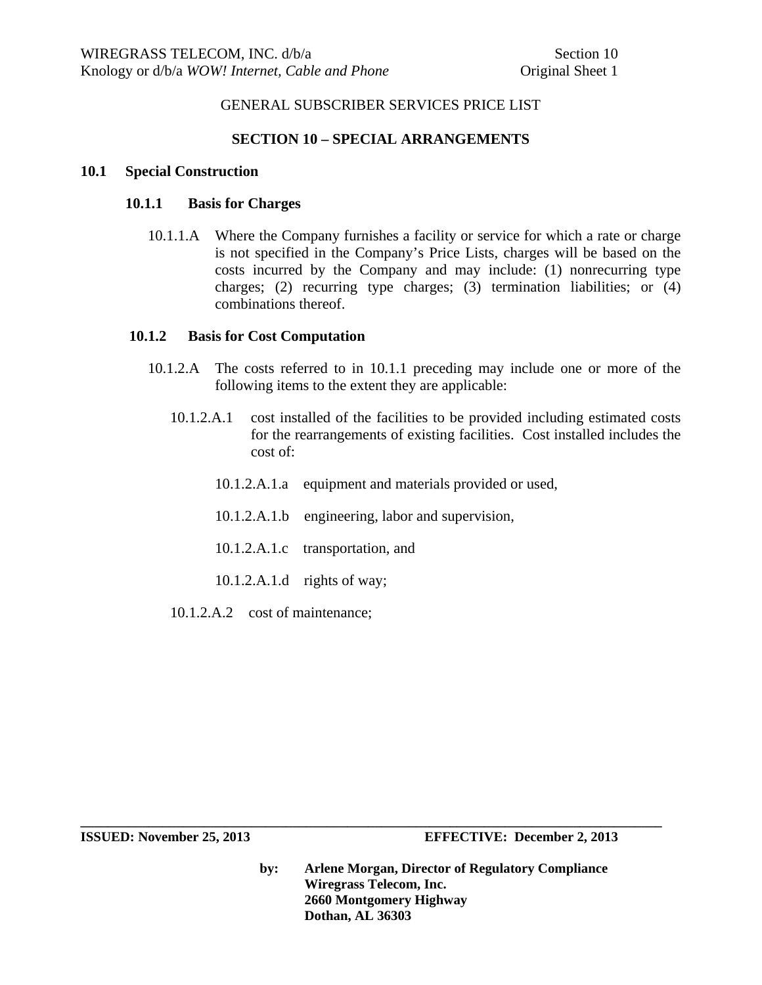## **SECTION 10 – SPECIAL ARRANGEMENTS**

#### **10.1 Special Construction**

## **10.1.1 Basis for Charges**

10.1.1.A Where the Company furnishes a facility or service for which a rate or charge is not specified in the Company's Price Lists, charges will be based on the costs incurred by the Company and may include: (1) nonrecurring type charges; (2) recurring type charges; (3) termination liabilities; or (4) combinations thereof.

#### **10.1.2 Basis for Cost Computation**

- 10.1.2.A The costs referred to in 10.1.1 preceding may include one or more of the following items to the extent they are applicable:
	- 10.1.2.A.1 cost installed of the facilities to be provided including estimated costs for the rearrangements of existing facilities. Cost installed includes the cost of:
		- 10.1.2.A.1.a equipment and materials provided or used,
		- 10.1.2.A.1.b engineering, labor and supervision,

**\_\_\_\_\_\_\_\_\_\_\_\_\_\_\_\_\_\_\_\_\_\_\_\_\_\_\_\_\_\_\_\_\_\_\_\_\_\_\_\_\_\_\_\_\_\_\_\_\_\_\_\_\_\_\_\_\_\_\_\_\_\_\_\_\_\_\_\_\_\_\_\_\_\_\_\_\_\_\_\_\_\_\_\_\_** 

- 10.1.2.A.1.c transportation, and
- 10.1.2.A.1.d rights of way;
- 10.1.2.A.2 cost of maintenance;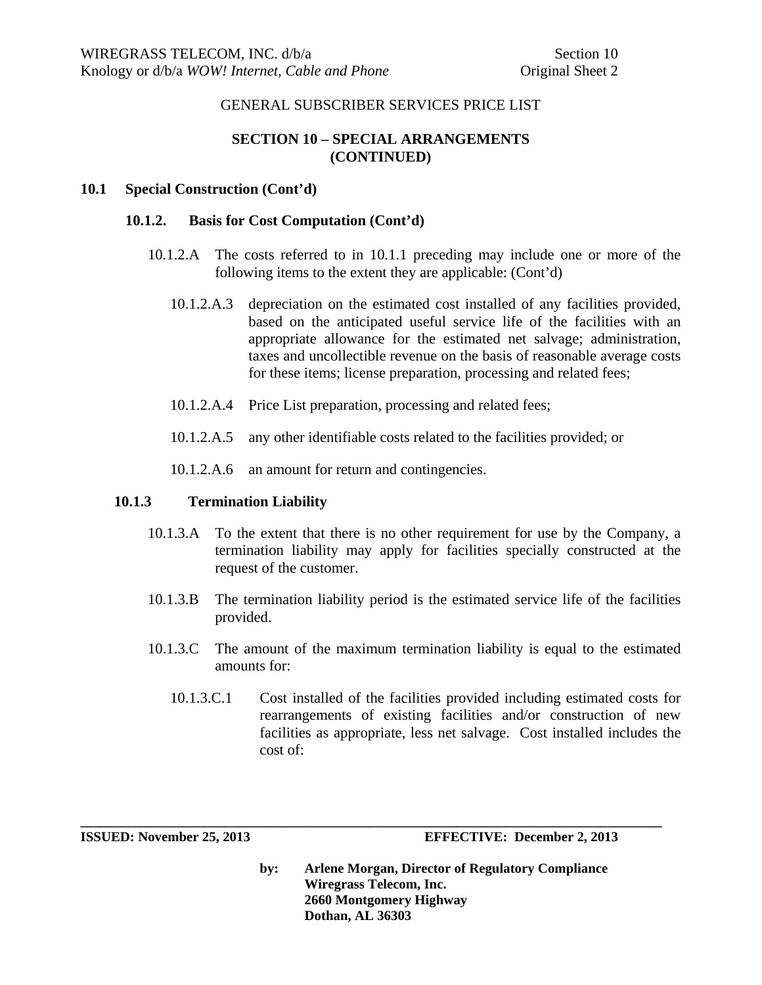# **SECTION 10 – SPECIAL ARRANGEMENTS (CONTINUED)**

## **10.1 Special Construction (Cont'd)**

#### **10.1.2. Basis for Cost Computation (Cont'd)**

- 10.1.2.A The costs referred to in 10.1.1 preceding may include one or more of the following items to the extent they are applicable: (Cont'd)
	- 10.1.2.A.3 depreciation on the estimated cost installed of any facilities provided, based on the anticipated useful service life of the facilities with an appropriate allowance for the estimated net salvage; administration, taxes and uncollectible revenue on the basis of reasonable average costs for these items; license preparation, processing and related fees;
	- 10.1.2.A.4 Price List preparation, processing and related fees;
	- 10.1.2.A.5 any other identifiable costs related to the facilities provided; or
	- 10.1.2.A.6 an amount for return and contingencies.

#### **10.1.3 Termination Liability**

- 10.1.3.A To the extent that there is no other requirement for use by the Company, a termination liability may apply for facilities specially constructed at the request of the customer.
- 10.1.3.B The termination liability period is the estimated service life of the facilities provided.
- 10.1.3.C The amount of the maximum termination liability is equal to the estimated amounts for:
	- 10.1.3.C.1 Cost installed of the facilities provided including estimated costs for rearrangements of existing facilities and/or construction of new facilities as appropriate, less net salvage. Cost installed includes the cost of:

**\_\_\_\_\_\_\_\_\_\_\_\_\_\_\_\_\_\_\_\_\_\_\_\_\_\_\_\_\_\_\_\_\_\_\_\_\_\_\_\_\_\_\_\_\_\_\_\_\_\_\_\_\_\_\_\_\_\_\_\_\_\_\_\_\_\_\_\_\_\_\_\_\_\_\_\_\_\_\_\_\_\_\_\_\_** 

**ISSUED: November 25, 2013 EFFECTIVE: December 2, 2013**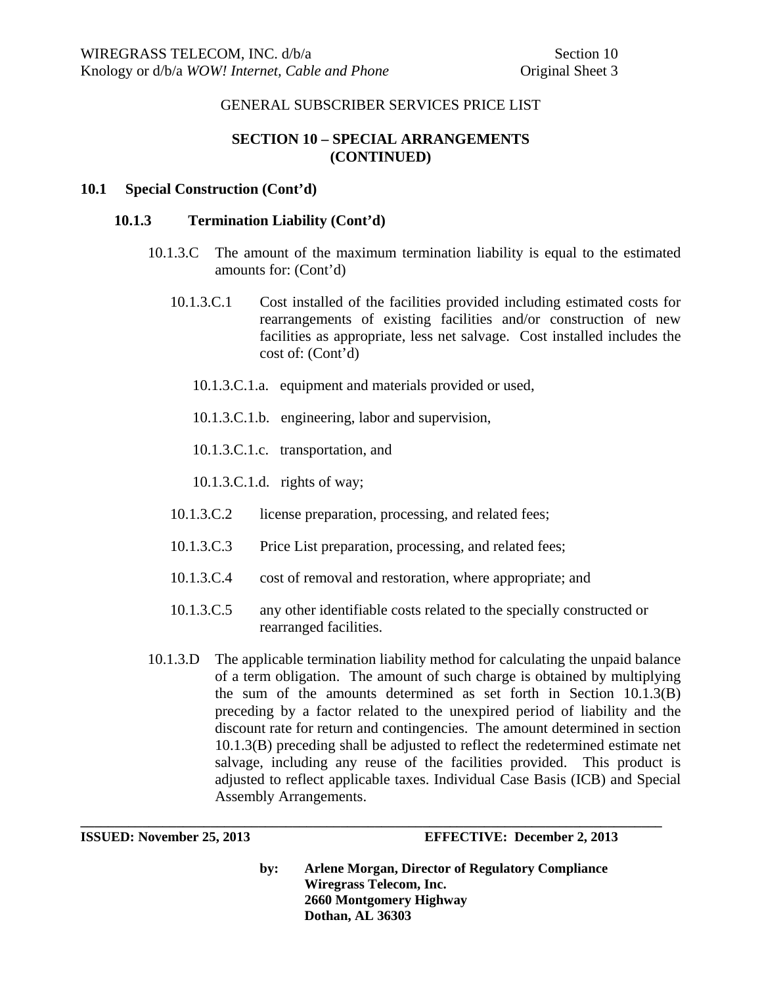# **SECTION 10 – SPECIAL ARRANGEMENTS (CONTINUED)**

## **10.1 Special Construction (Cont'd)**

#### **10.1.3 Termination Liability (Cont'd)**

- 10.1.3.C The amount of the maximum termination liability is equal to the estimated amounts for: (Cont'd)
	- 10.1.3.C.1 Cost installed of the facilities provided including estimated costs for rearrangements of existing facilities and/or construction of new facilities as appropriate, less net salvage. Cost installed includes the cost of: (Cont'd)
		- 10.1.3.C.1.a. equipment and materials provided or used,
		- 10.1.3.C.1.b. engineering, labor and supervision,
		- 10.1.3.C.1.c. transportation, and

10.1.3.C.1.d. rights of way;

- 10.1.3.C.2 license preparation, processing, and related fees;
- 10.1.3.C.3 Price List preparation, processing, and related fees;

**\_\_\_\_\_\_\_\_\_\_\_\_\_\_\_\_\_\_\_\_\_\_\_\_\_\_\_\_\_\_\_\_\_\_\_\_\_\_\_\_\_\_\_\_\_\_\_\_\_\_\_\_\_\_\_\_\_\_\_\_\_\_\_\_\_\_\_\_\_\_\_\_\_\_\_\_\_\_\_\_\_\_\_\_\_** 

- 10.1.3.C.4 cost of removal and restoration, where appropriate; and
- 10.1.3.C.5 any other identifiable costs related to the specially constructed or rearranged facilities.
- 10.1.3.D The applicable termination liability method for calculating the unpaid balance of a term obligation. The amount of such charge is obtained by multiplying the sum of the amounts determined as set forth in Section 10.1.3(B) preceding by a factor related to the unexpired period of liability and the discount rate for return and contingencies. The amount determined in section 10.1.3(B) preceding shall be adjusted to reflect the redetermined estimate net salvage, including any reuse of the facilities provided. This product is adjusted to reflect applicable taxes. Individual Case Basis (ICB) and Special Assembly Arrangements.

**ISSUED: November 25, 2013 EFFECTIVE: December 2, 2013**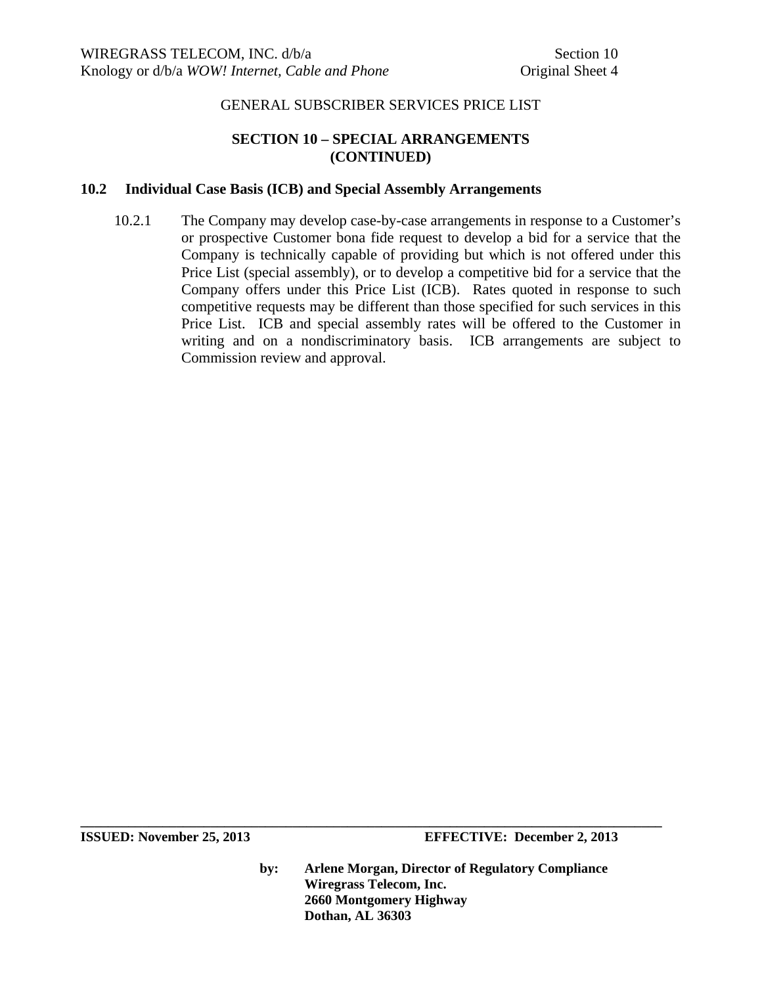## **SECTION 10 – SPECIAL ARRANGEMENTS (CONTINUED)**

#### **10.2 Individual Case Basis (ICB) and Special Assembly Arrangements**

10.2.1 The Company may develop case-by-case arrangements in response to a Customer's or prospective Customer bona fide request to develop a bid for a service that the Company is technically capable of providing but which is not offered under this Price List (special assembly), or to develop a competitive bid for a service that the Company offers under this Price List (ICB). Rates quoted in response to such competitive requests may be different than those specified for such services in this Price List. ICB and special assembly rates will be offered to the Customer in writing and on a nondiscriminatory basis. ICB arrangements are subject to Commission review and approval.

**ISSUED:** November 25, 2013 **EFFECTIVE:** December 2, 2013

**by: Arlene Morgan, Director of Regulatory Compliance Wiregrass Telecom, Inc. 2660 Montgomery Highway Dothan, AL 36303**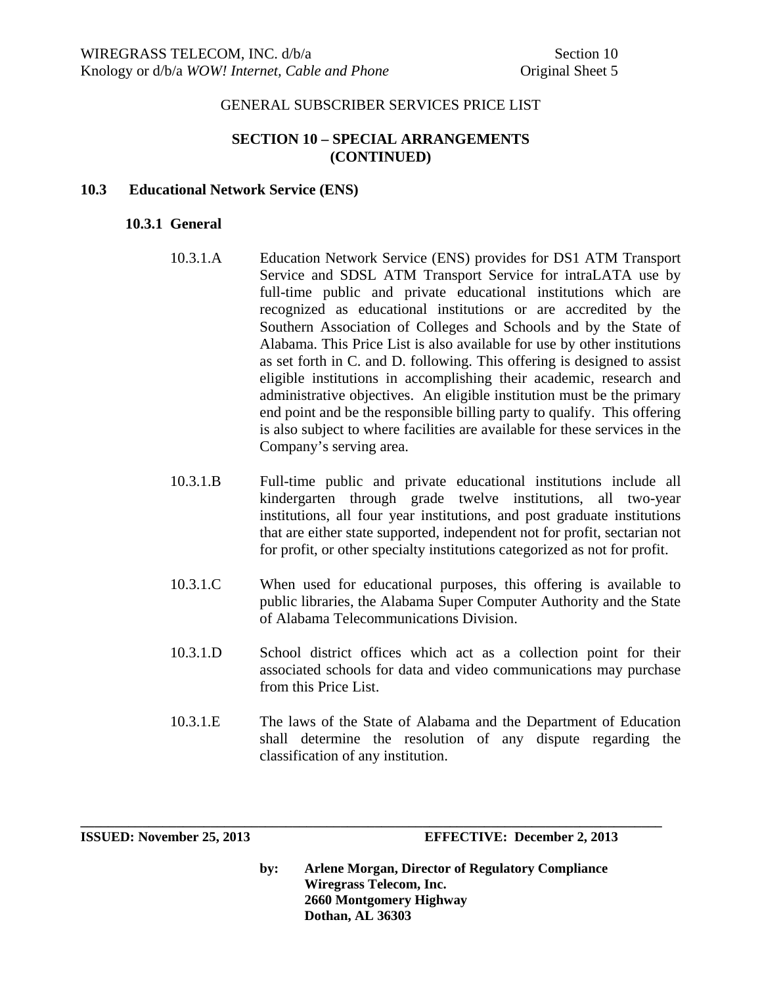## **SECTION 10 – SPECIAL ARRANGEMENTS (CONTINUED)**

#### **10.3 Educational Network Service (ENS)**

#### **10.3.1 General**

- 10.3.1.A Education Network Service (ENS) provides for DS1 ATM Transport Service and SDSL ATM Transport Service for intraLATA use by full-time public and private educational institutions which are recognized as educational institutions or are accredited by the Southern Association of Colleges and Schools and by the State of Alabama. This Price List is also available for use by other institutions as set forth in C. and D. following. This offering is designed to assist eligible institutions in accomplishing their academic, research and administrative objectives. An eligible institution must be the primary end point and be the responsible billing party to qualify. This offering is also subject to where facilities are available for these services in the Company's serving area.
- 10.3.1.B Full-time public and private educational institutions include all kindergarten through grade twelve institutions, all two-year institutions, all four year institutions, and post graduate institutions that are either state supported, independent not for profit, sectarian not for profit, or other specialty institutions categorized as not for profit.
- 10.3.1.C When used for educational purposes, this offering is available to public libraries, the Alabama Super Computer Authority and the State of Alabama Telecommunications Division.
- 10.3.1.D School district offices which act as a collection point for their associated schools for data and video communications may purchase from this Price List.
- 10.3.1.E The laws of the State of Alabama and the Department of Education shall determine the resolution of any dispute regarding the classification of any institution.

**\_\_\_\_\_\_\_\_\_\_\_\_\_\_\_\_\_\_\_\_\_\_\_\_\_\_\_\_\_\_\_\_\_\_\_\_\_\_\_\_\_\_\_\_\_\_\_\_\_\_\_\_\_\_\_\_\_\_\_\_\_\_\_\_\_\_\_\_\_\_\_\_\_\_\_\_\_\_\_\_\_\_\_\_\_** 

**ISSUED: November 25, 2013 EFFECTIVE: December 2, 2013**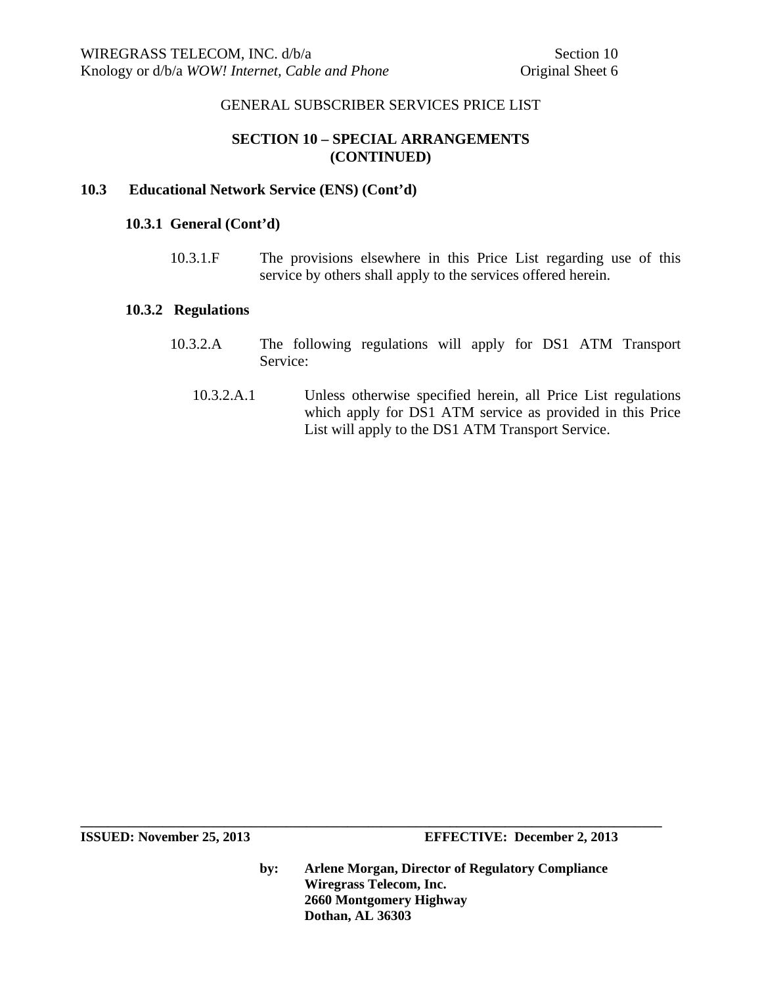## **SECTION 10 – SPECIAL ARRANGEMENTS (CONTINUED)**

#### **10.3 Educational Network Service (ENS) (Cont'd)**

#### **10.3.1 General (Cont'd)**

10.3.1.F The provisions elsewhere in this Price List regarding use of this service by others shall apply to the services offered herein.

#### **10.3.2 Regulations**

- 10.3.2.A The following regulations will apply for DS1 ATM Transport Service:
	- 10.3.2.A.1 Unless otherwise specified herein, all Price List regulations which apply for DS1 ATM service as provided in this Price List will apply to the DS1 ATM Transport Service.

**by: Arlene Morgan, Director of Regulatory Compliance Wiregrass Telecom, Inc. 2660 Montgomery Highway Dothan, AL 36303**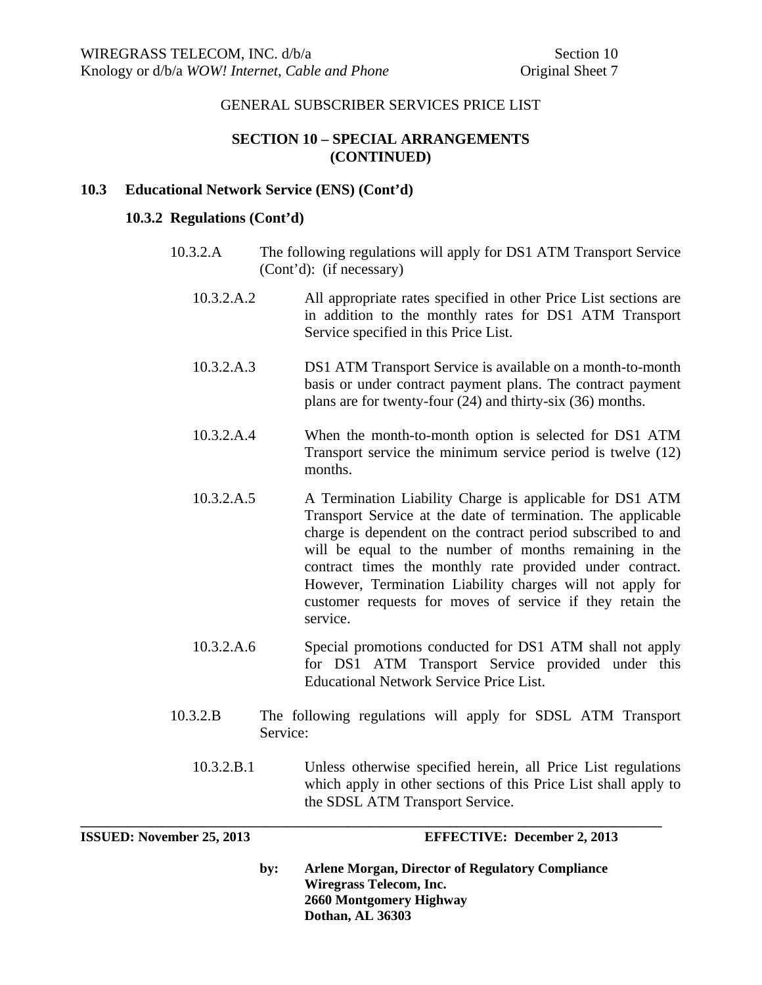## **SECTION 10 – SPECIAL ARRANGEMENTS (CONTINUED)**

#### **10.3 Educational Network Service (ENS) (Cont'd)**

#### **10.3.2 Regulations (Cont'd)**

- 10.3.2.A The following regulations will apply for DS1 ATM Transport Service (Cont'd): (if necessary)
	- 10.3.2.A.2 All appropriate rates specified in other Price List sections are in addition to the monthly rates for DS1 ATM Transport Service specified in this Price List.
	- 10.3.2.A.3 DS1 ATM Transport Service is available on a month-to-month basis or under contract payment plans. The contract payment plans are for twenty-four (24) and thirty-six (36) months.
	- 10.3.2.A.4 When the month-to-month option is selected for DS1 ATM Transport service the minimum service period is twelve (12) months.
	- 10.3.2.A.5 A Termination Liability Charge is applicable for DS1 ATM Transport Service at the date of termination. The applicable charge is dependent on the contract period subscribed to and will be equal to the number of months remaining in the contract times the monthly rate provided under contract. However, Termination Liability charges will not apply for customer requests for moves of service if they retain the service.
	- 10.3.2.A.6 Special promotions conducted for DS1 ATM shall not apply for DS1 ATM Transport Service provided under this Educational Network Service Price List.
- 10.3.2.B The following regulations will apply for SDSL ATM Transport Service:
	- 10.3.2.B.1 Unless otherwise specified herein, all Price List regulations which apply in other sections of this Price List shall apply to the SDSL ATM Transport Service.

**\_\_\_\_\_\_\_\_\_\_\_\_\_\_\_\_\_\_\_\_\_\_\_\_\_\_\_\_\_\_\_\_\_\_\_\_\_\_\_\_\_\_\_\_\_\_\_\_\_\_\_\_\_\_\_\_\_\_\_\_\_\_\_\_\_\_\_\_\_\_\_\_\_\_\_\_\_\_\_\_\_\_\_\_\_** 

**ISSUED: November 25, 2013 EFFECTIVE: December 2, 2013**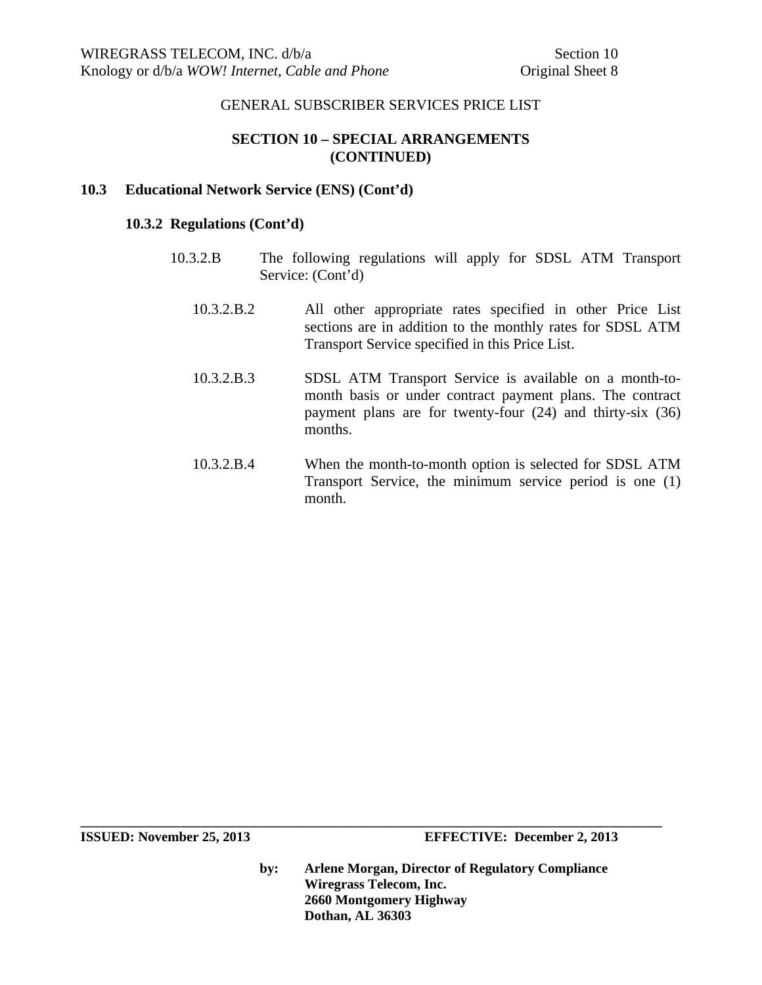## **SECTION 10 – SPECIAL ARRANGEMENTS (CONTINUED)**

#### **10.3 Educational Network Service (ENS) (Cont'd)**

#### **10.3.2 Regulations (Cont'd)**

- 10.3.2.B The following regulations will apply for SDSL ATM Transport Service: (Cont'd)
	- 10.3.2.B.2 All other appropriate rates specified in other Price List sections are in addition to the monthly rates for SDSL ATM Transport Service specified in this Price List.
	- 10.3.2.B.3 SDSL ATM Transport Service is available on a month-tomonth basis or under contract payment plans. The contract payment plans are for twenty-four (24) and thirty-six (36) months.
	- 10.3.2.B.4 When the month-to-month option is selected for SDSL ATM Transport Service, the minimum service period is one (1) month.

**ISSUED:** November 25, 2013 **EFFECTIVE:** December 2, 2013

**by: Arlene Morgan, Director of Regulatory Compliance Wiregrass Telecom, Inc. 2660 Montgomery Highway Dothan, AL 36303**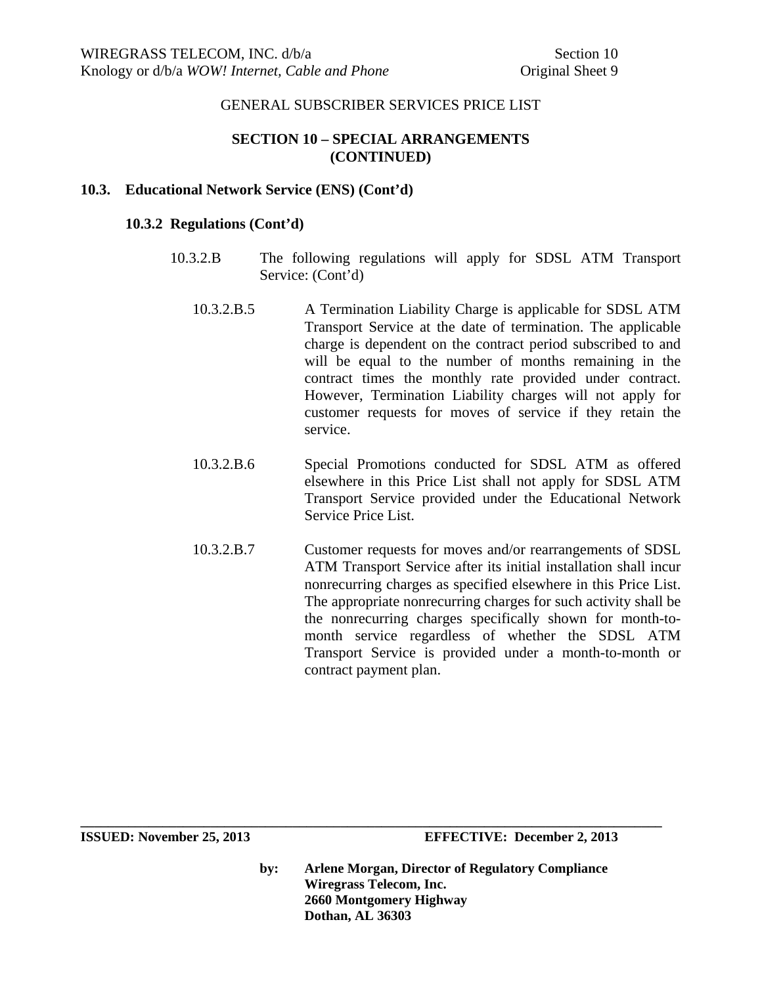## **SECTION 10 – SPECIAL ARRANGEMENTS (CONTINUED)**

#### **10.3. Educational Network Service (ENS) (Cont'd)**

#### **10.3.2 Regulations (Cont'd)**

- 10.3.2.B The following regulations will apply for SDSL ATM Transport Service: (Cont'd)
	- 10.3.2.B.5 A Termination Liability Charge is applicable for SDSL ATM Transport Service at the date of termination. The applicable charge is dependent on the contract period subscribed to and will be equal to the number of months remaining in the contract times the monthly rate provided under contract. However, Termination Liability charges will not apply for customer requests for moves of service if they retain the service.
	- 10.3.2.B.6 Special Promotions conducted for SDSL ATM as offered elsewhere in this Price List shall not apply for SDSL ATM Transport Service provided under the Educational Network Service Price List.
	- 10.3.2.B.7 Customer requests for moves and/or rearrangements of SDSL ATM Transport Service after its initial installation shall incur nonrecurring charges as specified elsewhere in this Price List. The appropriate nonrecurring charges for such activity shall be the nonrecurring charges specifically shown for month-tomonth service regardless of whether the SDSL ATM Transport Service is provided under a month-to-month or contract payment plan.

**ISSUED: November 25, 2013 EFFECTIVE: December 2, 2013** 

**by: Arlene Morgan, Director of Regulatory Compliance Wiregrass Telecom, Inc. 2660 Montgomery Highway Dothan, AL 36303**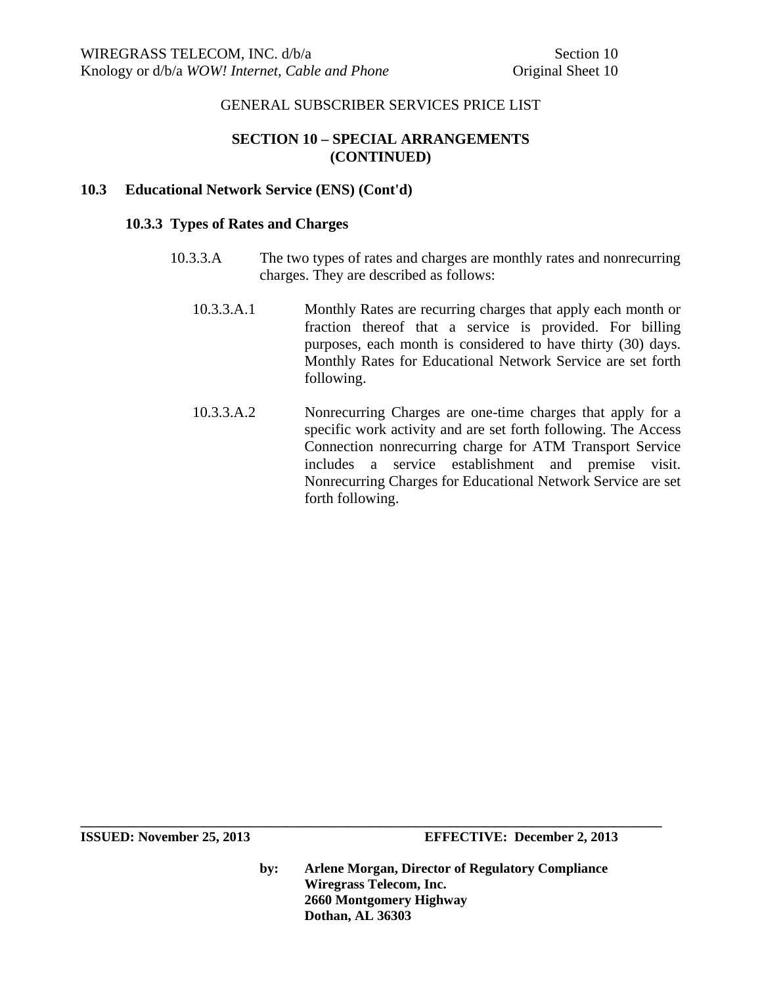# **SECTION 10 – SPECIAL ARRANGEMENTS (CONTINUED)**

## **10.3 Educational Network Service (ENS) (Cont'd)**

## **10.3.3 Types of Rates and Charges**

- 10.3.3.A The two types of rates and charges are monthly rates and nonrecurring charges. They are described as follows:
	- 10.3.3.A.1 Monthly Rates are recurring charges that apply each month or fraction thereof that a service is provided. For billing purposes, each month is considered to have thirty (30) days. Monthly Rates for Educational Network Service are set forth following.
	- 10.3.3.A.2 Nonrecurring Charges are one-time charges that apply for a specific work activity and are set forth following. The Access Connection nonrecurring charge for ATM Transport Service includes a service establishment and premise visit. Nonrecurring Charges for Educational Network Service are set forth following.

**ISSUED: November 25, 2013 EFFECTIVE: December 2, 2013** 

**by: Arlene Morgan, Director of Regulatory Compliance Wiregrass Telecom, Inc. 2660 Montgomery Highway Dothan, AL 36303**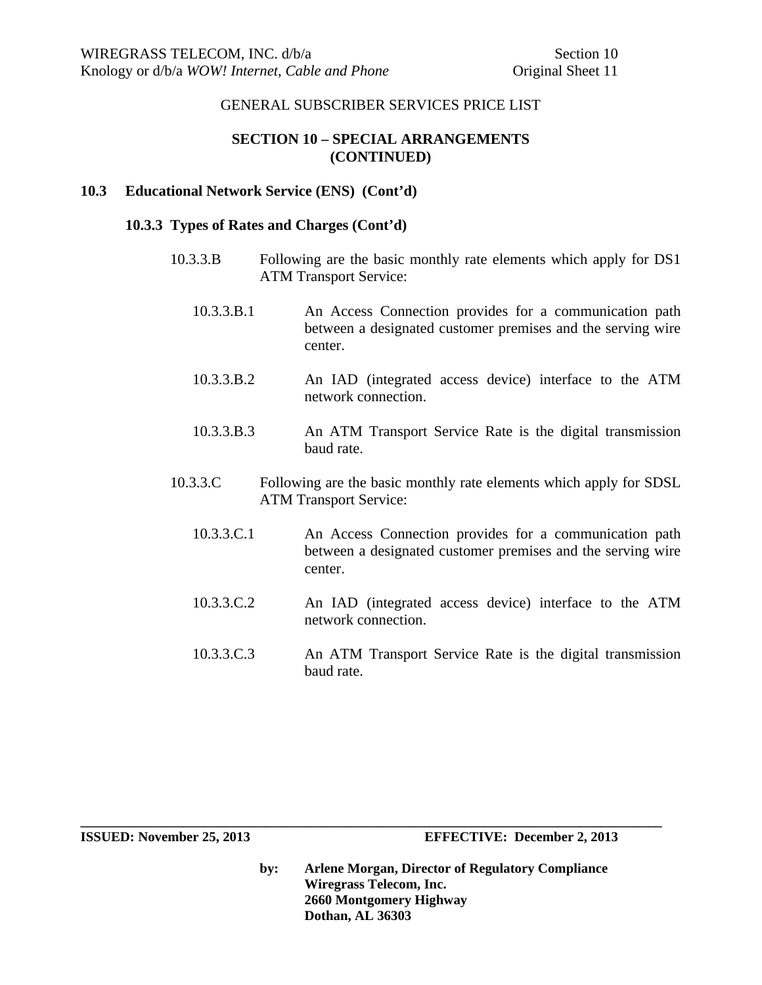## **SECTION 10 – SPECIAL ARRANGEMENTS (CONTINUED)**

## **10.3 Educational Network Service (ENS) (Cont'd)**

#### **10.3.3 Types of Rates and Charges (Cont'd)**

- 10.3.3.B Following are the basic monthly rate elements which apply for DS1 ATM Transport Service:
	- 10.3.3.B.1 An Access Connection provides for a communication path between a designated customer premises and the serving wire center.
	- 10.3.3.B.2 An IAD (integrated access device) interface to the ATM network connection.
	- 10.3.3.B.3 An ATM Transport Service Rate is the digital transmission baud rate.
- 10.3.3.C Following are the basic monthly rate elements which apply for SDSL ATM Transport Service:
	- 10.3.3.C.1 An Access Connection provides for a communication path between a designated customer premises and the serving wire center.
	- 10.3.3.C.2 An IAD (integrated access device) interface to the ATM network connection.
	- 10.3.3.C.3 An ATM Transport Service Rate is the digital transmission baud rate.

**\_\_\_\_\_\_\_\_\_\_\_\_\_\_\_\_\_\_\_\_\_\_\_\_\_\_\_\_\_\_\_\_\_\_\_\_\_\_\_\_\_\_\_\_\_\_\_\_\_\_\_\_\_\_\_\_\_\_\_\_\_\_\_\_\_\_\_\_\_\_\_\_\_\_\_\_\_\_\_\_\_\_\_\_\_**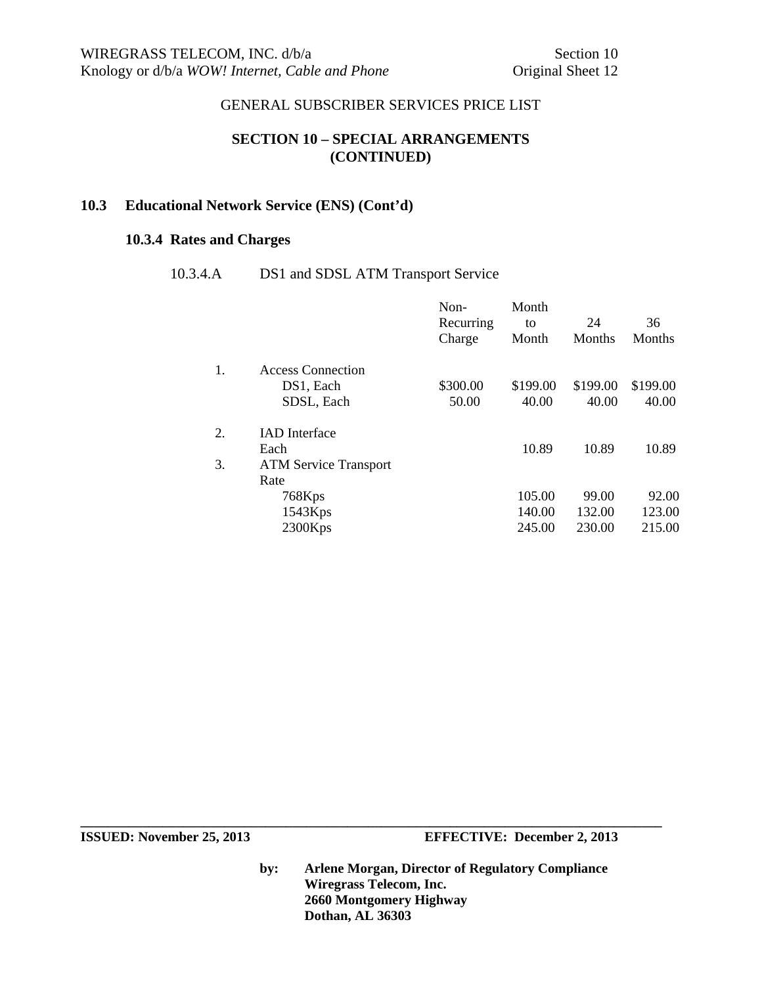# **SECTION 10 – SPECIAL ARRANGEMENTS (CONTINUED)**

## **10.3 Educational Network Service (ENS) (Cont'd)**

# **10.3.4 Rates and Charges**

## 10.3.4.A DS1 and SDSL ATM Transport Service

|    |                              | Non-<br>Recurring<br>Charge | Month<br>to<br>Month | 24<br>Months | 36<br>Months |
|----|------------------------------|-----------------------------|----------------------|--------------|--------------|
| 1. | <b>Access Connection</b>     |                             |                      |              |              |
|    | DS1, Each                    | \$300.00                    | \$199.00             | \$199.00     | \$199.00     |
|    | SDSL, Each                   | 50.00                       | 40.00                | 40.00        | 40.00        |
| 2. | <b>IAD</b> Interface         |                             |                      |              |              |
|    | Each                         |                             | 10.89                | 10.89        | 10.89        |
| 3. | <b>ATM Service Transport</b> |                             |                      |              |              |
|    | Rate                         |                             |                      |              |              |
|    | 768Kps                       |                             | 105.00               | 99.00        | 92.00        |
|    | 1543Kps                      |                             | 140.00               | 132.00       | 123.00       |
|    | 2300Kps                      |                             | 245.00               | 230.00       | 215.00       |

**ISSUED:** November 25, 2013 **EFFECTIVE:** December 2, 2013

**by: Arlene Morgan, Director of Regulatory Compliance Wiregrass Telecom, Inc. 2660 Montgomery Highway Dothan, AL 36303**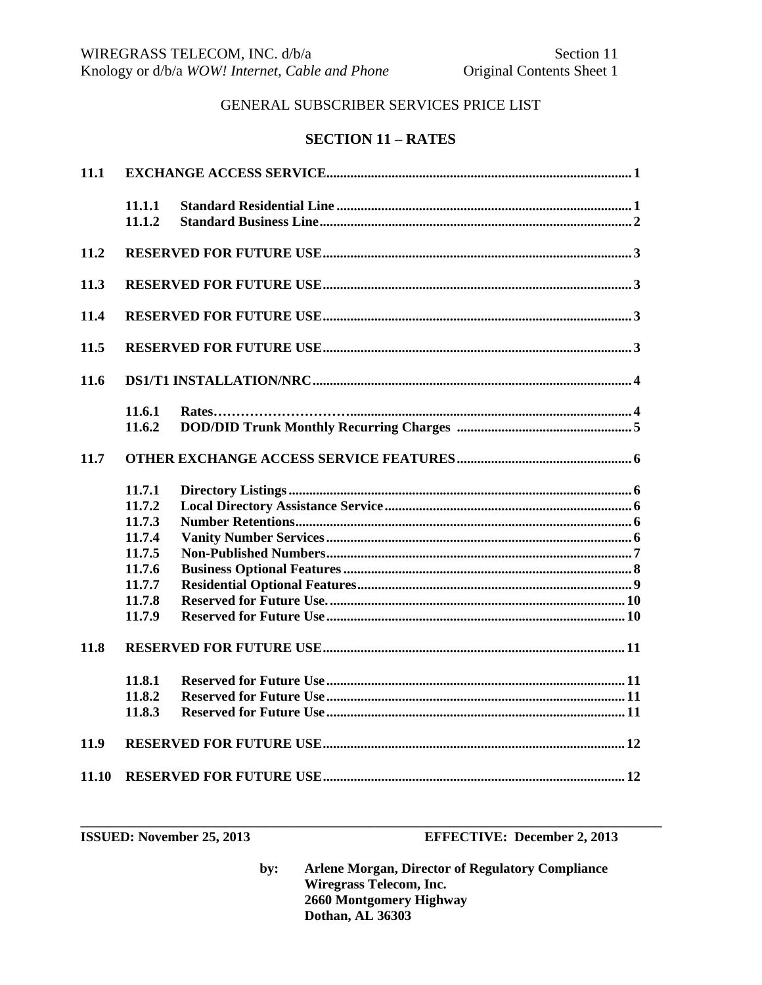## **SECTION 11 - RATES**

| 11.1  |                                                                                        |  |  |
|-------|----------------------------------------------------------------------------------------|--|--|
|       | 11.1.1<br>11.1.2                                                                       |  |  |
| 11.2  |                                                                                        |  |  |
| 11.3  |                                                                                        |  |  |
| 11.4  |                                                                                        |  |  |
| 11.5  |                                                                                        |  |  |
| 11.6  |                                                                                        |  |  |
|       | 11.6.1<br>11.6.2                                                                       |  |  |
| 11.7  |                                                                                        |  |  |
|       | 11.7.1<br>11.7.2<br>11.7.3<br>11.7.4<br>11.7.5<br>11.7.6<br>11.7.7<br>11.7.8<br>11.7.9 |  |  |
| 11.8  |                                                                                        |  |  |
|       | 11.8.1<br>11.8.2<br>11.8.3                                                             |  |  |
| 11.9  |                                                                                        |  |  |
| 11.10 |                                                                                        |  |  |

ISSUED: November 25, 2013

**EFFECTIVE:** December 2, 2013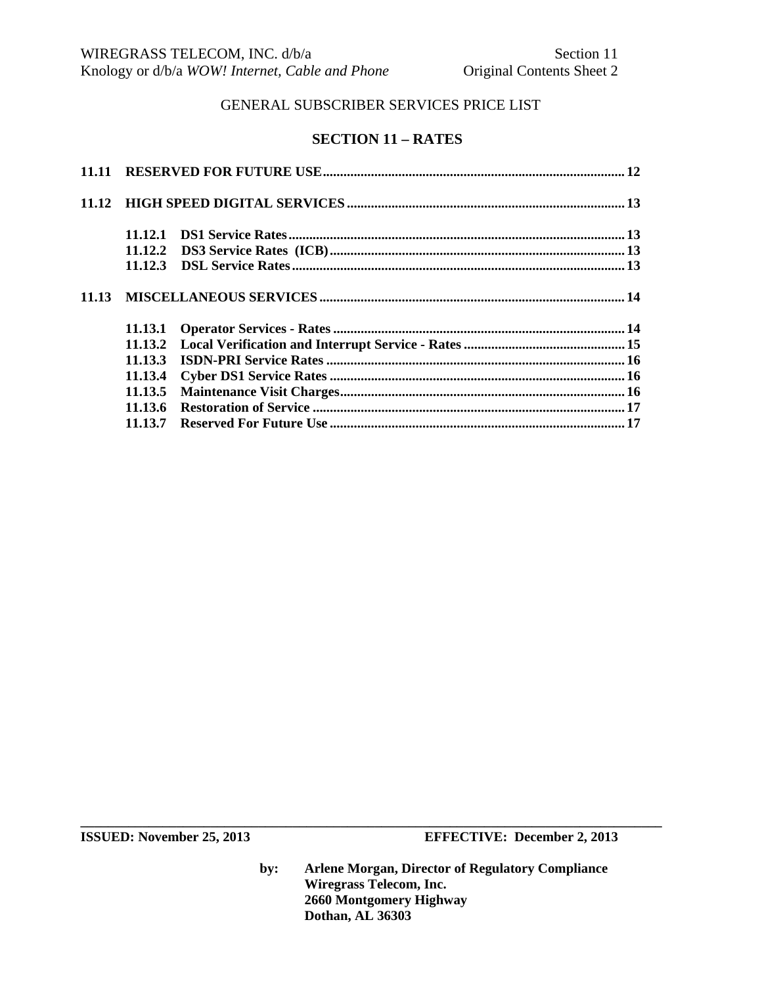# **SECTION 11 – RATES**

| 11.12.3 |  |
|---------|--|
|         |  |
| 11.13.1 |  |
|         |  |
| 11.13.3 |  |
| 11.13.4 |  |
|         |  |
| 11.13.6 |  |
|         |  |

**ISSUED:** November 25, 2013 **EFFECTIVE:** December 2, 2013

**by: Arlene Morgan, Director of Regulatory Compliance Wiregrass Telecom, Inc. 2660 Montgomery Highway Dothan, AL 36303**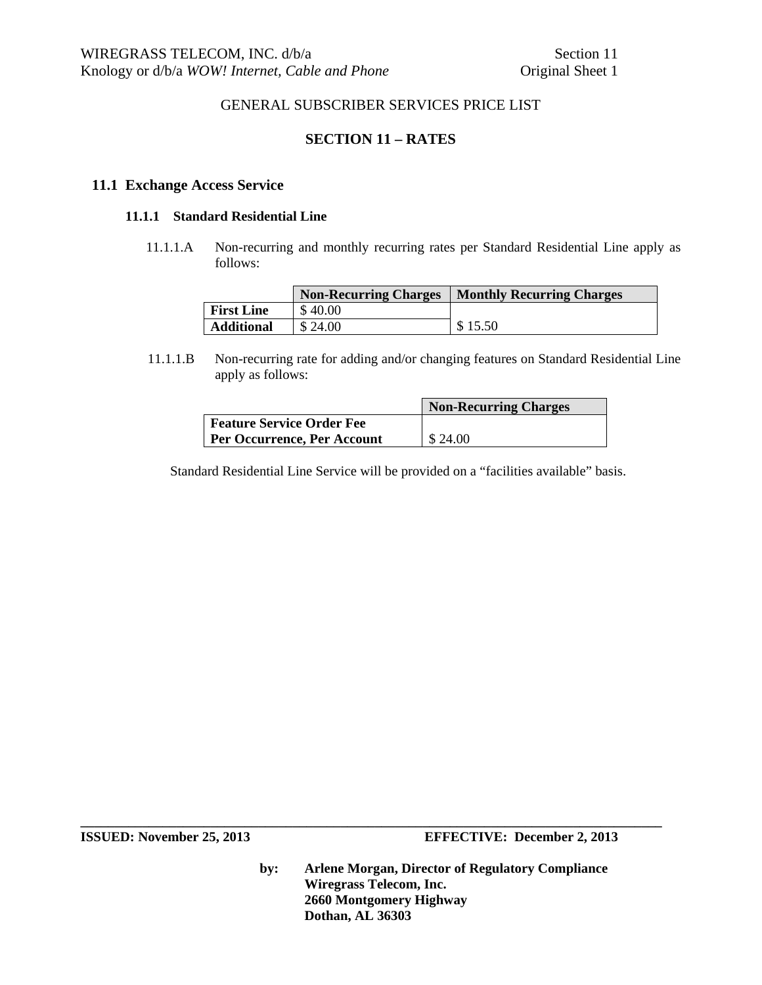# **SECTION 11 – RATES**

#### **11.1 Exchange Access Service**

#### **11.1.1 Standard Residential Line**

 11.1.1.A Non-recurring and monthly recurring rates per Standard Residential Line apply as follows:

|                   | <b>Non-Recurring Charges</b> | <b>Monthly Recurring Charges</b> |
|-------------------|------------------------------|----------------------------------|
| <b>First Line</b> | \$40.00                      |                                  |
| <b>Additional</b> | \$24.00                      | \$15.50                          |

11.1.1.B Non-recurring rate for adding and/or changing features on Standard Residential Line apply as follows:

|                                    | <b>Non-Recurring Charges</b> |
|------------------------------------|------------------------------|
| <b>Feature Service Order Fee</b>   |                              |
| <b>Per Occurrence, Per Account</b> | \$24.00                      |

Standard Residential Line Service will be provided on a "facilities available" basis.

**by: Arlene Morgan, Director of Regulatory Compliance Wiregrass Telecom, Inc. 2660 Montgomery Highway Dothan, AL 36303**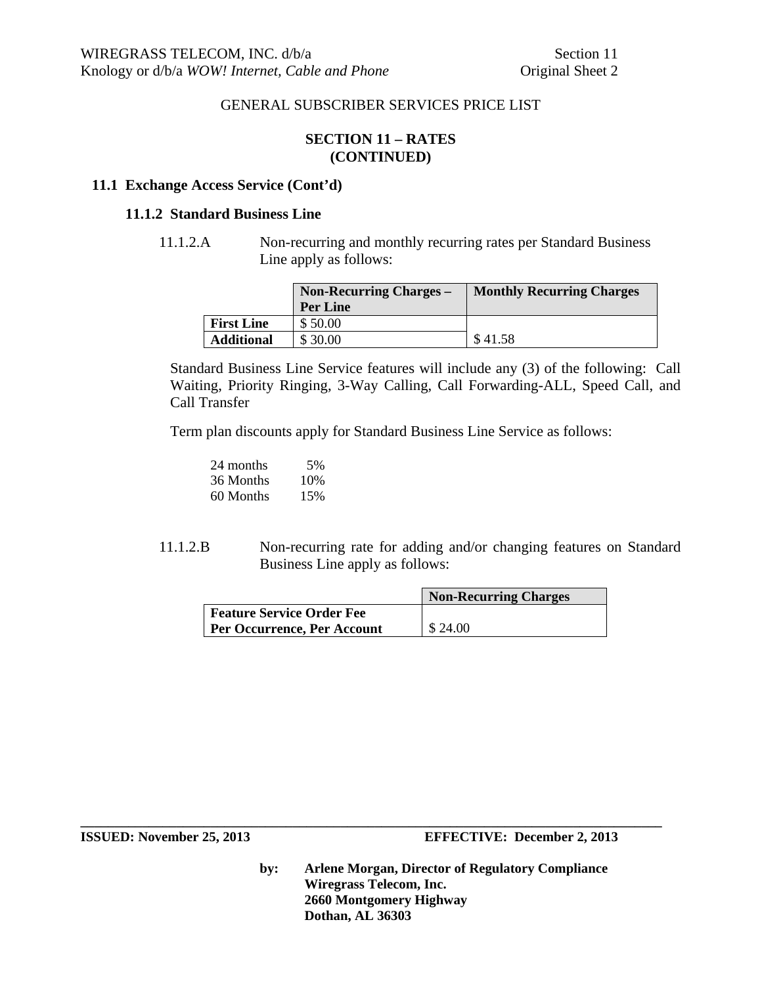## **SECTION 11 – RATES (CONTINUED)**

## **11.1 Exchange Access Service (Cont'd)**

#### **11.1.2 Standard Business Line**

11.1.2.A Non-recurring and monthly recurring rates per Standard Business Line apply as follows:

|                   | <b>Non-Recurring Charges –</b> | <b>Monthly Recurring Charges</b> |
|-------------------|--------------------------------|----------------------------------|
|                   | <b>Per Line</b>                |                                  |
| <b>First Line</b> | \$50.00                        |                                  |
| <b>Additional</b> | \$30.00                        | \$41.58                          |

Standard Business Line Service features will include any (3) of the following: Call Waiting, Priority Ringing, 3-Way Calling, Call Forwarding-ALL, Speed Call, and Call Transfer

Term plan discounts apply for Standard Business Line Service as follows:

| 24 months | 5%  |
|-----------|-----|
| 36 Months | 10% |
| 60 Months | 15% |

11.1.2.B Non-recurring rate for adding and/or changing features on Standard Business Line apply as follows:

|                             | <b>Non-Recurring Charges</b> |
|-----------------------------|------------------------------|
| Feature Service Order Fee   |                              |
| Per Occurrence, Per Account | \$24.00                      |

**\_\_\_\_\_\_\_\_\_\_\_\_\_\_\_\_\_\_\_\_\_\_\_\_\_\_\_\_\_\_\_\_\_\_\_\_\_\_\_\_\_\_\_\_\_\_\_\_\_\_\_\_\_\_\_\_\_\_\_\_\_\_\_\_\_\_\_\_\_\_\_\_\_\_\_\_\_\_\_\_\_\_\_\_\_**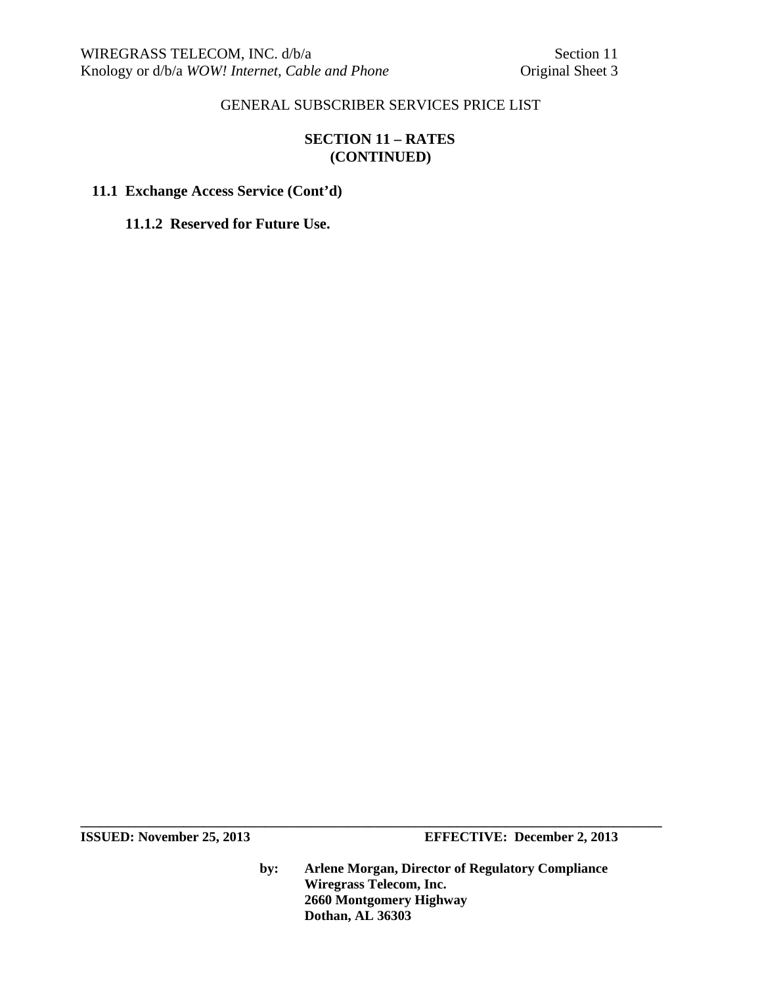# **SECTION 11 – RATES (CONTINUED)**

## **11.1 Exchange Access Service (Cont'd)**

**11.1.2 Reserved for Future Use.** 

**ISSUED:** November 25, 2013 **EFFECTIVE:** December 2, 2013

**by: Arlene Morgan, Director of Regulatory Compliance Wiregrass Telecom, Inc. 2660 Montgomery Highway Dothan, AL 36303**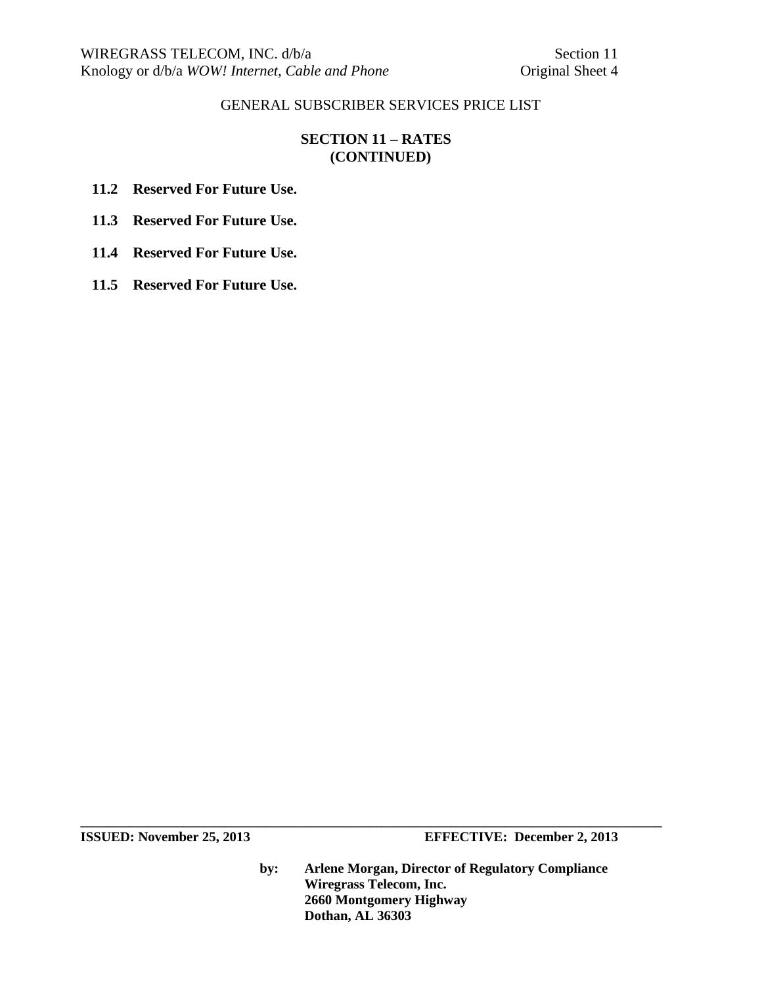# **SECTION 11 – RATES (CONTINUED)**

**11.2 Reserved For Future Use.** 

**11.3 Reserved For Future Use.** 

**11.4 Reserved For Future Use.** 

**11.5 Reserved For Future Use.** 

**ISSUED:** November 25, 2013 **EFFECTIVE:** December 2, 2013

**by: Arlene Morgan, Director of Regulatory Compliance Wiregrass Telecom, Inc. 2660 Montgomery Highway Dothan, AL 36303**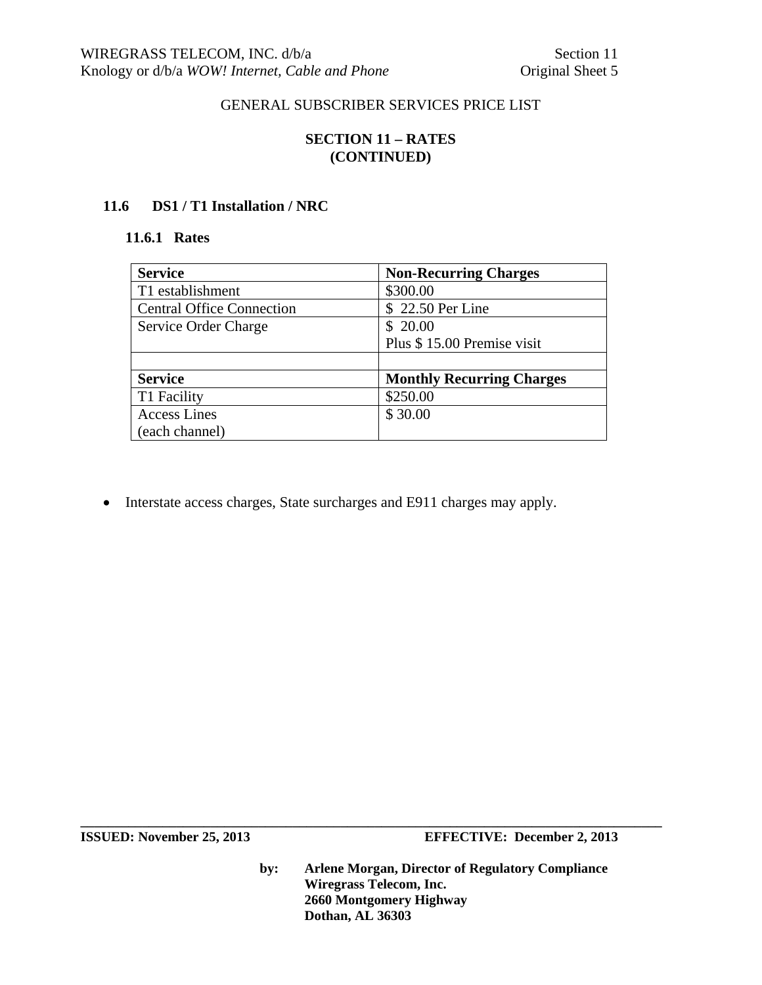# **SECTION 11 – RATES (CONTINUED)**

## **11.6 DS1 / T1 Installation / NRC**

#### **11.6.1 Rates**

| <b>Service</b>                   | <b>Non-Recurring Charges</b>     |  |
|----------------------------------|----------------------------------|--|
| T1 establishment                 | \$300.00                         |  |
| <b>Central Office Connection</b> | \$22.50 Per Line                 |  |
| Service Order Charge             | \$20.00                          |  |
|                                  | Plus \$15.00 Premise visit       |  |
|                                  |                                  |  |
| <b>Service</b>                   | <b>Monthly Recurring Charges</b> |  |
| T1 Facility                      | \$250.00                         |  |
| <b>Access Lines</b>              | \$30.00                          |  |
| (each channel)                   |                                  |  |

Interstate access charges, State surcharges and E911 charges may apply.

**ISSUED:** November 25, 2013 **EFFECTIVE:** December 2, 2013

**by: Arlene Morgan, Director of Regulatory Compliance Wiregrass Telecom, Inc. 2660 Montgomery Highway Dothan, AL 36303**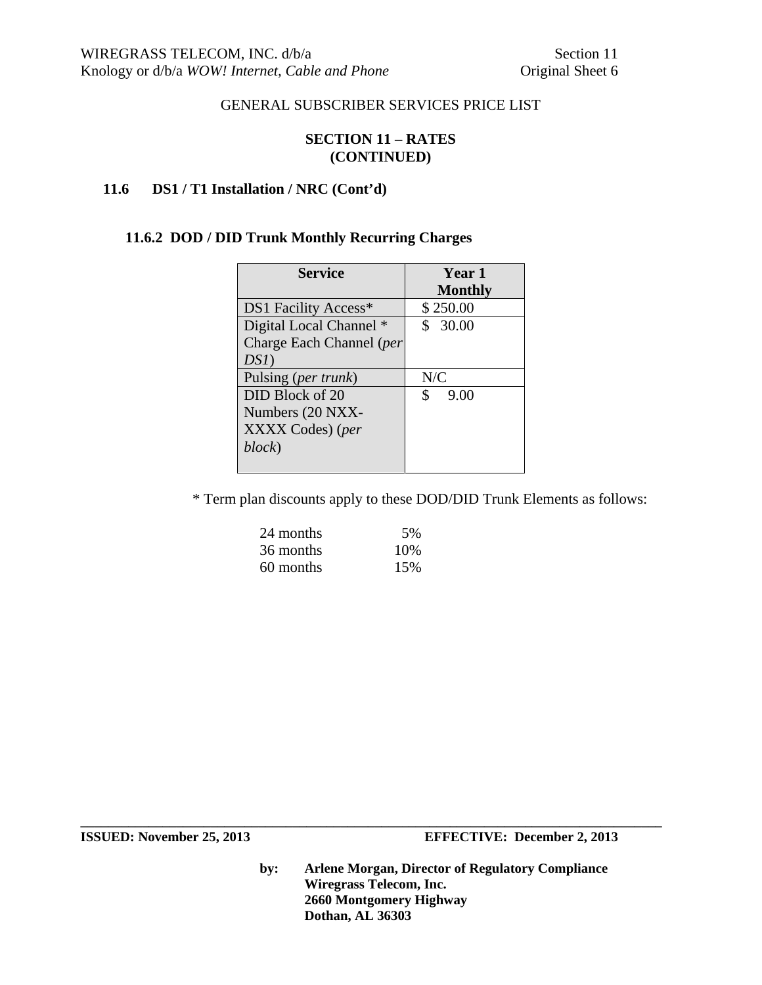## **SECTION 11 – RATES (CONTINUED)**

# **11.6 DS1 / T1 Installation / NRC (Cont'd)**

# **11.6.2 DOD / DID Trunk Monthly Recurring Charges**

| <b>Service</b>               | <b>Year 1</b>  |
|------------------------------|----------------|
|                              | <b>Monthly</b> |
| DS1 Facility Access*         | \$250.00       |
| Digital Local Channel *      | \$30.00        |
| Charge Each Channel (per     |                |
| $DSI$ )                      |                |
| Pulsing ( <i>per trunk</i> ) | N/C            |
| DID Block of 20              | 9.00<br>S      |
| Numbers (20 NXX-             |                |
| XXXX Codes) (per             |                |
| block)                       |                |
|                              |                |

\* Term plan discounts apply to these DOD/DID Trunk Elements as follows:

| 24 months | 5%  |
|-----------|-----|
| 36 months | 10% |
| 60 months | 15% |

**by: Arlene Morgan, Director of Regulatory Compliance Wiregrass Telecom, Inc. 2660 Montgomery Highway Dothan, AL 36303**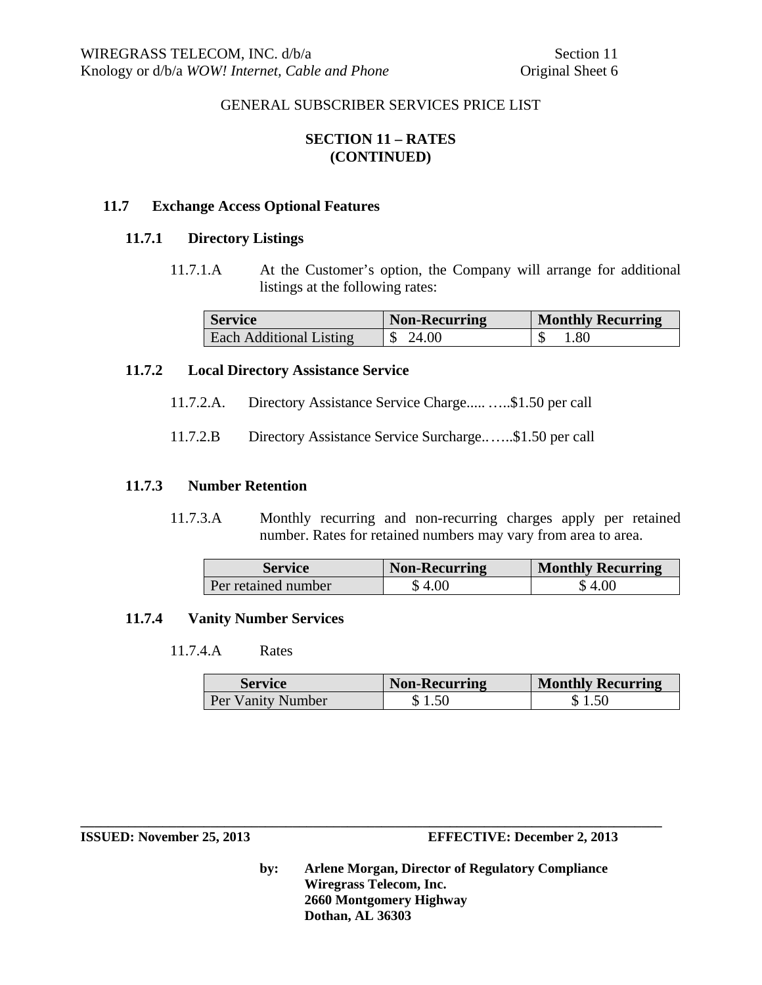# **SECTION 11 – RATES (CONTINUED)**

## **11.7 Exchange Access Optional Features**

#### **11.7.1 Directory Listings**

11.7.1.A At the Customer's option, the Company will arrange for additional listings at the following rates:

| <b>Service</b>          | <b>Non-Recurring</b> | <b>Monthly Recurring</b> |
|-------------------------|----------------------|--------------------------|
| Each Additional Listing | 24.00                | .80                      |

## **11.7.2 Local Directory Assistance Service**

- 11.7.2.A. Directory Assistance Service Charge..... …..\$1.50 per call
- 11.7.2.B Directory Assistance Service Surcharge......\$1.50 per call

#### **11.7.3 Number Retention**

11.7.3.A Monthly recurring and non-recurring charges apply per retained number. Rates for retained numbers may vary from area to area.

| Service             | Non-Recurring | <b>Monthly Recurring</b> |
|---------------------|---------------|--------------------------|
| Per retained number | \$4.00        | \$ 4.00                  |

#### **11.7.4 Vanity Number Services**

11.7.4.A Rates

| <b>Service</b>    | <b>Non-Recurring</b> | <b>Monthly Recurring</b> |
|-------------------|----------------------|--------------------------|
| Per Vanity Number | \$1.50               | \$1.50                   |

#### **ISSUED: November 25, 2013 EFFECTIVE: December 2, 2013**

**by: Arlene Morgan, Director of Regulatory Compliance Wiregrass Telecom, Inc. 2660 Montgomery Highway Dothan, AL 36303**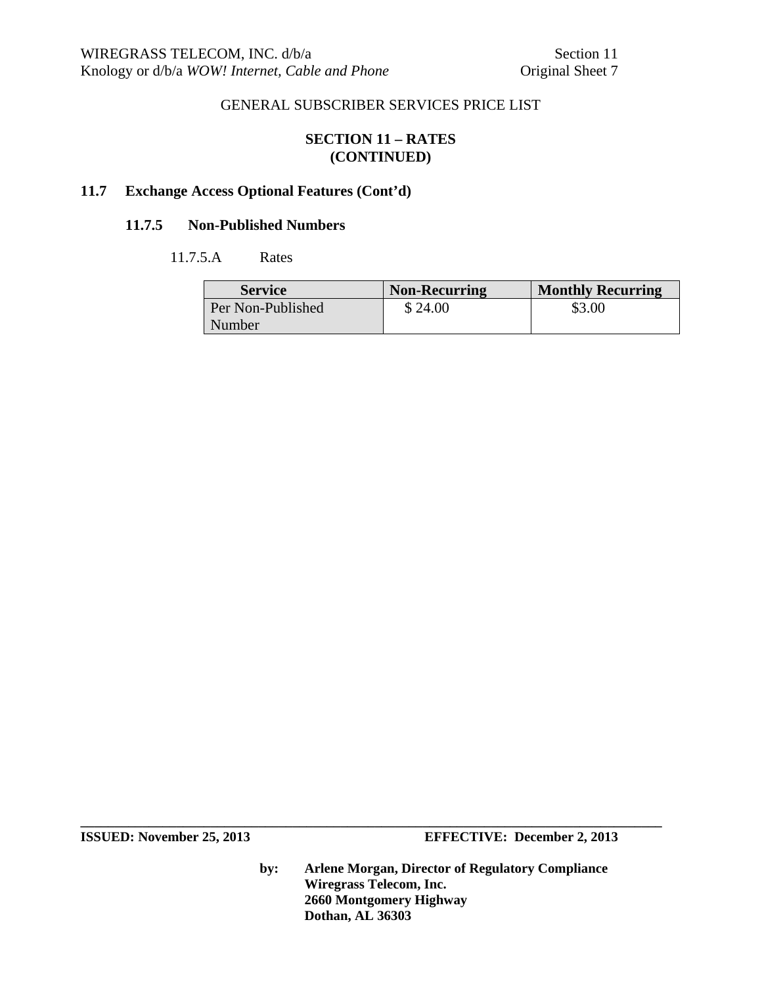## **SECTION 11 – RATES (CONTINUED)**

## **11.7 Exchange Access Optional Features (Cont'd)**

## **11.7.5 Non-Published Numbers**

## 11.7.5.A Rates

| <b>Service</b>    | <b>Non-Recurring</b> | <b>Monthly Recurring</b> |
|-------------------|----------------------|--------------------------|
| Per Non-Published | \$24.00              | \$3.00                   |
| Number            |                      |                          |

**ISSUED:** November 25, 2013 **EFFECTIVE:** December 2, 2013

**by: Arlene Morgan, Director of Regulatory Compliance Wiregrass Telecom, Inc. 2660 Montgomery Highway Dothan, AL 36303**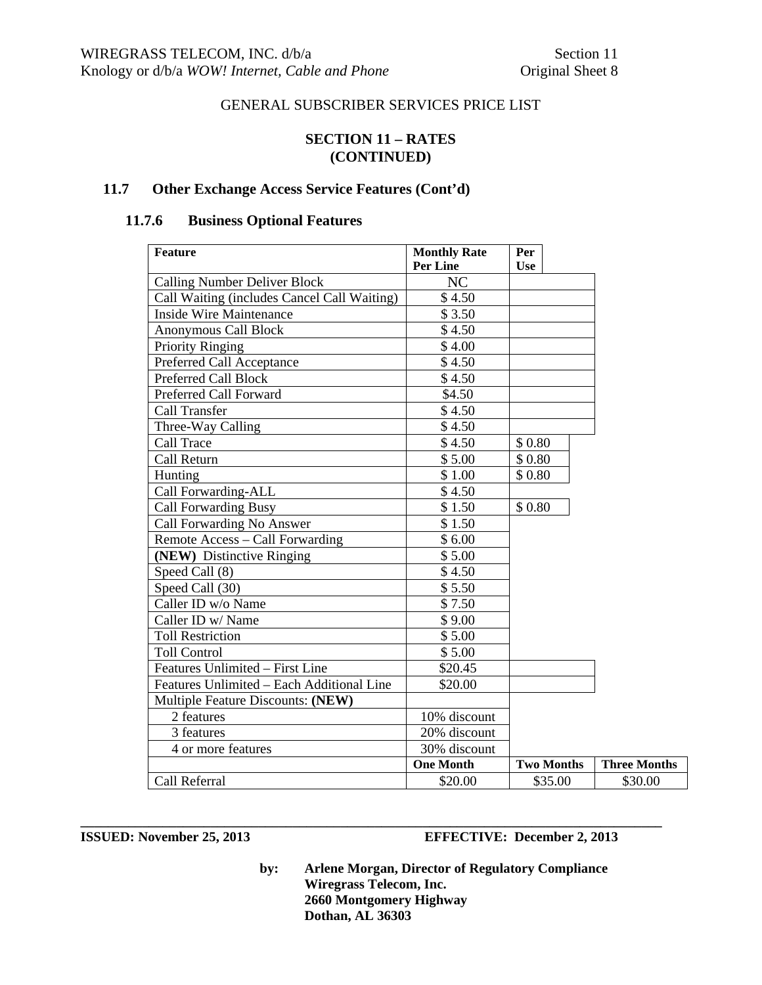## **SECTION 11 – RATES (CONTINUED)**

# **11.7 Other Exchange Access Service Features (Cont'd)**

# **11.7.6 Business Optional Features**

| <b>Feature</b>                              | <b>Monthly Rate</b> | Per               |                     |
|---------------------------------------------|---------------------|-------------------|---------------------|
|                                             | <b>Per Line</b>     | <b>Use</b>        |                     |
| <b>Calling Number Deliver Block</b>         | NC                  |                   |                     |
| Call Waiting (includes Cancel Call Waiting) | \$4.50              |                   |                     |
| <b>Inside Wire Maintenance</b>              | \$3.50              |                   |                     |
| Anonymous Call Block                        | \$4.50              |                   |                     |
| <b>Priority Ringing</b>                     | \$4.00              |                   |                     |
| Preferred Call Acceptance                   | \$4.50              |                   |                     |
| Preferred Call Block                        | \$4.50              |                   |                     |
| Preferred Call Forward                      | \$4.50              |                   |                     |
| <b>Call Transfer</b>                        | \$4.50              |                   |                     |
| Three-Way Calling                           | \$4.50              |                   |                     |
| Call Trace                                  | \$4.50              | \$0.80            |                     |
| Call Return                                 | \$5.00              | \$0.80            |                     |
| Hunting                                     | \$1.00              | \$0.80            |                     |
| Call Forwarding-ALL                         | \$4.50              |                   |                     |
| <b>Call Forwarding Busy</b>                 | \$1.50              | \$0.80            |                     |
| Call Forwarding No Answer                   | \$1.50              |                   |                     |
| Remote Access – Call Forwarding             | \$6.00              |                   |                     |
| (NEW) Distinctive Ringing                   | \$5.00              |                   |                     |
| Speed Call (8)                              | \$4.50              |                   |                     |
| Speed Call (30)                             | \$5.50              |                   |                     |
| Caller ID w/o Name                          | \$7.50              |                   |                     |
| Caller ID w/ Name                           | \$9.00              |                   |                     |
| <b>Toll Restriction</b>                     | \$5.00              |                   |                     |
| <b>Toll Control</b>                         | \$5.00              |                   |                     |
| Features Unlimited - First Line             | \$20.45             |                   |                     |
| Features Unlimited - Each Additional Line   | \$20.00             |                   |                     |
| Multiple Feature Discounts: (NEW)           |                     |                   |                     |
| 2 features                                  | 10% discount        |                   |                     |
| 3 features                                  | 20% discount        |                   |                     |
| 4 or more features                          | 30% discount        |                   |                     |
|                                             | <b>One Month</b>    | <b>Two Months</b> | <b>Three Months</b> |
| Call Referral                               | \$20.00             | \$35.00           | \$30.00             |

## **ISSUED:** November 25, 2013 **EFFECTIVE:** December 2, 2013

**by: Arlene Morgan, Director of Regulatory Compliance Wiregrass Telecom, Inc. 2660 Montgomery Highway Dothan, AL 36303**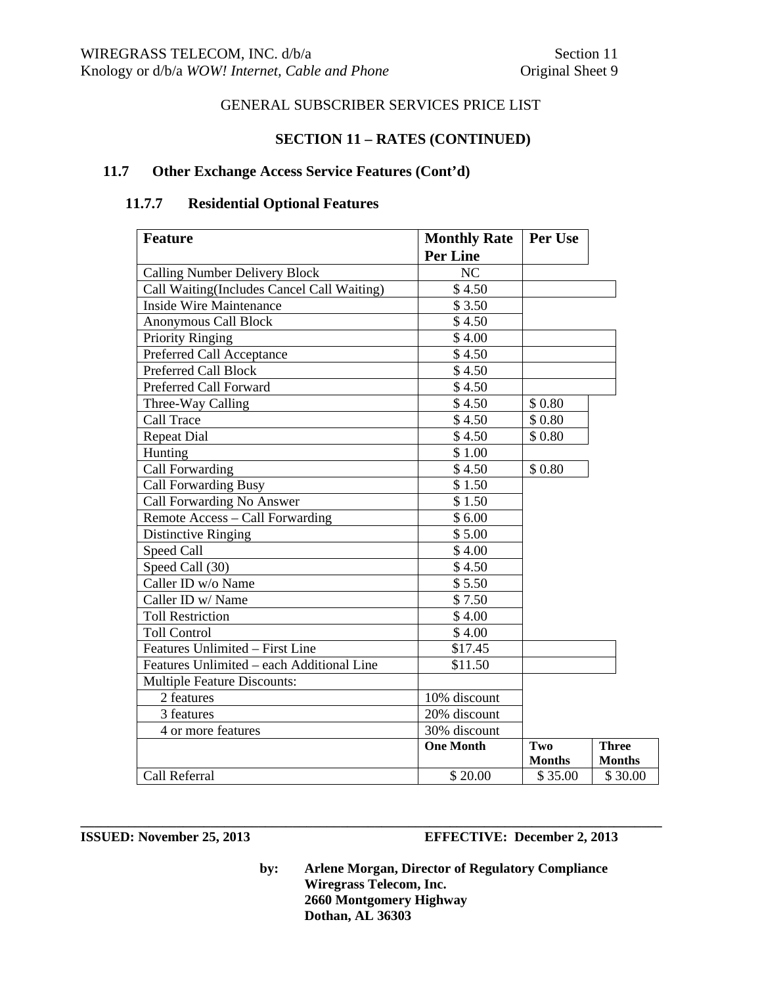## **SECTION 11 – RATES (CONTINUED)**

## **11.7 Other Exchange Access Service Features (Cont'd)**

# **11.7.7 Residential Optional Features**

| <b>Feature</b>                             | <b>Monthly Rate</b> | Per Use       |               |
|--------------------------------------------|---------------------|---------------|---------------|
|                                            | <b>Per Line</b>     |               |               |
| <b>Calling Number Delivery Block</b>       | NC                  |               |               |
| Call Waiting(Includes Cancel Call Waiting) | \$4.50              |               |               |
| <b>Inside Wire Maintenance</b>             | \$3.50              |               |               |
| <b>Anonymous Call Block</b>                | \$4.50              |               |               |
| Priority Ringing                           | \$4.00              |               |               |
| Preferred Call Acceptance                  | \$4.50              |               |               |
| <b>Preferred Call Block</b>                | \$4.50              |               |               |
| Preferred Call Forward                     | \$4.50              |               |               |
| Three-Way Calling                          | \$4.50              | \$0.80        |               |
| Call Trace                                 | \$4.50              | \$0.80        |               |
| <b>Repeat Dial</b>                         | \$4.50              | \$0.80        |               |
| Hunting                                    | \$1.00              |               |               |
| Call Forwarding                            | \$4.50              | \$0.80        |               |
| <b>Call Forwarding Busy</b>                | \$1.50              |               |               |
| Call Forwarding No Answer                  | \$1.50              |               |               |
| Remote Access – Call Forwarding            | \$6.00              |               |               |
| <b>Distinctive Ringing</b>                 | \$5.00              |               |               |
| Speed Call                                 | \$4.00              |               |               |
| Speed Call (30)                            | \$4.50              |               |               |
| Caller ID w/o Name                         | \$5.50              |               |               |
| Caller ID w/ Name                          | \$7.50              |               |               |
| <b>Toll Restriction</b>                    | \$4.00              |               |               |
| <b>Toll Control</b>                        | \$4.00              |               |               |
| Features Unlimited - First Line            | \$17.45             |               |               |
| Features Unlimited - each Additional Line  | \$11.50             |               |               |
| <b>Multiple Feature Discounts:</b>         |                     |               |               |
| 2 features                                 | 10% discount        |               |               |
| 3 features                                 | 20% discount        |               |               |
| 4 or more features                         | 30% discount        |               |               |
|                                            | <b>One Month</b>    | Two           | <b>Three</b>  |
|                                            |                     | <b>Months</b> | <b>Months</b> |
| Call Referral                              | \$20.00             | \$35.00       | \$30.00       |

**\_\_\_\_\_\_\_\_\_\_\_\_\_\_\_\_\_\_\_\_\_\_\_\_\_\_\_\_\_\_\_\_\_\_\_\_\_\_\_\_\_\_\_\_\_\_\_\_\_\_\_\_\_\_\_\_\_\_\_\_\_\_\_\_\_\_\_\_\_\_\_\_\_\_\_\_\_\_\_\_\_\_\_\_\_** 

## **ISSUED:** November 25, 2013 **EFFECTIVE:** December 2, 2013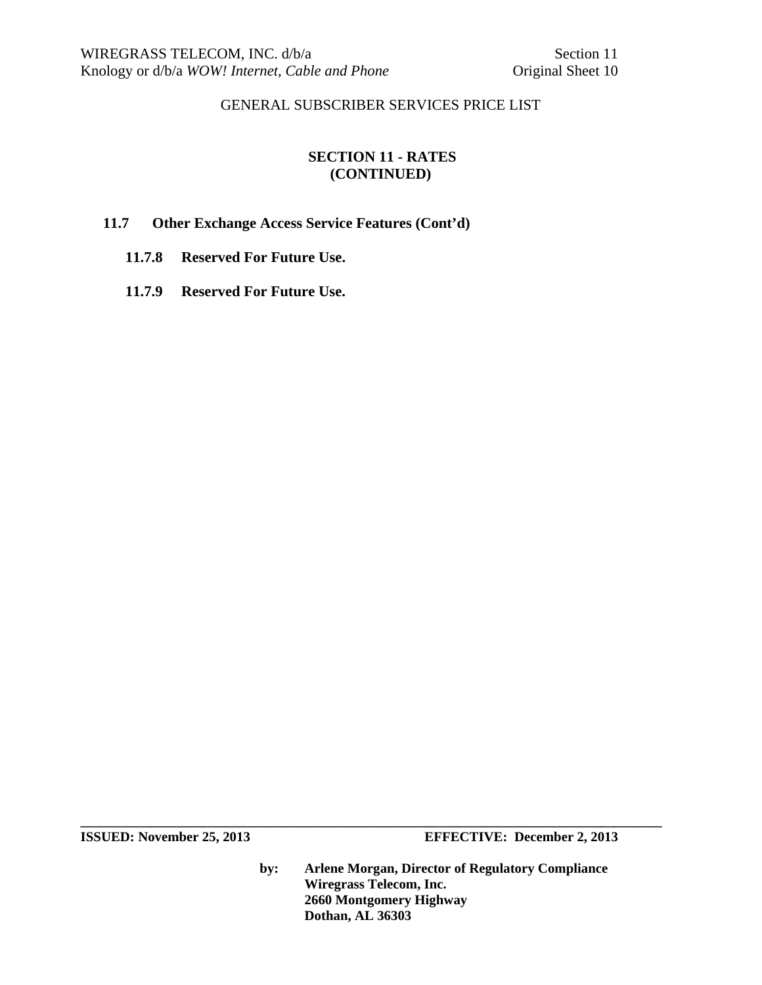# **SECTION 11 - RATES (CONTINUED)**

# **11.7 Other Exchange Access Service Features (Cont'd)**

- **11.7.8 Reserved For Future Use.**
- **11.7.9 Reserved For Future Use.**

**\_\_\_\_\_\_\_\_\_\_\_\_\_\_\_\_\_\_\_\_\_\_\_\_\_\_\_\_\_\_\_\_\_\_\_\_\_\_\_\_\_\_\_\_\_\_\_\_\_\_\_\_\_\_\_\_\_\_\_\_\_\_\_\_\_\_\_\_\_\_\_\_\_\_\_\_\_\_\_\_\_\_\_\_\_ ISSUED:** November 25, 2013 **EFFECTIVE:** December 2, 2013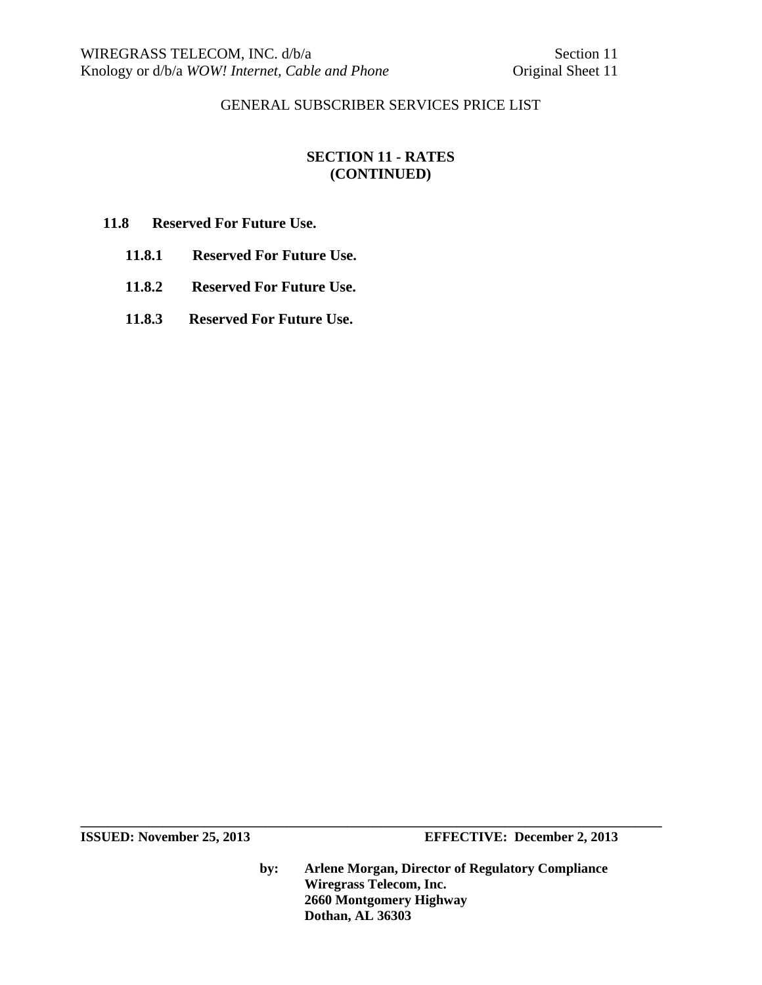# **SECTION 11 - RATES (CONTINUED)**

## **11.8 Reserved For Future Use.**

- **11.8.1 Reserved For Future Use.**
- **11.8.2 Reserved For Future Use.**
- **11.8.3 Reserved For Future Use.**

**\_\_\_\_\_\_\_\_\_\_\_\_\_\_\_\_\_\_\_\_\_\_\_\_\_\_\_\_\_\_\_\_\_\_\_\_\_\_\_\_\_\_\_\_\_\_\_\_\_\_\_\_\_\_\_\_\_\_\_\_\_\_\_\_\_\_\_\_\_\_\_\_\_\_\_\_\_\_\_\_\_\_\_\_\_** 

**ISSUED:** November 25, 2013 **EFFECTIVE:** December 2, 2013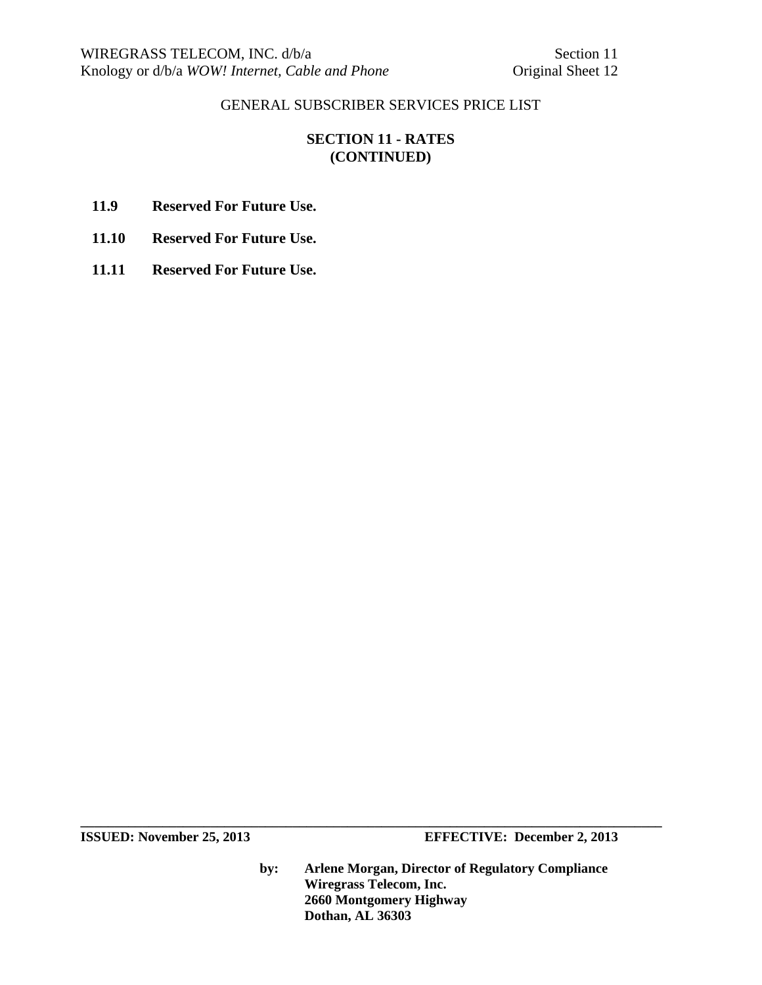# **SECTION 11 - RATES (CONTINUED)**

- **11.9 Reserved For Future Use.**
- **11.10 Reserved For Future Use.**
- **11.11 Reserved For Future Use.**

**ISSUED:** November 25, 2013 **EFFECTIVE:** December 2, 2013

**by: Arlene Morgan, Director of Regulatory Compliance Wiregrass Telecom, Inc. 2660 Montgomery Highway Dothan, AL 36303**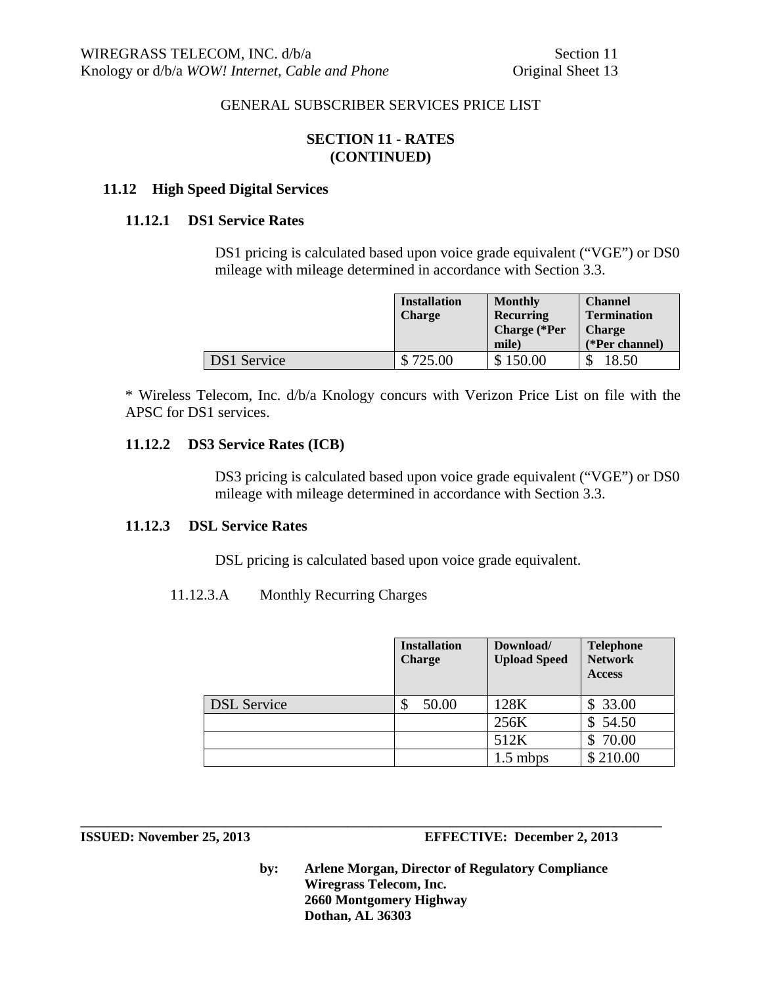## **SECTION 11 - RATES (CONTINUED)**

## **11.12 High Speed Digital Services**

#### **11.12.1 DS1 Service Rates**

DS1 pricing is calculated based upon voice grade equivalent ("VGE") or DS0 mileage with mileage determined in accordance with Section 3.3.

|                    | <b>Installation</b><br><b>Charge</b> | <b>Monthly</b><br><b>Recurring</b><br><b>Charge</b> (*Per<br>mile) | <b>Channel</b><br><b>Termination</b><br><b>Charge</b><br>(*Per channel) |
|--------------------|--------------------------------------|--------------------------------------------------------------------|-------------------------------------------------------------------------|
| <b>DS1</b> Service | \$725.00                             | 150.00                                                             | 18.50                                                                   |

\* Wireless Telecom, Inc. d/b/a Knology concurs with Verizon Price List on file with the APSC for DS1 services.

## **11.12.2 DS3 Service Rates (ICB)**

DS3 pricing is calculated based upon voice grade equivalent ("VGE") or DS0 mileage with mileage determined in accordance with Section 3.3.

#### **11.12.3 DSL Service Rates**

DSL pricing is calculated based upon voice grade equivalent.

11.12.3.A Monthly Recurring Charges

|                    | <b>Installation</b><br><b>Charge</b> | Download/<br><b>Upload Speed</b> | <b>Telephone</b><br><b>Network</b><br><b>Access</b> |
|--------------------|--------------------------------------|----------------------------------|-----------------------------------------------------|
| <b>DSL</b> Service | 50.00                                | 128K                             | \$33.00                                             |
|                    |                                      | 256K                             | 54.50<br>\$                                         |
|                    |                                      | 512K                             | 70.00                                               |
|                    |                                      | $1.5$ mbps                       | \$210.00                                            |

**ISSUED: November 25, 2013 EFFECTIVE: December 2, 2013** 

**by: Arlene Morgan, Director of Regulatory Compliance Wiregrass Telecom, Inc. 2660 Montgomery Highway Dothan, AL 36303**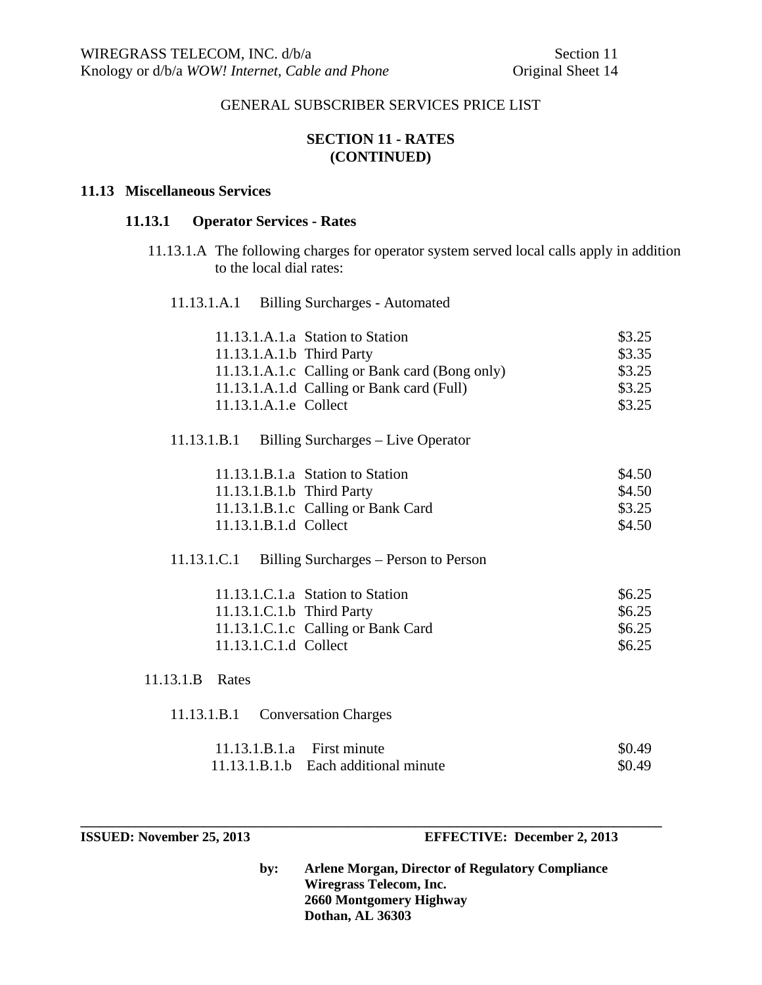## **SECTION 11 - RATES (CONTINUED)**

#### **11.13 Miscellaneous Services**

#### **11.13.1 Operator Services - Rates**

 11.13.1.A The following charges for operator system served local calls apply in addition to the local dial rates:

11.13.1.A.1 Billing Surcharges - Automated

| 11.13.1.A.1.b Third Party    | 11.13.1.A.1.a Station to Station<br>11.13.1.A.1.c Calling or Bank card (Bong only) | \$3.25<br>\$3.35<br>\$3.25 |
|------------------------------|------------------------------------------------------------------------------------|----------------------------|
|                              | 11.13.1.A.1.d Calling or Bank card (Full)                                          | \$3.25                     |
| 11.13.1.A.1.e Collect        |                                                                                    | \$3.25                     |
| 11.13.1.B.1                  | Billing Surcharges – Live Operator                                                 |                            |
|                              | 11.13.1.B.1.a Station to Station                                                   | \$4.50                     |
| 11.13.1.B.1.b Third Party    |                                                                                    | \$4.50                     |
|                              | 11.13.1.B.1.c Calling or Bank Card                                                 | \$3.25                     |
| 11.13.1.B.1.d Collect        |                                                                                    | \$4.50                     |
| 11.13.1.C.1                  | Billing Surcharges – Person to Person                                              |                            |
|                              | 11.13.1.C.1.a Station to Station                                                   | \$6.25                     |
| 11.13.1.C.1.b Third Party    |                                                                                    | \$6.25                     |
|                              | 11.13.1.C.1.c Calling or Bank Card                                                 | \$6.25                     |
| 11.13.1.C.1.d Collect        |                                                                                    | \$6.25                     |
| 11.13.1.B Rates              |                                                                                    |                            |
| 11.13.1.B.1                  | <b>Conversation Charges</b>                                                        |                            |
| $11.13.1.B.1.a$ First minute |                                                                                    | \$0.49                     |
|                              | 11.13.1.B.1.b Each additional minute                                               | \$0.49                     |

**ISSUED: November 25, 2013 EFFECTIVE: December 2, 2013** 

**by: Arlene Morgan, Director of Regulatory Compliance Wiregrass Telecom, Inc. 2660 Montgomery Highway Dothan, AL 36303**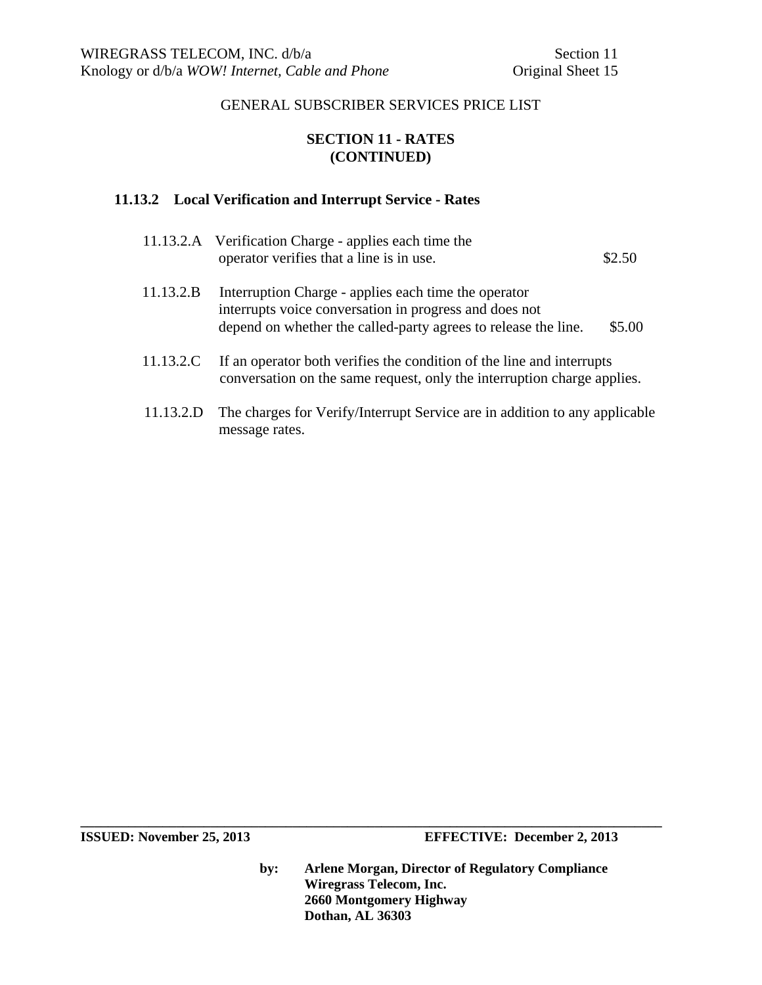# **SECTION 11 - RATES (CONTINUED)**

## **11.13.2 Local Verification and Interrupt Service - Rates**

message rates.

|           | 11.13.2.A Verification Charge - applies each time the<br>operator verifies that a line is in use.                                                                                | \$2.50 |
|-----------|----------------------------------------------------------------------------------------------------------------------------------------------------------------------------------|--------|
| 11.13.2.B | Interruption Charge - applies each time the operator<br>interrupts voice conversation in progress and does not<br>depend on whether the called-party agrees to release the line. | \$5.00 |
| 11.13.2.C | If an operator both verifies the condition of the line and interrupts<br>conversation on the same request, only the interruption charge applies.                                 |        |
| 11.13.2.D | The charges for Verify/Interrupt Service are in addition to any applicable                                                                                                       |        |

**ISSUED:** November 25, 2013 **EFFECTIVE:** December 2, 2013

**by: Arlene Morgan, Director of Regulatory Compliance Wiregrass Telecom, Inc. 2660 Montgomery Highway Dothan, AL 36303**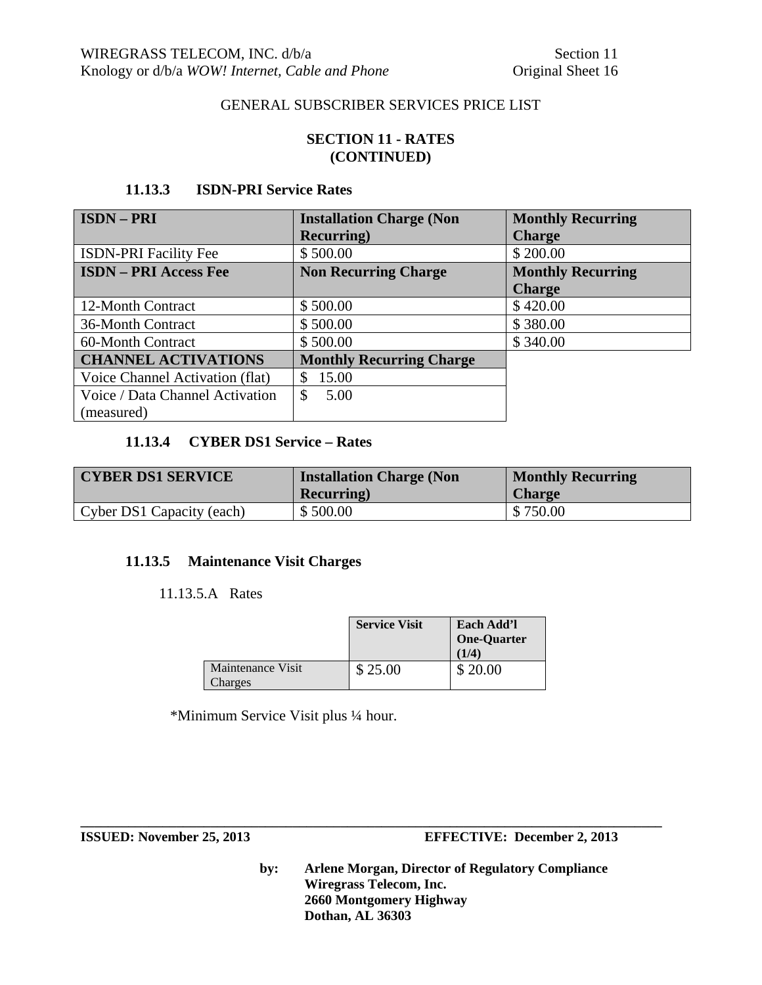## **SECTION 11 - RATES (CONTINUED)**

# **11.13.3 ISDN-PRI Service Rates**

| <b>ISDN-PRI</b>                 | <b>Installation Charge (Non</b> | <b>Monthly Recurring</b> |
|---------------------------------|---------------------------------|--------------------------|
|                                 | <b>Recurring</b> )              | <b>Charge</b>            |
| <b>ISDN-PRI Facility Fee</b>    | \$500.00                        | \$200.00                 |
| <b>ISDN - PRI Access Fee</b>    | <b>Non Recurring Charge</b>     | <b>Monthly Recurring</b> |
|                                 |                                 | <b>Charge</b>            |
| 12-Month Contract               | \$500.00                        | \$420.00                 |
| 36-Month Contract               | \$500.00                        | \$380.00                 |
| 60-Month Contract               | \$500.00                        | \$340.00                 |
| <b>CHANNEL ACTIVATIONS</b>      | <b>Monthly Recurring Charge</b> |                          |
| Voice Channel Activation (flat) | 15.00<br>\$.                    |                          |
| Voice / Data Channel Activation | $\mathbb{S}$<br>5.00            |                          |
| (measured)                      |                                 |                          |

## **11.13.4 CYBER DS1 Service – Rates**

| <b>CYBER DS1 SERVICE</b>  | <b>Installation Charge (Non)</b><br><b>Recurring</b> ) | <b>Monthly Recurring</b><br><b>Charge</b> |
|---------------------------|--------------------------------------------------------|-------------------------------------------|
| Cyber DS1 Capacity (each) | \$500.00                                               | \$750.00                                  |

## **11.13.5 Maintenance Visit Charges**

#### 11.13.5.A Rates

|                              | <b>Service Visit</b> | Each Add'l<br><b>One-Quarter</b><br>(1/4) |
|------------------------------|----------------------|-------------------------------------------|
| Maintenance Visit<br>Charges | \$25.00              | \$20.00                                   |

**\_\_\_\_\_\_\_\_\_\_\_\_\_\_\_\_\_\_\_\_\_\_\_\_\_\_\_\_\_\_\_\_\_\_\_\_\_\_\_\_\_\_\_\_\_\_\_\_\_\_\_\_\_\_\_\_\_\_\_\_\_\_\_\_\_\_\_\_\_\_\_\_\_\_\_\_\_\_\_\_\_\_\_\_\_** 

\*Minimum Service Visit plus ¼ hour.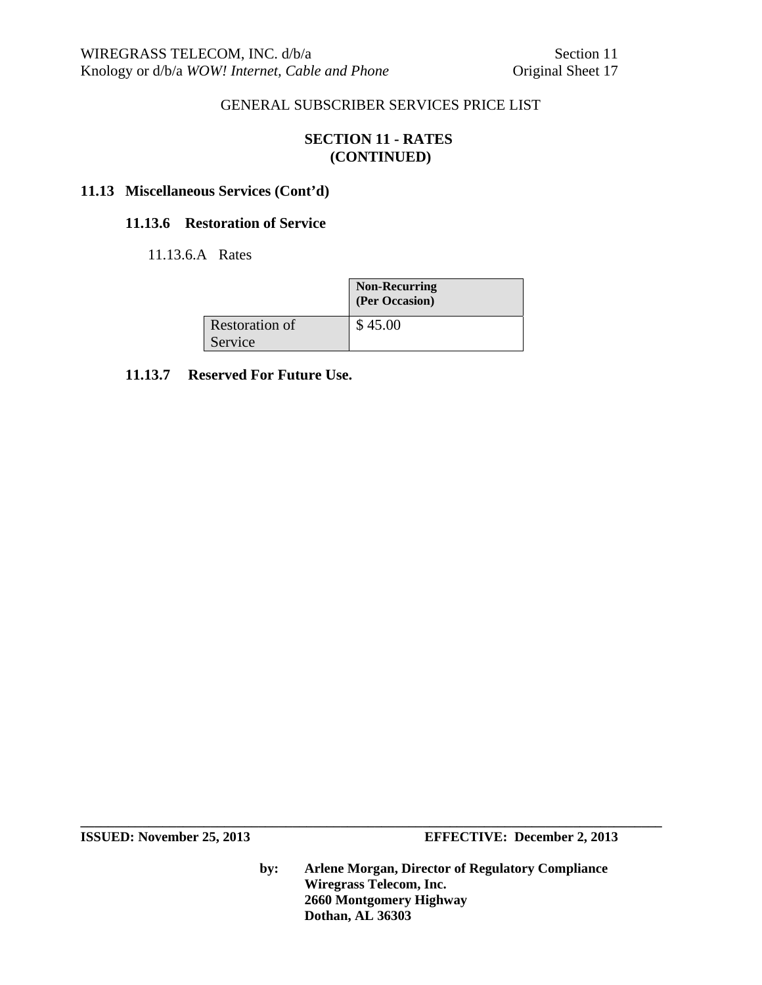# **SECTION 11 - RATES (CONTINUED)**

## **11.13 Miscellaneous Services (Cont'd)**

## **11.13.6 Restoration of Service**

11.13.6.A Rates

|                       | <b>Non-Recurring</b><br>(Per Occasion) |
|-----------------------|----------------------------------------|
| <b>Restoration of</b> | \$45.00                                |
| Service               |                                        |

## **11.13.7 Reserved For Future Use.**

**ISSUED:** November 25, 2013 **EFFECTIVE:** December 2, 2013

**by: Arlene Morgan, Director of Regulatory Compliance Wiregrass Telecom, Inc. 2660 Montgomery Highway Dothan, AL 36303**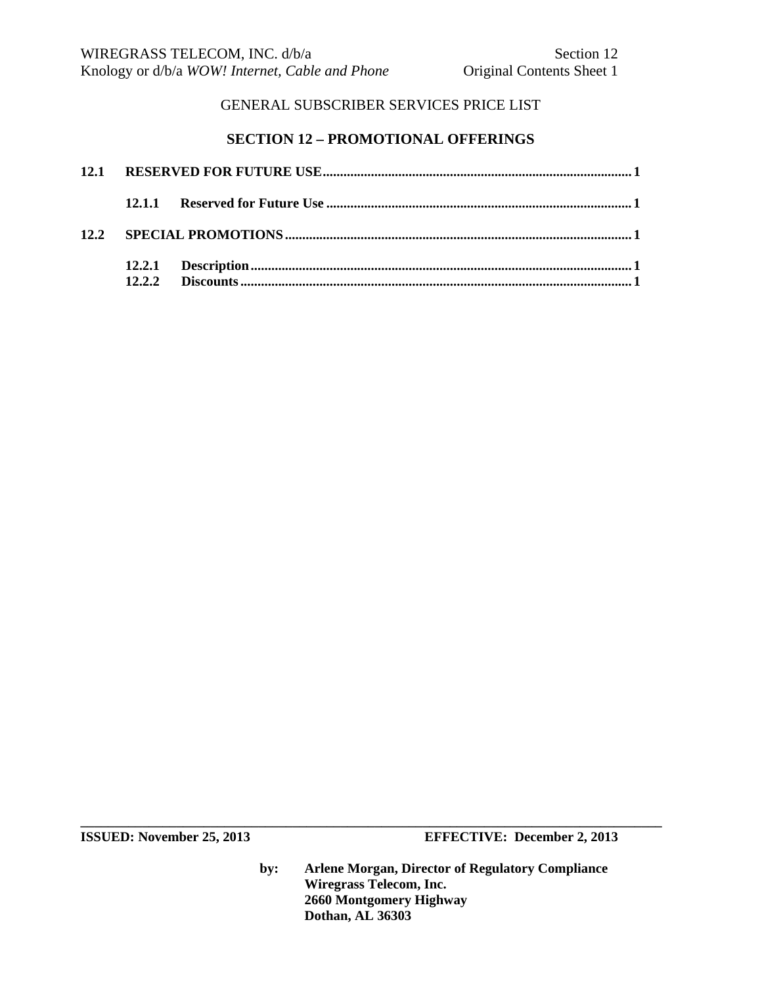# **SECTION 12 – PROMOTIONAL OFFERINGS**

|  | 12.2.2 |  |  |
|--|--------|--|--|

**ISSUED:** November 25, 2013 **EFFECTIVE:** December 2, 2013

**by: Arlene Morgan, Director of Regulatory Compliance Wiregrass Telecom, Inc. 2660 Montgomery Highway Dothan, AL 36303**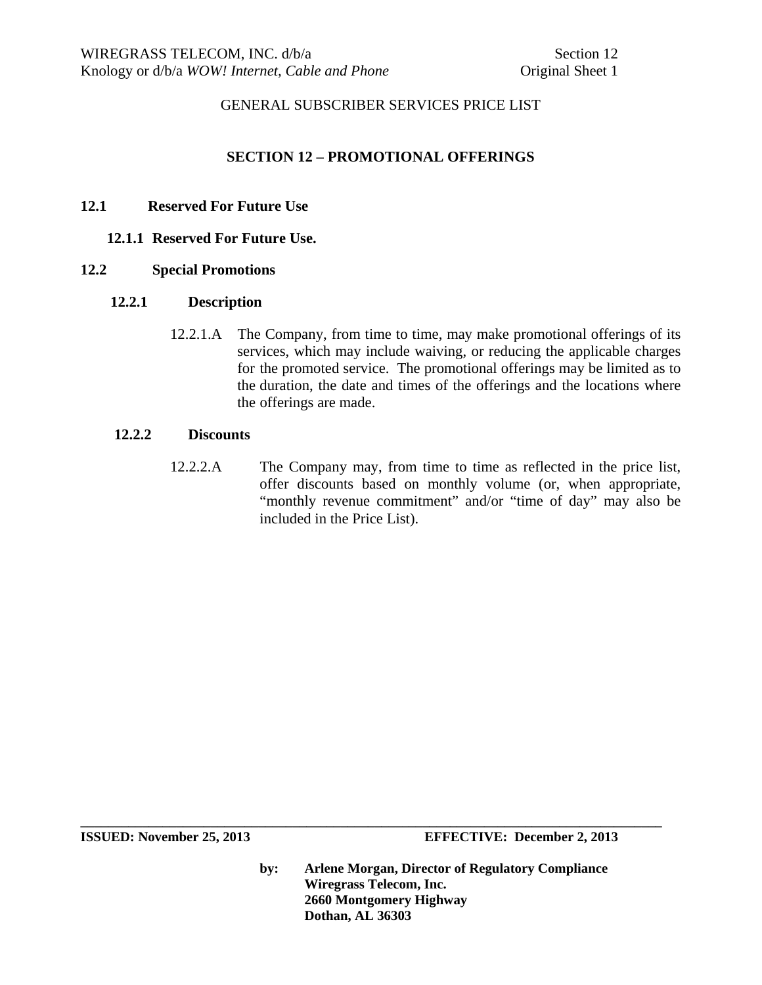### **SECTION 12 – PROMOTIONAL OFFERINGS**

### **12.1 Reserved For Future Use**

### **12.1.1 Reserved For Future Use.**

#### **12.2 Special Promotions**

#### **12.2.1 Description**

12.2.1.A The Company, from time to time, may make promotional offerings of its services, which may include waiving, or reducing the applicable charges for the promoted service. The promotional offerings may be limited as to the duration, the date and times of the offerings and the locations where the offerings are made.

#### **12.2.2 Discounts**

12.2.2.A The Company may, from time to time as reflected in the price list, offer discounts based on monthly volume (or, when appropriate, "monthly revenue commitment" and/or "time of day" may also be included in the Price List).

**by: Arlene Morgan, Director of Regulatory Compliance Wiregrass Telecom, Inc. 2660 Montgomery Highway Dothan, AL 36303**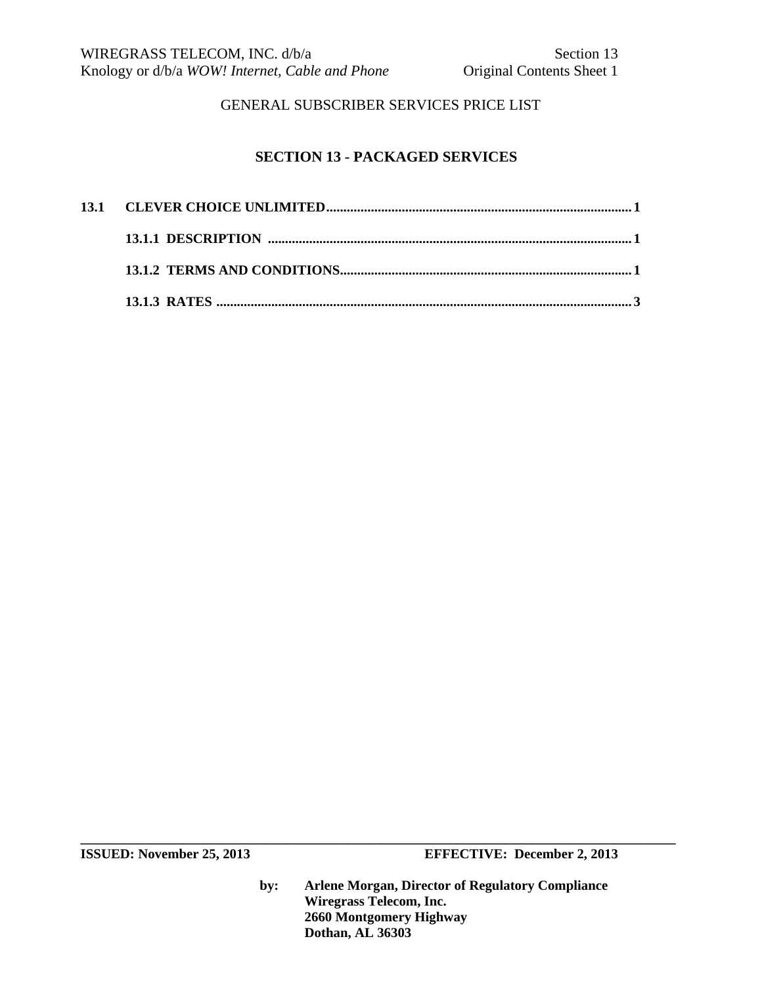# **SECTION 13 - PACKAGED SERVICES**

**by: Arlene Morgan, Director of Regulatory Compliance Wiregrass Telecom, Inc. 2660 Montgomery Highway Dothan, AL 36303**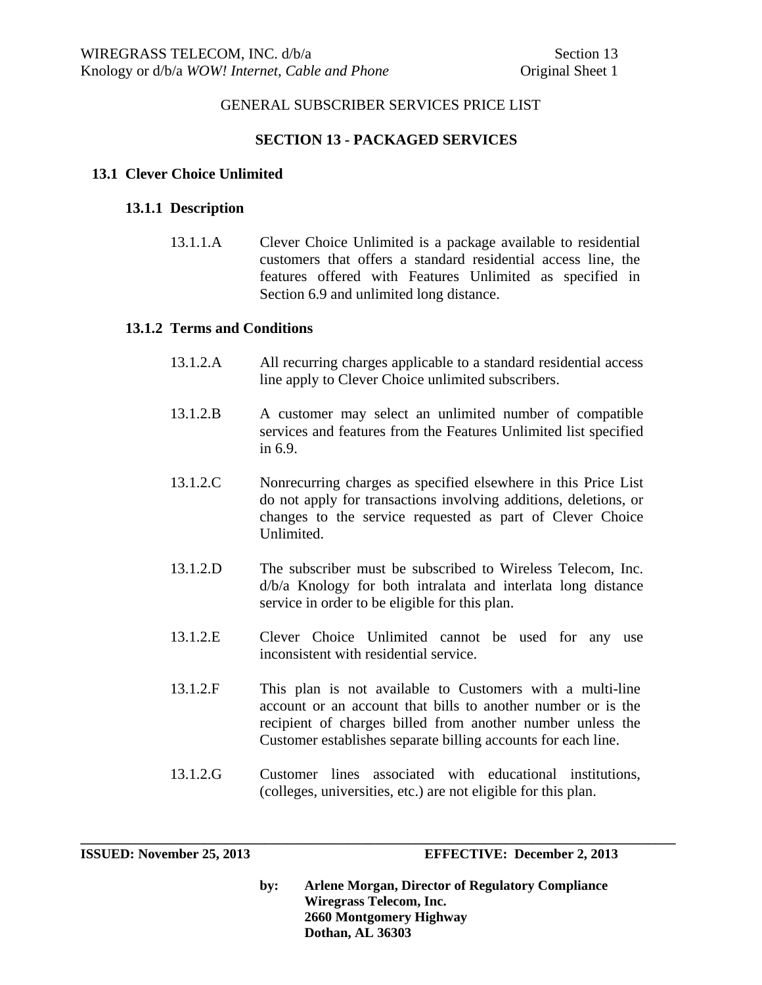### **SECTION 13 - PACKAGED SERVICES**

#### **13.1 Clever Choice Unlimited**

#### **13.1.1 Description**

13.1.1.A Clever Choice Unlimited is a package available to residential customers that offers a standard residential access line, the features offered with Features Unlimited as specified in Section 6.9 and unlimited long distance.

#### **13.1.2 Terms and Conditions**

- 13.1.2.A All recurring charges applicable to a standard residential access line apply to Clever Choice unlimited subscribers.
- 13.1.2.B A customer may select an unlimited number of compatible services and features from the Features Unlimited list specified in 6.9.
- 13.1.2.C Nonrecurring charges as specified elsewhere in this Price List do not apply for transactions involving additions, deletions, or changes to the service requested as part of Clever Choice Unlimited.
- 13.1.2.D The subscriber must be subscribed to Wireless Telecom, Inc. d/b/a Knology for both intralata and interlata long distance service in order to be eligible for this plan.
- 13.1.2.E Clever Choice Unlimited cannot be used for any use inconsistent with residential service.
- 13.1.2.F This plan is not available to Customers with a multi-line account or an account that bills to another number or is the recipient of charges billed from another number unless the Customer establishes separate billing accounts for each line.
- 13.1.2.G Customer lines associated with educational institutions, (colleges, universities, etc.) are not eligible for this plan.

**\_\_\_\_\_\_\_\_\_\_\_\_\_\_\_\_\_\_\_\_\_\_\_\_\_\_\_\_\_\_\_\_\_\_\_\_\_\_\_\_\_\_\_\_\_\_\_\_\_\_\_\_\_\_\_\_\_\_\_\_\_\_\_\_\_\_\_\_\_\_\_\_\_\_\_\_\_\_\_\_\_\_\_\_\_\_\_** 

**by: Arlene Morgan, Director of Regulatory Compliance Wiregrass Telecom, Inc. 2660 Montgomery Highway Dothan, AL 36303**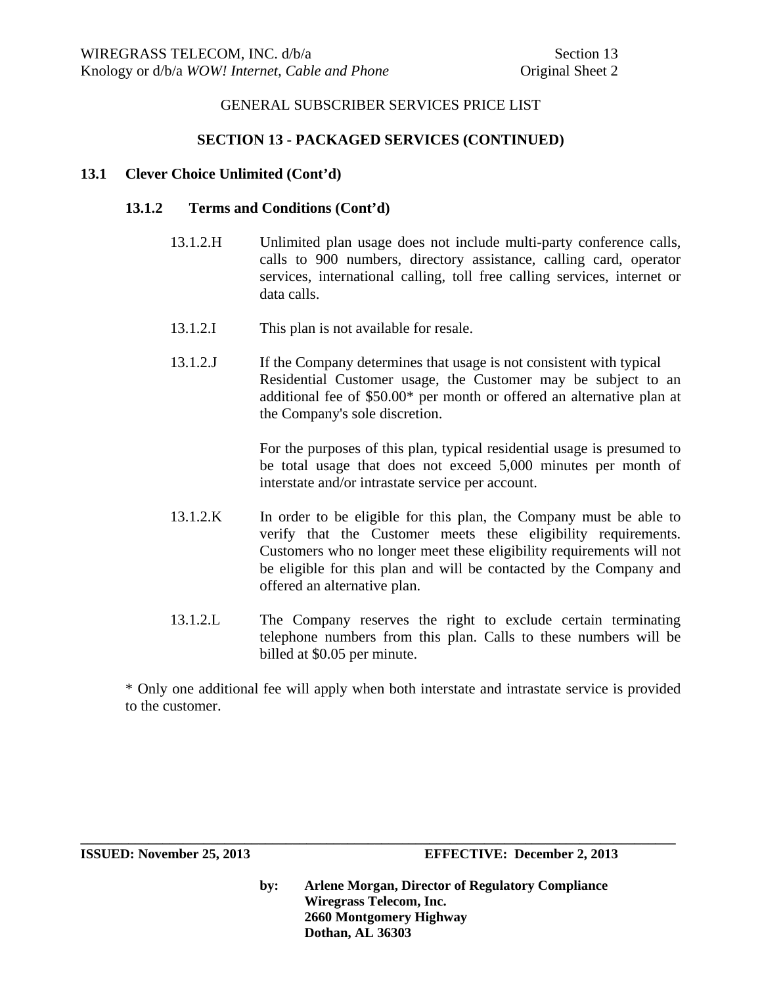### **SECTION 13 - PACKAGED SERVICES (CONTINUED)**

#### **13.1 Clever Choice Unlimited (Cont'd)**

#### **13.1.2 Terms and Conditions (Cont'd)**

- 13.1.2.H Unlimited plan usage does not include multi-party conference calls, calls to 900 numbers, directory assistance, calling card, operator services, international calling, toll free calling services, internet or data calls.
- 13.1.2.I This plan is not available for resale.
- 13.1.2.J If the Company determines that usage is not consistent with typical Residential Customer usage, the Customer may be subject to an additional fee of \$50.00\* per month or offered an alternative plan at the Company's sole discretion.

For the purposes of this plan, typical residential usage is presumed to be total usage that does not exceed 5,000 minutes per month of interstate and/or intrastate service per account.

- 13.1.2.K In order to be eligible for this plan, the Company must be able to verify that the Customer meets these eligibility requirements. Customers who no longer meet these eligibility requirements will not be eligible for this plan and will be contacted by the Company and offered an alternative plan.
- 13.1.2.L The Company reserves the right to exclude certain terminating telephone numbers from this plan. Calls to these numbers will be billed at \$0.05 per minute.

\* Only one additional fee will apply when both interstate and intrastate service is provided to the customer.

**\_\_\_\_\_\_\_\_\_\_\_\_\_\_\_\_\_\_\_\_\_\_\_\_\_\_\_\_\_\_\_\_\_\_\_\_\_\_\_\_\_\_\_\_\_\_\_\_\_\_\_\_\_\_\_\_\_\_\_\_\_\_\_\_\_\_\_\_\_\_\_\_\_\_\_\_\_\_\_\_\_\_\_\_\_\_\_** 

**by: Arlene Morgan, Director of Regulatory Compliance Wiregrass Telecom, Inc. 2660 Montgomery Highway Dothan, AL 36303**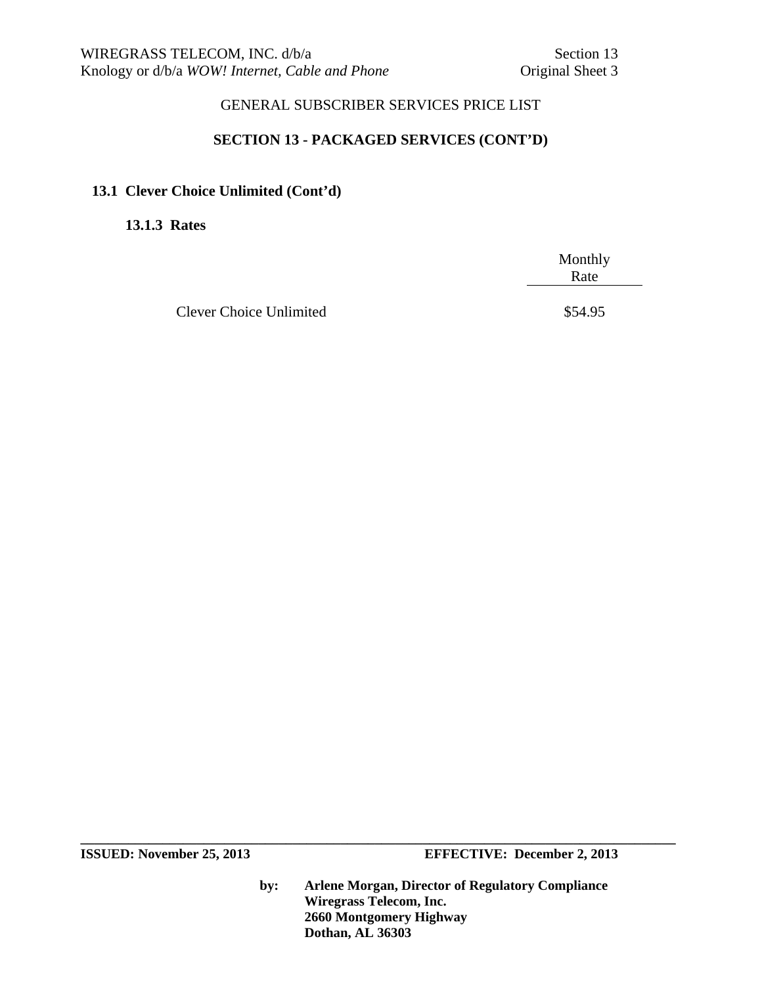### **SECTION 13 - PACKAGED SERVICES (CONT'D)**

### **13.1 Clever Choice Unlimited (Cont'd)**

**13.1.3 Rates** 

 Monthly **Rate** 

Clever Choice Unlimited  $$54.95$ 

**by: Arlene Morgan, Director of Regulatory Compliance Wiregrass Telecom, Inc. 2660 Montgomery Highway Dothan, AL 36303**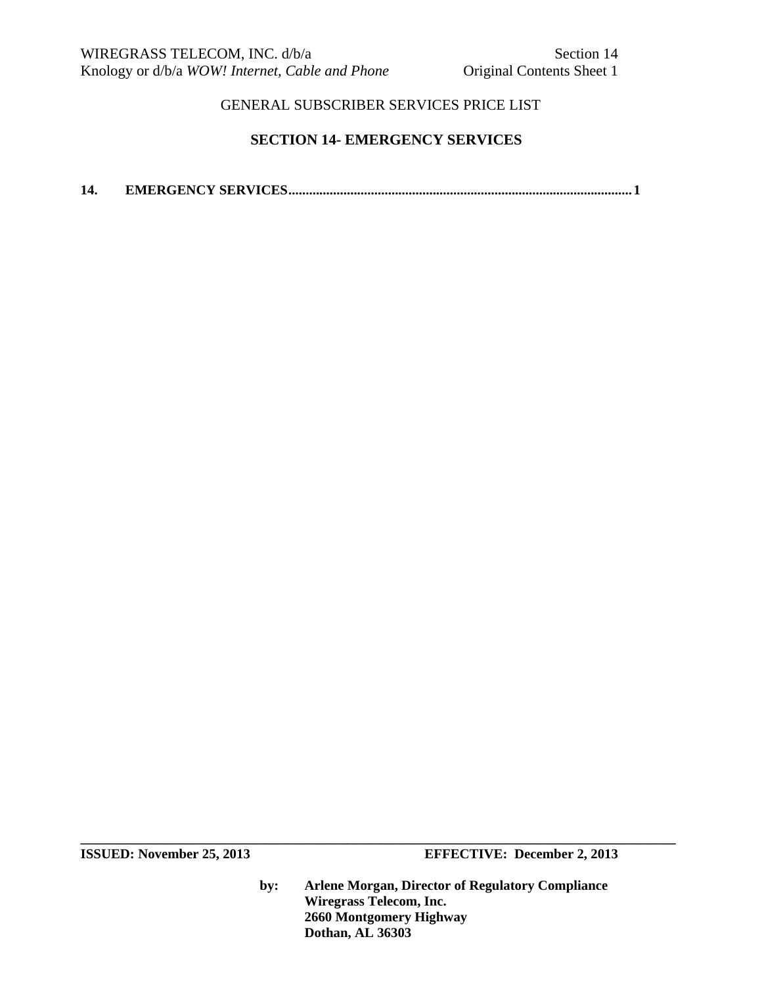### **SECTION 14- EMERGENCY SERVICES**

**14. EMERGENCY SERVICES .................................................................................................... 1** 

**by: Arlene Morgan, Director of Regulatory Compliance Wiregrass Telecom, Inc. 2660 Montgomery Highway Dothan, AL 36303**